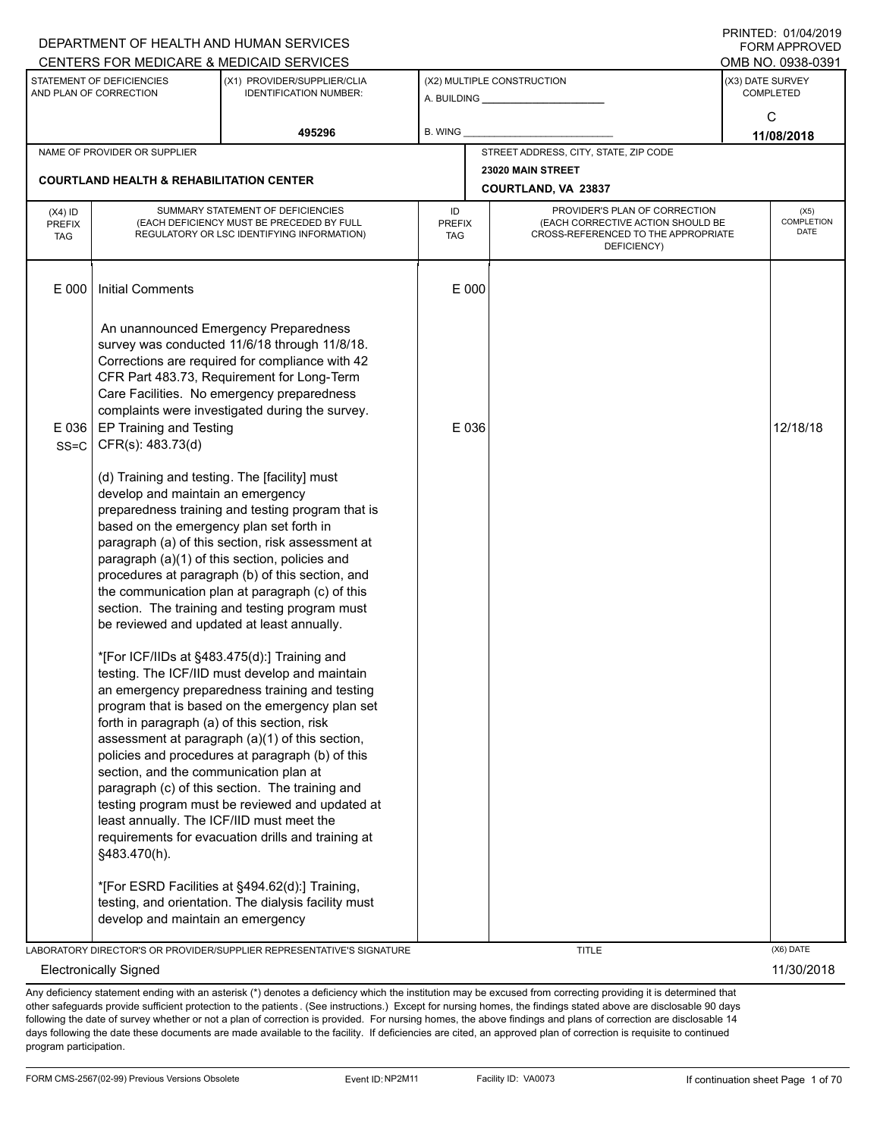|                                          |                                                                                                                                                                                                                                                                       | DEPARTMENT OF HEALTH AND HUMAN SERVICES                                                                                                                                                                                                                                                                                                                                                                                                                                                                                                                                                                                                                                                                                                                                             |                                   |                                                                                                                          | <b>FORM APPROVED</b>                 |                            |
|------------------------------------------|-----------------------------------------------------------------------------------------------------------------------------------------------------------------------------------------------------------------------------------------------------------------------|-------------------------------------------------------------------------------------------------------------------------------------------------------------------------------------------------------------------------------------------------------------------------------------------------------------------------------------------------------------------------------------------------------------------------------------------------------------------------------------------------------------------------------------------------------------------------------------------------------------------------------------------------------------------------------------------------------------------------------------------------------------------------------------|-----------------------------------|--------------------------------------------------------------------------------------------------------------------------|--------------------------------------|----------------------------|
|                                          |                                                                                                                                                                                                                                                                       | CENTERS FOR MEDICARE & MEDICAID SERVICES                                                                                                                                                                                                                                                                                                                                                                                                                                                                                                                                                                                                                                                                                                                                            |                                   |                                                                                                                          | OMB NO. 0938-0391                    |                            |
|                                          | STATEMENT OF DEFICIENCIES<br>AND PLAN OF CORRECTION                                                                                                                                                                                                                   | (X1) PROVIDER/SUPPLIER/CLIA<br><b>IDENTIFICATION NUMBER:</b>                                                                                                                                                                                                                                                                                                                                                                                                                                                                                                                                                                                                                                                                                                                        |                                   | (X2) MULTIPLE CONSTRUCTION<br>A. BUILDING <b>A. BUILDING</b>                                                             | (X3) DATE SURVEY<br><b>COMPLETED</b> |                            |
|                                          |                                                                                                                                                                                                                                                                       | 495296                                                                                                                                                                                                                                                                                                                                                                                                                                                                                                                                                                                                                                                                                                                                                                              | B. WING                           |                                                                                                                          | C<br>11/08/2018                      |                            |
|                                          | NAME OF PROVIDER OR SUPPLIER                                                                                                                                                                                                                                          |                                                                                                                                                                                                                                                                                                                                                                                                                                                                                                                                                                                                                                                                                                                                                                                     |                                   | STREET ADDRESS, CITY, STATE, ZIP CODE                                                                                    |                                      |                            |
|                                          | <b>COURTLAND HEALTH &amp; REHABILITATION CENTER</b>                                                                                                                                                                                                                   |                                                                                                                                                                                                                                                                                                                                                                                                                                                                                                                                                                                                                                                                                                                                                                                     |                                   | 23020 MAIN STREET                                                                                                        |                                      |                            |
|                                          |                                                                                                                                                                                                                                                                       |                                                                                                                                                                                                                                                                                                                                                                                                                                                                                                                                                                                                                                                                                                                                                                                     |                                   | COURTLAND, VA 23837                                                                                                      |                                      |                            |
| $(X4)$ ID<br><b>PREFIX</b><br><b>TAG</b> |                                                                                                                                                                                                                                                                       | SUMMARY STATEMENT OF DEFICIENCIES<br>(EACH DEFICIENCY MUST BE PRECEDED BY FULL<br>REGULATORY OR LSC IDENTIFYING INFORMATION)                                                                                                                                                                                                                                                                                                                                                                                                                                                                                                                                                                                                                                                        | ID<br><b>PREFIX</b><br><b>TAG</b> | PROVIDER'S PLAN OF CORRECTION<br>(EACH CORRECTIVE ACTION SHOULD BE<br>CROSS-REFERENCED TO THE APPROPRIATE<br>DEFICIENCY) |                                      | (X5)<br>COMPLETION<br>DATE |
| E 000                                    | <b>Initial Comments</b>                                                                                                                                                                                                                                               |                                                                                                                                                                                                                                                                                                                                                                                                                                                                                                                                                                                                                                                                                                                                                                                     | E 000                             |                                                                                                                          |                                      |                            |
| $E$ 036<br>$SS = C$                      | EP Training and Testing<br>CFR(s): 483.73(d)                                                                                                                                                                                                                          | An unannounced Emergency Preparedness<br>survey was conducted 11/6/18 through 11/8/18.<br>Corrections are required for compliance with 42<br>CFR Part 483.73, Requirement for Long-Term<br>Care Facilities. No emergency preparedness<br>complaints were investigated during the survey.                                                                                                                                                                                                                                                                                                                                                                                                                                                                                            | E 036                             |                                                                                                                          | 12/18/18                             |                            |
|                                          | (d) Training and testing. The [facility] must<br>develop and maintain an emergency<br>based on the emergency plan set forth in<br>forth in paragraph (a) of this section, risk<br>section, and the communication plan at<br>least annually. The ICF/IID must meet the | preparedness training and testing program that is<br>paragraph (a) of this section, risk assessment at<br>paragraph (a)(1) of this section, policies and<br>procedures at paragraph (b) of this section, and<br>the communication plan at paragraph (c) of this<br>section. The training and testing program must<br>be reviewed and updated at least annually.<br>*[For ICF/IIDs at §483.475(d):] Training and<br>testing. The ICF/IID must develop and maintain<br>an emergency preparedness training and testing<br>program that is based on the emergency plan set<br>assessment at paragraph (a)(1) of this section,<br>policies and procedures at paragraph (b) of this<br>paragraph (c) of this section. The training and<br>testing program must be reviewed and updated at |                                   |                                                                                                                          |                                      |                            |
|                                          | §483.470(h).<br>develop and maintain an emergency                                                                                                                                                                                                                     | requirements for evacuation drills and training at<br>*[For ESRD Facilities at §494.62(d):] Training,<br>testing, and orientation. The dialysis facility must                                                                                                                                                                                                                                                                                                                                                                                                                                                                                                                                                                                                                       |                                   |                                                                                                                          |                                      |                            |
|                                          |                                                                                                                                                                                                                                                                       | LABORATORY DIRECTOR'S OR PROVIDER/SUPPLIER REPRESENTATIVE'S SIGNATURE                                                                                                                                                                                                                                                                                                                                                                                                                                                                                                                                                                                                                                                                                                               |                                   | <b>TITLE</b>                                                                                                             | (X6) DATE                            |                            |
|                                          | <b>Electronically Signed</b>                                                                                                                                                                                                                                          |                                                                                                                                                                                                                                                                                                                                                                                                                                                                                                                                                                                                                                                                                                                                                                                     |                                   |                                                                                                                          |                                      | 11/30/2018                 |

Any deficiency statement ending with an asterisk (\*) denotes a deficiency which the institution may be excused from correcting providing it is determined that other safeguards provide sufficient protection to the patients . (See instructions.) Except for nursing homes, the findings stated above are disclosable 90 days following the date of survey whether or not a plan of correction is provided. For nursing homes, the above findings and plans of correction are disclosable 14 days following the date these documents are made available to the facility. If deficiencies are cited, an approved plan of correction is requisite to continued program participation.

PRINTED: 01/04/2019  $\sim$ P $\sim$ P $\sim$ P $\sim$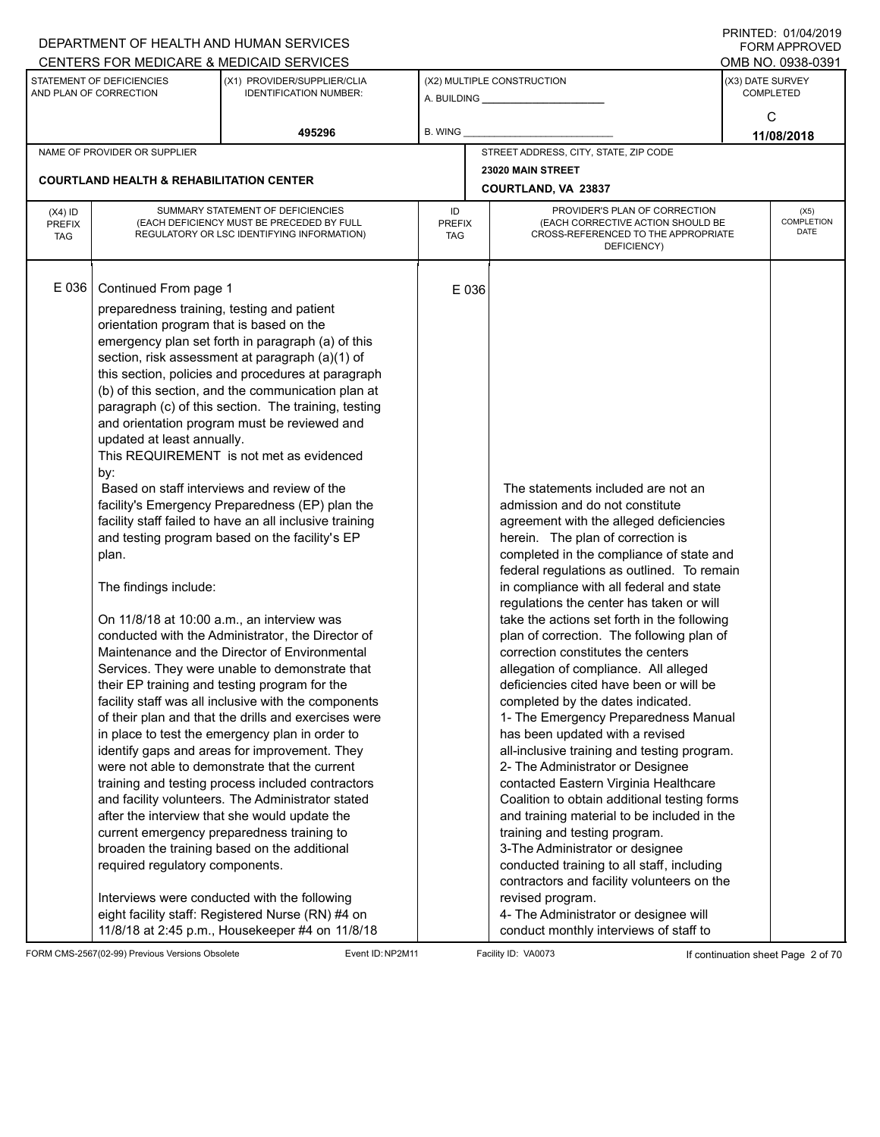|                                          |                                                                                                                                                                                                                                                                         | DEPARTMENT OF HEALTH AND HUMAN SERVICES<br>CENTERS FOR MEDICARE & MEDICAID SERVICES                                                                                                                                                                                                                                                                                                                                                                                                                                                                                                                                                                                                                                                                                                                                                                                                                                                                                                                                                                                                                                                                                                                                                                                                                                                                                                                                                                                                |                                   |                                                                                                                                                                                                                                                                                                                                                                                                                                                                                                                                                                                                                                                                                                                                                                                                                                                                                                                                                                                                                                                                                                                                                                                 | FININILU. VIIV <del>I</del> IZVIJ<br><b>FORM APPROVED</b><br>OMB NO. 0938-0391 |
|------------------------------------------|-------------------------------------------------------------------------------------------------------------------------------------------------------------------------------------------------------------------------------------------------------------------------|------------------------------------------------------------------------------------------------------------------------------------------------------------------------------------------------------------------------------------------------------------------------------------------------------------------------------------------------------------------------------------------------------------------------------------------------------------------------------------------------------------------------------------------------------------------------------------------------------------------------------------------------------------------------------------------------------------------------------------------------------------------------------------------------------------------------------------------------------------------------------------------------------------------------------------------------------------------------------------------------------------------------------------------------------------------------------------------------------------------------------------------------------------------------------------------------------------------------------------------------------------------------------------------------------------------------------------------------------------------------------------------------------------------------------------------------------------------------------------|-----------------------------------|---------------------------------------------------------------------------------------------------------------------------------------------------------------------------------------------------------------------------------------------------------------------------------------------------------------------------------------------------------------------------------------------------------------------------------------------------------------------------------------------------------------------------------------------------------------------------------------------------------------------------------------------------------------------------------------------------------------------------------------------------------------------------------------------------------------------------------------------------------------------------------------------------------------------------------------------------------------------------------------------------------------------------------------------------------------------------------------------------------------------------------------------------------------------------------|--------------------------------------------------------------------------------|
|                                          | STATEMENT OF DEFICIENCIES<br>AND PLAN OF CORRECTION                                                                                                                                                                                                                     | (X1) PROVIDER/SUPPLIER/CLIA<br><b>IDENTIFICATION NUMBER:</b>                                                                                                                                                                                                                                                                                                                                                                                                                                                                                                                                                                                                                                                                                                                                                                                                                                                                                                                                                                                                                                                                                                                                                                                                                                                                                                                                                                                                                       |                                   | (X2) MULTIPLE CONSTRUCTION                                                                                                                                                                                                                                                                                                                                                                                                                                                                                                                                                                                                                                                                                                                                                                                                                                                                                                                                                                                                                                                                                                                                                      | (X3) DATE SURVEY<br><b>COMPLETED</b>                                           |
|                                          |                                                                                                                                                                                                                                                                         | 495296                                                                                                                                                                                                                                                                                                                                                                                                                                                                                                                                                                                                                                                                                                                                                                                                                                                                                                                                                                                                                                                                                                                                                                                                                                                                                                                                                                                                                                                                             | <b>B. WING</b>                    |                                                                                                                                                                                                                                                                                                                                                                                                                                                                                                                                                                                                                                                                                                                                                                                                                                                                                                                                                                                                                                                                                                                                                                                 | C<br>11/08/2018                                                                |
|                                          | NAME OF PROVIDER OR SUPPLIER                                                                                                                                                                                                                                            |                                                                                                                                                                                                                                                                                                                                                                                                                                                                                                                                                                                                                                                                                                                                                                                                                                                                                                                                                                                                                                                                                                                                                                                                                                                                                                                                                                                                                                                                                    |                                   | STREET ADDRESS, CITY, STATE, ZIP CODE                                                                                                                                                                                                                                                                                                                                                                                                                                                                                                                                                                                                                                                                                                                                                                                                                                                                                                                                                                                                                                                                                                                                           |                                                                                |
|                                          |                                                                                                                                                                                                                                                                         |                                                                                                                                                                                                                                                                                                                                                                                                                                                                                                                                                                                                                                                                                                                                                                                                                                                                                                                                                                                                                                                                                                                                                                                                                                                                                                                                                                                                                                                                                    |                                   | 23020 MAIN STREET                                                                                                                                                                                                                                                                                                                                                                                                                                                                                                                                                                                                                                                                                                                                                                                                                                                                                                                                                                                                                                                                                                                                                               |                                                                                |
|                                          | <b>COURTLAND HEALTH &amp; REHABILITATION CENTER</b>                                                                                                                                                                                                                     |                                                                                                                                                                                                                                                                                                                                                                                                                                                                                                                                                                                                                                                                                                                                                                                                                                                                                                                                                                                                                                                                                                                                                                                                                                                                                                                                                                                                                                                                                    |                                   | <b>COURTLAND, VA 23837</b>                                                                                                                                                                                                                                                                                                                                                                                                                                                                                                                                                                                                                                                                                                                                                                                                                                                                                                                                                                                                                                                                                                                                                      |                                                                                |
| $(X4)$ ID<br><b>PREFIX</b><br><b>TAG</b> |                                                                                                                                                                                                                                                                         | SUMMARY STATEMENT OF DEFICIENCIES<br>(EACH DEFICIENCY MUST BE PRECEDED BY FULL<br>REGULATORY OR LSC IDENTIFYING INFORMATION)                                                                                                                                                                                                                                                                                                                                                                                                                                                                                                                                                                                                                                                                                                                                                                                                                                                                                                                                                                                                                                                                                                                                                                                                                                                                                                                                                       | ID<br><b>PREFIX</b><br><b>TAG</b> | PROVIDER'S PLAN OF CORRECTION<br>(EACH CORRECTIVE ACTION SHOULD BE<br>CROSS-REFERENCED TO THE APPROPRIATE<br>DEFICIENCY)                                                                                                                                                                                                                                                                                                                                                                                                                                                                                                                                                                                                                                                                                                                                                                                                                                                                                                                                                                                                                                                        | (X5)<br><b>COMPLETION</b><br>DATE                                              |
| E036                                     | Continued From page 1<br>preparedness training, testing and patient<br>orientation program that is based on the<br>updated at least annually.<br>by:<br>plan.<br>The findings include:<br>On 11/8/18 at 10:00 a.m., an interview was<br>required regulatory components. | emergency plan set forth in paragraph (a) of this<br>section, risk assessment at paragraph (a)(1) of<br>this section, policies and procedures at paragraph<br>(b) of this section, and the communication plan at<br>paragraph (c) of this section. The training, testing<br>and orientation program must be reviewed and<br>This REQUIREMENT is not met as evidenced<br>Based on staff interviews and review of the<br>facility's Emergency Preparedness (EP) plan the<br>facility staff failed to have an all inclusive training<br>and testing program based on the facility's EP<br>conducted with the Administrator, the Director of<br>Maintenance and the Director of Environmental<br>Services. They were unable to demonstrate that<br>their EP training and testing program for the<br>facility staff was all inclusive with the components<br>of their plan and that the drills and exercises were<br>in place to test the emergency plan in order to<br>identify gaps and areas for improvement. They<br>were not able to demonstrate that the current<br>training and testing process included contractors<br>and facility volunteers. The Administrator stated<br>after the interview that she would update the<br>current emergency preparedness training to<br>broaden the training based on the additional<br>Interviews were conducted with the following<br>eight facility staff: Registered Nurse (RN) #4 on<br>11/8/18 at 2:45 p.m., Housekeeper #4 on 11/8/18 | E 036                             | The statements included are not an<br>admission and do not constitute<br>agreement with the alleged deficiencies<br>herein. The plan of correction is<br>completed in the compliance of state and<br>federal regulations as outlined. To remain<br>in compliance with all federal and state<br>regulations the center has taken or will<br>take the actions set forth in the following<br>plan of correction. The following plan of<br>correction constitutes the centers<br>allegation of compliance. All alleged<br>deficiencies cited have been or will be<br>completed by the dates indicated.<br>1- The Emergency Preparedness Manual<br>has been updated with a revised<br>all-inclusive training and testing program.<br>2- The Administrator or Designee<br>contacted Eastern Virginia Healthcare<br>Coalition to obtain additional testing forms<br>and training material to be included in the<br>training and testing program.<br>3-The Administrator or designee<br>conducted training to all staff, including<br>contractors and facility volunteers on the<br>revised program.<br>4- The Administrator or designee will<br>conduct monthly interviews of staff to |                                                                                |

FORM CMS-2567(02-99) Previous Versions Obsolete Event ID:NP2M11 Facility ID: VA0073 If continuation sheet Page 2 of 70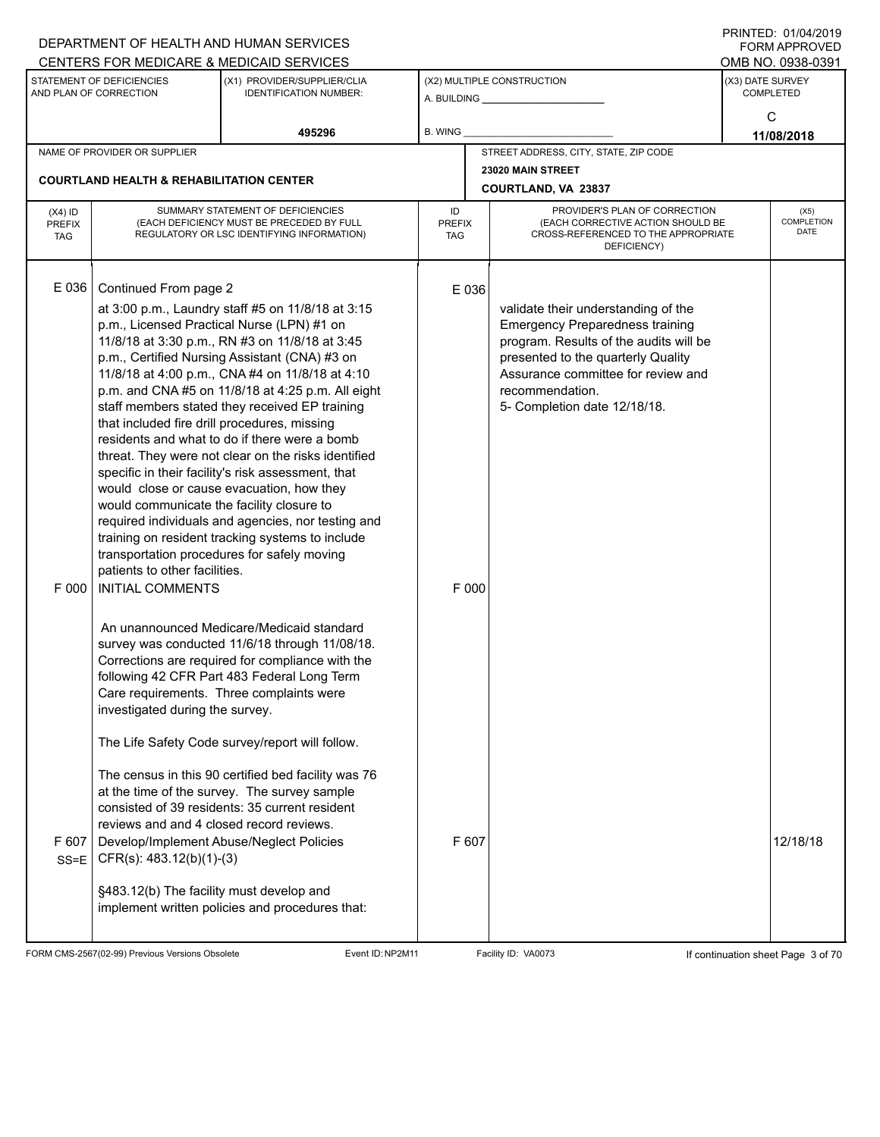|                            |                                                          | DEPARTMENT OF HEALTH AND HUMAN SERVICES                                                             |                     |                                                                               |                  | 11111111110110 <del>1</del> 12013<br><b>FORM APPROVED</b> |
|----------------------------|----------------------------------------------------------|-----------------------------------------------------------------------------------------------------|---------------------|-------------------------------------------------------------------------------|------------------|-----------------------------------------------------------|
|                            | STATEMENT OF DEFICIENCIES                                | CENTERS FOR MEDICARE & MEDICAID SERVICES<br>(X1) PROVIDER/SUPPLIER/CLIA                             |                     | (X2) MULTIPLE CONSTRUCTION                                                    | (X3) DATE SURVEY | OMB NO. 0938-0391                                         |
|                            | AND PLAN OF CORRECTION                                   | <b>IDENTIFICATION NUMBER:</b>                                                                       |                     |                                                                               |                  | <b>COMPLETED</b>                                          |
|                            |                                                          |                                                                                                     |                     |                                                                               |                  | С                                                         |
|                            |                                                          | 495296                                                                                              | B. WING             |                                                                               |                  | 11/08/2018                                                |
|                            | NAME OF PROVIDER OR SUPPLIER                             |                                                                                                     |                     | STREET ADDRESS, CITY, STATE, ZIP CODE                                         |                  |                                                           |
|                            | <b>COURTLAND HEALTH &amp; REHABILITATION CENTER</b>      |                                                                                                     |                     | 23020 MAIN STREET                                                             |                  |                                                           |
|                            |                                                          |                                                                                                     |                     | COURTLAND, VA 23837                                                           |                  |                                                           |
| $(X4)$ ID<br><b>PREFIX</b> |                                                          | SUMMARY STATEMENT OF DEFICIENCIES<br>(EACH DEFICIENCY MUST BE PRECEDED BY FULL                      | ID<br><b>PREFIX</b> | PROVIDER'S PLAN OF CORRECTION<br>(EACH CORRECTIVE ACTION SHOULD BE            |                  | (X5)<br><b>COMPLETION</b>                                 |
| <b>TAG</b>                 |                                                          | REGULATORY OR LSC IDENTIFYING INFORMATION)                                                          | TAG                 | CROSS-REFERENCED TO THE APPROPRIATE                                           |                  | DATE                                                      |
|                            |                                                          |                                                                                                     |                     | DEFICIENCY)                                                                   |                  |                                                           |
|                            |                                                          |                                                                                                     |                     |                                                                               |                  |                                                           |
| E 036                      | Continued From page 2                                    |                                                                                                     | E 036               |                                                                               |                  |                                                           |
|                            |                                                          | at 3:00 p.m., Laundry staff #5 on 11/8/18 at 3:15<br>p.m., Licensed Practical Nurse (LPN) #1 on     |                     | validate their understanding of the<br><b>Emergency Preparedness training</b> |                  |                                                           |
|                            |                                                          | 11/8/18 at 3:30 p.m., RN #3 on 11/8/18 at 3:45                                                      |                     | program. Results of the audits will be                                        |                  |                                                           |
|                            |                                                          | p.m., Certified Nursing Assistant (CNA) #3 on                                                       |                     | presented to the quarterly Quality                                            |                  |                                                           |
|                            |                                                          | 11/8/18 at 4:00 p.m., CNA #4 on 11/8/18 at 4:10                                                     |                     | Assurance committee for review and                                            |                  |                                                           |
|                            |                                                          | p.m. and CNA #5 on 11/8/18 at 4:25 p.m. All eight<br>staff members stated they received EP training |                     | recommendation.<br>5- Completion date 12/18/18.                               |                  |                                                           |
|                            | that included fire drill procedures, missing             |                                                                                                     |                     |                                                                               |                  |                                                           |
|                            |                                                          | residents and what to do if there were a bomb                                                       |                     |                                                                               |                  |                                                           |
|                            |                                                          | threat. They were not clear on the risks identified                                                 |                     |                                                                               |                  |                                                           |
|                            |                                                          | specific in their facility's risk assessment, that<br>would close or cause evacuation, how they     |                     |                                                                               |                  |                                                           |
|                            | would communicate the facility closure to                |                                                                                                     |                     |                                                                               |                  |                                                           |
|                            |                                                          | required individuals and agencies, nor testing and                                                  |                     |                                                                               |                  |                                                           |
|                            |                                                          | training on resident tracking systems to include                                                    |                     |                                                                               |                  |                                                           |
|                            |                                                          | transportation procedures for safely moving                                                         |                     |                                                                               |                  |                                                           |
| F 000                      | patients to other facilities.<br><b>INITIAL COMMENTS</b> |                                                                                                     | F 000               |                                                                               |                  |                                                           |
|                            |                                                          |                                                                                                     |                     |                                                                               |                  |                                                           |
|                            |                                                          | An unannounced Medicare/Medicaid standard                                                           |                     |                                                                               |                  |                                                           |
|                            |                                                          | survey was conducted 11/6/18 through 11/08/18.                                                      |                     |                                                                               |                  |                                                           |
|                            |                                                          | Corrections are required for compliance with the                                                    |                     |                                                                               |                  |                                                           |
|                            |                                                          | following 42 CFR Part 483 Federal Long Term                                                         |                     |                                                                               |                  |                                                           |
|                            |                                                          | Care requirements. Three complaints were                                                            |                     |                                                                               |                  |                                                           |
|                            | investigated during the survey.                          |                                                                                                     |                     |                                                                               |                  |                                                           |
|                            |                                                          | The Life Safety Code survey/report will follow.                                                     |                     |                                                                               |                  |                                                           |
|                            |                                                          | The census in this 90 certified bed facility was 76                                                 |                     |                                                                               |                  |                                                           |
|                            |                                                          | at the time of the survey. The survey sample                                                        |                     |                                                                               |                  |                                                           |
|                            | reviews and and 4 closed record reviews.                 | consisted of 39 residents: 35 current resident                                                      |                     |                                                                               |                  |                                                           |
| F 607                      |                                                          | Develop/Implement Abuse/Neglect Policies                                                            | F 607               |                                                                               |                  | 12/18/18                                                  |
| $SS = E$                   | $CFR(s): 483.12(b)(1)-(3)$                               |                                                                                                     |                     |                                                                               |                  |                                                           |
|                            | §483.12(b) The facility must develop and                 |                                                                                                     |                     |                                                                               |                  |                                                           |
|                            |                                                          | implement written policies and procedures that:                                                     |                     |                                                                               |                  |                                                           |
|                            |                                                          |                                                                                                     |                     |                                                                               |                  |                                                           |

FORM CMS-2567(02-99) Previous Versions Obsolete Event ID:NP2M11 Facility ID: VA0073 If continuation sheet Page 3 of 70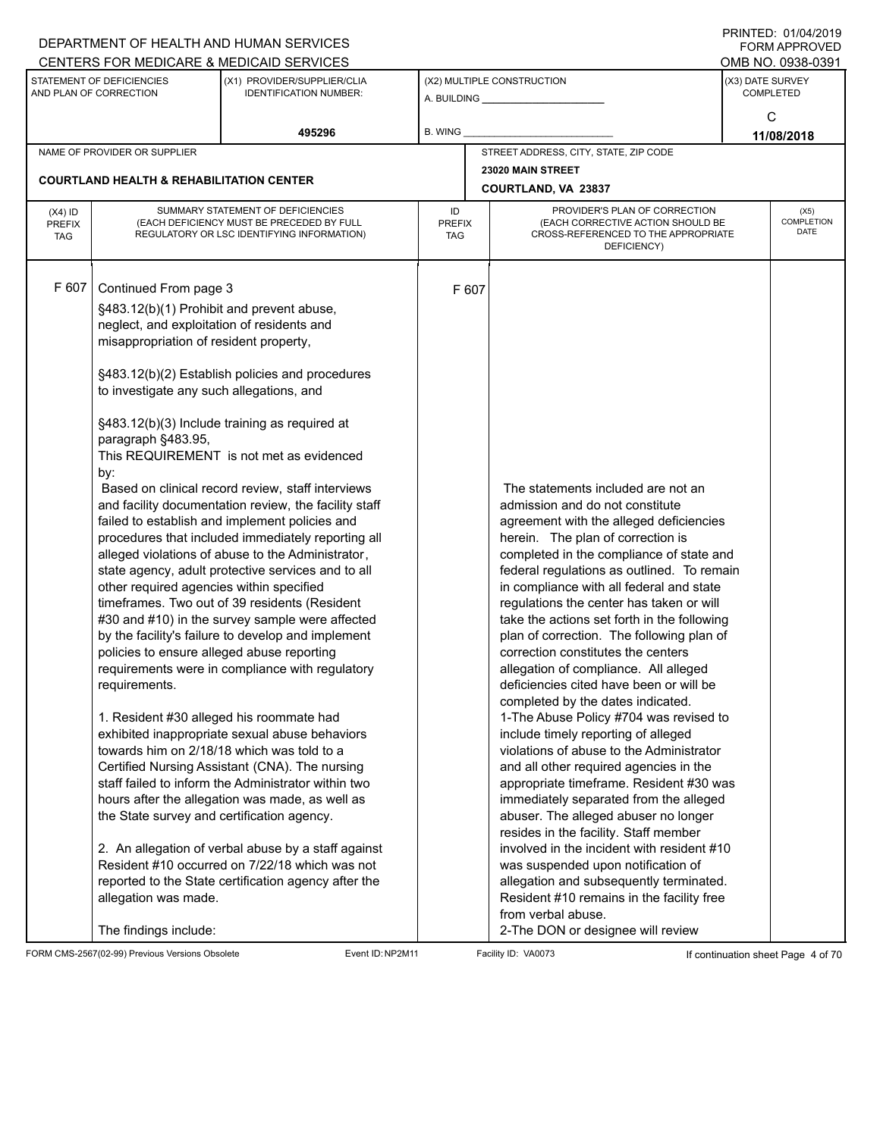|                                          |                                                                                                                                                                                                                                                                                                                                                                                                                                                                                           | DEPARTMENT OF HEALTH AND HUMAN SERVICES<br>CENTERS FOR MEDICARE & MEDICAID SERVICES                                                                                                                                                                                                                                                                                                                                                                                                                                                                                                                                                                                                                                                                                                                                                                                                                                                                                                                                                                                                                                     |                                   |                                                                                                                                                                                                                                                                                                                                                                                                                                                                                                                                                                                                                                                                                                                                                                                                                                                                                                                                                                                                                                                                                                                                                                                        | FININILU. VIIVHIZVIJ<br>FORM APPROVED<br>OMB NO. 0938-0391 |
|------------------------------------------|-------------------------------------------------------------------------------------------------------------------------------------------------------------------------------------------------------------------------------------------------------------------------------------------------------------------------------------------------------------------------------------------------------------------------------------------------------------------------------------------|-------------------------------------------------------------------------------------------------------------------------------------------------------------------------------------------------------------------------------------------------------------------------------------------------------------------------------------------------------------------------------------------------------------------------------------------------------------------------------------------------------------------------------------------------------------------------------------------------------------------------------------------------------------------------------------------------------------------------------------------------------------------------------------------------------------------------------------------------------------------------------------------------------------------------------------------------------------------------------------------------------------------------------------------------------------------------------------------------------------------------|-----------------------------------|----------------------------------------------------------------------------------------------------------------------------------------------------------------------------------------------------------------------------------------------------------------------------------------------------------------------------------------------------------------------------------------------------------------------------------------------------------------------------------------------------------------------------------------------------------------------------------------------------------------------------------------------------------------------------------------------------------------------------------------------------------------------------------------------------------------------------------------------------------------------------------------------------------------------------------------------------------------------------------------------------------------------------------------------------------------------------------------------------------------------------------------------------------------------------------------|------------------------------------------------------------|
|                                          | STATEMENT OF DEFICIENCIES<br>AND PLAN OF CORRECTION                                                                                                                                                                                                                                                                                                                                                                                                                                       | (X1) PROVIDER/SUPPLIER/CLIA<br><b>IDENTIFICATION NUMBER:</b>                                                                                                                                                                                                                                                                                                                                                                                                                                                                                                                                                                                                                                                                                                                                                                                                                                                                                                                                                                                                                                                            |                                   | (X2) MULTIPLE CONSTRUCTION                                                                                                                                                                                                                                                                                                                                                                                                                                                                                                                                                                                                                                                                                                                                                                                                                                                                                                                                                                                                                                                                                                                                                             | (X3) DATE SURVEY<br><b>COMPLETED</b>                       |
|                                          |                                                                                                                                                                                                                                                                                                                                                                                                                                                                                           | 495296                                                                                                                                                                                                                                                                                                                                                                                                                                                                                                                                                                                                                                                                                                                                                                                                                                                                                                                                                                                                                                                                                                                  | <b>B. WING</b>                    |                                                                                                                                                                                                                                                                                                                                                                                                                                                                                                                                                                                                                                                                                                                                                                                                                                                                                                                                                                                                                                                                                                                                                                                        | C<br>11/08/2018                                            |
|                                          | NAME OF PROVIDER OR SUPPLIER                                                                                                                                                                                                                                                                                                                                                                                                                                                              |                                                                                                                                                                                                                                                                                                                                                                                                                                                                                                                                                                                                                                                                                                                                                                                                                                                                                                                                                                                                                                                                                                                         |                                   | STREET ADDRESS, CITY, STATE, ZIP CODE                                                                                                                                                                                                                                                                                                                                                                                                                                                                                                                                                                                                                                                                                                                                                                                                                                                                                                                                                                                                                                                                                                                                                  |                                                            |
|                                          |                                                                                                                                                                                                                                                                                                                                                                                                                                                                                           |                                                                                                                                                                                                                                                                                                                                                                                                                                                                                                                                                                                                                                                                                                                                                                                                                                                                                                                                                                                                                                                                                                                         |                                   | 23020 MAIN STREET                                                                                                                                                                                                                                                                                                                                                                                                                                                                                                                                                                                                                                                                                                                                                                                                                                                                                                                                                                                                                                                                                                                                                                      |                                                            |
|                                          | <b>COURTLAND HEALTH &amp; REHABILITATION CENTER</b>                                                                                                                                                                                                                                                                                                                                                                                                                                       |                                                                                                                                                                                                                                                                                                                                                                                                                                                                                                                                                                                                                                                                                                                                                                                                                                                                                                                                                                                                                                                                                                                         |                                   | <b>COURTLAND, VA 23837</b>                                                                                                                                                                                                                                                                                                                                                                                                                                                                                                                                                                                                                                                                                                                                                                                                                                                                                                                                                                                                                                                                                                                                                             |                                                            |
| $(X4)$ ID<br><b>PREFIX</b><br><b>TAG</b> |                                                                                                                                                                                                                                                                                                                                                                                                                                                                                           | SUMMARY STATEMENT OF DEFICIENCIES<br>(EACH DEFICIENCY MUST BE PRECEDED BY FULL<br>REGULATORY OR LSC IDENTIFYING INFORMATION)                                                                                                                                                                                                                                                                                                                                                                                                                                                                                                                                                                                                                                                                                                                                                                                                                                                                                                                                                                                            | ID<br><b>PREFIX</b><br><b>TAG</b> | PROVIDER'S PLAN OF CORRECTION<br>(EACH CORRECTIVE ACTION SHOULD BE<br>CROSS-REFERENCED TO THE APPROPRIATE<br>DEFICIENCY)                                                                                                                                                                                                                                                                                                                                                                                                                                                                                                                                                                                                                                                                                                                                                                                                                                                                                                                                                                                                                                                               | (X5)<br><b>COMPLETION</b><br><b>DATE</b>                   |
| F 607                                    | Continued From page 3<br>§483.12(b)(1) Prohibit and prevent abuse,<br>neglect, and exploitation of residents and<br>misappropriation of resident property,<br>to investigate any such allegations, and<br>paragraph §483.95,<br>by:<br>other required agencies within specified<br>policies to ensure alleged abuse reporting<br>requirements.<br>1. Resident #30 alleged his roommate had<br>the State survey and certification agency.<br>allegation was made.<br>The findings include: | §483.12(b)(2) Establish policies and procedures<br>§483.12(b)(3) Include training as required at<br>This REQUIREMENT is not met as evidenced<br>Based on clinical record review, staff interviews<br>and facility documentation review, the facility staff<br>failed to establish and implement policies and<br>procedures that included immediately reporting all<br>alleged violations of abuse to the Administrator,<br>state agency, adult protective services and to all<br>timeframes. Two out of 39 residents (Resident<br>#30 and #10) in the survey sample were affected<br>by the facility's failure to develop and implement<br>requirements were in compliance with regulatory<br>exhibited inappropriate sexual abuse behaviors<br>towards him on 2/18/18 which was told to a<br>Certified Nursing Assistant (CNA). The nursing<br>staff failed to inform the Administrator within two<br>hours after the allegation was made, as well as<br>2. An allegation of verbal abuse by a staff against<br>Resident #10 occurred on 7/22/18 which was not<br>reported to the State certification agency after the | F 607                             | The statements included are not an<br>admission and do not constitute<br>agreement with the alleged deficiencies<br>herein. The plan of correction is<br>completed in the compliance of state and<br>federal regulations as outlined. To remain<br>in compliance with all federal and state<br>regulations the center has taken or will<br>take the actions set forth in the following<br>plan of correction. The following plan of<br>correction constitutes the centers<br>allegation of compliance. All alleged<br>deficiencies cited have been or will be<br>completed by the dates indicated.<br>1-The Abuse Policy #704 was revised to<br>include timely reporting of alleged<br>violations of abuse to the Administrator<br>and all other required agencies in the<br>appropriate timeframe. Resident #30 was<br>immediately separated from the alleged<br>abuser. The alleged abuser no longer<br>resides in the facility. Staff member<br>involved in the incident with resident #10<br>was suspended upon notification of<br>allegation and subsequently terminated.<br>Resident #10 remains in the facility free<br>from verbal abuse.<br>2-The DON or designee will review |                                                            |

FORM CMS-2567(02-99) Previous Versions Obsolete Event ID:NP2M11 Facility ID: VA0073 If continuation sheet Page 4 of 70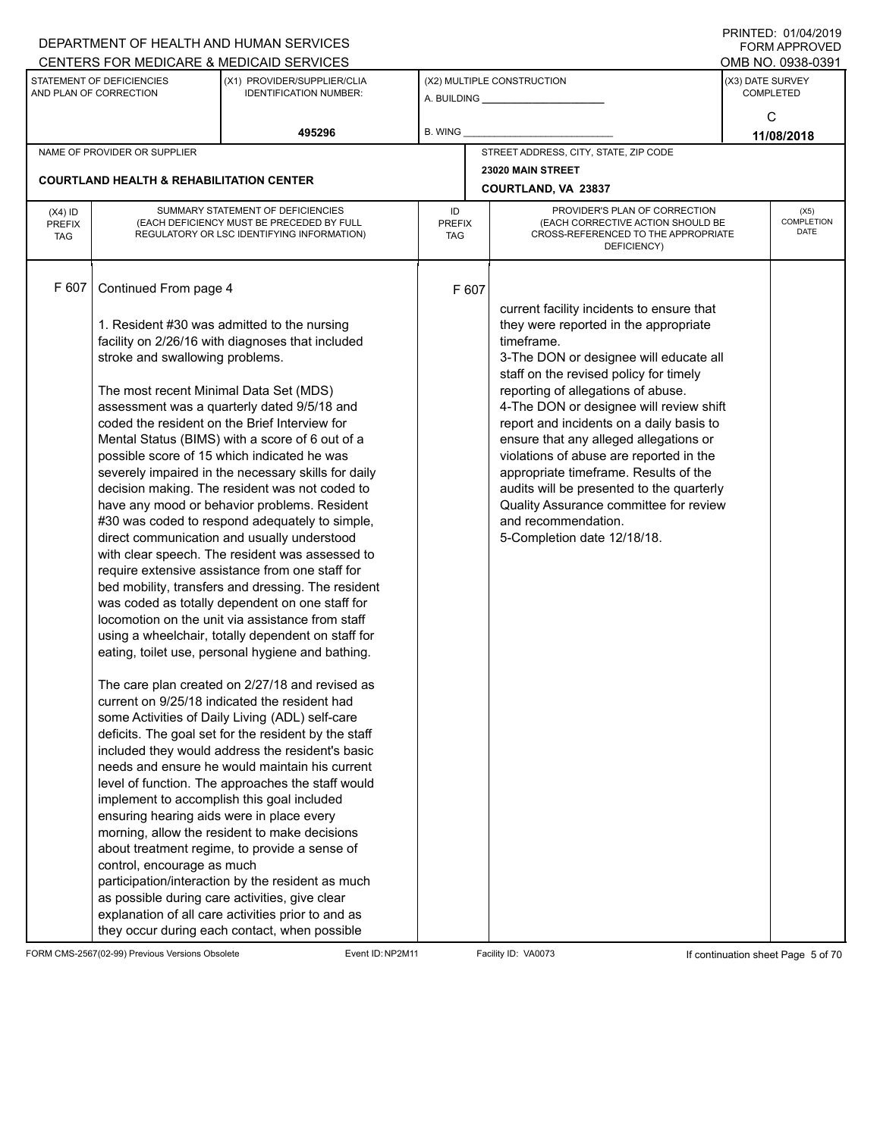|                                          |                                                                                                                                                                               | DEPARTMENT OF HEALTH AND HUMAN SERVICES                                                                                                                                                                                                                                                                                                                                                                                                                                                                                                                                                                                                                                                                                                                                                                                                                                                                                                                                                                                                                                                                                                                                                                                                                                                                                                                                                                                                                                                                                                                                                                                          |                            |       |                                                                                                                                                                                                                                                                                                                                                                                                                                                                                                                                                                                              |                  | <b>FORM APPROVED</b>       |
|------------------------------------------|-------------------------------------------------------------------------------------------------------------------------------------------------------------------------------|----------------------------------------------------------------------------------------------------------------------------------------------------------------------------------------------------------------------------------------------------------------------------------------------------------------------------------------------------------------------------------------------------------------------------------------------------------------------------------------------------------------------------------------------------------------------------------------------------------------------------------------------------------------------------------------------------------------------------------------------------------------------------------------------------------------------------------------------------------------------------------------------------------------------------------------------------------------------------------------------------------------------------------------------------------------------------------------------------------------------------------------------------------------------------------------------------------------------------------------------------------------------------------------------------------------------------------------------------------------------------------------------------------------------------------------------------------------------------------------------------------------------------------------------------------------------------------------------------------------------------------|----------------------------|-------|----------------------------------------------------------------------------------------------------------------------------------------------------------------------------------------------------------------------------------------------------------------------------------------------------------------------------------------------------------------------------------------------------------------------------------------------------------------------------------------------------------------------------------------------------------------------------------------------|------------------|----------------------------|
|                                          |                                                                                                                                                                               | CENTERS FOR MEDICARE & MEDICAID SERVICES                                                                                                                                                                                                                                                                                                                                                                                                                                                                                                                                                                                                                                                                                                                                                                                                                                                                                                                                                                                                                                                                                                                                                                                                                                                                                                                                                                                                                                                                                                                                                                                         |                            |       |                                                                                                                                                                                                                                                                                                                                                                                                                                                                                                                                                                                              |                  | OMB NO. 0938-0391          |
|                                          | STATEMENT OF DEFICIENCIES<br>AND PLAN OF CORRECTION                                                                                                                           | (X1) PROVIDER/SUPPLIER/CLIA<br><b>IDENTIFICATION NUMBER:</b>                                                                                                                                                                                                                                                                                                                                                                                                                                                                                                                                                                                                                                                                                                                                                                                                                                                                                                                                                                                                                                                                                                                                                                                                                                                                                                                                                                                                                                                                                                                                                                     |                            |       | (X2) MULTIPLE CONSTRUCTION                                                                                                                                                                                                                                                                                                                                                                                                                                                                                                                                                                   | (X3) DATE SURVEY | <b>COMPLETED</b>           |
|                                          |                                                                                                                                                                               | 495296                                                                                                                                                                                                                                                                                                                                                                                                                                                                                                                                                                                                                                                                                                                                                                                                                                                                                                                                                                                                                                                                                                                                                                                                                                                                                                                                                                                                                                                                                                                                                                                                                           | B. WING                    |       |                                                                                                                                                                                                                                                                                                                                                                                                                                                                                                                                                                                              |                  | C<br>11/08/2018            |
|                                          | NAME OF PROVIDER OR SUPPLIER                                                                                                                                                  |                                                                                                                                                                                                                                                                                                                                                                                                                                                                                                                                                                                                                                                                                                                                                                                                                                                                                                                                                                                                                                                                                                                                                                                                                                                                                                                                                                                                                                                                                                                                                                                                                                  |                            |       | STREET ADDRESS, CITY, STATE, ZIP CODE                                                                                                                                                                                                                                                                                                                                                                                                                                                                                                                                                        |                  |                            |
|                                          |                                                                                                                                                                               |                                                                                                                                                                                                                                                                                                                                                                                                                                                                                                                                                                                                                                                                                                                                                                                                                                                                                                                                                                                                                                                                                                                                                                                                                                                                                                                                                                                                                                                                                                                                                                                                                                  |                            |       | 23020 MAIN STREET                                                                                                                                                                                                                                                                                                                                                                                                                                                                                                                                                                            |                  |                            |
|                                          | <b>COURTLAND HEALTH &amp; REHABILITATION CENTER</b>                                                                                                                           |                                                                                                                                                                                                                                                                                                                                                                                                                                                                                                                                                                                                                                                                                                                                                                                                                                                                                                                                                                                                                                                                                                                                                                                                                                                                                                                                                                                                                                                                                                                                                                                                                                  |                            |       | COURTLAND, VA 23837                                                                                                                                                                                                                                                                                                                                                                                                                                                                                                                                                                          |                  |                            |
| $(X4)$ ID<br><b>PREFIX</b><br><b>TAG</b> |                                                                                                                                                                               | SUMMARY STATEMENT OF DEFICIENCIES<br>(EACH DEFICIENCY MUST BE PRECEDED BY FULL<br>REGULATORY OR LSC IDENTIFYING INFORMATION)                                                                                                                                                                                                                                                                                                                                                                                                                                                                                                                                                                                                                                                                                                                                                                                                                                                                                                                                                                                                                                                                                                                                                                                                                                                                                                                                                                                                                                                                                                     | ID<br><b>PREFIX</b><br>TAG |       | PROVIDER'S PLAN OF CORRECTION<br>(EACH CORRECTIVE ACTION SHOULD BE<br>CROSS-REFERENCED TO THE APPROPRIATE<br>DEFICIENCY)                                                                                                                                                                                                                                                                                                                                                                                                                                                                     |                  | (X5)<br>COMPLETION<br>DATE |
| F 607                                    | Continued From page 4<br>stroke and swallowing problems.<br>The most recent Minimal Data Set (MDS)<br>ensuring hearing aids were in place every<br>control, encourage as much | 1. Resident #30 was admitted to the nursing<br>facility on 2/26/16 with diagnoses that included<br>assessment was a quarterly dated 9/5/18 and<br>coded the resident on the Brief Interview for<br>Mental Status (BIMS) with a score of 6 out of a<br>possible score of 15 which indicated he was<br>severely impaired in the necessary skills for daily<br>decision making. The resident was not coded to<br>have any mood or behavior problems. Resident<br>#30 was coded to respond adequately to simple,<br>direct communication and usually understood<br>with clear speech. The resident was assessed to<br>require extensive assistance from one staff for<br>bed mobility, transfers and dressing. The resident<br>was coded as totally dependent on one staff for<br>locomotion on the unit via assistance from staff<br>using a wheelchair, totally dependent on staff for<br>eating, toilet use, personal hygiene and bathing.<br>The care plan created on 2/27/18 and revised as<br>current on 9/25/18 indicated the resident had<br>some Activities of Daily Living (ADL) self-care<br>deficits. The goal set for the resident by the staff<br>included they would address the resident's basic<br>needs and ensure he would maintain his current<br>level of function. The approaches the staff would<br>implement to accomplish this goal included<br>morning, allow the resident to make decisions<br>about treatment regime, to provide a sense of<br>participation/interaction by the resident as much<br>as possible during care activities, give clear<br>explanation of all care activities prior to and as |                            | F 607 | current facility incidents to ensure that<br>they were reported in the appropriate<br>timeframe.<br>3-The DON or designee will educate all<br>staff on the revised policy for timely<br>reporting of allegations of abuse.<br>4-The DON or designee will review shift<br>report and incidents on a daily basis to<br>ensure that any alleged allegations or<br>violations of abuse are reported in the<br>appropriate timeframe. Results of the<br>audits will be presented to the quarterly<br>Quality Assurance committee for review<br>and recommendation.<br>5-Completion date 12/18/18. |                  |                            |
|                                          |                                                                                                                                                                               | they occur during each contact, when possible                                                                                                                                                                                                                                                                                                                                                                                                                                                                                                                                                                                                                                                                                                                                                                                                                                                                                                                                                                                                                                                                                                                                                                                                                                                                                                                                                                                                                                                                                                                                                                                    |                            |       |                                                                                                                                                                                                                                                                                                                                                                                                                                                                                                                                                                                              |                  |                            |

FORM CMS-2567(02-99) Previous Versions Obsolete Event ID:NP2M11 Facility ID: VA0073 If continuation sheet Page 5 of 70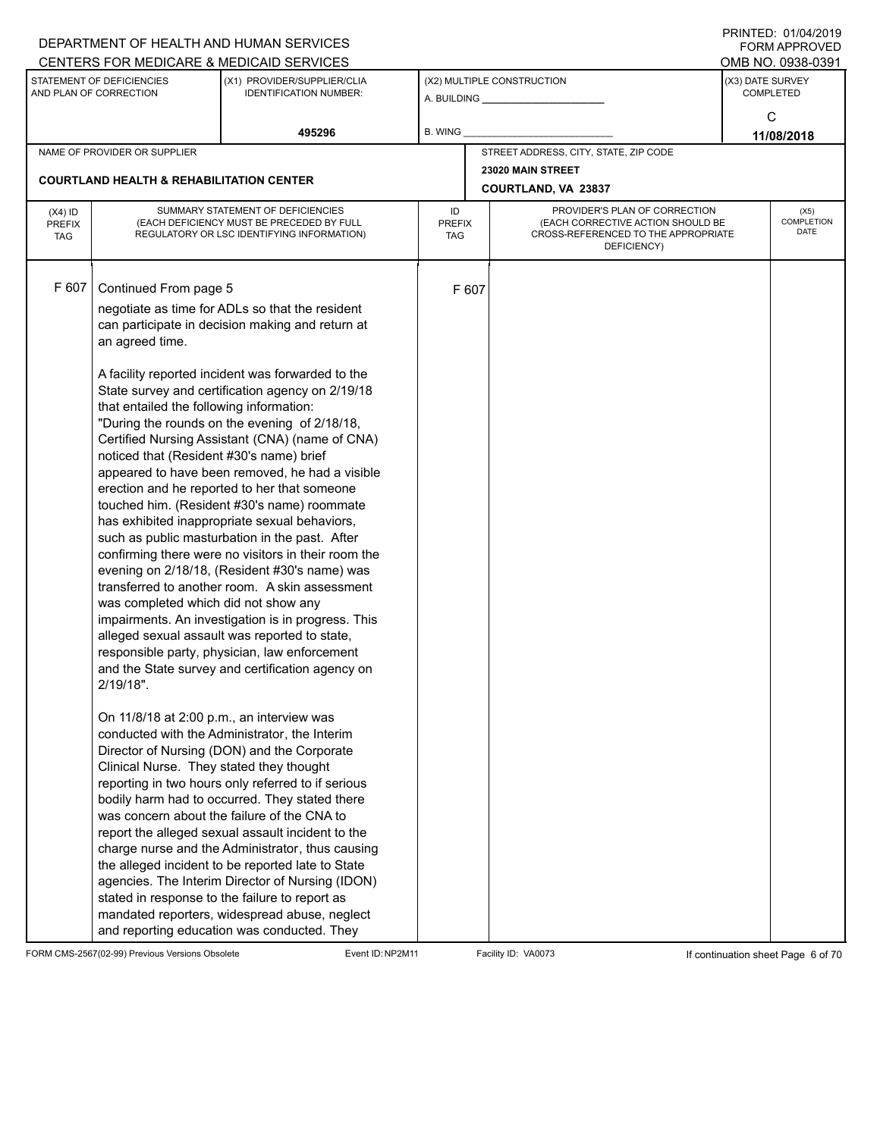| DEPARTMENT OF HEALTH AND HUMAN SERVICES                      |                                                                                                                                                                                                                                                                                                                                                                                                                                                                                                                                                                                                                                                                                                                                                                                                                                                                                                                                                                                                                                                                                                                                                                                                                                                                                                                                                                                                                                                                                                                                                                                                                                                                                                                                                                                                                                                                                                                                                                                                                                                             |                                              |                                                                                                                 | $1 \times 11 \times 11 = 12.$ $0 \times 110 = 12$<br>FORM APPROVED       |
|--------------------------------------------------------------|-------------------------------------------------------------------------------------------------------------------------------------------------------------------------------------------------------------------------------------------------------------------------------------------------------------------------------------------------------------------------------------------------------------------------------------------------------------------------------------------------------------------------------------------------------------------------------------------------------------------------------------------------------------------------------------------------------------------------------------------------------------------------------------------------------------------------------------------------------------------------------------------------------------------------------------------------------------------------------------------------------------------------------------------------------------------------------------------------------------------------------------------------------------------------------------------------------------------------------------------------------------------------------------------------------------------------------------------------------------------------------------------------------------------------------------------------------------------------------------------------------------------------------------------------------------------------------------------------------------------------------------------------------------------------------------------------------------------------------------------------------------------------------------------------------------------------------------------------------------------------------------------------------------------------------------------------------------------------------------------------------------------------------------------------------------|----------------------------------------------|-----------------------------------------------------------------------------------------------------------------|--------------------------------------------------------------------------|
|                                                              |                                                                                                                                                                                                                                                                                                                                                                                                                                                                                                                                                                                                                                                                                                                                                                                                                                                                                                                                                                                                                                                                                                                                                                                                                                                                                                                                                                                                                                                                                                                                                                                                                                                                                                                                                                                                                                                                                                                                                                                                                                                             |                                              |                                                                                                                 | OMB NO. 0938-0391                                                        |
| (X1) PROVIDER/SUPPLIER/CLIA<br><b>IDENTIFICATION NUMBER:</b> |                                                                                                                                                                                                                                                                                                                                                                                                                                                                                                                                                                                                                                                                                                                                                                                                                                                                                                                                                                                                                                                                                                                                                                                                                                                                                                                                                                                                                                                                                                                                                                                                                                                                                                                                                                                                                                                                                                                                                                                                                                                             |                                              | (X3) DATE SURVEY                                                                                                | <b>COMPLETED</b>                                                         |
| 495296                                                       | B. WING                                                                                                                                                                                                                                                                                                                                                                                                                                                                                                                                                                                                                                                                                                                                                                                                                                                                                                                                                                                                                                                                                                                                                                                                                                                                                                                                                                                                                                                                                                                                                                                                                                                                                                                                                                                                                                                                                                                                                                                                                                                     |                                              |                                                                                                                 | C<br>11/08/2018                                                          |
|                                                              |                                                                                                                                                                                                                                                                                                                                                                                                                                                                                                                                                                                                                                                                                                                                                                                                                                                                                                                                                                                                                                                                                                                                                                                                                                                                                                                                                                                                                                                                                                                                                                                                                                                                                                                                                                                                                                                                                                                                                                                                                                                             |                                              |                                                                                                                 |                                                                          |
|                                                              |                                                                                                                                                                                                                                                                                                                                                                                                                                                                                                                                                                                                                                                                                                                                                                                                                                                                                                                                                                                                                                                                                                                                                                                                                                                                                                                                                                                                                                                                                                                                                                                                                                                                                                                                                                                                                                                                                                                                                                                                                                                             |                                              |                                                                                                                 |                                                                          |
|                                                              |                                                                                                                                                                                                                                                                                                                                                                                                                                                                                                                                                                                                                                                                                                                                                                                                                                                                                                                                                                                                                                                                                                                                                                                                                                                                                                                                                                                                                                                                                                                                                                                                                                                                                                                                                                                                                                                                                                                                                                                                                                                             |                                              |                                                                                                                 |                                                                          |
|                                                              | ID                                                                                                                                                                                                                                                                                                                                                                                                                                                                                                                                                                                                                                                                                                                                                                                                                                                                                                                                                                                                                                                                                                                                                                                                                                                                                                                                                                                                                                                                                                                                                                                                                                                                                                                                                                                                                                                                                                                                                                                                                                                          | PROVIDER'S PLAN OF CORRECTION<br>DEFICIENCY) |                                                                                                                 | (X5)<br>COMPLETION<br>DATE                                               |
|                                                              |                                                                                                                                                                                                                                                                                                                                                                                                                                                                                                                                                                                                                                                                                                                                                                                                                                                                                                                                                                                                                                                                                                                                                                                                                                                                                                                                                                                                                                                                                                                                                                                                                                                                                                                                                                                                                                                                                                                                                                                                                                                             |                                              |                                                                                                                 |                                                                          |
|                                                              | CENTERS FOR MEDICARE & MEDICAID SERVICES<br><b>COURTLAND HEALTH &amp; REHABILITATION CENTER</b><br>SUMMARY STATEMENT OF DEFICIENCIES<br>(EACH DEFICIENCY MUST BE PRECEDED BY FULL<br>REGULATORY OR LSC IDENTIFYING INFORMATION)<br>Continued From page 5<br>negotiate as time for ADLs so that the resident<br>can participate in decision making and return at<br>A facility reported incident was forwarded to the<br>State survey and certification agency on 2/19/18<br>that entailed the following information:<br>"During the rounds on the evening of 2/18/18,<br>Certified Nursing Assistant (CNA) (name of CNA)<br>noticed that (Resident #30's name) brief<br>appeared to have been removed, he had a visible<br>erection and he reported to her that someone<br>touched him. (Resident #30's name) roommate<br>has exhibited inappropriate sexual behaviors,<br>such as public masturbation in the past. After<br>confirming there were no visitors in their room the<br>evening on 2/18/18, (Resident #30's name) was<br>transferred to another room. A skin assessment<br>was completed which did not show any<br>impairments. An investigation is in progress. This<br>alleged sexual assault was reported to state,<br>responsible party, physician, law enforcement<br>and the State survey and certification agency on<br>On 11/8/18 at 2:00 p.m., an interview was<br>conducted with the Administrator, the Interim<br>Director of Nursing (DON) and the Corporate<br>Clinical Nurse. They stated they thought<br>reporting in two hours only referred to if serious<br>bodily harm had to occurred. They stated there<br>was concern about the failure of the CNA to<br>report the alleged sexual assault incident to the<br>charge nurse and the Administrator, thus causing<br>the alleged incident to be reported late to State<br>agencies. The Interim Director of Nursing (IDON)<br>stated in response to the failure to report as<br>mandated reporters, widespread abuse, neglect<br>and reporting education was conducted. They | PREFIX<br>TAG<br>F 607                       | (X2) MULTIPLE CONSTRUCTION<br>STREET ADDRESS, CITY, STATE, ZIP CODE<br>23020 MAIN STREET<br>COURTLAND, VA 23837 | (EACH CORRECTIVE ACTION SHOULD BE<br>CROSS-REFERENCED TO THE APPROPRIATE |

FORM CMS-2567(02-99) Previous Versions Obsolete Event ID:NP2M11 Facility ID: VA0073 If continuation sheet Page 6 of 70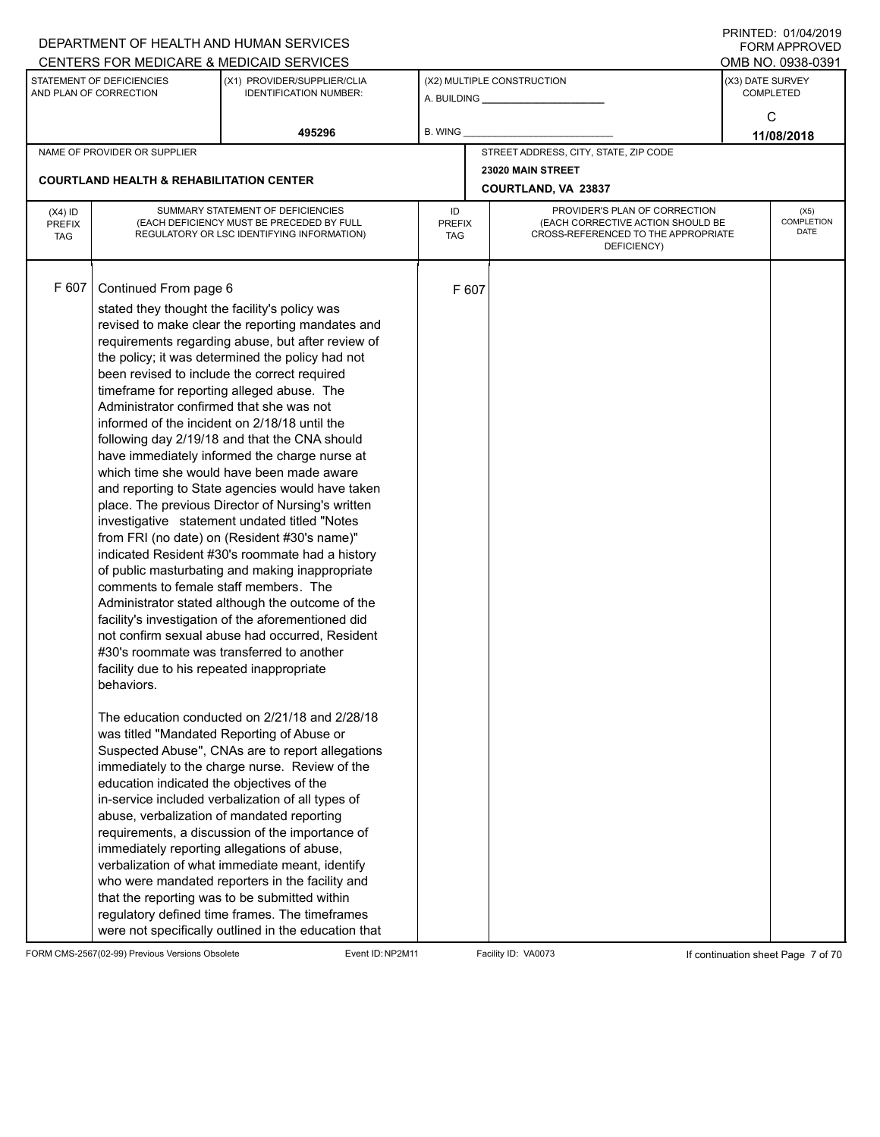|                                          |                                                                                                                                                                                                                                                                      | DEPARTMENT OF HEALTH AND HUMAN SERVICES                                                                                                                                                                                                                                                                                                                                                                                                                                                                                                                                                                                                                                                                                                                                                                                                                                                                                                                                                                                                                                                                                                                                                                                                                                                                                                                                                                                                                                                                                                             |                            |       |                                                                                                                          |                  | <b>FORM APPROVED</b>       |
|------------------------------------------|----------------------------------------------------------------------------------------------------------------------------------------------------------------------------------------------------------------------------------------------------------------------|-----------------------------------------------------------------------------------------------------------------------------------------------------------------------------------------------------------------------------------------------------------------------------------------------------------------------------------------------------------------------------------------------------------------------------------------------------------------------------------------------------------------------------------------------------------------------------------------------------------------------------------------------------------------------------------------------------------------------------------------------------------------------------------------------------------------------------------------------------------------------------------------------------------------------------------------------------------------------------------------------------------------------------------------------------------------------------------------------------------------------------------------------------------------------------------------------------------------------------------------------------------------------------------------------------------------------------------------------------------------------------------------------------------------------------------------------------------------------------------------------------------------------------------------------------|----------------------------|-------|--------------------------------------------------------------------------------------------------------------------------|------------------|----------------------------|
|                                          |                                                                                                                                                                                                                                                                      | CENTERS FOR MEDICARE & MEDICAID SERVICES                                                                                                                                                                                                                                                                                                                                                                                                                                                                                                                                                                                                                                                                                                                                                                                                                                                                                                                                                                                                                                                                                                                                                                                                                                                                                                                                                                                                                                                                                                            |                            |       |                                                                                                                          |                  | OMB NO. 0938-0391          |
|                                          | STATEMENT OF DEFICIENCIES<br>AND PLAN OF CORRECTION                                                                                                                                                                                                                  | (X1) PROVIDER/SUPPLIER/CLIA<br><b>IDENTIFICATION NUMBER:</b>                                                                                                                                                                                                                                                                                                                                                                                                                                                                                                                                                                                                                                                                                                                                                                                                                                                                                                                                                                                                                                                                                                                                                                                                                                                                                                                                                                                                                                                                                        |                            |       | (X2) MULTIPLE CONSTRUCTION                                                                                               | (X3) DATE SURVEY | <b>COMPLETED</b>           |
|                                          |                                                                                                                                                                                                                                                                      | 495296                                                                                                                                                                                                                                                                                                                                                                                                                                                                                                                                                                                                                                                                                                                                                                                                                                                                                                                                                                                                                                                                                                                                                                                                                                                                                                                                                                                                                                                                                                                                              | B. WING                    |       |                                                                                                                          |                  | C<br>11/08/2018            |
|                                          | NAME OF PROVIDER OR SUPPLIER                                                                                                                                                                                                                                         |                                                                                                                                                                                                                                                                                                                                                                                                                                                                                                                                                                                                                                                                                                                                                                                                                                                                                                                                                                                                                                                                                                                                                                                                                                                                                                                                                                                                                                                                                                                                                     |                            |       | STREET ADDRESS, CITY, STATE, ZIP CODE                                                                                    |                  |                            |
|                                          |                                                                                                                                                                                                                                                                      |                                                                                                                                                                                                                                                                                                                                                                                                                                                                                                                                                                                                                                                                                                                                                                                                                                                                                                                                                                                                                                                                                                                                                                                                                                                                                                                                                                                                                                                                                                                                                     |                            |       | 23020 MAIN STREET                                                                                                        |                  |                            |
|                                          | <b>COURTLAND HEALTH &amp; REHABILITATION CENTER</b>                                                                                                                                                                                                                  |                                                                                                                                                                                                                                                                                                                                                                                                                                                                                                                                                                                                                                                                                                                                                                                                                                                                                                                                                                                                                                                                                                                                                                                                                                                                                                                                                                                                                                                                                                                                                     |                            |       | COURTLAND, VA 23837                                                                                                      |                  |                            |
| $(X4)$ ID<br><b>PREFIX</b><br><b>TAG</b> |                                                                                                                                                                                                                                                                      | SUMMARY STATEMENT OF DEFICIENCIES<br>(EACH DEFICIENCY MUST BE PRECEDED BY FULL<br>REGULATORY OR LSC IDENTIFYING INFORMATION)                                                                                                                                                                                                                                                                                                                                                                                                                                                                                                                                                                                                                                                                                                                                                                                                                                                                                                                                                                                                                                                                                                                                                                                                                                                                                                                                                                                                                        | ID<br><b>PREFIX</b><br>TAG |       | PROVIDER'S PLAN OF CORRECTION<br>(EACH CORRECTIVE ACTION SHOULD BE<br>CROSS-REFERENCED TO THE APPROPRIATE<br>DEFICIENCY) |                  | (X5)<br>COMPLETION<br>DATE |
| F 607                                    | Continued From page 6<br>stated they thought the facility's policy was<br>Administrator confirmed that she was not<br>comments to female staff members. The<br>facility due to his repeated inappropriate<br>behaviors.<br>education indicated the objectives of the | revised to make clear the reporting mandates and<br>requirements regarding abuse, but after review of<br>the policy; it was determined the policy had not<br>been revised to include the correct required<br>timeframe for reporting alleged abuse. The<br>informed of the incident on 2/18/18 until the<br>following day 2/19/18 and that the CNA should<br>have immediately informed the charge nurse at<br>which time she would have been made aware<br>and reporting to State agencies would have taken<br>place. The previous Director of Nursing's written<br>investigative statement undated titled "Notes<br>from FRI (no date) on (Resident #30's name)"<br>indicated Resident #30's roommate had a history<br>of public masturbating and making inappropriate<br>Administrator stated although the outcome of the<br>facility's investigation of the aforementioned did<br>not confirm sexual abuse had occurred, Resident<br>#30's roommate was transferred to another<br>The education conducted on 2/21/18 and 2/28/18<br>was titled "Mandated Reporting of Abuse or<br>Suspected Abuse", CNAs are to report allegations<br>immediately to the charge nurse. Review of the<br>in-service included verbalization of all types of<br>abuse, verbalization of mandated reporting<br>requirements, a discussion of the importance of<br>immediately reporting allegations of abuse,<br>verbalization of what immediate meant, identify<br>who were mandated reporters in the facility and<br>that the reporting was to be submitted within |                            | F 607 |                                                                                                                          |                  |                            |
|                                          |                                                                                                                                                                                                                                                                      | regulatory defined time frames. The timeframes<br>were not specifically outlined in the education that                                                                                                                                                                                                                                                                                                                                                                                                                                                                                                                                                                                                                                                                                                                                                                                                                                                                                                                                                                                                                                                                                                                                                                                                                                                                                                                                                                                                                                              |                            |       |                                                                                                                          |                  |                            |

FORM CMS-2567(02-99) Previous Versions Obsolete Event ID:NP2M11 Facility ID: VA0073 If continuation sheet Page 7 of 70

PRINTED: 01/04/2019 FORM APPROVED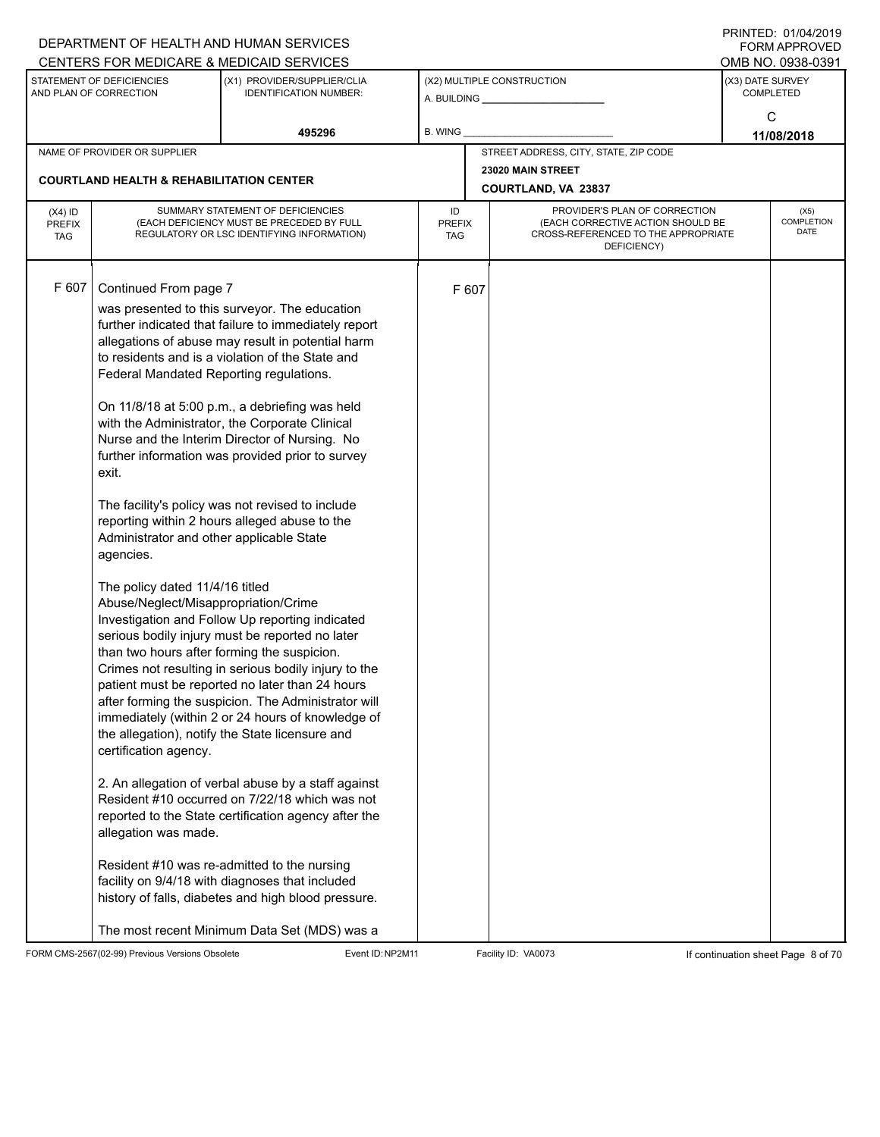|                            |                                                       | DEPARTMENT OF HEALTH AND HUMAN SERVICES                                                                |              |       |                                                                    |                            | $1111$ $1111$<br>FORM APPROVED |  |
|----------------------------|-------------------------------------------------------|--------------------------------------------------------------------------------------------------------|--------------|-------|--------------------------------------------------------------------|----------------------------|--------------------------------|--|
|                            |                                                       | CENTERS FOR MEDICARE & MEDICAID SERVICES                                                               |              |       |                                                                    |                            | OMB NO. 0938-0391              |  |
|                            | STATEMENT OF DEFICIENCIES<br>AND PLAN OF CORRECTION   | (X1) PROVIDER/SUPPLIER/CLIA<br><b>IDENTIFICATION NUMBER:</b>                                           |              |       | (X2) MULTIPLE CONSTRUCTION                                         | (X3) DATE SURVEY           | <b>COMPLETED</b>               |  |
|                            |                                                       |                                                                                                        |              |       |                                                                    |                            | C                              |  |
|                            |                                                       | 495296                                                                                                 | B. WING      |       |                                                                    |                            | 11/08/2018                     |  |
|                            | NAME OF PROVIDER OR SUPPLIER                          |                                                                                                        |              |       | STREET ADDRESS, CITY, STATE, ZIP CODE                              |                            |                                |  |
|                            | <b>COURTLAND HEALTH &amp; REHABILITATION CENTER</b>   |                                                                                                        |              |       | 23020 MAIN STREET                                                  |                            |                                |  |
|                            |                                                       |                                                                                                        |              |       | COURTLAND, VA 23837                                                |                            |                                |  |
| $(X4)$ ID<br><b>PREFIX</b> |                                                       | SUMMARY STATEMENT OF DEFICIENCIES<br>(EACH DEFICIENCY MUST BE PRECEDED BY FULL                         | ID<br>PREFIX |       | PROVIDER'S PLAN OF CORRECTION<br>(EACH CORRECTIVE ACTION SHOULD BE | (X5)<br>COMPLETION<br>DATE |                                |  |
| <b>TAG</b>                 |                                                       | REGULATORY OR LSC IDENTIFYING INFORMATION)                                                             | TAG          |       | CROSS-REFERENCED TO THE APPROPRIATE<br>DEFICIENCY)                 |                            |                                |  |
|                            |                                                       |                                                                                                        |              |       |                                                                    |                            |                                |  |
| F 607                      | Continued From page 7                                 |                                                                                                        |              | F 607 |                                                                    |                            |                                |  |
|                            |                                                       | was presented to this surveyor. The education<br>further indicated that failure to immediately report  |              |       |                                                                    |                            |                                |  |
|                            |                                                       | allegations of abuse may result in potential harm                                                      |              |       |                                                                    |                            |                                |  |
|                            |                                                       | to residents and is a violation of the State and                                                       |              |       |                                                                    |                            |                                |  |
|                            | Federal Mandated Reporting regulations.               |                                                                                                        |              |       |                                                                    |                            |                                |  |
|                            |                                                       | On 11/8/18 at 5:00 p.m., a debriefing was held                                                         |              |       |                                                                    |                            |                                |  |
|                            |                                                       | with the Administrator, the Corporate Clinical                                                         |              |       |                                                                    |                            |                                |  |
|                            |                                                       | Nurse and the Interim Director of Nursing. No                                                          |              |       |                                                                    |                            |                                |  |
|                            | exit.                                                 | further information was provided prior to survey                                                       |              |       |                                                                    |                            |                                |  |
|                            |                                                       |                                                                                                        |              |       |                                                                    |                            |                                |  |
|                            |                                                       | The facility's policy was not revised to include                                                       |              |       |                                                                    |                            |                                |  |
|                            |                                                       | reporting within 2 hours alleged abuse to the                                                          |              |       |                                                                    |                            |                                |  |
|                            | Administrator and other applicable State<br>agencies. |                                                                                                        |              |       |                                                                    |                            |                                |  |
|                            |                                                       |                                                                                                        |              |       |                                                                    |                            |                                |  |
|                            | The policy dated 11/4/16 titled                       |                                                                                                        |              |       |                                                                    |                            |                                |  |
|                            | Abuse/Neglect/Misappropriation/Crime                  | Investigation and Follow Up reporting indicated                                                        |              |       |                                                                    |                            |                                |  |
|                            |                                                       | serious bodily injury must be reported no later                                                        |              |       |                                                                    |                            |                                |  |
|                            | than two hours after forming the suspicion.           |                                                                                                        |              |       |                                                                    |                            |                                |  |
|                            |                                                       | Crimes not resulting in serious bodily injury to the                                                   |              |       |                                                                    |                            |                                |  |
|                            |                                                       | patient must be reported no later than 24 hours<br>after forming the suspicion. The Administrator will |              |       |                                                                    |                            |                                |  |
|                            |                                                       | immediately (within 2 or 24 hours of knowledge of                                                      |              |       |                                                                    |                            |                                |  |
|                            |                                                       | the allegation), notify the State licensure and                                                        |              |       |                                                                    |                            |                                |  |
|                            | certification agency.                                 |                                                                                                        |              |       |                                                                    |                            |                                |  |
|                            |                                                       | 2. An allegation of verbal abuse by a staff against                                                    |              |       |                                                                    |                            |                                |  |
|                            |                                                       | Resident #10 occurred on 7/22/18 which was not                                                         |              |       |                                                                    |                            |                                |  |
|                            |                                                       | reported to the State certification agency after the                                                   |              |       |                                                                    |                            |                                |  |
|                            | allegation was made.                                  |                                                                                                        |              |       |                                                                    |                            |                                |  |
|                            |                                                       | Resident #10 was re-admitted to the nursing                                                            |              |       |                                                                    |                            |                                |  |
|                            |                                                       | facility on 9/4/18 with diagnoses that included                                                        |              |       |                                                                    |                            |                                |  |
|                            |                                                       | history of falls, diabetes and high blood pressure.                                                    |              |       |                                                                    |                            |                                |  |
|                            |                                                       | The most recent Minimum Data Set (MDS) was a                                                           |              |       |                                                                    |                            |                                |  |

FORM CMS-2567(02-99) Previous Versions Obsolete Event ID:NP2M11 Facility ID: VA0073 If continuation sheet Page 8 of 70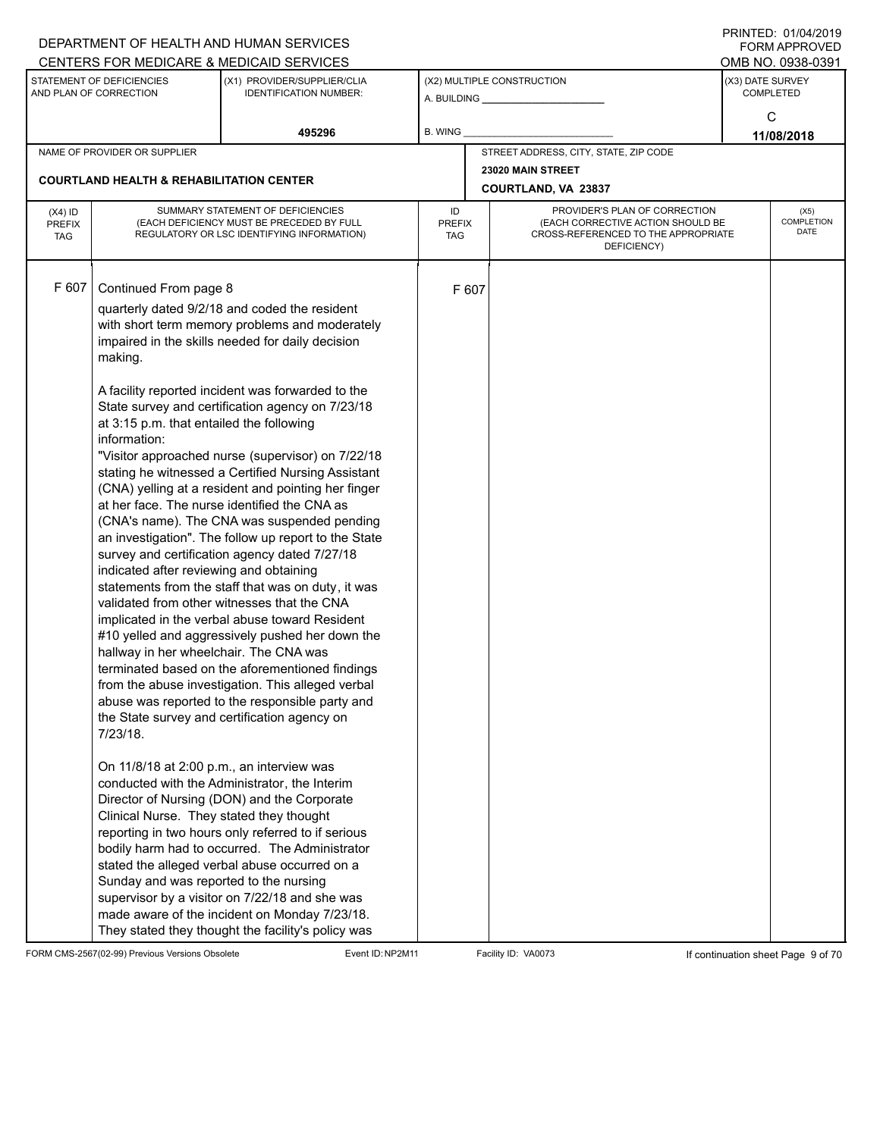|                                          |                                                                                                                                                                                                                                                                                                                                  | DEPARTMENT OF HEALTH AND HUMAN SERVICES                                                                                                                                                                                                                                                                                                                                                                                                                                                                                                                                                                                                                                                                                                                                                                                                                                                                                                                                                                                                                                                                                                                                                                                                                                                                                                                                                                                 |                                   |       |                                                                                                                          |                  | $1 \times 11 \times 11 = 12.$ $0 \times 110 = 12$<br><b>FORM APPROVED</b> |
|------------------------------------------|----------------------------------------------------------------------------------------------------------------------------------------------------------------------------------------------------------------------------------------------------------------------------------------------------------------------------------|-------------------------------------------------------------------------------------------------------------------------------------------------------------------------------------------------------------------------------------------------------------------------------------------------------------------------------------------------------------------------------------------------------------------------------------------------------------------------------------------------------------------------------------------------------------------------------------------------------------------------------------------------------------------------------------------------------------------------------------------------------------------------------------------------------------------------------------------------------------------------------------------------------------------------------------------------------------------------------------------------------------------------------------------------------------------------------------------------------------------------------------------------------------------------------------------------------------------------------------------------------------------------------------------------------------------------------------------------------------------------------------------------------------------------|-----------------------------------|-------|--------------------------------------------------------------------------------------------------------------------------|------------------|---------------------------------------------------------------------------|
|                                          |                                                                                                                                                                                                                                                                                                                                  | CENTERS FOR MEDICARE & MEDICAID SERVICES                                                                                                                                                                                                                                                                                                                                                                                                                                                                                                                                                                                                                                                                                                                                                                                                                                                                                                                                                                                                                                                                                                                                                                                                                                                                                                                                                                                |                                   |       |                                                                                                                          |                  | OMB NO. 0938-0391                                                         |
|                                          | STATEMENT OF DEFICIENCIES<br>AND PLAN OF CORRECTION                                                                                                                                                                                                                                                                              | (X1) PROVIDER/SUPPLIER/CLIA<br><b>IDENTIFICATION NUMBER:</b>                                                                                                                                                                                                                                                                                                                                                                                                                                                                                                                                                                                                                                                                                                                                                                                                                                                                                                                                                                                                                                                                                                                                                                                                                                                                                                                                                            |                                   |       | (X2) MULTIPLE CONSTRUCTION                                                                                               | (X3) DATE SURVEY | <b>COMPLETED</b>                                                          |
|                                          |                                                                                                                                                                                                                                                                                                                                  | 495296                                                                                                                                                                                                                                                                                                                                                                                                                                                                                                                                                                                                                                                                                                                                                                                                                                                                                                                                                                                                                                                                                                                                                                                                                                                                                                                                                                                                                  | B. WING                           |       |                                                                                                                          |                  | C<br>11/08/2018                                                           |
|                                          | NAME OF PROVIDER OR SUPPLIER                                                                                                                                                                                                                                                                                                     |                                                                                                                                                                                                                                                                                                                                                                                                                                                                                                                                                                                                                                                                                                                                                                                                                                                                                                                                                                                                                                                                                                                                                                                                                                                                                                                                                                                                                         |                                   |       | STREET ADDRESS, CITY, STATE, ZIP CODE                                                                                    |                  |                                                                           |
|                                          |                                                                                                                                                                                                                                                                                                                                  |                                                                                                                                                                                                                                                                                                                                                                                                                                                                                                                                                                                                                                                                                                                                                                                                                                                                                                                                                                                                                                                                                                                                                                                                                                                                                                                                                                                                                         |                                   |       | 23020 MAIN STREET                                                                                                        |                  |                                                                           |
|                                          | <b>COURTLAND HEALTH &amp; REHABILITATION CENTER</b>                                                                                                                                                                                                                                                                              |                                                                                                                                                                                                                                                                                                                                                                                                                                                                                                                                                                                                                                                                                                                                                                                                                                                                                                                                                                                                                                                                                                                                                                                                                                                                                                                                                                                                                         |                                   |       | COURTLAND, VA 23837                                                                                                      |                  |                                                                           |
| $(X4)$ ID<br><b>PREFIX</b><br><b>TAG</b> |                                                                                                                                                                                                                                                                                                                                  | SUMMARY STATEMENT OF DEFICIENCIES<br>(EACH DEFICIENCY MUST BE PRECEDED BY FULL<br>REGULATORY OR LSC IDENTIFYING INFORMATION)                                                                                                                                                                                                                                                                                                                                                                                                                                                                                                                                                                                                                                                                                                                                                                                                                                                                                                                                                                                                                                                                                                                                                                                                                                                                                            | ID<br><b>PREFIX</b><br><b>TAG</b> |       | PROVIDER'S PLAN OF CORRECTION<br>(EACH CORRECTIVE ACTION SHOULD BE<br>CROSS-REFERENCED TO THE APPROPRIATE<br>DEFICIENCY) |                  | (X5)<br>COMPLETION<br>DATE                                                |
| F 607                                    | Continued From page 8<br>making.<br>at 3:15 p.m. that entailed the following<br>information:<br>indicated after reviewing and obtaining<br>hallway in her wheelchair. The CNA was<br>7/23/18.<br>On 11/8/18 at 2:00 p.m., an interview was<br>Clinical Nurse. They stated they thought<br>Sunday and was reported to the nursing | quarterly dated 9/2/18 and coded the resident<br>with short term memory problems and moderately<br>impaired in the skills needed for daily decision<br>A facility reported incident was forwarded to the<br>State survey and certification agency on 7/23/18<br>"Visitor approached nurse (supervisor) on 7/22/18<br>stating he witnessed a Certified Nursing Assistant<br>(CNA) yelling at a resident and pointing her finger<br>at her face. The nurse identified the CNA as<br>(CNA's name). The CNA was suspended pending<br>an investigation". The follow up report to the State<br>survey and certification agency dated 7/27/18<br>statements from the staff that was on duty, it was<br>validated from other witnesses that the CNA<br>implicated in the verbal abuse toward Resident<br>#10 yelled and aggressively pushed her down the<br>terminated based on the aforementioned findings<br>from the abuse investigation. This alleged verbal<br>abuse was reported to the responsible party and<br>the State survey and certification agency on<br>conducted with the Administrator, the Interim<br>Director of Nursing (DON) and the Corporate<br>reporting in two hours only referred to if serious<br>bodily harm had to occurred. The Administrator<br>stated the alleged verbal abuse occurred on a<br>supervisor by a visitor on 7/22/18 and she was<br>made aware of the incident on Monday 7/23/18. |                                   | F 607 |                                                                                                                          |                  |                                                                           |
|                                          |                                                                                                                                                                                                                                                                                                                                  | They stated they thought the facility's policy was                                                                                                                                                                                                                                                                                                                                                                                                                                                                                                                                                                                                                                                                                                                                                                                                                                                                                                                                                                                                                                                                                                                                                                                                                                                                                                                                                                      |                                   |       |                                                                                                                          |                  |                                                                           |

FORM CMS-2567(02-99) Previous Versions Obsolete Event ID:NP2M11 Facility ID: VA0073 If continuation sheet Page 9 of 70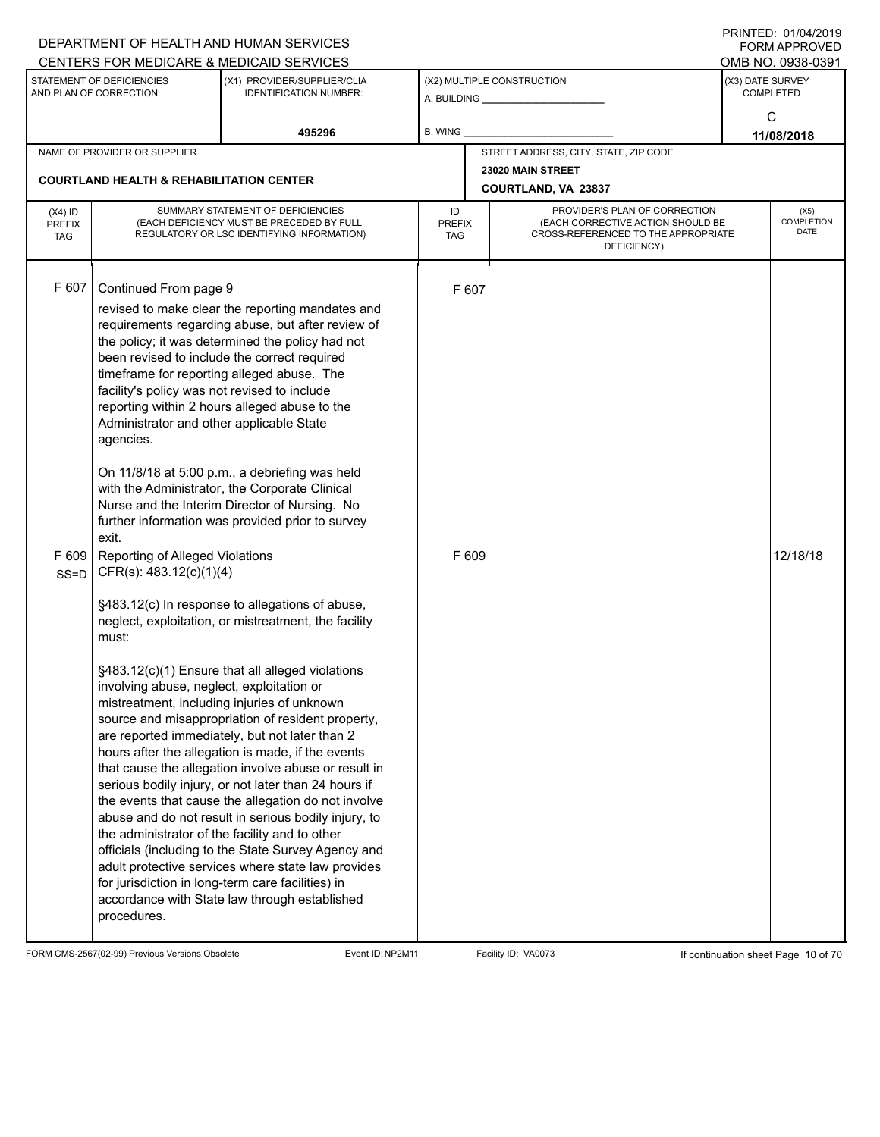|                                          |                                                                                                                                                                                                                                                                                                                              | DEPARTMENT OF HEALTH AND HUMAN SERVICES<br>CENTERS FOR MEDICARE & MEDICAID SERVICES                                                                                                                                                                                                                                                                                                                                                                                                                                                                                                                                                                                                                                                                                                                                                                                                                                                                                                                                                                                                                                                                                                                                                                                                                                                           |                     |                |                                                                                                                          |                  | $1 \times 11 \times 11 = 12.$ $0 \times 110 = 12$<br>FORM APPROVED<br>OMB NO. 0938-0391 |
|------------------------------------------|------------------------------------------------------------------------------------------------------------------------------------------------------------------------------------------------------------------------------------------------------------------------------------------------------------------------------|-----------------------------------------------------------------------------------------------------------------------------------------------------------------------------------------------------------------------------------------------------------------------------------------------------------------------------------------------------------------------------------------------------------------------------------------------------------------------------------------------------------------------------------------------------------------------------------------------------------------------------------------------------------------------------------------------------------------------------------------------------------------------------------------------------------------------------------------------------------------------------------------------------------------------------------------------------------------------------------------------------------------------------------------------------------------------------------------------------------------------------------------------------------------------------------------------------------------------------------------------------------------------------------------------------------------------------------------------|---------------------|----------------|--------------------------------------------------------------------------------------------------------------------------|------------------|-----------------------------------------------------------------------------------------|
|                                          | STATEMENT OF DEFICIENCIES<br>AND PLAN OF CORRECTION                                                                                                                                                                                                                                                                          | (X1) PROVIDER/SUPPLIER/CLIA<br><b>IDENTIFICATION NUMBER:</b>                                                                                                                                                                                                                                                                                                                                                                                                                                                                                                                                                                                                                                                                                                                                                                                                                                                                                                                                                                                                                                                                                                                                                                                                                                                                                  |                     |                | (X2) MULTIPLE CONSTRUCTION                                                                                               | (X3) DATE SURVEY | <b>COMPLETED</b>                                                                        |
|                                          |                                                                                                                                                                                                                                                                                                                              | 495296                                                                                                                                                                                                                                                                                                                                                                                                                                                                                                                                                                                                                                                                                                                                                                                                                                                                                                                                                                                                                                                                                                                                                                                                                                                                                                                                        | B. WING             |                |                                                                                                                          |                  | C<br>11/08/2018                                                                         |
|                                          | NAME OF PROVIDER OR SUPPLIER                                                                                                                                                                                                                                                                                                 |                                                                                                                                                                                                                                                                                                                                                                                                                                                                                                                                                                                                                                                                                                                                                                                                                                                                                                                                                                                                                                                                                                                                                                                                                                                                                                                                               |                     |                | STREET ADDRESS, CITY, STATE, ZIP CODE                                                                                    |                  |                                                                                         |
|                                          | <b>COURTLAND HEALTH &amp; REHABILITATION CENTER</b>                                                                                                                                                                                                                                                                          |                                                                                                                                                                                                                                                                                                                                                                                                                                                                                                                                                                                                                                                                                                                                                                                                                                                                                                                                                                                                                                                                                                                                                                                                                                                                                                                                               |                     |                | 23020 MAIN STREET<br>COURTLAND, VA 23837                                                                                 |                  |                                                                                         |
| $(X4)$ ID<br><b>PREFIX</b><br><b>TAG</b> |                                                                                                                                                                                                                                                                                                                              | SUMMARY STATEMENT OF DEFICIENCIES<br>(EACH DEFICIENCY MUST BE PRECEDED BY FULL<br>REGULATORY OR LSC IDENTIFYING INFORMATION)                                                                                                                                                                                                                                                                                                                                                                                                                                                                                                                                                                                                                                                                                                                                                                                                                                                                                                                                                                                                                                                                                                                                                                                                                  | ID<br>PREFIX<br>TAG |                | PROVIDER'S PLAN OF CORRECTION<br>(EACH CORRECTIVE ACTION SHOULD BE<br>CROSS-REFERENCED TO THE APPROPRIATE<br>DEFICIENCY) |                  | (X5)<br>COMPLETION<br>DATE                                                              |
| F 607<br>F 609<br>$SS = D$               | Continued From page 9<br>facility's policy was not revised to include<br>Administrator and other applicable State<br>agencies.<br>exit.<br>Reporting of Alleged Violations<br>CFR(s): 483.12(c)(1)(4)<br>must:<br>involving abuse, neglect, exploitation or<br>the administrator of the facility and to other<br>procedures. | revised to make clear the reporting mandates and<br>requirements regarding abuse, but after review of<br>the policy; it was determined the policy had not<br>been revised to include the correct required<br>timeframe for reporting alleged abuse. The<br>reporting within 2 hours alleged abuse to the<br>On 11/8/18 at 5:00 p.m., a debriefing was held<br>with the Administrator, the Corporate Clinical<br>Nurse and the Interim Director of Nursing. No<br>further information was provided prior to survey<br>§483.12(c) In response to allegations of abuse,<br>neglect, exploitation, or mistreatment, the facility<br>§483.12(c)(1) Ensure that all alleged violations<br>mistreatment, including injuries of unknown<br>source and misappropriation of resident property,<br>are reported immediately, but not later than 2<br>hours after the allegation is made, if the events<br>that cause the allegation involve abuse or result in<br>serious bodily injury, or not later than 24 hours if<br>the events that cause the allegation do not involve<br>abuse and do not result in serious bodily injury, to<br>officials (including to the State Survey Agency and<br>adult protective services where state law provides<br>for jurisdiction in long-term care facilities) in<br>accordance with State law through established |                     | F 607<br>F 609 |                                                                                                                          |                  | 12/18/18                                                                                |

FORM CMS-2567(02-99) Previous Versions Obsolete Event ID:NP2M11 Facility ID: VA0073 If continuation sheet Page 10 of 70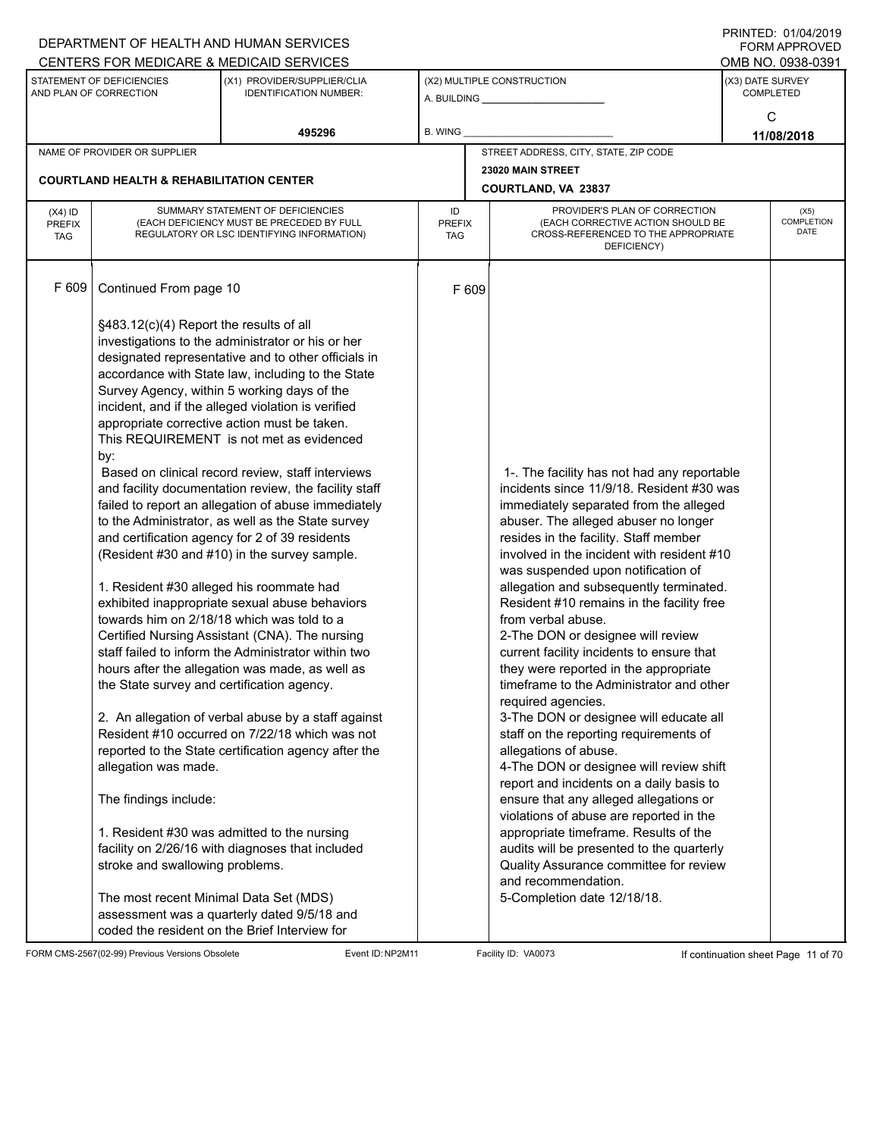|                                          |                                                                                                                                                                                                                                                                        | DEPARTMENT OF HEALTH AND HUMAN SERVICES<br>CENTERS FOR MEDICARE & MEDICAID SERVICES                                                                                                                                                                                                                                                                                                                                                                                                                                                                                                                                                                                                                                                                                                                                                                                                                                                                                                                                                                                                                                                                                                                                                                                                                                        |                                   |                                                                                                                                                                                                                                                                                                                                                                                                                                                                                                                                                                                                                                                                                                                                                                                                                                                                                                                                                                                                                                                                                                   |  | ד ה <i>ווייטו</i> וט. טווט <del>יו</del> וצטוס<br><b>FORM APPROVED</b><br>OMB NO. 0938-0391 |  |
|------------------------------------------|------------------------------------------------------------------------------------------------------------------------------------------------------------------------------------------------------------------------------------------------------------------------|----------------------------------------------------------------------------------------------------------------------------------------------------------------------------------------------------------------------------------------------------------------------------------------------------------------------------------------------------------------------------------------------------------------------------------------------------------------------------------------------------------------------------------------------------------------------------------------------------------------------------------------------------------------------------------------------------------------------------------------------------------------------------------------------------------------------------------------------------------------------------------------------------------------------------------------------------------------------------------------------------------------------------------------------------------------------------------------------------------------------------------------------------------------------------------------------------------------------------------------------------------------------------------------------------------------------------|-----------------------------------|---------------------------------------------------------------------------------------------------------------------------------------------------------------------------------------------------------------------------------------------------------------------------------------------------------------------------------------------------------------------------------------------------------------------------------------------------------------------------------------------------------------------------------------------------------------------------------------------------------------------------------------------------------------------------------------------------------------------------------------------------------------------------------------------------------------------------------------------------------------------------------------------------------------------------------------------------------------------------------------------------------------------------------------------------------------------------------------------------|--|---------------------------------------------------------------------------------------------|--|
|                                          | STATEMENT OF DEFICIENCIES<br>AND PLAN OF CORRECTION                                                                                                                                                                                                                    | (X1) PROVIDER/SUPPLIER/CLIA<br><b>IDENTIFICATION NUMBER:</b>                                                                                                                                                                                                                                                                                                                                                                                                                                                                                                                                                                                                                                                                                                                                                                                                                                                                                                                                                                                                                                                                                                                                                                                                                                                               |                                   | (X2) MULTIPLE CONSTRUCTION                                                                                                                                                                                                                                                                                                                                                                                                                                                                                                                                                                                                                                                                                                                                                                                                                                                                                                                                                                                                                                                                        |  | (X3) DATE SURVEY<br><b>COMPLETED</b>                                                        |  |
|                                          |                                                                                                                                                                                                                                                                        | 495296                                                                                                                                                                                                                                                                                                                                                                                                                                                                                                                                                                                                                                                                                                                                                                                                                                                                                                                                                                                                                                                                                                                                                                                                                                                                                                                     | <b>B. WING</b>                    |                                                                                                                                                                                                                                                                                                                                                                                                                                                                                                                                                                                                                                                                                                                                                                                                                                                                                                                                                                                                                                                                                                   |  | C<br>11/08/2018                                                                             |  |
|                                          | NAME OF PROVIDER OR SUPPLIER                                                                                                                                                                                                                                           |                                                                                                                                                                                                                                                                                                                                                                                                                                                                                                                                                                                                                                                                                                                                                                                                                                                                                                                                                                                                                                                                                                                                                                                                                                                                                                                            |                                   | STREET ADDRESS, CITY, STATE, ZIP CODE                                                                                                                                                                                                                                                                                                                                                                                                                                                                                                                                                                                                                                                                                                                                                                                                                                                                                                                                                                                                                                                             |  |                                                                                             |  |
|                                          | <b>COURTLAND HEALTH &amp; REHABILITATION CENTER</b>                                                                                                                                                                                                                    |                                                                                                                                                                                                                                                                                                                                                                                                                                                                                                                                                                                                                                                                                                                                                                                                                                                                                                                                                                                                                                                                                                                                                                                                                                                                                                                            |                                   | 23020 MAIN STREET<br>COURTLAND, VA 23837                                                                                                                                                                                                                                                                                                                                                                                                                                                                                                                                                                                                                                                                                                                                                                                                                                                                                                                                                                                                                                                          |  |                                                                                             |  |
| $(X4)$ ID<br><b>PREFIX</b><br><b>TAG</b> |                                                                                                                                                                                                                                                                        | SUMMARY STATEMENT OF DEFICIENCIES<br>(EACH DEFICIENCY MUST BE PRECEDED BY FULL<br>REGULATORY OR LSC IDENTIFYING INFORMATION)                                                                                                                                                                                                                                                                                                                                                                                                                                                                                                                                                                                                                                                                                                                                                                                                                                                                                                                                                                                                                                                                                                                                                                                               | ID<br><b>PREFIX</b><br><b>TAG</b> | PROVIDER'S PLAN OF CORRECTION<br>(EACH CORRECTIVE ACTION SHOULD BE<br>CROSS-REFERENCED TO THE APPROPRIATE<br>DEFICIENCY)                                                                                                                                                                                                                                                                                                                                                                                                                                                                                                                                                                                                                                                                                                                                                                                                                                                                                                                                                                          |  | (X5)<br><b>COMPLETION</b><br>DATE                                                           |  |
| F 609                                    | Continued From page 10                                                                                                                                                                                                                                                 |                                                                                                                                                                                                                                                                                                                                                                                                                                                                                                                                                                                                                                                                                                                                                                                                                                                                                                                                                                                                                                                                                                                                                                                                                                                                                                                            | F 609                             |                                                                                                                                                                                                                                                                                                                                                                                                                                                                                                                                                                                                                                                                                                                                                                                                                                                                                                                                                                                                                                                                                                   |  |                                                                                             |  |
|                                          | §483.12(c)(4) Report the results of all<br>by:<br>1. Resident #30 alleged his roommate had<br>the State survey and certification agency.<br>allegation was made.<br>The findings include:<br>stroke and swallowing problems.<br>The most recent Minimal Data Set (MDS) | investigations to the administrator or his or her<br>designated representative and to other officials in<br>accordance with State law, including to the State<br>Survey Agency, within 5 working days of the<br>incident, and if the alleged violation is verified<br>appropriate corrective action must be taken.<br>This REQUIREMENT is not met as evidenced<br>Based on clinical record review, staff interviews<br>and facility documentation review, the facility staff<br>failed to report an allegation of abuse immediately<br>to the Administrator, as well as the State survey<br>and certification agency for 2 of 39 residents<br>(Resident #30 and #10) in the survey sample.<br>exhibited inappropriate sexual abuse behaviors<br>towards him on 2/18/18 which was told to a<br>Certified Nursing Assistant (CNA). The nursing<br>staff failed to inform the Administrator within two<br>hours after the allegation was made, as well as<br>2. An allegation of verbal abuse by a staff against<br>Resident #10 occurred on 7/22/18 which was not<br>reported to the State certification agency after the<br>1. Resident #30 was admitted to the nursing<br>facility on 2/26/16 with diagnoses that included<br>assessment was a quarterly dated 9/5/18 and<br>coded the resident on the Brief Interview for |                                   | 1-. The facility has not had any reportable<br>incidents since 11/9/18. Resident #30 was<br>immediately separated from the alleged<br>abuser. The alleged abuser no longer<br>resides in the facility. Staff member<br>involved in the incident with resident #10<br>was suspended upon notification of<br>allegation and subsequently terminated.<br>Resident #10 remains in the facility free<br>from verbal abuse.<br>2-The DON or designee will review<br>current facility incidents to ensure that<br>they were reported in the appropriate<br>timeframe to the Administrator and other<br>required agencies.<br>3-The DON or designee will educate all<br>staff on the reporting requirements of<br>allegations of abuse.<br>4-The DON or designee will review shift<br>report and incidents on a daily basis to<br>ensure that any alleged allegations or<br>violations of abuse are reported in the<br>appropriate timeframe. Results of the<br>audits will be presented to the quarterly<br>Quality Assurance committee for review<br>and recommendation.<br>5-Completion date 12/18/18. |  |                                                                                             |  |

FORM CMS-2567(02-99) Previous Versions Obsolete Event ID:NP2M11 Facility ID: VA0073 If continuation sheet Page 11 of 70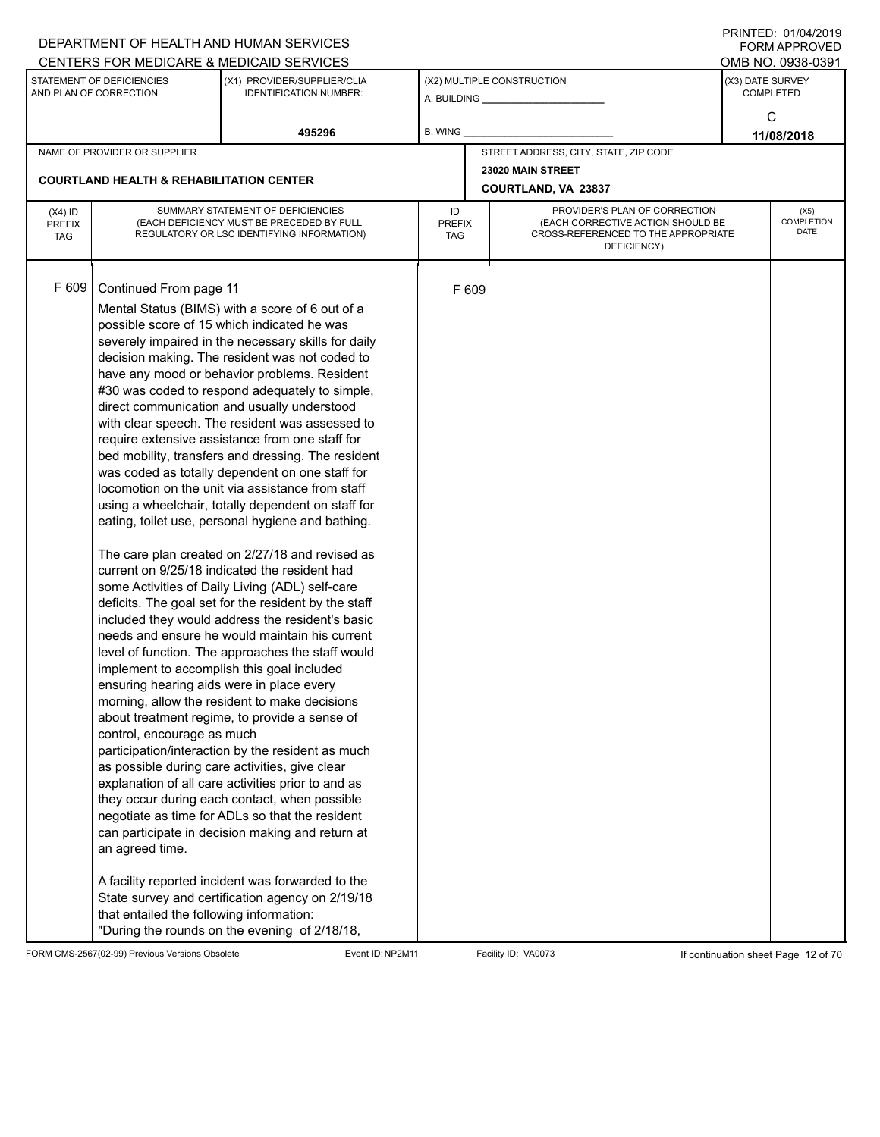|                                          |                                                                                                                      | DEPARTMENT OF HEALTH AND HUMAN SERVICES                                                                                                                                                                                                                                                                                                                                                                                                                                                                                                                                                                                                                                                                                                                                                                                                                                                                                                                                                                                                                                                                                                                                                                                                                                                                                                                                                                                                                                                                                                                                                                                                                                                        |                     |       |                                                                                                                          |                  | $1 \times 11 \times 11 = 12.$ $0 \times 110 = 12$<br>FORM APPROVED |
|------------------------------------------|----------------------------------------------------------------------------------------------------------------------|------------------------------------------------------------------------------------------------------------------------------------------------------------------------------------------------------------------------------------------------------------------------------------------------------------------------------------------------------------------------------------------------------------------------------------------------------------------------------------------------------------------------------------------------------------------------------------------------------------------------------------------------------------------------------------------------------------------------------------------------------------------------------------------------------------------------------------------------------------------------------------------------------------------------------------------------------------------------------------------------------------------------------------------------------------------------------------------------------------------------------------------------------------------------------------------------------------------------------------------------------------------------------------------------------------------------------------------------------------------------------------------------------------------------------------------------------------------------------------------------------------------------------------------------------------------------------------------------------------------------------------------------------------------------------------------------|---------------------|-------|--------------------------------------------------------------------------------------------------------------------------|------------------|--------------------------------------------------------------------|
|                                          |                                                                                                                      | CENTERS FOR MEDICARE & MEDICAID SERVICES                                                                                                                                                                                                                                                                                                                                                                                                                                                                                                                                                                                                                                                                                                                                                                                                                                                                                                                                                                                                                                                                                                                                                                                                                                                                                                                                                                                                                                                                                                                                                                                                                                                       |                     |       |                                                                                                                          |                  | OMB NO. 0938-0391                                                  |
|                                          | STATEMENT OF DEFICIENCIES<br>AND PLAN OF CORRECTION                                                                  | (X1) PROVIDER/SUPPLIER/CLIA<br><b>IDENTIFICATION NUMBER:</b>                                                                                                                                                                                                                                                                                                                                                                                                                                                                                                                                                                                                                                                                                                                                                                                                                                                                                                                                                                                                                                                                                                                                                                                                                                                                                                                                                                                                                                                                                                                                                                                                                                   |                     |       | (X2) MULTIPLE CONSTRUCTION                                                                                               | (X3) DATE SURVEY | <b>COMPLETED</b>                                                   |
|                                          |                                                                                                                      | 495296                                                                                                                                                                                                                                                                                                                                                                                                                                                                                                                                                                                                                                                                                                                                                                                                                                                                                                                                                                                                                                                                                                                                                                                                                                                                                                                                                                                                                                                                                                                                                                                                                                                                                         | B. WING             |       |                                                                                                                          |                  | C<br>11/08/2018                                                    |
|                                          | NAME OF PROVIDER OR SUPPLIER                                                                                         |                                                                                                                                                                                                                                                                                                                                                                                                                                                                                                                                                                                                                                                                                                                                                                                                                                                                                                                                                                                                                                                                                                                                                                                                                                                                                                                                                                                                                                                                                                                                                                                                                                                                                                |                     |       | STREET ADDRESS, CITY, STATE, ZIP CODE                                                                                    |                  |                                                                    |
|                                          |                                                                                                                      |                                                                                                                                                                                                                                                                                                                                                                                                                                                                                                                                                                                                                                                                                                                                                                                                                                                                                                                                                                                                                                                                                                                                                                                                                                                                                                                                                                                                                                                                                                                                                                                                                                                                                                |                     |       | 23020 MAIN STREET                                                                                                        |                  |                                                                    |
|                                          | <b>COURTLAND HEALTH &amp; REHABILITATION CENTER</b>                                                                  |                                                                                                                                                                                                                                                                                                                                                                                                                                                                                                                                                                                                                                                                                                                                                                                                                                                                                                                                                                                                                                                                                                                                                                                                                                                                                                                                                                                                                                                                                                                                                                                                                                                                                                |                     |       | COURTLAND, VA 23837                                                                                                      |                  |                                                                    |
| $(X4)$ ID<br><b>PREFIX</b><br><b>TAG</b> |                                                                                                                      | SUMMARY STATEMENT OF DEFICIENCIES<br>(EACH DEFICIENCY MUST BE PRECEDED BY FULL<br>REGULATORY OR LSC IDENTIFYING INFORMATION)                                                                                                                                                                                                                                                                                                                                                                                                                                                                                                                                                                                                                                                                                                                                                                                                                                                                                                                                                                                                                                                                                                                                                                                                                                                                                                                                                                                                                                                                                                                                                                   | ID<br>PREFIX<br>TAG |       | PROVIDER'S PLAN OF CORRECTION<br>(EACH CORRECTIVE ACTION SHOULD BE<br>CROSS-REFERENCED TO THE APPROPRIATE<br>DEFICIENCY) |                  | (X5)<br>COMPLETION<br>DATE                                         |
| F 609                                    | Continued From page 11<br>ensuring hearing aids were in place every<br>control, encourage as much<br>an agreed time. | Mental Status (BIMS) with a score of 6 out of a<br>possible score of 15 which indicated he was<br>severely impaired in the necessary skills for daily<br>decision making. The resident was not coded to<br>have any mood or behavior problems. Resident<br>#30 was coded to respond adequately to simple,<br>direct communication and usually understood<br>with clear speech. The resident was assessed to<br>require extensive assistance from one staff for<br>bed mobility, transfers and dressing. The resident<br>was coded as totally dependent on one staff for<br>locomotion on the unit via assistance from staff<br>using a wheelchair, totally dependent on staff for<br>eating, toilet use, personal hygiene and bathing.<br>The care plan created on 2/27/18 and revised as<br>current on 9/25/18 indicated the resident had<br>some Activities of Daily Living (ADL) self-care<br>deficits. The goal set for the resident by the staff<br>included they would address the resident's basic<br>needs and ensure he would maintain his current<br>level of function. The approaches the staff would<br>implement to accomplish this goal included<br>morning, allow the resident to make decisions<br>about treatment regime, to provide a sense of<br>participation/interaction by the resident as much<br>as possible during care activities, give clear<br>explanation of all care activities prior to and as<br>they occur during each contact, when possible<br>negotiate as time for ADLs so that the resident<br>can participate in decision making and return at<br>A facility reported incident was forwarded to the<br>State survey and certification agency on 2/19/18 |                     | F 609 |                                                                                                                          |                  |                                                                    |
|                                          | that entailed the following information:                                                                             | "During the rounds on the evening of 2/18/18,                                                                                                                                                                                                                                                                                                                                                                                                                                                                                                                                                                                                                                                                                                                                                                                                                                                                                                                                                                                                                                                                                                                                                                                                                                                                                                                                                                                                                                                                                                                                                                                                                                                  |                     |       |                                                                                                                          |                  |                                                                    |

FORM CMS-2567(02-99) Previous Versions Obsolete Event ID:NP2M11 Facility ID: VA0073 If continuation sheet Page 12 of 70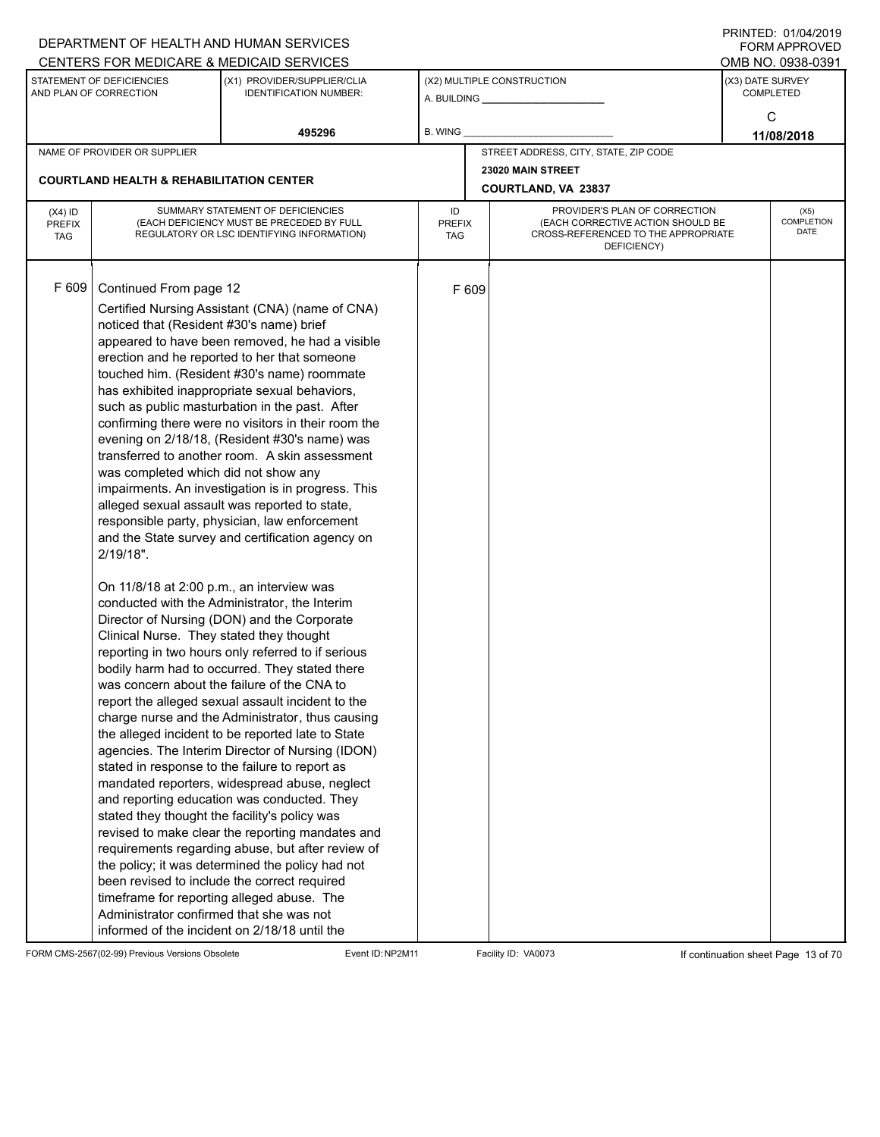|               |                                                     | DEPARTMENT OF HEALTH AND HUMAN SERVICES                                                             |         |       |                                                                          |                  | $1111$ $1111$<br><b>FORM APPROVED</b> |
|---------------|-----------------------------------------------------|-----------------------------------------------------------------------------------------------------|---------|-------|--------------------------------------------------------------------------|------------------|---------------------------------------|
|               |                                                     | CENTERS FOR MEDICARE & MEDICAID SERVICES                                                            |         |       |                                                                          |                  | OMB NO. 0938-0391                     |
|               | STATEMENT OF DEFICIENCIES<br>AND PLAN OF CORRECTION | (X1) PROVIDER/SUPPLIER/CLIA<br><b>IDENTIFICATION NUMBER:</b>                                        |         |       | (X2) MULTIPLE CONSTRUCTION                                               | (X3) DATE SURVEY | <b>COMPLETED</b>                      |
|               |                                                     |                                                                                                     |         |       |                                                                          |                  |                                       |
|               |                                                     |                                                                                                     |         |       |                                                                          |                  | C                                     |
|               |                                                     | 495296                                                                                              | B. WING |       |                                                                          |                  | 11/08/2018                            |
|               | NAME OF PROVIDER OR SUPPLIER                        |                                                                                                     |         |       | STREET ADDRESS, CITY, STATE, ZIP CODE                                    |                  |                                       |
|               | <b>COURTLAND HEALTH &amp; REHABILITATION CENTER</b> |                                                                                                     |         |       | 23020 MAIN STREET                                                        |                  |                                       |
|               |                                                     |                                                                                                     |         |       | COURTLAND, VA 23837                                                      |                  |                                       |
| $(X4)$ ID     |                                                     | SUMMARY STATEMENT OF DEFICIENCIES                                                                   | ID      |       | PROVIDER'S PLAN OF CORRECTION                                            |                  | (X5)                                  |
| <b>PREFIX</b> |                                                     | (EACH DEFICIENCY MUST BE PRECEDED BY FULL                                                           | PREFIX  |       | (EACH CORRECTIVE ACTION SHOULD BE<br>CROSS-REFERENCED TO THE APPROPRIATE |                  | COMPLETION<br>DATE                    |
| <b>TAG</b>    |                                                     | REGULATORY OR LSC IDENTIFYING INFORMATION)                                                          | TAG     |       | DEFICIENCY)                                                              |                  |                                       |
|               |                                                     |                                                                                                     |         |       |                                                                          |                  |                                       |
|               |                                                     |                                                                                                     |         |       |                                                                          |                  |                                       |
| F 609         | Continued From page 12                              |                                                                                                     |         | F 609 |                                                                          |                  |                                       |
|               |                                                     | Certified Nursing Assistant (CNA) (name of CNA)                                                     |         |       |                                                                          |                  |                                       |
|               | noticed that (Resident #30's name) brief            |                                                                                                     |         |       |                                                                          |                  |                                       |
|               |                                                     | appeared to have been removed, he had a visible                                                     |         |       |                                                                          |                  |                                       |
|               |                                                     | erection and he reported to her that someone                                                        |         |       |                                                                          |                  |                                       |
|               |                                                     | touched him. (Resident #30's name) roommate                                                         |         |       |                                                                          |                  |                                       |
|               |                                                     | has exhibited inappropriate sexual behaviors,                                                       |         |       |                                                                          |                  |                                       |
|               |                                                     | such as public masturbation in the past. After                                                      |         |       |                                                                          |                  |                                       |
|               |                                                     | confirming there were no visitors in their room the                                                 |         |       |                                                                          |                  |                                       |
|               |                                                     | evening on 2/18/18, (Resident #30's name) was                                                       |         |       |                                                                          |                  |                                       |
|               |                                                     | transferred to another room. A skin assessment                                                      |         |       |                                                                          |                  |                                       |
|               | was completed which did not show any                |                                                                                                     |         |       |                                                                          |                  |                                       |
|               |                                                     | impairments. An investigation is in progress. This<br>alleged sexual assault was reported to state, |         |       |                                                                          |                  |                                       |
|               |                                                     | responsible party, physician, law enforcement                                                       |         |       |                                                                          |                  |                                       |
|               |                                                     | and the State survey and certification agency on                                                    |         |       |                                                                          |                  |                                       |
|               | $2/19/18$ ".                                        |                                                                                                     |         |       |                                                                          |                  |                                       |
|               |                                                     |                                                                                                     |         |       |                                                                          |                  |                                       |
|               | On 11/8/18 at 2:00 p.m., an interview was           |                                                                                                     |         |       |                                                                          |                  |                                       |
|               |                                                     | conducted with the Administrator, the Interim                                                       |         |       |                                                                          |                  |                                       |
|               |                                                     | Director of Nursing (DON) and the Corporate                                                         |         |       |                                                                          |                  |                                       |
|               | Clinical Nurse. They stated they thought            |                                                                                                     |         |       |                                                                          |                  |                                       |
|               |                                                     | reporting in two hours only referred to if serious                                                  |         |       |                                                                          |                  |                                       |
|               |                                                     | bodily harm had to occurred. They stated there                                                      |         |       |                                                                          |                  |                                       |
|               |                                                     | was concern about the failure of the CNA to                                                         |         |       |                                                                          |                  |                                       |
|               |                                                     | report the alleged sexual assault incident to the                                                   |         |       |                                                                          |                  |                                       |
|               |                                                     | charge nurse and the Administrator, thus causing                                                    |         |       |                                                                          |                  |                                       |
|               |                                                     | the alleged incident to be reported late to State                                                   |         |       |                                                                          |                  |                                       |
|               |                                                     | agencies. The Interim Director of Nursing (IDON)                                                    |         |       |                                                                          |                  |                                       |
|               |                                                     | stated in response to the failure to report as                                                      |         |       |                                                                          |                  |                                       |
|               |                                                     | mandated reporters, widespread abuse, neglect                                                       |         |       |                                                                          |                  |                                       |
|               |                                                     | and reporting education was conducted. They                                                         |         |       |                                                                          |                  |                                       |
|               | stated they thought the facility's policy was       |                                                                                                     |         |       |                                                                          |                  |                                       |
|               |                                                     | revised to make clear the reporting mandates and                                                    |         |       |                                                                          |                  |                                       |
|               |                                                     | requirements regarding abuse, but after review of                                                   |         |       |                                                                          |                  |                                       |
|               |                                                     | the policy; it was determined the policy had not                                                    |         |       |                                                                          |                  |                                       |
|               |                                                     | been revised to include the correct required                                                        |         |       |                                                                          |                  |                                       |
|               |                                                     | timeframe for reporting alleged abuse. The                                                          |         |       |                                                                          |                  |                                       |
|               | Administrator confirmed that she was not            |                                                                                                     |         |       |                                                                          |                  |                                       |
|               |                                                     | informed of the incident on 2/18/18 until the                                                       |         |       |                                                                          |                  |                                       |

FORM CMS-2567(02-99) Previous Versions Obsolete Event ID:NP2M11 Facility ID: VA0073 If continuation sheet Page 13 of 70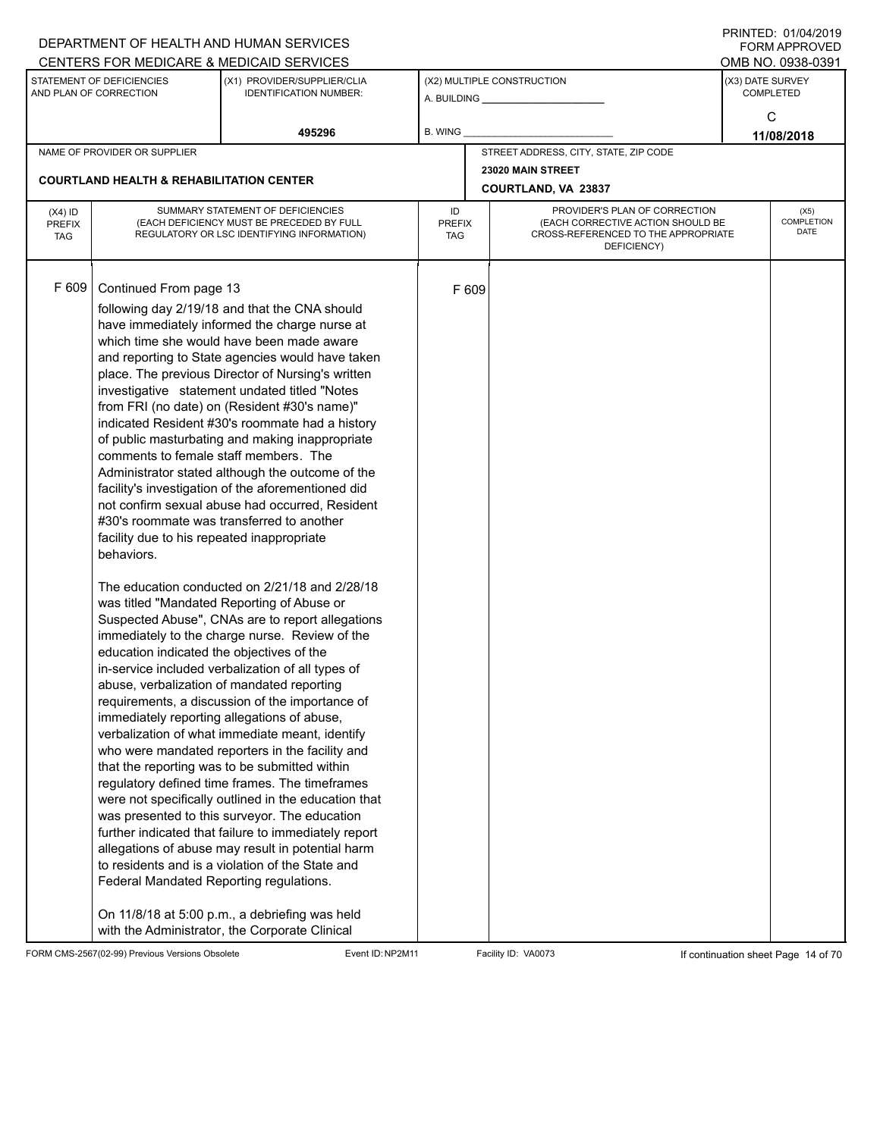|                             |                                                          | DEPARTMENT OF HEALTH AND HUMAN SERVICES                                                               |               |       |                                                                          |                  | $1 \times 11 \times 11 = 12.$ $0 \times 110 = 12$<br>FORM APPROVED |  |
|-----------------------------|----------------------------------------------------------|-------------------------------------------------------------------------------------------------------|---------------|-------|--------------------------------------------------------------------------|------------------|--------------------------------------------------------------------|--|
|                             |                                                          | CENTERS FOR MEDICARE & MEDICAID SERVICES                                                              |               |       |                                                                          |                  | OMB NO. 0938-0391                                                  |  |
|                             | STATEMENT OF DEFICIENCIES<br>AND PLAN OF CORRECTION      | (X1) PROVIDER/SUPPLIER/CLIA<br><b>IDENTIFICATION NUMBER:</b>                                          |               |       | (X2) MULTIPLE CONSTRUCTION                                               | (X3) DATE SURVEY | <b>COMPLETED</b>                                                   |  |
|                             |                                                          |                                                                                                       |               |       |                                                                          |                  |                                                                    |  |
|                             |                                                          | 495296                                                                                                | B. WING       |       |                                                                          |                  | C<br>11/08/2018                                                    |  |
|                             | NAME OF PROVIDER OR SUPPLIER                             |                                                                                                       |               |       | STREET ADDRESS, CITY, STATE, ZIP CODE                                    |                  |                                                                    |  |
|                             |                                                          |                                                                                                       |               |       | 23020 MAIN STREET                                                        |                  |                                                                    |  |
|                             | <b>COURTLAND HEALTH &amp; REHABILITATION CENTER</b>      |                                                                                                       |               |       | COURTLAND, VA 23837                                                      |                  |                                                                    |  |
| $(X4)$ ID                   |                                                          | SUMMARY STATEMENT OF DEFICIENCIES                                                                     | ID            |       | PROVIDER'S PLAN OF CORRECTION                                            | (X5)             |                                                                    |  |
| <b>PREFIX</b><br><b>TAG</b> |                                                          | (EACH DEFICIENCY MUST BE PRECEDED BY FULL<br>REGULATORY OR LSC IDENTIFYING INFORMATION)               | PREFIX<br>TAG |       | (EACH CORRECTIVE ACTION SHOULD BE<br>CROSS-REFERENCED TO THE APPROPRIATE |                  | COMPLETION<br>DATE                                                 |  |
|                             |                                                          |                                                                                                       |               |       | DEFICIENCY)                                                              |                  |                                                                    |  |
|                             |                                                          |                                                                                                       |               |       |                                                                          |                  |                                                                    |  |
| F 609                       | Continued From page 13                                   |                                                                                                       |               | F 609 |                                                                          |                  |                                                                    |  |
|                             |                                                          | following day 2/19/18 and that the CNA should                                                         |               |       |                                                                          |                  |                                                                    |  |
|                             |                                                          | have immediately informed the charge nurse at                                                         |               |       |                                                                          |                  |                                                                    |  |
|                             |                                                          | which time she would have been made aware                                                             |               |       |                                                                          |                  |                                                                    |  |
|                             |                                                          | and reporting to State agencies would have taken                                                      |               |       |                                                                          |                  |                                                                    |  |
|                             |                                                          | place. The previous Director of Nursing's written                                                     |               |       |                                                                          |                  |                                                                    |  |
|                             |                                                          | investigative statement undated titled "Notes                                                         |               |       |                                                                          |                  |                                                                    |  |
|                             |                                                          | from FRI (no date) on (Resident #30's name)"<br>indicated Resident #30's roommate had a history       |               |       |                                                                          |                  |                                                                    |  |
|                             |                                                          | of public masturbating and making inappropriate                                                       |               |       |                                                                          |                  |                                                                    |  |
|                             | comments to female staff members. The                    |                                                                                                       |               |       |                                                                          |                  |                                                                    |  |
|                             |                                                          | Administrator stated although the outcome of the                                                      |               |       |                                                                          |                  |                                                                    |  |
|                             |                                                          | facility's investigation of the aforementioned did                                                    |               |       |                                                                          |                  |                                                                    |  |
|                             |                                                          | not confirm sexual abuse had occurred, Resident                                                       |               |       |                                                                          |                  |                                                                    |  |
|                             |                                                          | #30's roommate was transferred to another                                                             |               |       |                                                                          |                  |                                                                    |  |
|                             | facility due to his repeated inappropriate<br>behaviors. |                                                                                                       |               |       |                                                                          |                  |                                                                    |  |
|                             |                                                          |                                                                                                       |               |       |                                                                          |                  |                                                                    |  |
|                             |                                                          | The education conducted on 2/21/18 and 2/28/18                                                        |               |       |                                                                          |                  |                                                                    |  |
|                             |                                                          | was titled "Mandated Reporting of Abuse or                                                            |               |       |                                                                          |                  |                                                                    |  |
|                             |                                                          | Suspected Abuse", CNAs are to report allegations                                                      |               |       |                                                                          |                  |                                                                    |  |
|                             |                                                          | immediately to the charge nurse. Review of the                                                        |               |       |                                                                          |                  |                                                                    |  |
|                             | education indicated the objectives of the                |                                                                                                       |               |       |                                                                          |                  |                                                                    |  |
|                             | abuse, verbalization of mandated reporting               | in-service included verbalization of all types of                                                     |               |       |                                                                          |                  |                                                                    |  |
|                             |                                                          | requirements, a discussion of the importance of                                                       |               |       |                                                                          |                  |                                                                    |  |
|                             |                                                          | immediately reporting allegations of abuse,                                                           |               |       |                                                                          |                  |                                                                    |  |
|                             |                                                          | verbalization of what immediate meant, identify                                                       |               |       |                                                                          |                  |                                                                    |  |
|                             |                                                          | who were mandated reporters in the facility and                                                       |               |       |                                                                          |                  |                                                                    |  |
|                             |                                                          | that the reporting was to be submitted within                                                         |               |       |                                                                          |                  |                                                                    |  |
|                             |                                                          | regulatory defined time frames. The timeframes                                                        |               |       |                                                                          |                  |                                                                    |  |
|                             |                                                          | were not specifically outlined in the education that<br>was presented to this surveyor. The education |               |       |                                                                          |                  |                                                                    |  |
|                             |                                                          | further indicated that failure to immediately report                                                  |               |       |                                                                          |                  |                                                                    |  |
|                             |                                                          | allegations of abuse may result in potential harm                                                     |               |       |                                                                          |                  |                                                                    |  |
|                             |                                                          | to residents and is a violation of the State and                                                      |               |       |                                                                          |                  |                                                                    |  |
|                             | Federal Mandated Reporting regulations.                  |                                                                                                       |               |       |                                                                          |                  |                                                                    |  |
|                             |                                                          |                                                                                                       |               |       |                                                                          |                  |                                                                    |  |
|                             |                                                          | On 11/8/18 at 5:00 p.m., a debriefing was held                                                        |               |       |                                                                          |                  |                                                                    |  |
|                             |                                                          | with the Administrator, the Corporate Clinical                                                        |               |       |                                                                          |                  |                                                                    |  |

FORM CMS-2567(02-99) Previous Versions Obsolete Event ID:NP2M11 Facility ID: VA0073 If continuation sheet Page 14 of 70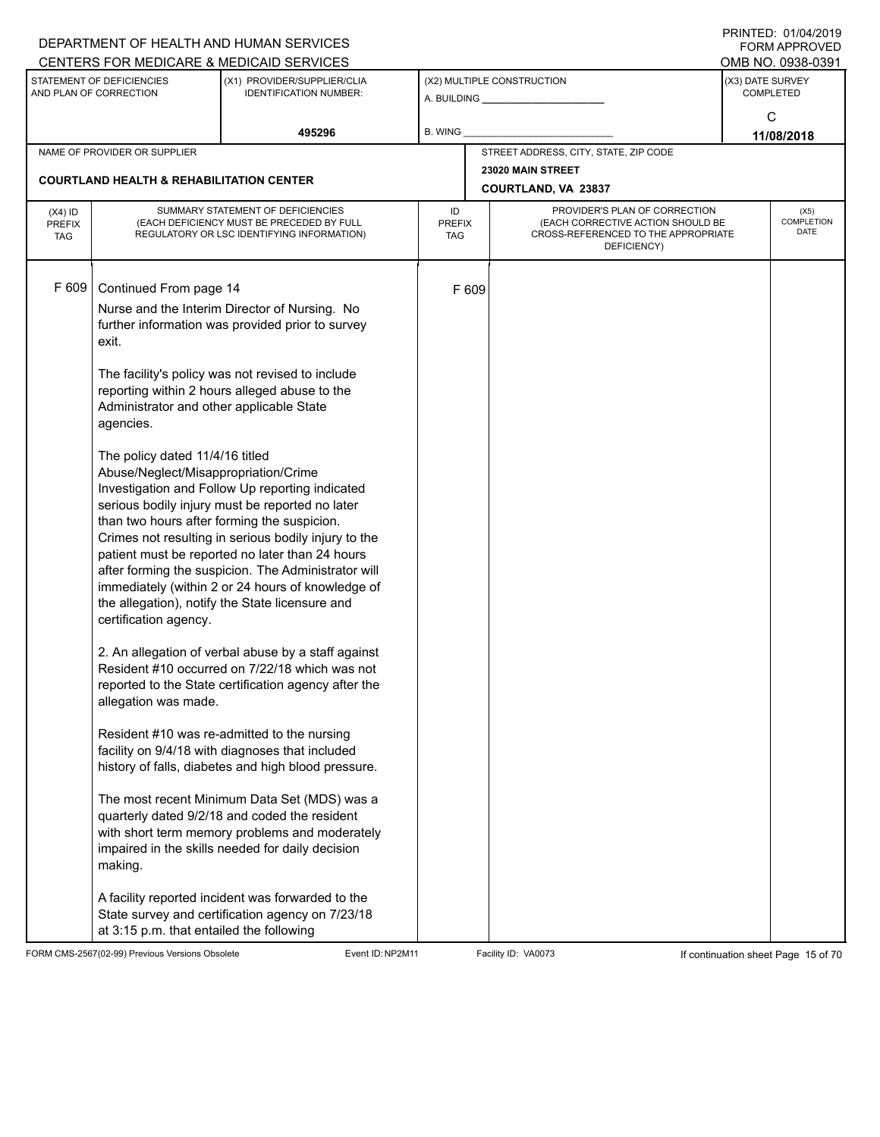|                             |                                                     | DEPARTMENT OF HEALTH AND HUMAN SERVICES                                                            |                      |       |                                                                          |                  | $1 \times 11 \times 11 = 12.$ $0 \times 110 = 71$<br>FORM APPROVED |  |
|-----------------------------|-----------------------------------------------------|----------------------------------------------------------------------------------------------------|----------------------|-------|--------------------------------------------------------------------------|------------------|--------------------------------------------------------------------|--|
|                             |                                                     | CENTERS FOR MEDICARE & MEDICAID SERVICES                                                           |                      |       |                                                                          |                  | OMB NO. 0938-0391                                                  |  |
|                             | STATEMENT OF DEFICIENCIES<br>AND PLAN OF CORRECTION | (X1) PROVIDER/SUPPLIER/CLIA<br><b>IDENTIFICATION NUMBER:</b>                                       |                      |       | (X2) MULTIPLE CONSTRUCTION                                               | (X3) DATE SURVEY | <b>COMPLETED</b>                                                   |  |
|                             |                                                     |                                                                                                    |                      |       |                                                                          |                  | C                                                                  |  |
|                             |                                                     | 495296                                                                                             | B. WING              |       |                                                                          |                  | 11/08/2018                                                         |  |
|                             | NAME OF PROVIDER OR SUPPLIER                        |                                                                                                    |                      |       | STREET ADDRESS, CITY, STATE, ZIP CODE                                    |                  |                                                                    |  |
|                             |                                                     |                                                                                                    |                      |       | 23020 MAIN STREET                                                        |                  |                                                                    |  |
|                             | <b>COURTLAND HEALTH &amp; REHABILITATION CENTER</b> |                                                                                                    |                      |       | COURTLAND, VA 23837                                                      |                  |                                                                    |  |
| $(X4)$ ID                   |                                                     | SUMMARY STATEMENT OF DEFICIENCIES                                                                  | ID                   |       | PROVIDER'S PLAN OF CORRECTION                                            | (X5)             |                                                                    |  |
| <b>PREFIX</b><br><b>TAG</b> |                                                     | (EACH DEFICIENCY MUST BE PRECEDED BY FULL<br>REGULATORY OR LSC IDENTIFYING INFORMATION)            | <b>PREFIX</b><br>TAG |       | (EACH CORRECTIVE ACTION SHOULD BE<br>CROSS-REFERENCED TO THE APPROPRIATE |                  | COMPLETION<br>DATE                                                 |  |
|                             |                                                     |                                                                                                    |                      |       | DEFICIENCY)                                                              |                  |                                                                    |  |
|                             |                                                     |                                                                                                    |                      |       |                                                                          |                  |                                                                    |  |
| F 609                       | Continued From page 14                              |                                                                                                    |                      | F 609 |                                                                          |                  |                                                                    |  |
|                             |                                                     | Nurse and the Interim Director of Nursing. No                                                      |                      |       |                                                                          |                  |                                                                    |  |
|                             |                                                     | further information was provided prior to survey                                                   |                      |       |                                                                          |                  |                                                                    |  |
|                             | exit.                                               |                                                                                                    |                      |       |                                                                          |                  |                                                                    |  |
|                             |                                                     |                                                                                                    |                      |       |                                                                          |                  |                                                                    |  |
|                             |                                                     | The facility's policy was not revised to include<br>reporting within 2 hours alleged abuse to the  |                      |       |                                                                          |                  |                                                                    |  |
|                             | Administrator and other applicable State            |                                                                                                    |                      |       |                                                                          |                  |                                                                    |  |
|                             | agencies.                                           |                                                                                                    |                      |       |                                                                          |                  |                                                                    |  |
|                             |                                                     |                                                                                                    |                      |       |                                                                          |                  |                                                                    |  |
|                             | The policy dated 11/4/16 titled                     |                                                                                                    |                      |       |                                                                          |                  |                                                                    |  |
|                             | Abuse/Neglect/Misappropriation/Crime                |                                                                                                    |                      |       |                                                                          |                  |                                                                    |  |
|                             |                                                     | Investigation and Follow Up reporting indicated<br>serious bodily injury must be reported no later |                      |       |                                                                          |                  |                                                                    |  |
|                             |                                                     | than two hours after forming the suspicion.                                                        |                      |       |                                                                          |                  |                                                                    |  |
|                             |                                                     | Crimes not resulting in serious bodily injury to the                                               |                      |       |                                                                          |                  |                                                                    |  |
|                             |                                                     | patient must be reported no later than 24 hours                                                    |                      |       |                                                                          |                  |                                                                    |  |
|                             |                                                     | after forming the suspicion. The Administrator will                                                |                      |       |                                                                          |                  |                                                                    |  |
|                             |                                                     | immediately (within 2 or 24 hours of knowledge of                                                  |                      |       |                                                                          |                  |                                                                    |  |
|                             |                                                     | the allegation), notify the State licensure and                                                    |                      |       |                                                                          |                  |                                                                    |  |
|                             | certification agency.                               |                                                                                                    |                      |       |                                                                          |                  |                                                                    |  |
|                             |                                                     | 2. An allegation of verbal abuse by a staff against                                                |                      |       |                                                                          |                  |                                                                    |  |
|                             |                                                     | Resident #10 occurred on 7/22/18 which was not                                                     |                      |       |                                                                          |                  |                                                                    |  |
|                             |                                                     | reported to the State certification agency after the                                               |                      |       |                                                                          |                  |                                                                    |  |
|                             | allegation was made.                                |                                                                                                    |                      |       |                                                                          |                  |                                                                    |  |
|                             |                                                     |                                                                                                    |                      |       |                                                                          |                  |                                                                    |  |
|                             |                                                     | Resident #10 was re-admitted to the nursing<br>facility on 9/4/18 with diagnoses that included     |                      |       |                                                                          |                  |                                                                    |  |
|                             |                                                     | history of falls, diabetes and high blood pressure.                                                |                      |       |                                                                          |                  |                                                                    |  |
|                             |                                                     |                                                                                                    |                      |       |                                                                          |                  |                                                                    |  |
|                             |                                                     | The most recent Minimum Data Set (MDS) was a                                                       |                      |       |                                                                          |                  |                                                                    |  |
|                             |                                                     | quarterly dated 9/2/18 and coded the resident                                                      |                      |       |                                                                          |                  |                                                                    |  |
|                             |                                                     | with short term memory problems and moderately<br>impaired in the skills needed for daily decision |                      |       |                                                                          |                  |                                                                    |  |
|                             | making.                                             |                                                                                                    |                      |       |                                                                          |                  |                                                                    |  |
|                             |                                                     |                                                                                                    |                      |       |                                                                          |                  |                                                                    |  |
|                             |                                                     | A facility reported incident was forwarded to the                                                  |                      |       |                                                                          |                  |                                                                    |  |
|                             |                                                     | State survey and certification agency on 7/23/18                                                   |                      |       |                                                                          |                  |                                                                    |  |
|                             | at 3:15 p.m. that entailed the following            |                                                                                                    |                      |       |                                                                          |                  |                                                                    |  |

FORM CMS-2567(02-99) Previous Versions Obsolete Event ID:NP2M11 Facility ID: VA0073 If continuation sheet Page 15 of 70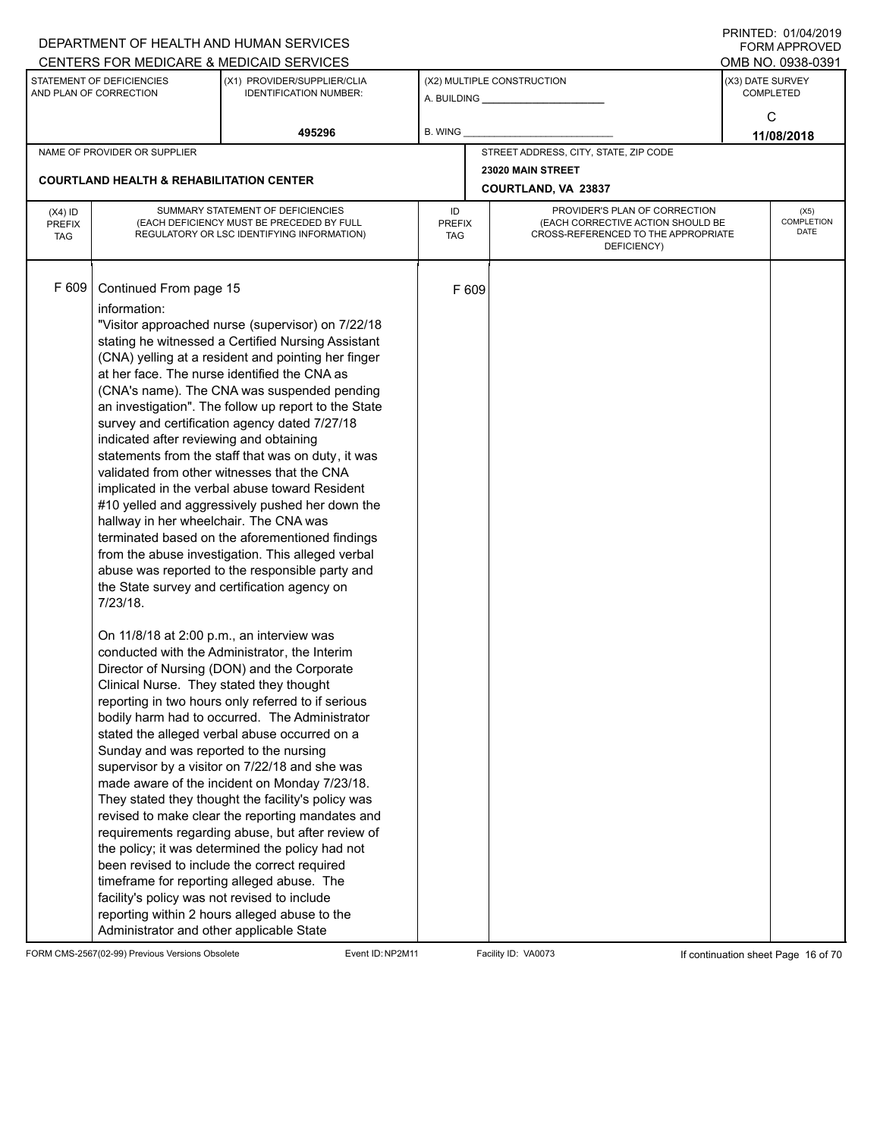|                                          |                                                                                                                                                                                                                                                                                                                                                                        | DEPARTMENT OF HEALTH AND HUMAN SERVICES                                                                                                                                                                                                                                                                                                                                                                                                                                                                                                                                                                                                                                                                                                                                                                                                                                                                                                                                                                                                                                                                                                                                                                                                                                                                                                                                                                                                                                                                                   |                            |       |                                                                                                                          |                  | $1 \times 11 \times 11 = 12.$ $0 \times 110 = 12$<br><b>FORM APPROVED</b> |  |  |
|------------------------------------------|------------------------------------------------------------------------------------------------------------------------------------------------------------------------------------------------------------------------------------------------------------------------------------------------------------------------------------------------------------------------|---------------------------------------------------------------------------------------------------------------------------------------------------------------------------------------------------------------------------------------------------------------------------------------------------------------------------------------------------------------------------------------------------------------------------------------------------------------------------------------------------------------------------------------------------------------------------------------------------------------------------------------------------------------------------------------------------------------------------------------------------------------------------------------------------------------------------------------------------------------------------------------------------------------------------------------------------------------------------------------------------------------------------------------------------------------------------------------------------------------------------------------------------------------------------------------------------------------------------------------------------------------------------------------------------------------------------------------------------------------------------------------------------------------------------------------------------------------------------------------------------------------------------|----------------------------|-------|--------------------------------------------------------------------------------------------------------------------------|------------------|---------------------------------------------------------------------------|--|--|
|                                          |                                                                                                                                                                                                                                                                                                                                                                        | CENTERS FOR MEDICARE & MEDICAID SERVICES                                                                                                                                                                                                                                                                                                                                                                                                                                                                                                                                                                                                                                                                                                                                                                                                                                                                                                                                                                                                                                                                                                                                                                                                                                                                                                                                                                                                                                                                                  |                            |       |                                                                                                                          |                  | OMB NO. 0938-0391                                                         |  |  |
|                                          | STATEMENT OF DEFICIENCIES<br>AND PLAN OF CORRECTION                                                                                                                                                                                                                                                                                                                    | (X1) PROVIDER/SUPPLIER/CLIA<br><b>IDENTIFICATION NUMBER:</b>                                                                                                                                                                                                                                                                                                                                                                                                                                                                                                                                                                                                                                                                                                                                                                                                                                                                                                                                                                                                                                                                                                                                                                                                                                                                                                                                                                                                                                                              |                            |       | (X2) MULTIPLE CONSTRUCTION                                                                                               | (X3) DATE SURVEY | <b>COMPLETED</b>                                                          |  |  |
|                                          |                                                                                                                                                                                                                                                                                                                                                                        | 495296                                                                                                                                                                                                                                                                                                                                                                                                                                                                                                                                                                                                                                                                                                                                                                                                                                                                                                                                                                                                                                                                                                                                                                                                                                                                                                                                                                                                                                                                                                                    | B. WING                    |       |                                                                                                                          |                  | C<br>11/08/2018                                                           |  |  |
|                                          | NAME OF PROVIDER OR SUPPLIER                                                                                                                                                                                                                                                                                                                                           |                                                                                                                                                                                                                                                                                                                                                                                                                                                                                                                                                                                                                                                                                                                                                                                                                                                                                                                                                                                                                                                                                                                                                                                                                                                                                                                                                                                                                                                                                                                           |                            |       | STREET ADDRESS, CITY, STATE, ZIP CODE                                                                                    |                  |                                                                           |  |  |
|                                          |                                                                                                                                                                                                                                                                                                                                                                        |                                                                                                                                                                                                                                                                                                                                                                                                                                                                                                                                                                                                                                                                                                                                                                                                                                                                                                                                                                                                                                                                                                                                                                                                                                                                                                                                                                                                                                                                                                                           |                            |       | 23020 MAIN STREET                                                                                                        |                  |                                                                           |  |  |
|                                          | <b>COURTLAND HEALTH &amp; REHABILITATION CENTER</b>                                                                                                                                                                                                                                                                                                                    |                                                                                                                                                                                                                                                                                                                                                                                                                                                                                                                                                                                                                                                                                                                                                                                                                                                                                                                                                                                                                                                                                                                                                                                                                                                                                                                                                                                                                                                                                                                           |                            |       | COURTLAND, VA 23837                                                                                                      |                  |                                                                           |  |  |
| $(X4)$ ID<br><b>PREFIX</b><br><b>TAG</b> |                                                                                                                                                                                                                                                                                                                                                                        | SUMMARY STATEMENT OF DEFICIENCIES<br>(EACH DEFICIENCY MUST BE PRECEDED BY FULL<br>REGULATORY OR LSC IDENTIFYING INFORMATION)                                                                                                                                                                                                                                                                                                                                                                                                                                                                                                                                                                                                                                                                                                                                                                                                                                                                                                                                                                                                                                                                                                                                                                                                                                                                                                                                                                                              | ID<br><b>PREFIX</b><br>TAG |       | PROVIDER'S PLAN OF CORRECTION<br>(EACH CORRECTIVE ACTION SHOULD BE<br>CROSS-REFERENCED TO THE APPROPRIATE<br>DEFICIENCY) |                  | (X5)<br>COMPLETION<br>DATE                                                |  |  |
| F 609                                    | Continued From page 15<br>information:<br>indicated after reviewing and obtaining<br>hallway in her wheelchair. The CNA was<br>7/23/18.<br>On 11/8/18 at 2:00 p.m., an interview was<br>Clinical Nurse. They stated they thought<br>Sunday and was reported to the nursing<br>facility's policy was not revised to include<br>Administrator and other applicable State | "Visitor approached nurse (supervisor) on 7/22/18<br>stating he witnessed a Certified Nursing Assistant<br>(CNA) yelling at a resident and pointing her finger<br>at her face. The nurse identified the CNA as<br>(CNA's name). The CNA was suspended pending<br>an investigation". The follow up report to the State<br>survey and certification agency dated 7/27/18<br>statements from the staff that was on duty, it was<br>validated from other witnesses that the CNA<br>implicated in the verbal abuse toward Resident<br>#10 yelled and aggressively pushed her down the<br>terminated based on the aforementioned findings<br>from the abuse investigation. This alleged verbal<br>abuse was reported to the responsible party and<br>the State survey and certification agency on<br>conducted with the Administrator, the Interim<br>Director of Nursing (DON) and the Corporate<br>reporting in two hours only referred to if serious<br>bodily harm had to occurred. The Administrator<br>stated the alleged verbal abuse occurred on a<br>supervisor by a visitor on 7/22/18 and she was<br>made aware of the incident on Monday 7/23/18.<br>They stated they thought the facility's policy was<br>revised to make clear the reporting mandates and<br>requirements regarding abuse, but after review of<br>the policy; it was determined the policy had not<br>been revised to include the correct required<br>timeframe for reporting alleged abuse. The<br>reporting within 2 hours alleged abuse to the |                            | F 609 |                                                                                                                          |                  |                                                                           |  |  |

FORM CMS-2567(02-99) Previous Versions Obsolete Event ID:NP2M11 Facility ID: VA0073 If continuation sheet Page 16 of 70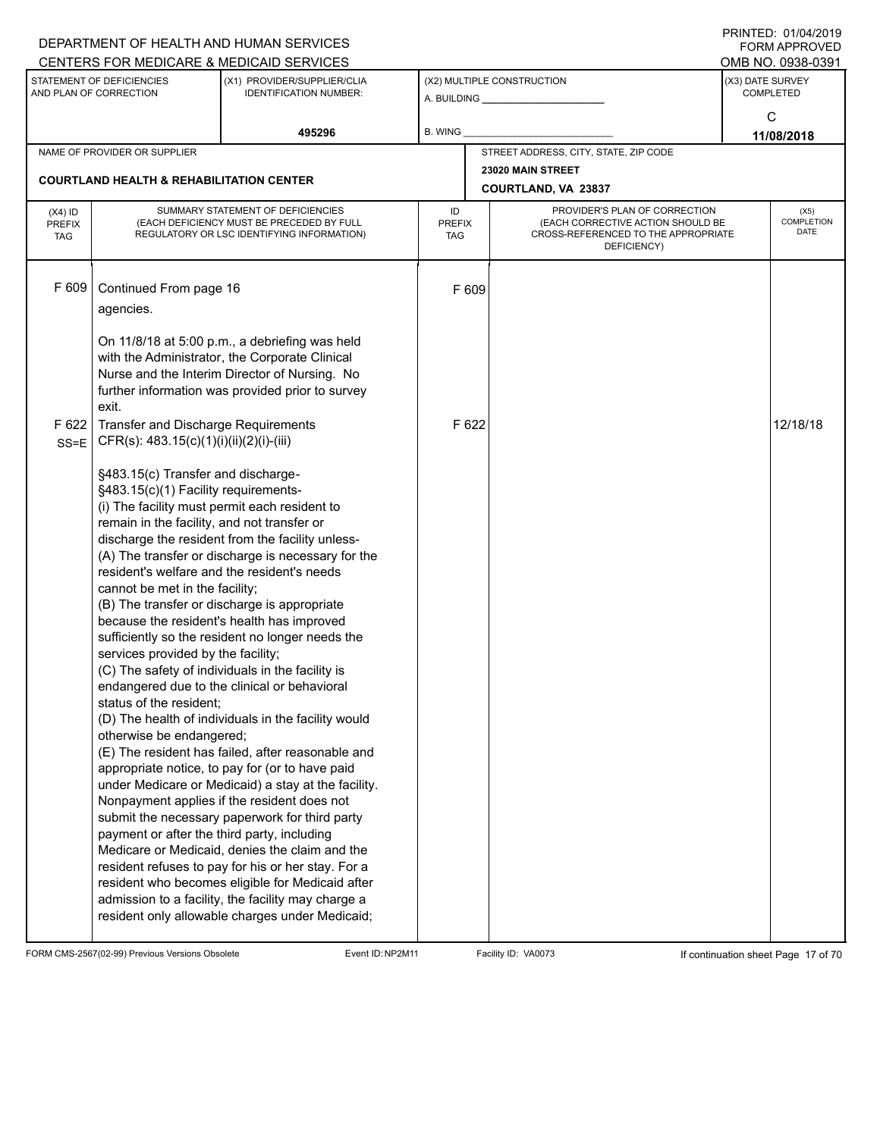|                             |                                                     | DEPARTMENT OF HEALTH AND HUMAN SERVICES                                                                |                             |       |                                                                          |                                          | <b>FORM APPROVED</b>                 |  |
|-----------------------------|-----------------------------------------------------|--------------------------------------------------------------------------------------------------------|-----------------------------|-------|--------------------------------------------------------------------------|------------------------------------------|--------------------------------------|--|
|                             |                                                     | CENTERS FOR MEDICARE & MEDICAID SERVICES                                                               |                             |       |                                                                          |                                          | OMB NO. 0938-0391                    |  |
|                             | STATEMENT OF DEFICIENCIES<br>AND PLAN OF CORRECTION | (X1) PROVIDER/SUPPLIER/CLIA<br><b>IDENTIFICATION NUMBER:</b>                                           |                             |       | (X2) MULTIPLE CONSTRUCTION<br>A. BUILDING A. BUILDING                    |                                          | (X3) DATE SURVEY<br><b>COMPLETED</b> |  |
|                             |                                                     |                                                                                                        |                             |       |                                                                          |                                          | C                                    |  |
|                             |                                                     | 495296                                                                                                 | B. WING                     |       |                                                                          |                                          | 11/08/2018                           |  |
|                             | NAME OF PROVIDER OR SUPPLIER                        |                                                                                                        |                             |       | STREET ADDRESS, CITY, STATE, ZIP CODE                                    |                                          |                                      |  |
|                             |                                                     |                                                                                                        |                             |       | 23020 MAIN STREET                                                        |                                          |                                      |  |
|                             | <b>COURTLAND HEALTH &amp; REHABILITATION CENTER</b> |                                                                                                        |                             |       | COURTLAND, VA 23837                                                      |                                          |                                      |  |
| $(X4)$ ID                   |                                                     | SUMMARY STATEMENT OF DEFICIENCIES                                                                      | ID                          |       | PROVIDER'S PLAN OF CORRECTION                                            |                                          |                                      |  |
| <b>PREFIX</b><br><b>TAG</b> |                                                     | (EACH DEFICIENCY MUST BE PRECEDED BY FULL<br>REGULATORY OR LSC IDENTIFYING INFORMATION)                | <b>PREFIX</b><br><b>TAG</b> |       | (EACH CORRECTIVE ACTION SHOULD BE<br>CROSS-REFERENCED TO THE APPROPRIATE | (X5)<br><b>COMPLETION</b><br><b>DATE</b> |                                      |  |
|                             |                                                     |                                                                                                        |                             |       | DEFICIENCY)                                                              |                                          |                                      |  |
|                             |                                                     |                                                                                                        |                             |       |                                                                          |                                          |                                      |  |
| F 609                       | Continued From page 16                              |                                                                                                        |                             | F 609 |                                                                          |                                          |                                      |  |
|                             | agencies.                                           |                                                                                                        |                             |       |                                                                          |                                          |                                      |  |
|                             |                                                     |                                                                                                        |                             |       |                                                                          |                                          |                                      |  |
|                             |                                                     | On 11/8/18 at 5:00 p.m., a debriefing was held<br>with the Administrator, the Corporate Clinical       |                             |       |                                                                          |                                          |                                      |  |
|                             |                                                     | Nurse and the Interim Director of Nursing. No                                                          |                             |       |                                                                          |                                          |                                      |  |
|                             |                                                     | further information was provided prior to survey                                                       |                             |       |                                                                          |                                          |                                      |  |
|                             | exit.                                               |                                                                                                        |                             |       |                                                                          |                                          |                                      |  |
| F 622                       | Transfer and Discharge Requirements                 |                                                                                                        |                             | F 622 |                                                                          |                                          | 12/18/18                             |  |
| $SS = E$                    | CFR(s): 483.15(c)(1)(i)(ii)(2)(i)-(iii)             |                                                                                                        |                             |       |                                                                          |                                          |                                      |  |
|                             | §483.15(c) Transfer and discharge-                  |                                                                                                        |                             |       |                                                                          |                                          |                                      |  |
|                             | §483.15(c)(1) Facility requirements-                |                                                                                                        |                             |       |                                                                          |                                          |                                      |  |
|                             | (i) The facility must permit each resident to       |                                                                                                        |                             |       |                                                                          |                                          |                                      |  |
|                             | remain in the facility, and not transfer or         | discharge the resident from the facility unless-                                                       |                             |       |                                                                          |                                          |                                      |  |
|                             |                                                     | (A) The transfer or discharge is necessary for the                                                     |                             |       |                                                                          |                                          |                                      |  |
|                             | resident's welfare and the resident's needs         |                                                                                                        |                             |       |                                                                          |                                          |                                      |  |
|                             | cannot be met in the facility;                      |                                                                                                        |                             |       |                                                                          |                                          |                                      |  |
|                             |                                                     | (B) The transfer or discharge is appropriate<br>because the resident's health has improved             |                             |       |                                                                          |                                          |                                      |  |
|                             |                                                     | sufficiently so the resident no longer needs the                                                       |                             |       |                                                                          |                                          |                                      |  |
|                             | services provided by the facility;                  |                                                                                                        |                             |       |                                                                          |                                          |                                      |  |
|                             |                                                     | (C) The safety of individuals in the facility is                                                       |                             |       |                                                                          |                                          |                                      |  |
|                             | status of the resident:                             | endangered due to the clinical or behavioral                                                           |                             |       |                                                                          |                                          |                                      |  |
|                             |                                                     | (D) The health of individuals in the facility would                                                    |                             |       |                                                                          |                                          |                                      |  |
|                             | otherwise be endangered;                            |                                                                                                        |                             |       |                                                                          |                                          |                                      |  |
|                             |                                                     | (E) The resident has failed, after reasonable and                                                      |                             |       |                                                                          |                                          |                                      |  |
|                             |                                                     | appropriate notice, to pay for (or to have paid                                                        |                             |       |                                                                          |                                          |                                      |  |
|                             |                                                     | under Medicare or Medicaid) a stay at the facility.<br>Nonpayment applies if the resident does not     |                             |       |                                                                          |                                          |                                      |  |
|                             |                                                     | submit the necessary paperwork for third party                                                         |                             |       |                                                                          |                                          |                                      |  |
|                             | payment or after the third party, including         |                                                                                                        |                             |       |                                                                          |                                          |                                      |  |
|                             |                                                     | Medicare or Medicaid, denies the claim and the                                                         |                             |       |                                                                          |                                          |                                      |  |
|                             |                                                     | resident refuses to pay for his or her stay. For a                                                     |                             |       |                                                                          |                                          |                                      |  |
|                             |                                                     | resident who becomes eligible for Medicaid after<br>admission to a facility, the facility may charge a |                             |       |                                                                          |                                          |                                      |  |
|                             |                                                     | resident only allowable charges under Medicaid;                                                        |                             |       |                                                                          |                                          |                                      |  |
|                             |                                                     |                                                                                                        |                             |       |                                                                          |                                          |                                      |  |

FORM CMS-2567(02-99) Previous Versions Obsolete Event ID:NP2M11 Facility ID: VA0073 If continuation sheet Page 17 of 70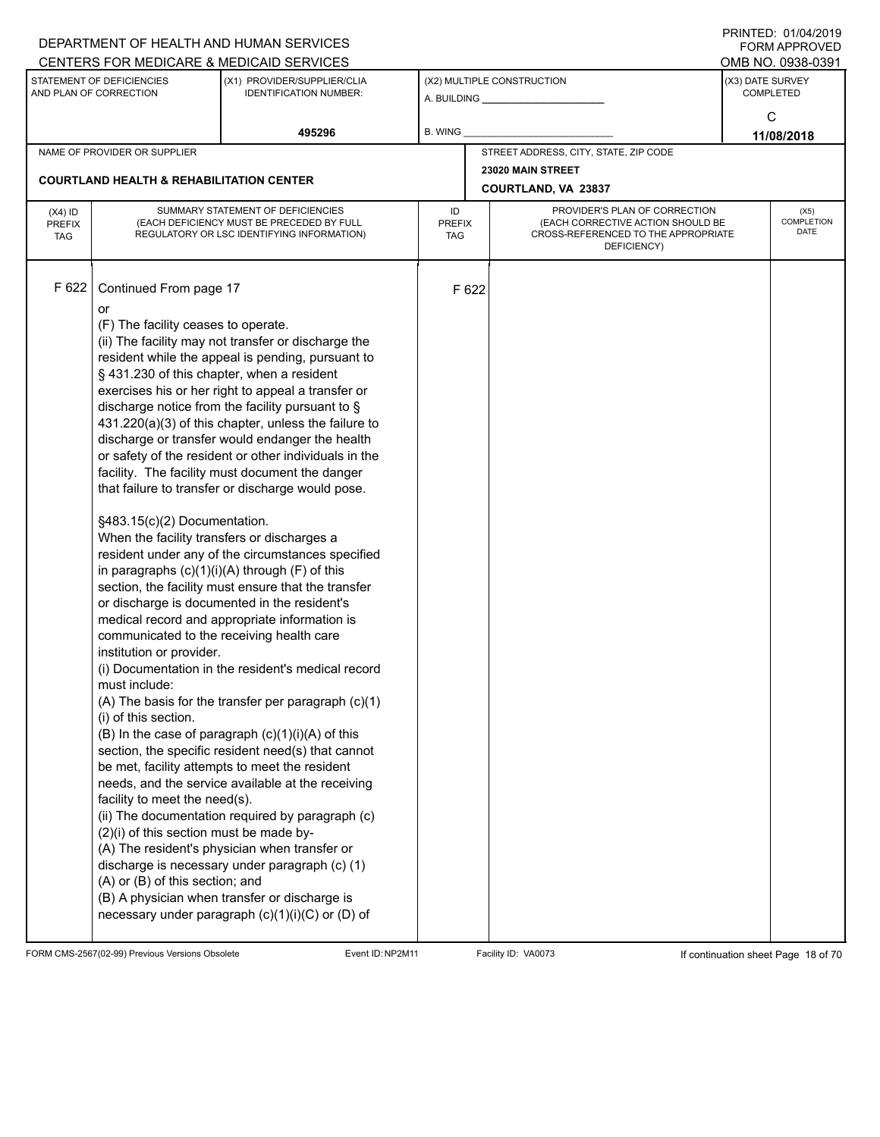|                                          |                                                                                                                                                                                                                                                                                                                                                                                                                                   | DEPARTMENT OF HEALTH AND HUMAN SERVICES                                                                                                                                                                                                                                                                                                                                                                                                                                                                                                                                                                                                                                                                                                                                                                                                                                                                                                                                                                                                                                                                                                                                                                                                                                                                                                                               |                                                                                                                                                 |       |                                          |                                      | $1 \times 11 \times 11 = 12.$ $0 \times 110 = 12$<br>FORM APPROVED |  |
|------------------------------------------|-----------------------------------------------------------------------------------------------------------------------------------------------------------------------------------------------------------------------------------------------------------------------------------------------------------------------------------------------------------------------------------------------------------------------------------|-----------------------------------------------------------------------------------------------------------------------------------------------------------------------------------------------------------------------------------------------------------------------------------------------------------------------------------------------------------------------------------------------------------------------------------------------------------------------------------------------------------------------------------------------------------------------------------------------------------------------------------------------------------------------------------------------------------------------------------------------------------------------------------------------------------------------------------------------------------------------------------------------------------------------------------------------------------------------------------------------------------------------------------------------------------------------------------------------------------------------------------------------------------------------------------------------------------------------------------------------------------------------------------------------------------------------------------------------------------------------|-------------------------------------------------------------------------------------------------------------------------------------------------|-------|------------------------------------------|--------------------------------------|--------------------------------------------------------------------|--|
|                                          |                                                                                                                                                                                                                                                                                                                                                                                                                                   | CENTERS FOR MEDICARE & MEDICAID SERVICES                                                                                                                                                                                                                                                                                                                                                                                                                                                                                                                                                                                                                                                                                                                                                                                                                                                                                                                                                                                                                                                                                                                                                                                                                                                                                                                              |                                                                                                                                                 |       |                                          |                                      | OMB NO. 0938-0391                                                  |  |
|                                          | STATEMENT OF DEFICIENCIES<br>AND PLAN OF CORRECTION                                                                                                                                                                                                                                                                                                                                                                               | (X1) PROVIDER/SUPPLIER/CLIA<br><b>IDENTIFICATION NUMBER:</b>                                                                                                                                                                                                                                                                                                                                                                                                                                                                                                                                                                                                                                                                                                                                                                                                                                                                                                                                                                                                                                                                                                                                                                                                                                                                                                          |                                                                                                                                                 |       | (X2) MULTIPLE CONSTRUCTION               | (X3) DATE SURVEY<br><b>COMPLETED</b> |                                                                    |  |
|                                          |                                                                                                                                                                                                                                                                                                                                                                                                                                   | 495296                                                                                                                                                                                                                                                                                                                                                                                                                                                                                                                                                                                                                                                                                                                                                                                                                                                                                                                                                                                                                                                                                                                                                                                                                                                                                                                                                                | B. WING                                                                                                                                         |       |                                          |                                      | C<br>11/08/2018                                                    |  |
|                                          | NAME OF PROVIDER OR SUPPLIER                                                                                                                                                                                                                                                                                                                                                                                                      |                                                                                                                                                                                                                                                                                                                                                                                                                                                                                                                                                                                                                                                                                                                                                                                                                                                                                                                                                                                                                                                                                                                                                                                                                                                                                                                                                                       |                                                                                                                                                 |       | STREET ADDRESS, CITY, STATE, ZIP CODE    |                                      |                                                                    |  |
|                                          | <b>COURTLAND HEALTH &amp; REHABILITATION CENTER</b>                                                                                                                                                                                                                                                                                                                                                                               |                                                                                                                                                                                                                                                                                                                                                                                                                                                                                                                                                                                                                                                                                                                                                                                                                                                                                                                                                                                                                                                                                                                                                                                                                                                                                                                                                                       |                                                                                                                                                 |       | 23020 MAIN STREET<br>COURTLAND, VA 23837 |                                      |                                                                    |  |
| $(X4)$ ID<br><b>PREFIX</b><br><b>TAG</b> |                                                                                                                                                                                                                                                                                                                                                                                                                                   | SUMMARY STATEMENT OF DEFICIENCIES<br>(EACH DEFICIENCY MUST BE PRECEDED BY FULL<br>REGULATORY OR LSC IDENTIFYING INFORMATION)                                                                                                                                                                                                                                                                                                                                                                                                                                                                                                                                                                                                                                                                                                                                                                                                                                                                                                                                                                                                                                                                                                                                                                                                                                          | PROVIDER'S PLAN OF CORRECTION<br>ID<br>(EACH CORRECTIVE ACTION SHOULD BE<br>PREFIX<br>CROSS-REFERENCED TO THE APPROPRIATE<br>TAG<br>DEFICIENCY) |       |                                          |                                      | (X5)<br>COMPLETION<br>DATE                                         |  |
| F 622                                    | Continued From page 17<br>or<br>(F) The facility ceases to operate.<br>§ 431.230 of this chapter, when a resident<br>§483.15(c)(2) Documentation.<br>When the facility transfers or discharges a<br>communicated to the receiving health care<br>institution or provider.<br>must include:<br>(i) of this section.<br>facility to meet the need(s).<br>(2)(i) of this section must be made by-<br>(A) or (B) of this section; and | (ii) The facility may not transfer or discharge the<br>resident while the appeal is pending, pursuant to<br>exercises his or her right to appeal a transfer or<br>discharge notice from the facility pursuant to $\S$<br>431.220(a)(3) of this chapter, unless the failure to<br>discharge or transfer would endanger the health<br>or safety of the resident or other individuals in the<br>facility. The facility must document the danger<br>that failure to transfer or discharge would pose.<br>resident under any of the circumstances specified<br>in paragraphs $(c)(1)(i)(A)$ through $(F)$ of this<br>section, the facility must ensure that the transfer<br>or discharge is documented in the resident's<br>medical record and appropriate information is<br>(i) Documentation in the resident's medical record<br>(A) The basis for the transfer per paragraph (c)(1)<br>(B) In the case of paragraph $(c)(1)(i)(A)$ of this<br>section, the specific resident need(s) that cannot<br>be met, facility attempts to meet the resident<br>needs, and the service available at the receiving<br>(ii) The documentation required by paragraph (c)<br>(A) The resident's physician when transfer or<br>discharge is necessary under paragraph (c) (1)<br>(B) A physician when transfer or discharge is<br>necessary under paragraph $(c)(1)(i)(C)$ or $(D)$ of |                                                                                                                                                 | F 622 |                                          |                                      |                                                                    |  |

FORM CMS-2567(02-99) Previous Versions Obsolete Event ID:NP2M11 Facility ID: VA0073 If continuation sheet Page 18 of 70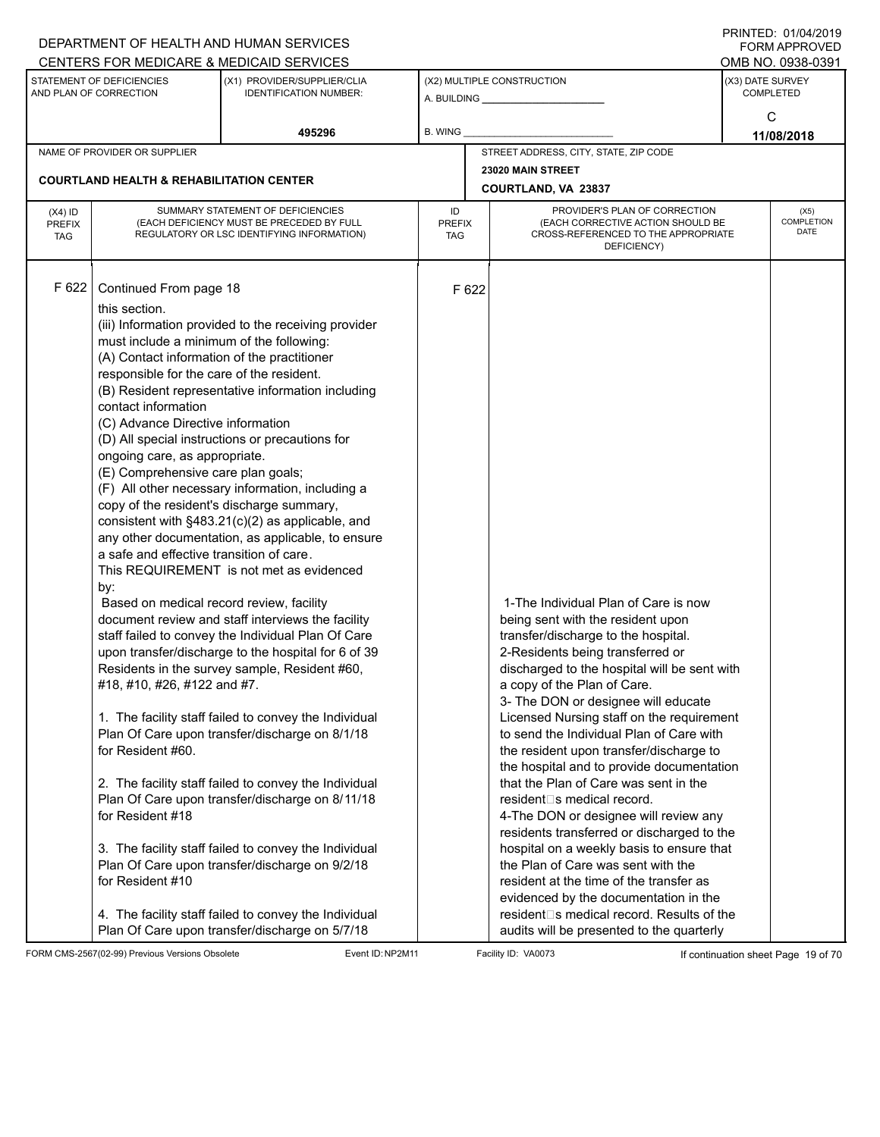| CENTERS FOR MEDICARE & MEDICAID SERVICES<br>STATEMENT OF DEFICIENCIES<br>(X2) MULTIPLE CONSTRUCTION<br>(X1) PROVIDER/SUPPLIER/CLIA<br>AND PLAN OF CORRECTION<br><b>IDENTIFICATION NUMBER:</b><br>A. BUILDING <b>A.</b> BUILDING<br>495296<br>B. WING<br>STREET ADDRESS, CITY, STATE, ZIP CODE<br>NAME OF PROVIDER OR SUPPLIER<br>23020 MAIN STREET<br><b>COURTLAND HEALTH &amp; REHABILITATION CENTER</b><br>COURTLAND, VA 23837                                                                                                                                                                                                                                                                                                                                                                                                                                                                                                                                                                                                                                                                                                                                                                                                                                                                                                                                                                                                                                                                                                                                                                                                                                                                                                                                                                                                                                                                                                                                                                                                                                                                                                                                                                                                                                                                                                                                                                                                                                                                                                 | OMB NO. 0938-0391<br>(X3) DATE SURVEY<br><b>COMPLETED</b><br>C<br>11/08/2018 |
|----------------------------------------------------------------------------------------------------------------------------------------------------------------------------------------------------------------------------------------------------------------------------------------------------------------------------------------------------------------------------------------------------------------------------------------------------------------------------------------------------------------------------------------------------------------------------------------------------------------------------------------------------------------------------------------------------------------------------------------------------------------------------------------------------------------------------------------------------------------------------------------------------------------------------------------------------------------------------------------------------------------------------------------------------------------------------------------------------------------------------------------------------------------------------------------------------------------------------------------------------------------------------------------------------------------------------------------------------------------------------------------------------------------------------------------------------------------------------------------------------------------------------------------------------------------------------------------------------------------------------------------------------------------------------------------------------------------------------------------------------------------------------------------------------------------------------------------------------------------------------------------------------------------------------------------------------------------------------------------------------------------------------------------------------------------------------------------------------------------------------------------------------------------------------------------------------------------------------------------------------------------------------------------------------------------------------------------------------------------------------------------------------------------------------------------------------------------------------------------------------------------------------------|------------------------------------------------------------------------------|
|                                                                                                                                                                                                                                                                                                                                                                                                                                                                                                                                                                                                                                                                                                                                                                                                                                                                                                                                                                                                                                                                                                                                                                                                                                                                                                                                                                                                                                                                                                                                                                                                                                                                                                                                                                                                                                                                                                                                                                                                                                                                                                                                                                                                                                                                                                                                                                                                                                                                                                                                  |                                                                              |
|                                                                                                                                                                                                                                                                                                                                                                                                                                                                                                                                                                                                                                                                                                                                                                                                                                                                                                                                                                                                                                                                                                                                                                                                                                                                                                                                                                                                                                                                                                                                                                                                                                                                                                                                                                                                                                                                                                                                                                                                                                                                                                                                                                                                                                                                                                                                                                                                                                                                                                                                  |                                                                              |
|                                                                                                                                                                                                                                                                                                                                                                                                                                                                                                                                                                                                                                                                                                                                                                                                                                                                                                                                                                                                                                                                                                                                                                                                                                                                                                                                                                                                                                                                                                                                                                                                                                                                                                                                                                                                                                                                                                                                                                                                                                                                                                                                                                                                                                                                                                                                                                                                                                                                                                                                  |                                                                              |
|                                                                                                                                                                                                                                                                                                                                                                                                                                                                                                                                                                                                                                                                                                                                                                                                                                                                                                                                                                                                                                                                                                                                                                                                                                                                                                                                                                                                                                                                                                                                                                                                                                                                                                                                                                                                                                                                                                                                                                                                                                                                                                                                                                                                                                                                                                                                                                                                                                                                                                                                  |                                                                              |
|                                                                                                                                                                                                                                                                                                                                                                                                                                                                                                                                                                                                                                                                                                                                                                                                                                                                                                                                                                                                                                                                                                                                                                                                                                                                                                                                                                                                                                                                                                                                                                                                                                                                                                                                                                                                                                                                                                                                                                                                                                                                                                                                                                                                                                                                                                                                                                                                                                                                                                                                  |                                                                              |
|                                                                                                                                                                                                                                                                                                                                                                                                                                                                                                                                                                                                                                                                                                                                                                                                                                                                                                                                                                                                                                                                                                                                                                                                                                                                                                                                                                                                                                                                                                                                                                                                                                                                                                                                                                                                                                                                                                                                                                                                                                                                                                                                                                                                                                                                                                                                                                                                                                                                                                                                  |                                                                              |
| SUMMARY STATEMENT OF DEFICIENCIES<br>PROVIDER'S PLAN OF CORRECTION<br>ID<br>$(X4)$ ID<br>(EACH DEFICIENCY MUST BE PRECEDED BY FULL<br>(EACH CORRECTIVE ACTION SHOULD BE<br><b>PREFIX</b><br><b>PREFIX</b><br>CROSS-REFERENCED TO THE APPROPRIATE<br>REGULATORY OR LSC IDENTIFYING INFORMATION)<br><b>TAG</b><br><b>TAG</b><br>DEFICIENCY)                                                                                                                                                                                                                                                                                                                                                                                                                                                                                                                                                                                                                                                                                                                                                                                                                                                                                                                                                                                                                                                                                                                                                                                                                                                                                                                                                                                                                                                                                                                                                                                                                                                                                                                                                                                                                                                                                                                                                                                                                                                                                                                                                                                        | (X5)<br><b>COMPLETION</b><br><b>DATE</b>                                     |
| F 622<br>Continued From page 18<br>F 622<br>this section.<br>(iii) Information provided to the receiving provider<br>must include a minimum of the following:<br>(A) Contact information of the practitioner<br>responsible for the care of the resident.<br>(B) Resident representative information including<br>contact information<br>(C) Advance Directive information<br>(D) All special instructions or precautions for<br>ongoing care, as appropriate.<br>(E) Comprehensive care plan goals;<br>(F) All other necessary information, including a<br>copy of the resident's discharge summary,<br>consistent with §483.21(c)(2) as applicable, and<br>any other documentation, as applicable, to ensure<br>a safe and effective transition of care.<br>This REQUIREMENT is not met as evidenced<br>by:<br>1-The Individual Plan of Care is now<br>Based on medical record review, facility<br>document review and staff interviews the facility<br>being sent with the resident upon<br>staff failed to convey the Individual Plan Of Care<br>transfer/discharge to the hospital.<br>upon transfer/discharge to the hospital for 6 of 39<br>2-Residents being transferred or<br>Residents in the survey sample, Resident #60,<br>discharged to the hospital will be sent with<br>#18, #10, #26, #122 and #7.<br>a copy of the Plan of Care.<br>3- The DON or designee will educate<br>1. The facility staff failed to convey the Individual<br>Licensed Nursing staff on the requirement<br>Plan Of Care upon transfer/discharge on 8/1/18<br>to send the Individual Plan of Care with<br>for Resident #60.<br>the resident upon transfer/discharge to<br>the hospital and to provide documentation<br>that the Plan of Care was sent in the<br>2. The facility staff failed to convey the Individual<br>Plan Of Care upon transfer/discharge on 8/11/18<br>resident□s medical record.<br>for Resident #18<br>4-The DON or designee will review any<br>residents transferred or discharged to the<br>hospital on a weekly basis to ensure that<br>3. The facility staff failed to convey the Individual<br>the Plan of Care was sent with the<br>Plan Of Care upon transfer/discharge on 9/2/18<br>for Resident #10<br>resident at the time of the transfer as<br>evidenced by the documentation in the<br>resident <sup>®</sup> s medical record. Results of the<br>4. The facility staff failed to convey the Individual<br>Plan Of Care upon transfer/discharge on 5/7/18<br>audits will be presented to the quarterly |                                                                              |

FORM CMS-2567(02-99) Previous Versions Obsolete Event ID:NP2M11 Facility ID: VA0073 If continuation sheet Page 19 of 70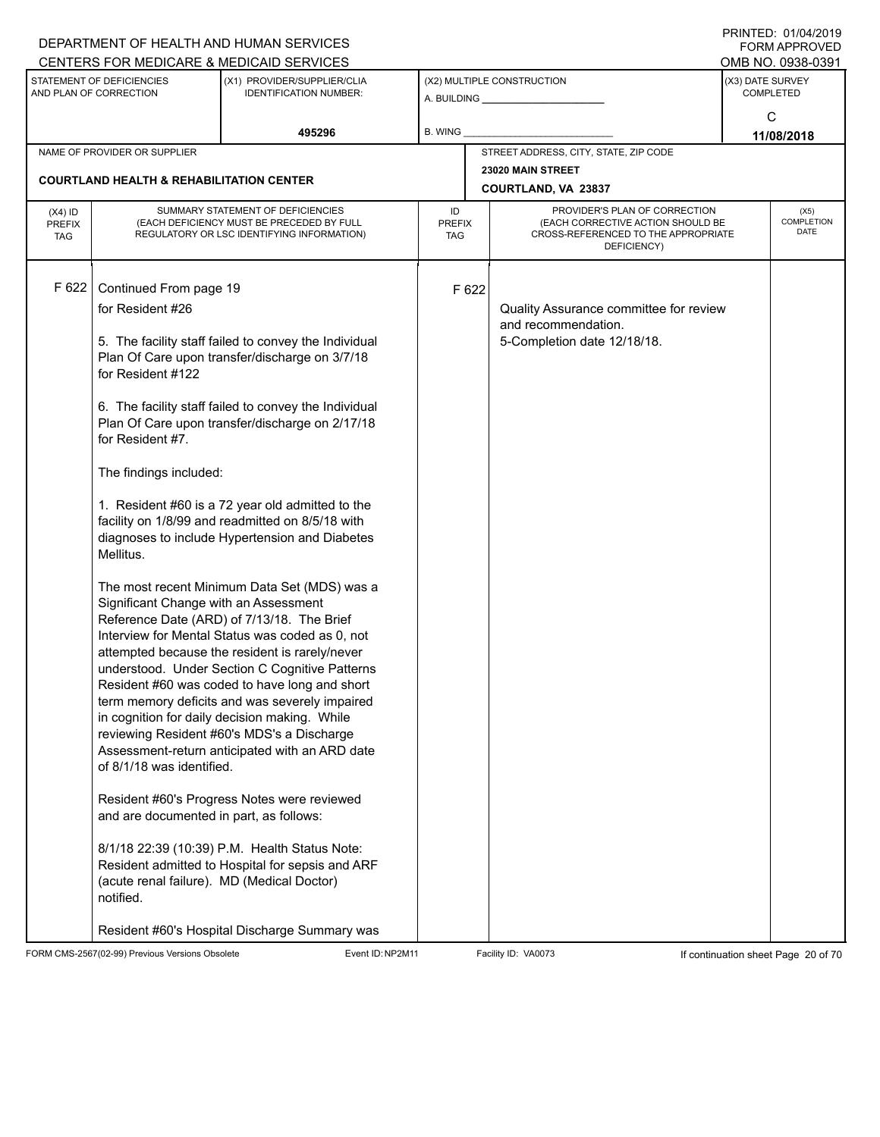|                                          |                                                                                                                                                                                                                                                                                                        | DEPARTMENT OF HEALTH AND HUMAN SERVICES<br>CENTERS FOR MEDICARE & MEDICAID SERVICES                                                                                                                                                                                                                                                                                                                                                                                                                                                                                                                                                                                                                                                                                                                                                                                                                                                                                                                                                                                                         |                            |       |                                                                                              |                                                                        | FNINILD. VIIVHIZVIJ<br><b>FORM APPROVED</b><br>OMB NO. 0938-0391 |  |  |  |
|------------------------------------------|--------------------------------------------------------------------------------------------------------------------------------------------------------------------------------------------------------------------------------------------------------------------------------------------------------|---------------------------------------------------------------------------------------------------------------------------------------------------------------------------------------------------------------------------------------------------------------------------------------------------------------------------------------------------------------------------------------------------------------------------------------------------------------------------------------------------------------------------------------------------------------------------------------------------------------------------------------------------------------------------------------------------------------------------------------------------------------------------------------------------------------------------------------------------------------------------------------------------------------------------------------------------------------------------------------------------------------------------------------------------------------------------------------------|----------------------------|-------|----------------------------------------------------------------------------------------------|------------------------------------------------------------------------|------------------------------------------------------------------|--|--|--|
|                                          | STATEMENT OF DEFICIENCIES<br>AND PLAN OF CORRECTION                                                                                                                                                                                                                                                    | (X1) PROVIDER/SUPPLIER/CLIA<br><b>IDENTIFICATION NUMBER:</b>                                                                                                                                                                                                                                                                                                                                                                                                                                                                                                                                                                                                                                                                                                                                                                                                                                                                                                                                                                                                                                |                            |       | (X2) MULTIPLE CONSTRUCTION                                                                   | (X3) DATE SURVEY<br><b>COMPLETED</b>                                   |                                                                  |  |  |  |
|                                          |                                                                                                                                                                                                                                                                                                        | 495296                                                                                                                                                                                                                                                                                                                                                                                                                                                                                                                                                                                                                                                                                                                                                                                                                                                                                                                                                                                                                                                                                      | <b>B. WING</b>             |       |                                                                                              |                                                                        | C<br>11/08/2018                                                  |  |  |  |
|                                          | NAME OF PROVIDER OR SUPPLIER                                                                                                                                                                                                                                                                           |                                                                                                                                                                                                                                                                                                                                                                                                                                                                                                                                                                                                                                                                                                                                                                                                                                                                                                                                                                                                                                                                                             |                            |       | STREET ADDRESS, CITY, STATE, ZIP CODE                                                        |                                                                        |                                                                  |  |  |  |
|                                          |                                                                                                                                                                                                                                                                                                        |                                                                                                                                                                                                                                                                                                                                                                                                                                                                                                                                                                                                                                                                                                                                                                                                                                                                                                                                                                                                                                                                                             |                            |       | 23020 MAIN STREET                                                                            |                                                                        |                                                                  |  |  |  |
|                                          | <b>COURTLAND HEALTH &amp; REHABILITATION CENTER</b>                                                                                                                                                                                                                                                    |                                                                                                                                                                                                                                                                                                                                                                                                                                                                                                                                                                                                                                                                                                                                                                                                                                                                                                                                                                                                                                                                                             |                            |       | COURTLAND, VA 23837                                                                          |                                                                        |                                                                  |  |  |  |
| $(X4)$ ID<br><b>PREFIX</b><br><b>TAG</b> |                                                                                                                                                                                                                                                                                                        | SUMMARY STATEMENT OF DEFICIENCIES<br>(EACH DEFICIENCY MUST BE PRECEDED BY FULL<br>REGULATORY OR LSC IDENTIFYING INFORMATION)                                                                                                                                                                                                                                                                                                                                                                                                                                                                                                                                                                                                                                                                                                                                                                                                                                                                                                                                                                | ID<br>PREFIX<br><b>TAG</b> |       | PROVIDER'S PLAN OF CORRECTION<br>CROSS-REFERENCED TO THE APPROPRIATE<br>DEFICIENCY)          | (X5)<br>COMPLETION<br>(EACH CORRECTIVE ACTION SHOULD BE<br><b>DATE</b> |                                                                  |  |  |  |
| F 622                                    | Continued From page 19<br>for Resident #26<br>for Resident #122<br>for Resident #7.<br>The findings included:<br>Mellitus.<br>Significant Change with an Assessment<br>of 8/1/18 was identified.<br>and are documented in part, as follows:<br>(acute renal failure). MD (Medical Doctor)<br>notified. | 5. The facility staff failed to convey the Individual<br>Plan Of Care upon transfer/discharge on 3/7/18<br>6. The facility staff failed to convey the Individual<br>Plan Of Care upon transfer/discharge on 2/17/18<br>1. Resident #60 is a 72 year old admitted to the<br>facility on 1/8/99 and readmitted on 8/5/18 with<br>diagnoses to include Hypertension and Diabetes<br>The most recent Minimum Data Set (MDS) was a<br>Reference Date (ARD) of 7/13/18. The Brief<br>Interview for Mental Status was coded as 0, not<br>attempted because the resident is rarely/never<br>understood. Under Section C Cognitive Patterns<br>Resident #60 was coded to have long and short<br>term memory deficits and was severely impaired<br>in cognition for daily decision making. While<br>reviewing Resident #60's MDS's a Discharge<br>Assessment-return anticipated with an ARD date<br>Resident #60's Progress Notes were reviewed<br>8/1/18 22:39 (10:39) P.M. Health Status Note:<br>Resident admitted to Hospital for sepsis and ARF<br>Resident #60's Hospital Discharge Summary was |                            | F 622 | Quality Assurance committee for review<br>and recommendation.<br>5-Completion date 12/18/18. |                                                                        |                                                                  |  |  |  |

FORM CMS-2567(02-99) Previous Versions Obsolete Event ID:NP2M11 Facility ID: VA0073 If continuation sheet Page 20 of 70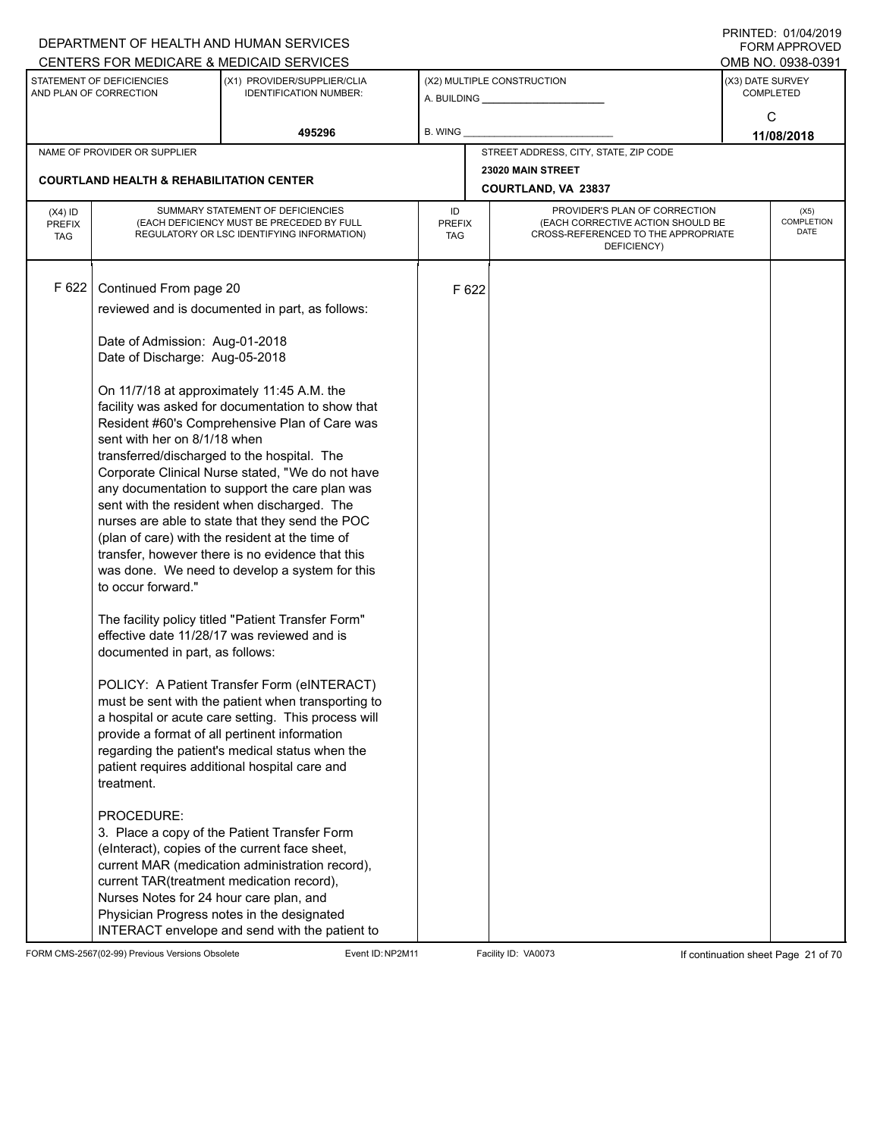|                                          |                                                                                                                                                     | DEPARTMENT OF HEALTH AND HUMAN SERVICES                                                                                                                                                                                                                                                                                                                                                                                                                                                                                                                                                                                                                               |                            |       |                                                                                                                          |                            | I I \ II \ I L D .   U I / U T / L U I J<br><b>FORM APPROVED</b> |  |
|------------------------------------------|-----------------------------------------------------------------------------------------------------------------------------------------------------|-----------------------------------------------------------------------------------------------------------------------------------------------------------------------------------------------------------------------------------------------------------------------------------------------------------------------------------------------------------------------------------------------------------------------------------------------------------------------------------------------------------------------------------------------------------------------------------------------------------------------------------------------------------------------|----------------------------|-------|--------------------------------------------------------------------------------------------------------------------------|----------------------------|------------------------------------------------------------------|--|
|                                          |                                                                                                                                                     | CENTERS FOR MEDICARE & MEDICAID SERVICES                                                                                                                                                                                                                                                                                                                                                                                                                                                                                                                                                                                                                              |                            |       |                                                                                                                          |                            | OMB NO. 0938-0391                                                |  |
|                                          | STATEMENT OF DEFICIENCIES<br>AND PLAN OF CORRECTION                                                                                                 | (X1) PROVIDER/SUPPLIER/CLIA<br><b>IDENTIFICATION NUMBER:</b>                                                                                                                                                                                                                                                                                                                                                                                                                                                                                                                                                                                                          |                            |       | (X2) MULTIPLE CONSTRUCTION                                                                                               |                            | (X3) DATE SURVEY<br><b>COMPLETED</b>                             |  |
|                                          |                                                                                                                                                     | 495296                                                                                                                                                                                                                                                                                                                                                                                                                                                                                                                                                                                                                                                                | B. WING                    |       |                                                                                                                          |                            | C<br>11/08/2018                                                  |  |
|                                          | NAME OF PROVIDER OR SUPPLIER                                                                                                                        |                                                                                                                                                                                                                                                                                                                                                                                                                                                                                                                                                                                                                                                                       |                            |       | STREET ADDRESS, CITY, STATE, ZIP CODE                                                                                    |                            |                                                                  |  |
|                                          | <b>COURTLAND HEALTH &amp; REHABILITATION CENTER</b>                                                                                                 |                                                                                                                                                                                                                                                                                                                                                                                                                                                                                                                                                                                                                                                                       |                            |       | 23020 MAIN STREET<br>COURTLAND, VA 23837                                                                                 |                            |                                                                  |  |
|                                          |                                                                                                                                                     |                                                                                                                                                                                                                                                                                                                                                                                                                                                                                                                                                                                                                                                                       |                            |       |                                                                                                                          |                            |                                                                  |  |
| $(X4)$ ID<br><b>PREFIX</b><br><b>TAG</b> |                                                                                                                                                     | SUMMARY STATEMENT OF DEFICIENCIES<br>(EACH DEFICIENCY MUST BE PRECEDED BY FULL<br>REGULATORY OR LSC IDENTIFYING INFORMATION)                                                                                                                                                                                                                                                                                                                                                                                                                                                                                                                                          | ID<br><b>PREFIX</b><br>TAG |       | PROVIDER'S PLAN OF CORRECTION<br>(EACH CORRECTIVE ACTION SHOULD BE<br>CROSS-REFERENCED TO THE APPROPRIATE<br>DEFICIENCY) | (X5)<br>COMPLETION<br>DATE |                                                                  |  |
| F 622                                    | Continued From page 20                                                                                                                              | reviewed and is documented in part, as follows:                                                                                                                                                                                                                                                                                                                                                                                                                                                                                                                                                                                                                       |                            | F 622 |                                                                                                                          |                            |                                                                  |  |
|                                          |                                                                                                                                                     |                                                                                                                                                                                                                                                                                                                                                                                                                                                                                                                                                                                                                                                                       |                            |       |                                                                                                                          |                            |                                                                  |  |
|                                          | Date of Admission: Aug-01-2018<br>Date of Discharge: Aug-05-2018                                                                                    |                                                                                                                                                                                                                                                                                                                                                                                                                                                                                                                                                                                                                                                                       |                            |       |                                                                                                                          |                            |                                                                  |  |
|                                          | sent with her on 8/1/18 when<br>to occur forward."                                                                                                  | On 11/7/18 at approximately 11:45 A.M. the<br>facility was asked for documentation to show that<br>Resident #60's Comprehensive Plan of Care was<br>transferred/discharged to the hospital. The<br>Corporate Clinical Nurse stated, "We do not have<br>any documentation to support the care plan was<br>sent with the resident when discharged. The<br>nurses are able to state that they send the POC<br>(plan of care) with the resident at the time of<br>transfer, however there is no evidence that this<br>was done. We need to develop a system for this<br>The facility policy titled "Patient Transfer Form"<br>effective date 11/28/17 was reviewed and is |                            |       |                                                                                                                          |                            |                                                                  |  |
|                                          | documented in part, as follows:<br>treatment.<br>PROCEDURE:<br>current TAR(treatment medication record),<br>Nurses Notes for 24 hour care plan, and | POLICY: A Patient Transfer Form (eINTERACT)<br>must be sent with the patient when transporting to<br>a hospital or acute care setting. This process will<br>provide a format of all pertinent information<br>regarding the patient's medical status when the<br>patient requires additional hospital care and<br>3. Place a copy of the Patient Transfer Form<br>(elnteract), copies of the current face sheet,<br>current MAR (medication administration record),<br>Physician Progress notes in the designated<br>INTERACT envelope and send with the patient to                                                                                                    |                            |       |                                                                                                                          |                            |                                                                  |  |

FORM CMS-2567(02-99) Previous Versions Obsolete Event ID:NP2M11 Facility ID: VA0073 If continuation sheet Page 21 of 70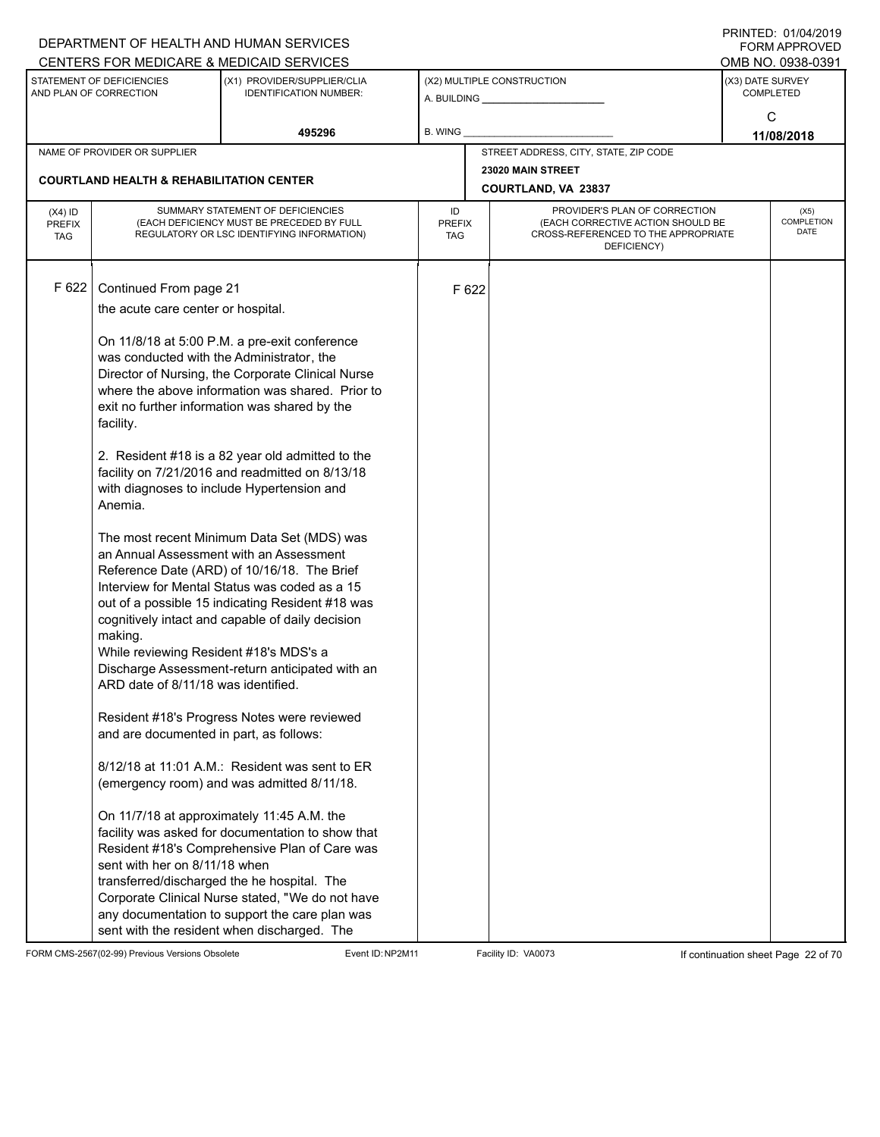|                                          |                                                                                                                                                                                                                                                                          | DEPARTMENT OF HEALTH AND HUMAN SERVICES<br>CENTERS FOR MEDICARE & MEDICAID SERVICES                                                                                                                                                                                                                                                                                                                                                                                                                                                                                                                                                                                                                                                                                                                                                                                                                                                                                |         |                             |                                                                          |                                      | <b>FININILU. UIIUHIZUI J</b><br><b>FORM APPROVED</b><br>OMB NO. 0938-0391 |  |  |  |
|------------------------------------------|--------------------------------------------------------------------------------------------------------------------------------------------------------------------------------------------------------------------------------------------------------------------------|--------------------------------------------------------------------------------------------------------------------------------------------------------------------------------------------------------------------------------------------------------------------------------------------------------------------------------------------------------------------------------------------------------------------------------------------------------------------------------------------------------------------------------------------------------------------------------------------------------------------------------------------------------------------------------------------------------------------------------------------------------------------------------------------------------------------------------------------------------------------------------------------------------------------------------------------------------------------|---------|-----------------------------|--------------------------------------------------------------------------|--------------------------------------|---------------------------------------------------------------------------|--|--|--|
|                                          | STATEMENT OF DEFICIENCIES<br>AND PLAN OF CORRECTION                                                                                                                                                                                                                      | (X1) PROVIDER/SUPPLIER/CLIA<br><b>IDENTIFICATION NUMBER:</b>                                                                                                                                                                                                                                                                                                                                                                                                                                                                                                                                                                                                                                                                                                                                                                                                                                                                                                       |         |                             | (X2) MULTIPLE CONSTRUCTION                                               | (X3) DATE SURVEY<br><b>COMPLETED</b> |                                                                           |  |  |  |
|                                          |                                                                                                                                                                                                                                                                          | 495296                                                                                                                                                                                                                                                                                                                                                                                                                                                                                                                                                                                                                                                                                                                                                                                                                                                                                                                                                             | B. WING |                             |                                                                          |                                      | C<br>11/08/2018                                                           |  |  |  |
|                                          | NAME OF PROVIDER OR SUPPLIER                                                                                                                                                                                                                                             |                                                                                                                                                                                                                                                                                                                                                                                                                                                                                                                                                                                                                                                                                                                                                                                                                                                                                                                                                                    |         |                             | STREET ADDRESS, CITY, STATE, ZIP CODE                                    |                                      |                                                                           |  |  |  |
|                                          | <b>COURTLAND HEALTH &amp; REHABILITATION CENTER</b>                                                                                                                                                                                                                      |                                                                                                                                                                                                                                                                                                                                                                                                                                                                                                                                                                                                                                                                                                                                                                                                                                                                                                                                                                    |         |                             | 23020 MAIN STREET<br>COURTLAND, VA 23837                                 |                                      |                                                                           |  |  |  |
| $(X4)$ ID<br><b>PREFIX</b><br><b>TAG</b> | SUMMARY STATEMENT OF DEFICIENCIES<br>(EACH DEFICIENCY MUST BE PRECEDED BY FULL<br>REGULATORY OR LSC IDENTIFYING INFORMATION)                                                                                                                                             |                                                                                                                                                                                                                                                                                                                                                                                                                                                                                                                                                                                                                                                                                                                                                                                                                                                                                                                                                                    |         | <b>PREFIX</b><br><b>TAG</b> | (EACH CORRECTIVE ACTION SHOULD BE<br>CROSS-REFERENCED TO THE APPROPRIATE | (X5)<br>COMPLETION<br><b>DATE</b>    |                                                                           |  |  |  |
| F 622                                    | Continued From page 21<br>the acute care center or hospital.<br>was conducted with the Administrator, the<br>facility.<br>Anemia.<br>making.<br>While reviewing Resident #18's MDS's a<br>ARD date of 8/11/18 was identified.<br>and are documented in part, as follows: | On 11/8/18 at 5:00 P.M. a pre-exit conference<br>Director of Nursing, the Corporate Clinical Nurse<br>where the above information was shared. Prior to<br>exit no further information was shared by the<br>2. Resident #18 is a 82 year old admitted to the<br>facility on 7/21/2016 and readmitted on 8/13/18<br>with diagnoses to include Hypertension and<br>The most recent Minimum Data Set (MDS) was<br>an Annual Assessment with an Assessment<br>Reference Date (ARD) of 10/16/18. The Brief<br>Interview for Mental Status was coded as a 15<br>out of a possible 15 indicating Resident #18 was<br>cognitively intact and capable of daily decision<br>Discharge Assessment-return anticipated with an<br>Resident #18's Progress Notes were reviewed<br>8/12/18 at 11:01 A.M.: Resident was sent to ER<br>(emergency room) and was admitted 8/11/18.<br>On 11/7/18 at approximately 11:45 A.M. the<br>facility was asked for documentation to show that |         | F 622                       | DEFICIENCY)                                                              |                                      |                                                                           |  |  |  |
|                                          | sent with her on 8/11/18 when                                                                                                                                                                                                                                            | Resident #18's Comprehensive Plan of Care was<br>transferred/discharged the he hospital. The<br>Corporate Clinical Nurse stated, "We do not have<br>any documentation to support the care plan was<br>sent with the resident when discharged. The                                                                                                                                                                                                                                                                                                                                                                                                                                                                                                                                                                                                                                                                                                                  |         |                             |                                                                          |                                      |                                                                           |  |  |  |

FORM CMS-2567(02-99) Previous Versions Obsolete Event ID:NP2M11 Facility ID: VA0073 If continuation sheet Page 22 of 70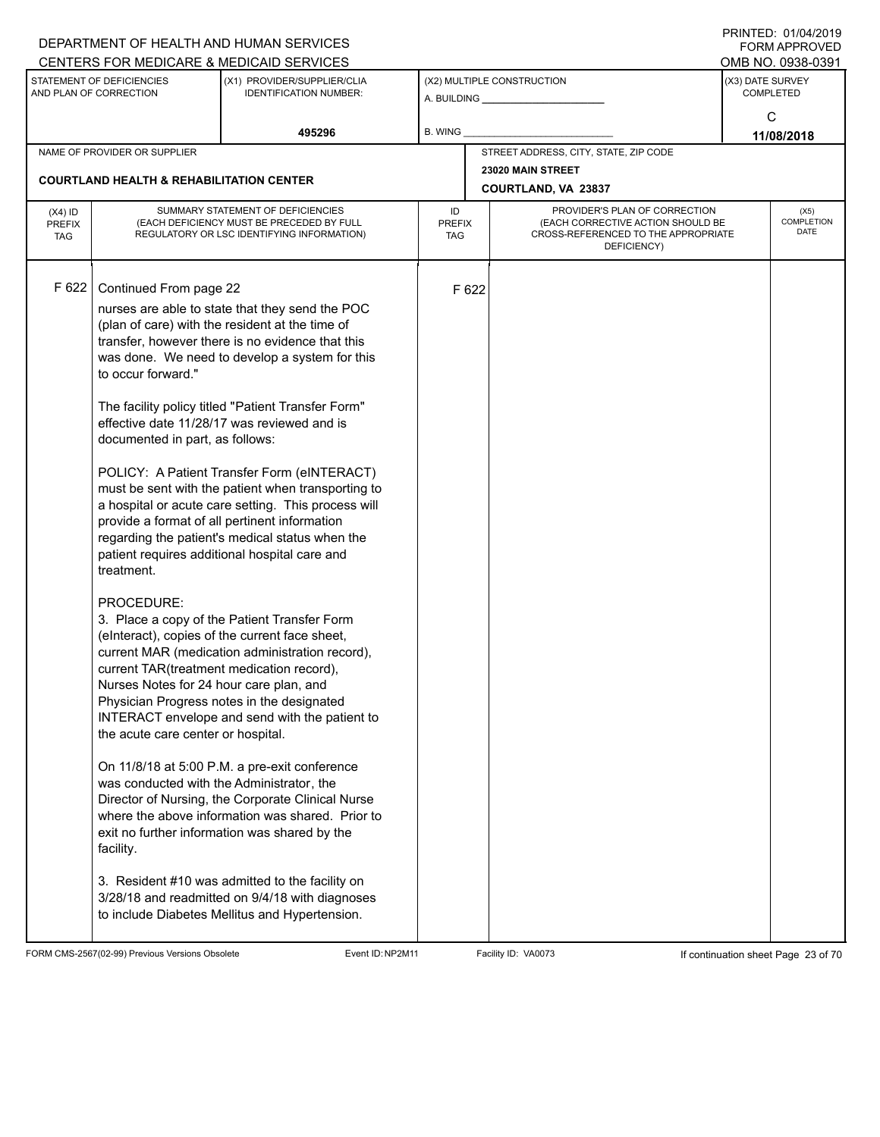|                             |                                                     | DEPARTMENT OF HEALTH AND HUMAN SERVICES                                                           |                      |       |                                                                          |                  | <b>FORM APPROVED</b> |
|-----------------------------|-----------------------------------------------------|---------------------------------------------------------------------------------------------------|----------------------|-------|--------------------------------------------------------------------------|------------------|----------------------|
|                             | STATEMENT OF DEFICIENCIES                           | CENTERS FOR MEDICARE & MEDICAID SERVICES                                                          |                      |       |                                                                          |                  | OMB NO. 0938-0391    |
|                             | AND PLAN OF CORRECTION                              | (X1) PROVIDER/SUPPLIER/CLIA<br><b>IDENTIFICATION NUMBER:</b>                                      |                      |       | (X2) MULTIPLE CONSTRUCTION<br>A. BUILDING <b>A.</b> BUILDING             | (X3) DATE SURVEY | <b>COMPLETED</b>     |
|                             |                                                     |                                                                                                   |                      |       |                                                                          |                  | C                    |
|                             |                                                     | 495296                                                                                            | B. WING              |       |                                                                          |                  | 11/08/2018           |
|                             | NAME OF PROVIDER OR SUPPLIER                        |                                                                                                   |                      |       | STREET ADDRESS, CITY, STATE, ZIP CODE                                    |                  |                      |
|                             |                                                     |                                                                                                   |                      |       | 23020 MAIN STREET                                                        |                  |                      |
|                             | <b>COURTLAND HEALTH &amp; REHABILITATION CENTER</b> |                                                                                                   |                      |       | COURTLAND, VA 23837                                                      |                  |                      |
| $(X4)$ ID                   |                                                     | SUMMARY STATEMENT OF DEFICIENCIES                                                                 | ID                   |       | PROVIDER'S PLAN OF CORRECTION                                            |                  | (X5)                 |
| <b>PREFIX</b><br><b>TAG</b> |                                                     | (EACH DEFICIENCY MUST BE PRECEDED BY FULL<br>REGULATORY OR LSC IDENTIFYING INFORMATION)           | <b>PREFIX</b><br>TAG |       | (EACH CORRECTIVE ACTION SHOULD BE<br>CROSS-REFERENCED TO THE APPROPRIATE |                  | COMPLETION<br>DATE   |
|                             |                                                     |                                                                                                   |                      |       | DEFICIENCY)                                                              |                  |                      |
|                             |                                                     |                                                                                                   |                      |       |                                                                          |                  |                      |
| F 622                       | Continued From page 22                              |                                                                                                   |                      | F 622 |                                                                          |                  |                      |
|                             |                                                     | nurses are able to state that they send the POC                                                   |                      |       |                                                                          |                  |                      |
|                             |                                                     | (plan of care) with the resident at the time of                                                   |                      |       |                                                                          |                  |                      |
|                             |                                                     | transfer, however there is no evidence that this                                                  |                      |       |                                                                          |                  |                      |
|                             | to occur forward."                                  | was done. We need to develop a system for this                                                    |                      |       |                                                                          |                  |                      |
|                             |                                                     |                                                                                                   |                      |       |                                                                          |                  |                      |
|                             |                                                     | The facility policy titled "Patient Transfer Form"                                                |                      |       |                                                                          |                  |                      |
|                             |                                                     | effective date 11/28/17 was reviewed and is                                                       |                      |       |                                                                          |                  |                      |
|                             | documented in part, as follows:                     |                                                                                                   |                      |       |                                                                          |                  |                      |
|                             |                                                     |                                                                                                   |                      |       |                                                                          |                  |                      |
|                             |                                                     | POLICY: A Patient Transfer Form (eINTERACT)<br>must be sent with the patient when transporting to |                      |       |                                                                          |                  |                      |
|                             |                                                     | a hospital or acute care setting. This process will                                               |                      |       |                                                                          |                  |                      |
|                             |                                                     | provide a format of all pertinent information                                                     |                      |       |                                                                          |                  |                      |
|                             |                                                     | regarding the patient's medical status when the                                                   |                      |       |                                                                          |                  |                      |
|                             |                                                     | patient requires additional hospital care and                                                     |                      |       |                                                                          |                  |                      |
|                             | treatment.                                          |                                                                                                   |                      |       |                                                                          |                  |                      |
|                             | PROCEDURE:                                          |                                                                                                   |                      |       |                                                                          |                  |                      |
|                             |                                                     | 3. Place a copy of the Patient Transfer Form                                                      |                      |       |                                                                          |                  |                      |
|                             |                                                     | (eInteract), copies of the current face sheet,                                                    |                      |       |                                                                          |                  |                      |
|                             |                                                     | current MAR (medication administration record),                                                   |                      |       |                                                                          |                  |                      |
|                             | current TAR(treatment medication record),           |                                                                                                   |                      |       |                                                                          |                  |                      |
|                             | Nurses Notes for 24 hour care plan, and             |                                                                                                   |                      |       |                                                                          |                  |                      |
|                             |                                                     | Physician Progress notes in the designated<br>INTERACT envelope and send with the patient to      |                      |       |                                                                          |                  |                      |
|                             | the acute care center or hospital.                  |                                                                                                   |                      |       |                                                                          |                  |                      |
|                             |                                                     |                                                                                                   |                      |       |                                                                          |                  |                      |
|                             |                                                     | On 11/8/18 at 5:00 P.M. a pre-exit conference                                                     |                      |       |                                                                          |                  |                      |
|                             | was conducted with the Administrator, the           |                                                                                                   |                      |       |                                                                          |                  |                      |
|                             |                                                     | Director of Nursing, the Corporate Clinical Nurse                                                 |                      |       |                                                                          |                  |                      |
|                             |                                                     | where the above information was shared. Prior to<br>exit no further information was shared by the |                      |       |                                                                          |                  |                      |
|                             | facility.                                           |                                                                                                   |                      |       |                                                                          |                  |                      |
|                             |                                                     |                                                                                                   |                      |       |                                                                          |                  |                      |
|                             |                                                     | 3. Resident #10 was admitted to the facility on                                                   |                      |       |                                                                          |                  |                      |
|                             |                                                     | 3/28/18 and readmitted on 9/4/18 with diagnoses                                                   |                      |       |                                                                          |                  |                      |
|                             |                                                     | to include Diabetes Mellitus and Hypertension.                                                    |                      |       |                                                                          |                  |                      |
|                             |                                                     |                                                                                                   |                      |       |                                                                          |                  |                      |

FORM CMS-2567(02-99) Previous Versions Obsolete Event ID:NP2M11 Facility ID: VA0073 If continuation sheet Page 23 of 70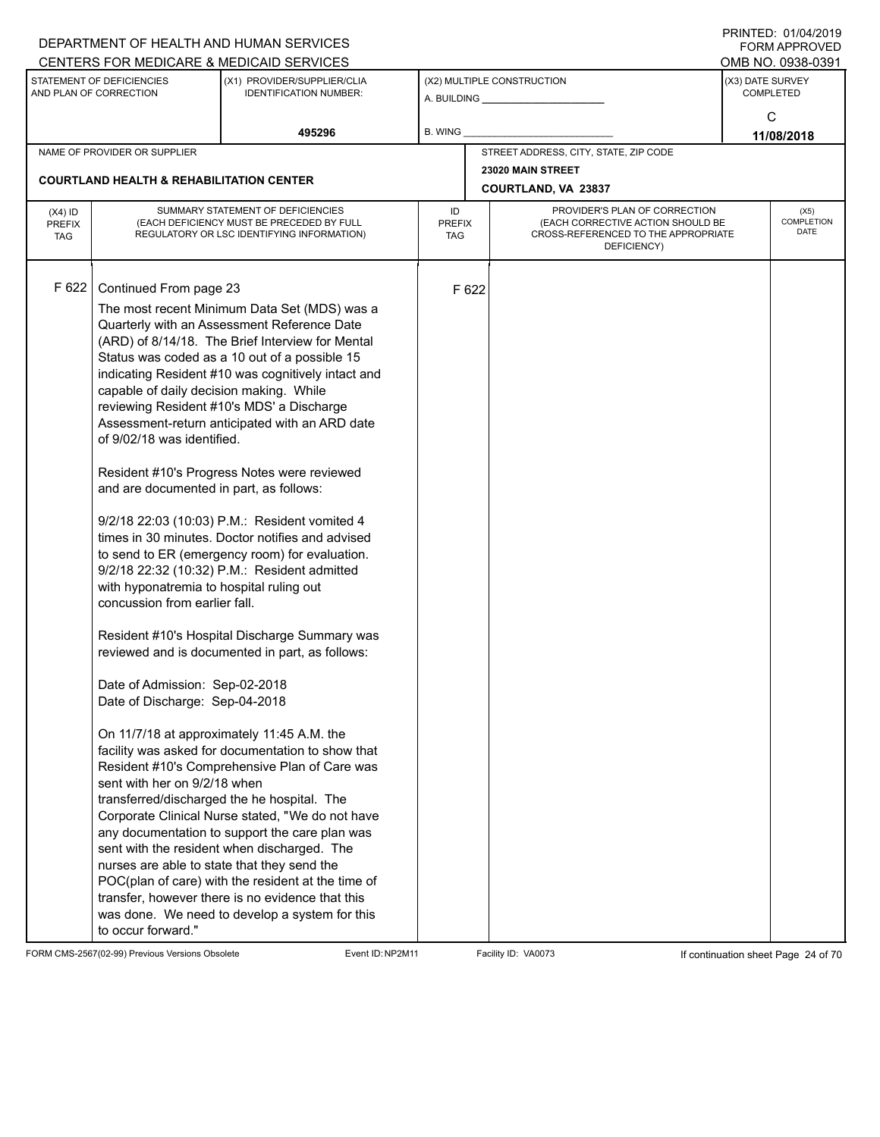|                                          |                                                                                                                                                                                                                                                                                                                                                                                                  | DEPARTMENT OF HEALTH AND HUMAN SERVICES<br>CENTERS FOR MEDICARE & MEDICAID SERVICES                                                                                                                                                                                                                                                                                                                                                                                                                                                                                                                                                                                                                                                                                                                                                                                                                                                                                                                                                                                                                                                                                                                                                 |                                   |       |                                                 |                                                                                                               | FININILU. VIIVHIZVI J<br><b>FORM APPROVED</b><br>OMB NO. 0938-0391 |  |
|------------------------------------------|--------------------------------------------------------------------------------------------------------------------------------------------------------------------------------------------------------------------------------------------------------------------------------------------------------------------------------------------------------------------------------------------------|-------------------------------------------------------------------------------------------------------------------------------------------------------------------------------------------------------------------------------------------------------------------------------------------------------------------------------------------------------------------------------------------------------------------------------------------------------------------------------------------------------------------------------------------------------------------------------------------------------------------------------------------------------------------------------------------------------------------------------------------------------------------------------------------------------------------------------------------------------------------------------------------------------------------------------------------------------------------------------------------------------------------------------------------------------------------------------------------------------------------------------------------------------------------------------------------------------------------------------------|-----------------------------------|-------|-------------------------------------------------|---------------------------------------------------------------------------------------------------------------|--------------------------------------------------------------------|--|
|                                          | STATEMENT OF DEFICIENCIES<br>AND PLAN OF CORRECTION                                                                                                                                                                                                                                                                                                                                              | (X1) PROVIDER/SUPPLIER/CLIA<br><b>IDENTIFICATION NUMBER:</b>                                                                                                                                                                                                                                                                                                                                                                                                                                                                                                                                                                                                                                                                                                                                                                                                                                                                                                                                                                                                                                                                                                                                                                        |                                   |       | (X2) MULTIPLE CONSTRUCTION                      | (X3) DATE SURVEY<br><b>COMPLETED</b>                                                                          |                                                                    |  |
|                                          |                                                                                                                                                                                                                                                                                                                                                                                                  | 495296                                                                                                                                                                                                                                                                                                                                                                                                                                                                                                                                                                                                                                                                                                                                                                                                                                                                                                                                                                                                                                                                                                                                                                                                                              | <b>B. WING</b>                    |       |                                                 |                                                                                                               | C<br>11/08/2018                                                    |  |
|                                          | NAME OF PROVIDER OR SUPPLIER                                                                                                                                                                                                                                                                                                                                                                     |                                                                                                                                                                                                                                                                                                                                                                                                                                                                                                                                                                                                                                                                                                                                                                                                                                                                                                                                                                                                                                                                                                                                                                                                                                     |                                   |       | STREET ADDRESS, CITY, STATE, ZIP CODE           |                                                                                                               |                                                                    |  |
|                                          | <b>COURTLAND HEALTH &amp; REHABILITATION CENTER</b>                                                                                                                                                                                                                                                                                                                                              |                                                                                                                                                                                                                                                                                                                                                                                                                                                                                                                                                                                                                                                                                                                                                                                                                                                                                                                                                                                                                                                                                                                                                                                                                                     |                                   |       | 23020 MAIN STREET<br><b>COURTLAND, VA 23837</b> |                                                                                                               |                                                                    |  |
| $(X4)$ ID<br><b>PREFIX</b><br><b>TAG</b> |                                                                                                                                                                                                                                                                                                                                                                                                  | SUMMARY STATEMENT OF DEFICIENCIES<br>(EACH DEFICIENCY MUST BE PRECEDED BY FULL<br>REGULATORY OR LSC IDENTIFYING INFORMATION)                                                                                                                                                                                                                                                                                                                                                                                                                                                                                                                                                                                                                                                                                                                                                                                                                                                                                                                                                                                                                                                                                                        | ID<br><b>PREFIX</b><br><b>TAG</b> |       | PROVIDER'S PLAN OF CORRECTION<br>DEFICIENCY)    | (X5)<br>COMPLETION<br>(EACH CORRECTIVE ACTION SHOULD BE<br><b>DATE</b><br>CROSS-REFERENCED TO THE APPROPRIATE |                                                                    |  |
| F 622                                    | Continued From page 23<br>capable of daily decision making. While<br>of 9/02/18 was identified.<br>and are documented in part, as follows:<br>with hyponatremia to hospital ruling out<br>concussion from earlier fall.<br>Date of Admission: Sep-02-2018<br>Date of Discharge: Sep-04-2018<br>sent with her on 9/2/18 when<br>nurses are able to state that they send the<br>to occur forward." | The most recent Minimum Data Set (MDS) was a<br>Quarterly with an Assessment Reference Date<br>(ARD) of 8/14/18. The Brief Interview for Mental<br>Status was coded as a 10 out of a possible 15<br>indicating Resident #10 was cognitively intact and<br>reviewing Resident #10's MDS' a Discharge<br>Assessment-return anticipated with an ARD date<br>Resident #10's Progress Notes were reviewed<br>9/2/18 22:03 (10:03) P.M.: Resident vomited 4<br>times in 30 minutes. Doctor notifies and advised<br>to send to ER (emergency room) for evaluation.<br>9/2/18 22:32 (10:32) P.M.: Resident admitted<br>Resident #10's Hospital Discharge Summary was<br>reviewed and is documented in part, as follows:<br>On 11/7/18 at approximately 11:45 A.M. the<br>facility was asked for documentation to show that<br>Resident #10's Comprehensive Plan of Care was<br>transferred/discharged the he hospital. The<br>Corporate Clinical Nurse stated, "We do not have<br>any documentation to support the care plan was<br>sent with the resident when discharged. The<br>POC(plan of care) with the resident at the time of<br>transfer, however there is no evidence that this<br>was done. We need to develop a system for this |                                   | F 622 |                                                 |                                                                                                               |                                                                    |  |

FORM CMS-2567(02-99) Previous Versions Obsolete Event ID:NP2M11 Facility ID: VA0073 If continuation sheet Page 24 of 70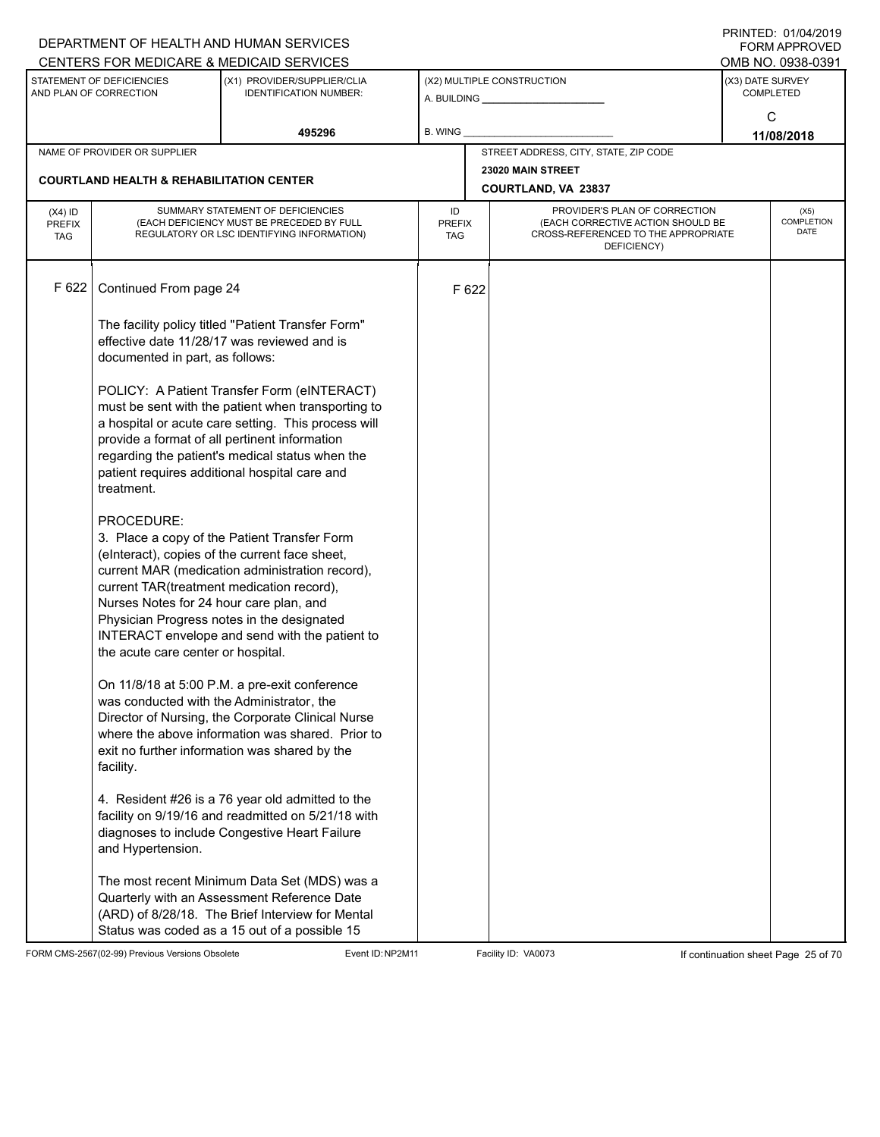|                                          |                                                                                                                                          | DEPARTMENT OF HEALTH AND HUMAN SERVICES<br>CENTERS FOR MEDICARE & MEDICAID SERVICES                                                                                                                                                                                                                           |                                   |       |                                                                                                                          |                  | FININILU. VIIVHIZVI J<br><b>FORM APPROVED</b><br>OMB NO. 0938-0391 |
|------------------------------------------|------------------------------------------------------------------------------------------------------------------------------------------|---------------------------------------------------------------------------------------------------------------------------------------------------------------------------------------------------------------------------------------------------------------------------------------------------------------|-----------------------------------|-------|--------------------------------------------------------------------------------------------------------------------------|------------------|--------------------------------------------------------------------|
|                                          | STATEMENT OF DEFICIENCIES<br>AND PLAN OF CORRECTION                                                                                      | (X1) PROVIDER/SUPPLIER/CLIA<br><b>IDENTIFICATION NUMBER:</b>                                                                                                                                                                                                                                                  |                                   |       | (X2) MULTIPLE CONSTRUCTION                                                                                               | (X3) DATE SURVEY | <b>COMPLETED</b>                                                   |
|                                          |                                                                                                                                          | 495296                                                                                                                                                                                                                                                                                                        | <b>B. WING</b>                    |       |                                                                                                                          |                  | C<br>11/08/2018                                                    |
|                                          | NAME OF PROVIDER OR SUPPLIER                                                                                                             |                                                                                                                                                                                                                                                                                                               |                                   |       | STREET ADDRESS, CITY, STATE, ZIP CODE                                                                                    |                  |                                                                    |
|                                          | <b>COURTLAND HEALTH &amp; REHABILITATION CENTER</b>                                                                                      |                                                                                                                                                                                                                                                                                                               |                                   |       | 23020 MAIN STREET<br><b>COURTLAND, VA 23837</b>                                                                          |                  |                                                                    |
| $(X4)$ ID<br><b>PREFIX</b><br><b>TAG</b> |                                                                                                                                          | SUMMARY STATEMENT OF DEFICIENCIES<br>(EACH DEFICIENCY MUST BE PRECEDED BY FULL<br>REGULATORY OR LSC IDENTIFYING INFORMATION)                                                                                                                                                                                  | ID<br><b>PREFIX</b><br><b>TAG</b> |       | PROVIDER'S PLAN OF CORRECTION<br>(EACH CORRECTIVE ACTION SHOULD BE<br>CROSS-REFERENCED TO THE APPROPRIATE<br>DEFICIENCY) |                  | (X5)<br>COMPLETION<br><b>DATE</b>                                  |
| F 622                                    | Continued From page 24                                                                                                                   |                                                                                                                                                                                                                                                                                                               |                                   | F 622 |                                                                                                                          |                  |                                                                    |
|                                          | documented in part, as follows:                                                                                                          | The facility policy titled "Patient Transfer Form"<br>effective date 11/28/17 was reviewed and is                                                                                                                                                                                                             |                                   |       |                                                                                                                          |                  |                                                                    |
|                                          | treatment.                                                                                                                               | POLICY: A Patient Transfer Form (eINTERACT)<br>must be sent with the patient when transporting to<br>a hospital or acute care setting. This process will<br>provide a format of all pertinent information<br>regarding the patient's medical status when the<br>patient requires additional hospital care and |                                   |       |                                                                                                                          |                  |                                                                    |
|                                          | PROCEDURE:<br>current TAR(treatment medication record),<br>Nurses Notes for 24 hour care plan, and<br>the acute care center or hospital. | 3. Place a copy of the Patient Transfer Form<br>(elnteract), copies of the current face sheet,<br>current MAR (medication administration record),<br>Physician Progress notes in the designated<br>INTERACT envelope and send with the patient to                                                             |                                   |       |                                                                                                                          |                  |                                                                    |
|                                          | was conducted with the Administrator, the<br>facility.                                                                                   | On 11/8/18 at 5:00 P.M. a pre-exit conference<br>Director of Nursing, the Corporate Clinical Nurse<br>where the above information was shared. Prior to<br>exit no further information was shared by the                                                                                                       |                                   |       |                                                                                                                          |                  |                                                                    |
|                                          | and Hypertension.                                                                                                                        | 4. Resident #26 is a 76 year old admitted to the<br>facility on 9/19/16 and readmitted on 5/21/18 with<br>diagnoses to include Congestive Heart Failure                                                                                                                                                       |                                   |       |                                                                                                                          |                  |                                                                    |
|                                          |                                                                                                                                          | The most recent Minimum Data Set (MDS) was a<br>Quarterly with an Assessment Reference Date<br>(ARD) of 8/28/18. The Brief Interview for Mental<br>Status was coded as a 15 out of a possible 15                                                                                                              |                                   |       |                                                                                                                          |                  |                                                                    |

FORM CMS-2567(02-99) Previous Versions Obsolete Event ID:NP2M11 Facility ID: VA0073 If continuation sheet Page 25 of 70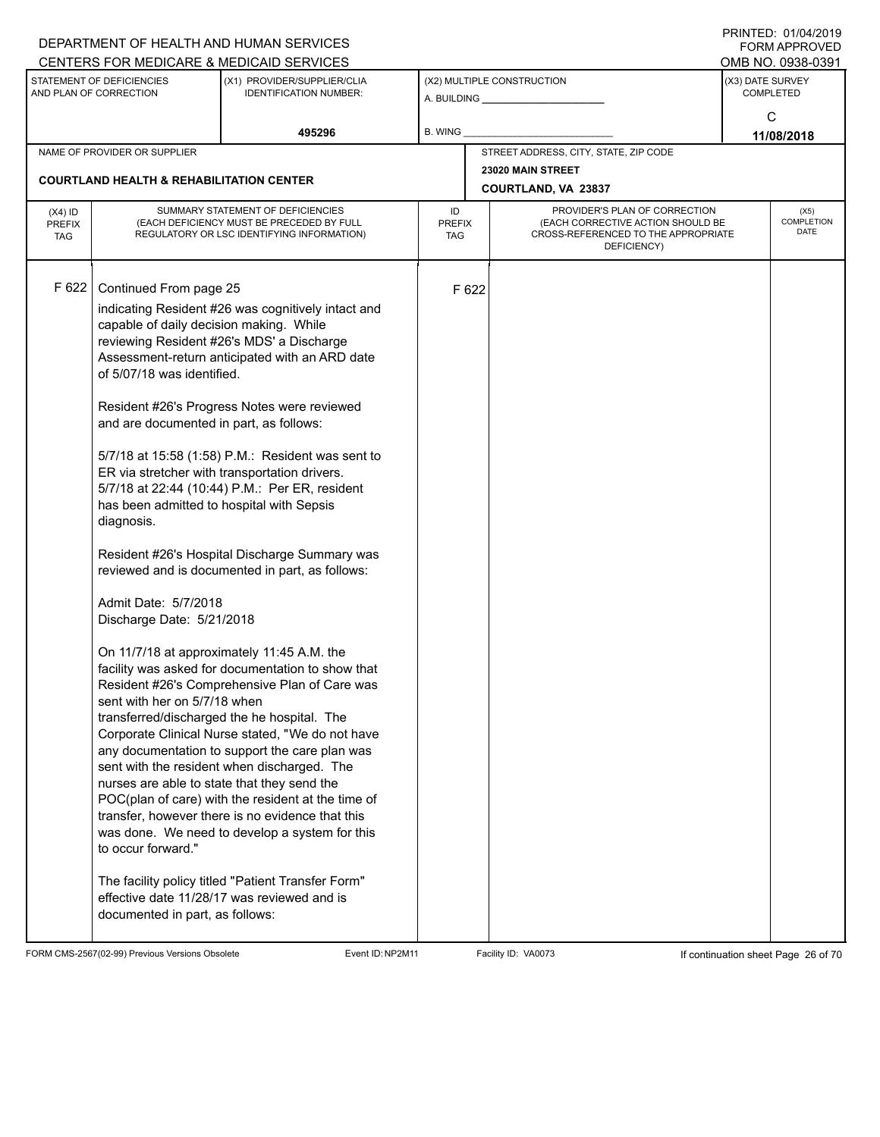|                                   |                                                                                                                                                                                                                                                                                                                                                                                                                                                     | DEPARTMENT OF HEALTH AND HUMAN SERVICES                                                                                                                                                                                                                                                                                                                                                                                                                                                                                                                                                                                                                                                                                                                                                                                                                                                                                                                                                                                              |                            |       |                                                                                                                          |                  | <b>FORM APPROVED</b>              |
|-----------------------------------|-----------------------------------------------------------------------------------------------------------------------------------------------------------------------------------------------------------------------------------------------------------------------------------------------------------------------------------------------------------------------------------------------------------------------------------------------------|--------------------------------------------------------------------------------------------------------------------------------------------------------------------------------------------------------------------------------------------------------------------------------------------------------------------------------------------------------------------------------------------------------------------------------------------------------------------------------------------------------------------------------------------------------------------------------------------------------------------------------------------------------------------------------------------------------------------------------------------------------------------------------------------------------------------------------------------------------------------------------------------------------------------------------------------------------------------------------------------------------------------------------------|----------------------------|-------|--------------------------------------------------------------------------------------------------------------------------|------------------|-----------------------------------|
|                                   |                                                                                                                                                                                                                                                                                                                                                                                                                                                     | CENTERS FOR MEDICARE & MEDICAID SERVICES                                                                                                                                                                                                                                                                                                                                                                                                                                                                                                                                                                                                                                                                                                                                                                                                                                                                                                                                                                                             |                            |       |                                                                                                                          |                  | OMB NO. 0938-0391                 |
|                                   | STATEMENT OF DEFICIENCIES<br>AND PLAN OF CORRECTION                                                                                                                                                                                                                                                                                                                                                                                                 | (X1) PROVIDER/SUPPLIER/CLIA<br><b>IDENTIFICATION NUMBER:</b>                                                                                                                                                                                                                                                                                                                                                                                                                                                                                                                                                                                                                                                                                                                                                                                                                                                                                                                                                                         |                            |       | (X2) MULTIPLE CONSTRUCTION                                                                                               | (X3) DATE SURVEY | <b>COMPLETED</b>                  |
|                                   |                                                                                                                                                                                                                                                                                                                                                                                                                                                     | 495296                                                                                                                                                                                                                                                                                                                                                                                                                                                                                                                                                                                                                                                                                                                                                                                                                                                                                                                                                                                                                               | B. WING                    |       |                                                                                                                          |                  | C<br>11/08/2018                   |
|                                   | NAME OF PROVIDER OR SUPPLIER                                                                                                                                                                                                                                                                                                                                                                                                                        |                                                                                                                                                                                                                                                                                                                                                                                                                                                                                                                                                                                                                                                                                                                                                                                                                                                                                                                                                                                                                                      |                            |       | STREET ADDRESS, CITY, STATE, ZIP CODE                                                                                    |                  |                                   |
|                                   | <b>COURTLAND HEALTH &amp; REHABILITATION CENTER</b>                                                                                                                                                                                                                                                                                                                                                                                                 |                                                                                                                                                                                                                                                                                                                                                                                                                                                                                                                                                                                                                                                                                                                                                                                                                                                                                                                                                                                                                                      |                            |       | 23020 MAIN STREET<br>COURTLAND, VA 23837                                                                                 |                  |                                   |
|                                   |                                                                                                                                                                                                                                                                                                                                                                                                                                                     |                                                                                                                                                                                                                                                                                                                                                                                                                                                                                                                                                                                                                                                                                                                                                                                                                                                                                                                                                                                                                                      |                            |       |                                                                                                                          |                  |                                   |
| $(X4)$ ID<br>PREFIX<br><b>TAG</b> |                                                                                                                                                                                                                                                                                                                                                                                                                                                     | SUMMARY STATEMENT OF DEFICIENCIES<br>(EACH DEFICIENCY MUST BE PRECEDED BY FULL<br>REGULATORY OR LSC IDENTIFYING INFORMATION)                                                                                                                                                                                                                                                                                                                                                                                                                                                                                                                                                                                                                                                                                                                                                                                                                                                                                                         | ID<br><b>PREFIX</b><br>TAG |       | PROVIDER'S PLAN OF CORRECTION<br>(EACH CORRECTIVE ACTION SHOULD BE<br>CROSS-REFERENCED TO THE APPROPRIATE<br>DEFICIENCY) |                  | (X5)<br>COMPLETION<br><b>DATE</b> |
| F 622                             | Continued From page 25<br>capable of daily decision making. While<br>of 5/07/18 was identified.<br>and are documented in part, as follows:<br>ER via stretcher with transportation drivers.<br>has been admitted to hospital with Sepsis<br>diagnosis.<br>Admit Date: 5/7/2018<br>Discharge Date: 5/21/2018<br>sent with her on 5/7/18 when<br>nurses are able to state that they send the<br>to occur forward."<br>documented in part, as follows: | indicating Resident #26 was cognitively intact and<br>reviewing Resident #26's MDS' a Discharge<br>Assessment-return anticipated with an ARD date<br>Resident #26's Progress Notes were reviewed<br>5/7/18 at 15:58 (1:58) P.M.: Resident was sent to<br>5/7/18 at 22:44 (10:44) P.M.: Per ER, resident<br>Resident #26's Hospital Discharge Summary was<br>reviewed and is documented in part, as follows:<br>On 11/7/18 at approximately 11:45 A.M. the<br>facility was asked for documentation to show that<br>Resident #26's Comprehensive Plan of Care was<br>transferred/discharged the he hospital. The<br>Corporate Clinical Nurse stated, "We do not have<br>any documentation to support the care plan was<br>sent with the resident when discharged. The<br>POC(plan of care) with the resident at the time of<br>transfer, however there is no evidence that this<br>was done. We need to develop a system for this<br>The facility policy titled "Patient Transfer Form"<br>effective date 11/28/17 was reviewed and is |                            | F 622 |                                                                                                                          |                  |                                   |
|                                   |                                                                                                                                                                                                                                                                                                                                                                                                                                                     |                                                                                                                                                                                                                                                                                                                                                                                                                                                                                                                                                                                                                                                                                                                                                                                                                                                                                                                                                                                                                                      |                            |       |                                                                                                                          |                  |                                   |

FORM CMS-2567(02-99) Previous Versions Obsolete Event ID:NP2M11 Facility ID: VA0073 If continuation sheet Page 26 of 70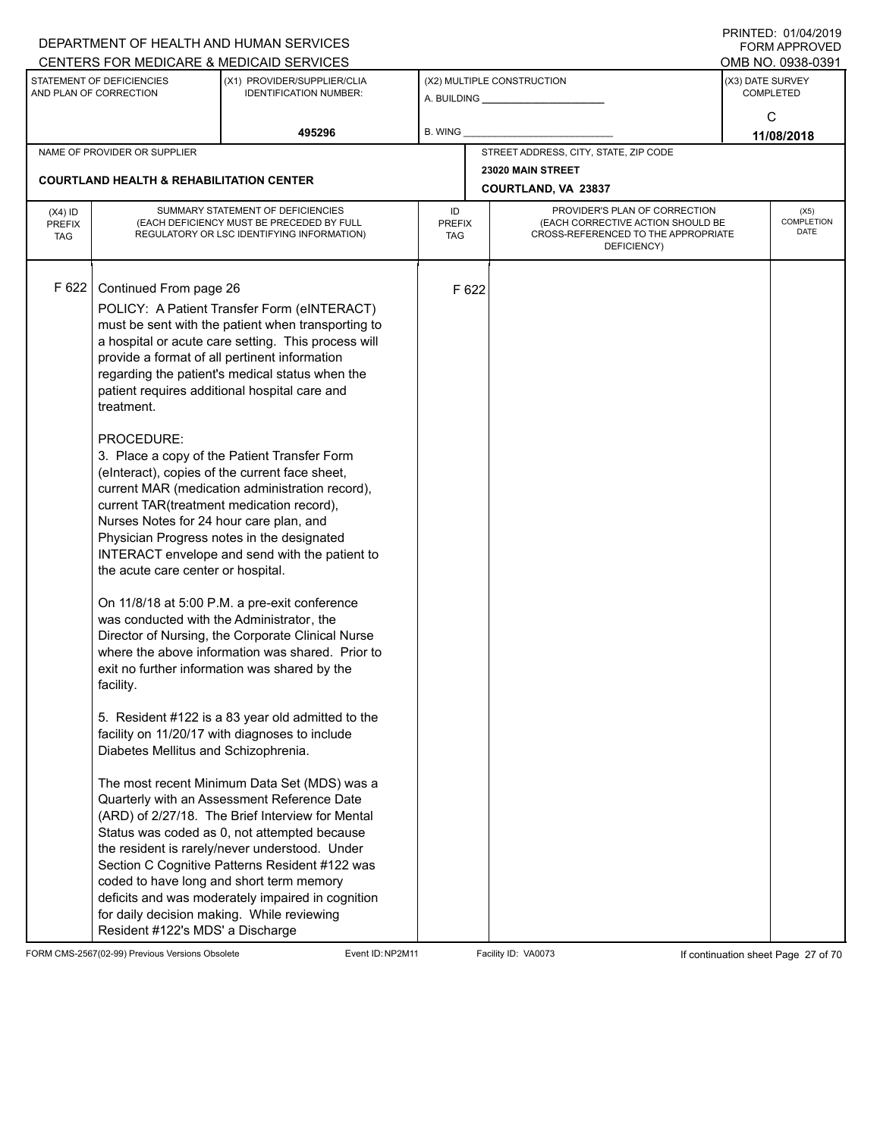|                                          |                                                                                                                                                                                                                                                                                                                                                                      | DEPARTMENT OF HEALTH AND HUMAN SERVICES<br>CENTERS FOR MEDICARE & MEDICAID SERVICES                                                                                                                                                                                                                                                                                                                                                                                                                                                                                                                                                                                                                                                                                                                                                                                                                                                                                                                                                                                                                                                                                                                                                                                                          |                                   |       |                                                                                                                          | FININILU. VIIVHIZVI J<br><b>FORM APPROVED</b><br>OMB NO. 0938-0391 |
|------------------------------------------|----------------------------------------------------------------------------------------------------------------------------------------------------------------------------------------------------------------------------------------------------------------------------------------------------------------------------------------------------------------------|----------------------------------------------------------------------------------------------------------------------------------------------------------------------------------------------------------------------------------------------------------------------------------------------------------------------------------------------------------------------------------------------------------------------------------------------------------------------------------------------------------------------------------------------------------------------------------------------------------------------------------------------------------------------------------------------------------------------------------------------------------------------------------------------------------------------------------------------------------------------------------------------------------------------------------------------------------------------------------------------------------------------------------------------------------------------------------------------------------------------------------------------------------------------------------------------------------------------------------------------------------------------------------------------|-----------------------------------|-------|--------------------------------------------------------------------------------------------------------------------------|--------------------------------------------------------------------|
|                                          | STATEMENT OF DEFICIENCIES<br>AND PLAN OF CORRECTION                                                                                                                                                                                                                                                                                                                  | (X1) PROVIDER/SUPPLIER/CLIA<br><b>IDENTIFICATION NUMBER:</b>                                                                                                                                                                                                                                                                                                                                                                                                                                                                                                                                                                                                                                                                                                                                                                                                                                                                                                                                                                                                                                                                                                                                                                                                                                 |                                   |       | (X2) MULTIPLE CONSTRUCTION<br>A. BUILDING A. BUILDING                                                                    | (X3) DATE SURVEY<br><b>COMPLETED</b>                               |
|                                          |                                                                                                                                                                                                                                                                                                                                                                      | 495296                                                                                                                                                                                                                                                                                                                                                                                                                                                                                                                                                                                                                                                                                                                                                                                                                                                                                                                                                                                                                                                                                                                                                                                                                                                                                       | B. WING                           |       |                                                                                                                          | C<br>11/08/2018                                                    |
|                                          | NAME OF PROVIDER OR SUPPLIER                                                                                                                                                                                                                                                                                                                                         |                                                                                                                                                                                                                                                                                                                                                                                                                                                                                                                                                                                                                                                                                                                                                                                                                                                                                                                                                                                                                                                                                                                                                                                                                                                                                              |                                   |       | STREET ADDRESS, CITY, STATE, ZIP CODE                                                                                    |                                                                    |
|                                          | <b>COURTLAND HEALTH &amp; REHABILITATION CENTER</b>                                                                                                                                                                                                                                                                                                                  |                                                                                                                                                                                                                                                                                                                                                                                                                                                                                                                                                                                                                                                                                                                                                                                                                                                                                                                                                                                                                                                                                                                                                                                                                                                                                              |                                   |       | 23020 MAIN STREET<br>COURTLAND, VA 23837                                                                                 |                                                                    |
| $(X4)$ ID<br><b>PREFIX</b><br><b>TAG</b> |                                                                                                                                                                                                                                                                                                                                                                      | SUMMARY STATEMENT OF DEFICIENCIES<br>(EACH DEFICIENCY MUST BE PRECEDED BY FULL<br>REGULATORY OR LSC IDENTIFYING INFORMATION)                                                                                                                                                                                                                                                                                                                                                                                                                                                                                                                                                                                                                                                                                                                                                                                                                                                                                                                                                                                                                                                                                                                                                                 | ID<br><b>PREFIX</b><br><b>TAG</b> |       | PROVIDER'S PLAN OF CORRECTION<br>(EACH CORRECTIVE ACTION SHOULD BE<br>CROSS-REFERENCED TO THE APPROPRIATE<br>DEFICIENCY) | (X5)<br>COMPLETION<br><b>DATE</b>                                  |
| F 622                                    | Continued From page 26<br>treatment.<br>PROCEDURE:<br>current TAR(treatment medication record),<br>Nurses Notes for 24 hour care plan, and<br>the acute care center or hospital.<br>was conducted with the Administrator, the<br>facility.<br>Diabetes Mellitus and Schizophrenia.<br>for daily decision making. While reviewing<br>Resident #122's MDS' a Discharge | POLICY: A Patient Transfer Form (eINTERACT)<br>must be sent with the patient when transporting to<br>a hospital or acute care setting. This process will<br>provide a format of all pertinent information<br>regarding the patient's medical status when the<br>patient requires additional hospital care and<br>3. Place a copy of the Patient Transfer Form<br>(elnteract), copies of the current face sheet,<br>current MAR (medication administration record),<br>Physician Progress notes in the designated<br>INTERACT envelope and send with the patient to<br>On 11/8/18 at 5:00 P.M. a pre-exit conference<br>Director of Nursing, the Corporate Clinical Nurse<br>where the above information was shared. Prior to<br>exit no further information was shared by the<br>5. Resident #122 is a 83 year old admitted to the<br>facility on 11/20/17 with diagnoses to include<br>The most recent Minimum Data Set (MDS) was a<br>Quarterly with an Assessment Reference Date<br>(ARD) of 2/27/18. The Brief Interview for Mental<br>Status was coded as 0, not attempted because<br>the resident is rarely/never understood. Under<br>Section C Cognitive Patterns Resident #122 was<br>coded to have long and short term memory<br>deficits and was moderately impaired in cognition |                                   | F 622 |                                                                                                                          |                                                                    |

FORM CMS-2567(02-99) Previous Versions Obsolete Event ID:NP2M11 Facility ID: VA0073 If continuation sheet Page 27 of 70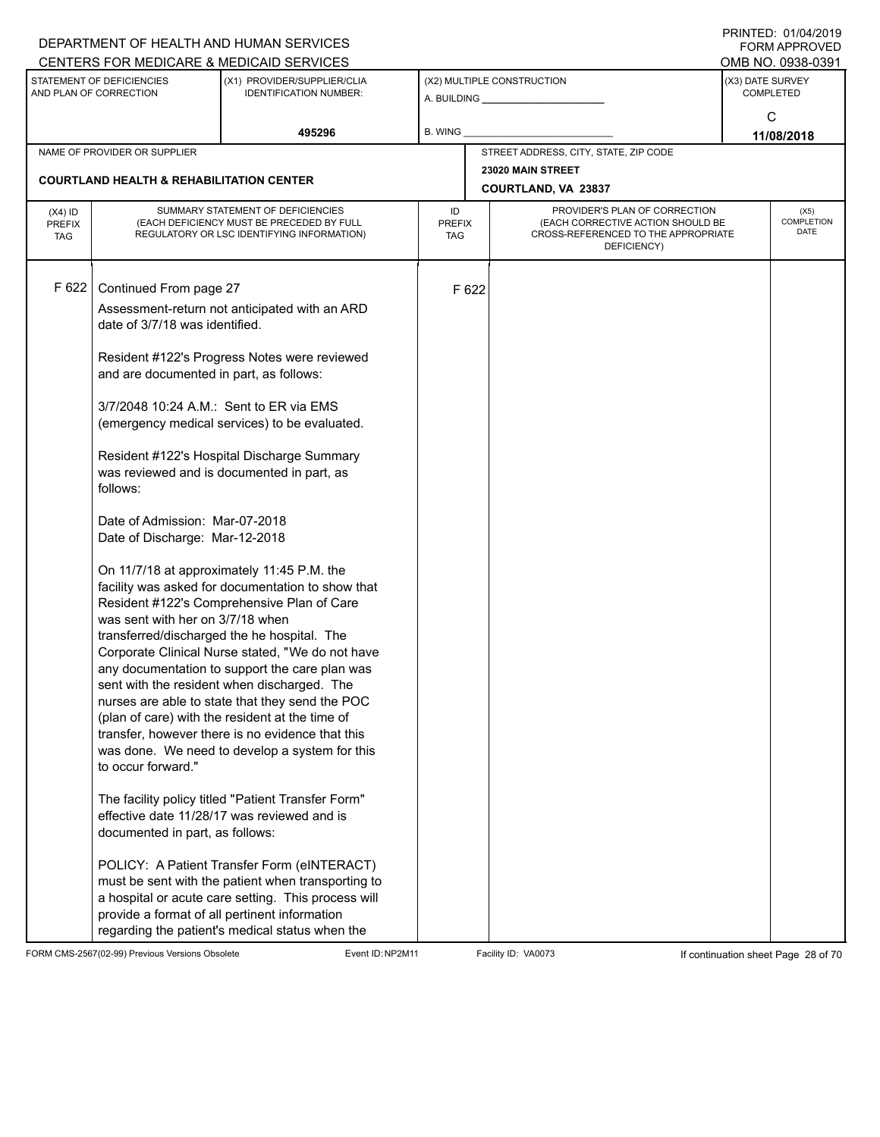|                                          |                                                                                                                                                                                                                                                                                          | DEPARTMENT OF HEALTH AND HUMAN SERVICES<br>CENTERS FOR MEDICARE & MEDICAID SERVICES                                                                                                                                                                                                                                                                                                                                                                                                                                                                                                                                                                                                                                                                                                                         |                                   |       |                                                                                                                          |                  | FININILU. VIIVHIZVI J<br>FORM APPROVED<br>OMB NO. 0938-0391 |
|------------------------------------------|------------------------------------------------------------------------------------------------------------------------------------------------------------------------------------------------------------------------------------------------------------------------------------------|-------------------------------------------------------------------------------------------------------------------------------------------------------------------------------------------------------------------------------------------------------------------------------------------------------------------------------------------------------------------------------------------------------------------------------------------------------------------------------------------------------------------------------------------------------------------------------------------------------------------------------------------------------------------------------------------------------------------------------------------------------------------------------------------------------------|-----------------------------------|-------|--------------------------------------------------------------------------------------------------------------------------|------------------|-------------------------------------------------------------|
|                                          | STATEMENT OF DEFICIENCIES<br>AND PLAN OF CORRECTION                                                                                                                                                                                                                                      | (X1) PROVIDER/SUPPLIER/CLIA<br><b>IDENTIFICATION NUMBER:</b>                                                                                                                                                                                                                                                                                                                                                                                                                                                                                                                                                                                                                                                                                                                                                |                                   |       | (X2) MULTIPLE CONSTRUCTION                                                                                               | (X3) DATE SURVEY | <b>COMPLETED</b>                                            |
|                                          |                                                                                                                                                                                                                                                                                          | 495296                                                                                                                                                                                                                                                                                                                                                                                                                                                                                                                                                                                                                                                                                                                                                                                                      | <b>B. WING</b>                    |       |                                                                                                                          |                  | C<br>11/08/2018                                             |
|                                          | NAME OF PROVIDER OR SUPPLIER                                                                                                                                                                                                                                                             |                                                                                                                                                                                                                                                                                                                                                                                                                                                                                                                                                                                                                                                                                                                                                                                                             |                                   |       | STREET ADDRESS, CITY, STATE, ZIP CODE                                                                                    |                  |                                                             |
|                                          | <b>COURTLAND HEALTH &amp; REHABILITATION CENTER</b>                                                                                                                                                                                                                                      |                                                                                                                                                                                                                                                                                                                                                                                                                                                                                                                                                                                                                                                                                                                                                                                                             |                                   |       | 23020 MAIN STREET<br>COURTLAND, VA 23837                                                                                 |                  |                                                             |
| $(X4)$ ID<br><b>PREFIX</b><br><b>TAG</b> |                                                                                                                                                                                                                                                                                          | SUMMARY STATEMENT OF DEFICIENCIES<br>(EACH DEFICIENCY MUST BE PRECEDED BY FULL<br>REGULATORY OR LSC IDENTIFYING INFORMATION)                                                                                                                                                                                                                                                                                                                                                                                                                                                                                                                                                                                                                                                                                | ID<br><b>PREFIX</b><br><b>TAG</b> |       | PROVIDER'S PLAN OF CORRECTION<br>(EACH CORRECTIVE ACTION SHOULD BE<br>CROSS-REFERENCED TO THE APPROPRIATE<br>DEFICIENCY) |                  | (X5)<br>COMPLETION<br><b>DATE</b>                           |
| F 622                                    | Continued From page 27<br>date of 3/7/18 was identified.<br>and are documented in part, as follows:<br>3/7/2048 10:24 A.M.: Sent to ER via EMS<br>follows:<br>Date of Admission: Mar-07-2018<br>Date of Discharge: Mar-12-2018<br>was sent with her on 3/7/18 when<br>to occur forward." | Assessment-return not anticipated with an ARD<br>Resident #122's Progress Notes were reviewed<br>(emergency medical services) to be evaluated.<br>Resident #122's Hospital Discharge Summary<br>was reviewed and is documented in part, as<br>On 11/7/18 at approximately 11:45 P.M. the<br>facility was asked for documentation to show that<br>Resident #122's Comprehensive Plan of Care<br>transferred/discharged the he hospital. The<br>Corporate Clinical Nurse stated, "We do not have<br>any documentation to support the care plan was<br>sent with the resident when discharged. The<br>nurses are able to state that they send the POC<br>(plan of care) with the resident at the time of<br>transfer, however there is no evidence that this<br>was done. We need to develop a system for this |                                   | F 622 |                                                                                                                          |                  |                                                             |
|                                          | documented in part, as follows:                                                                                                                                                                                                                                                          | The facility policy titled "Patient Transfer Form"<br>effective date 11/28/17 was reviewed and is                                                                                                                                                                                                                                                                                                                                                                                                                                                                                                                                                                                                                                                                                                           |                                   |       |                                                                                                                          |                  |                                                             |
|                                          |                                                                                                                                                                                                                                                                                          | POLICY: A Patient Transfer Form (eINTERACT)<br>must be sent with the patient when transporting to<br>a hospital or acute care setting. This process will<br>provide a format of all pertinent information<br>regarding the patient's medical status when the                                                                                                                                                                                                                                                                                                                                                                                                                                                                                                                                                |                                   |       |                                                                                                                          |                  |                                                             |

FORM CMS-2567(02-99) Previous Versions Obsolete Event ID:NP2M11 Facility ID: VA0073 If continuation sheet Page 28 of 70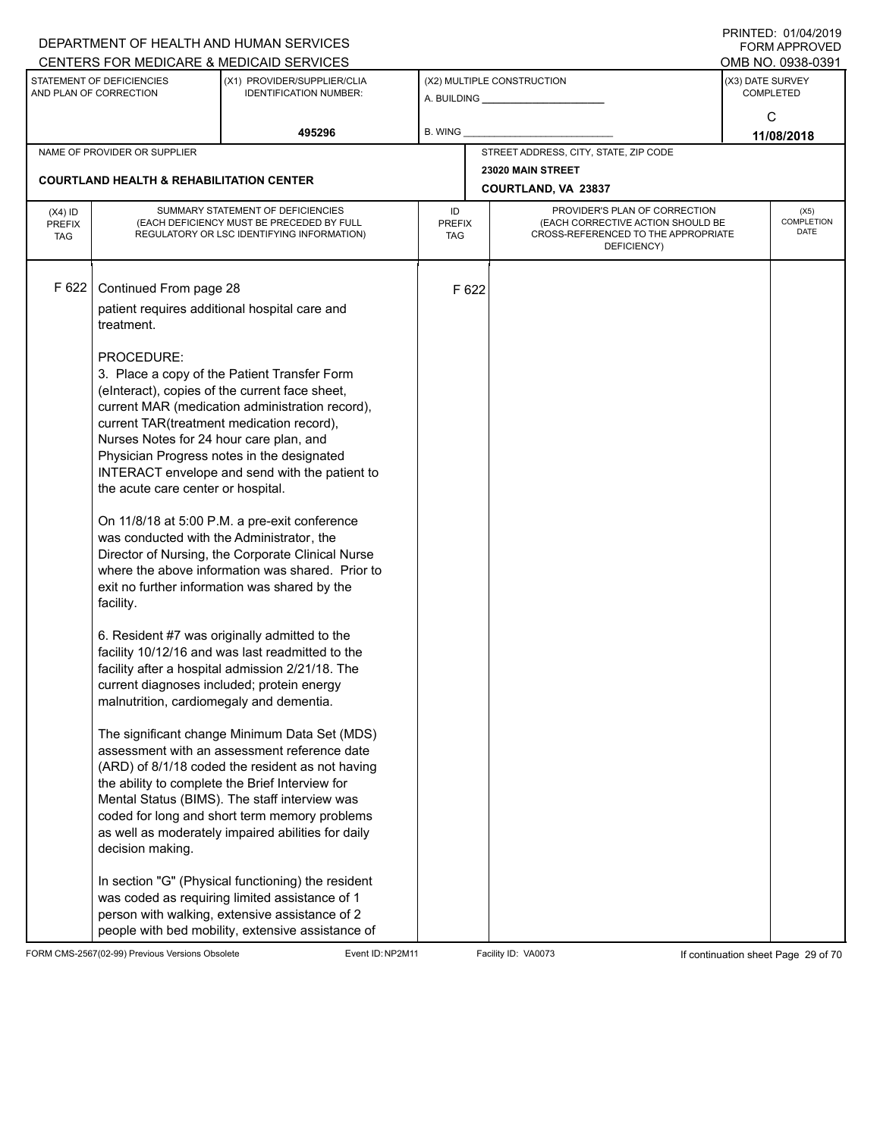|               |                                                     | DEPARTMENT OF HEALTH AND HUMAN SERVICES                                                       |               |       |                                                                          |                  | $1 \times 11 \times 11 = 12.$ $0 \times 110 = 12$<br><b>FORM APPROVED</b> |  |  |
|---------------|-----------------------------------------------------|-----------------------------------------------------------------------------------------------|---------------|-------|--------------------------------------------------------------------------|------------------|---------------------------------------------------------------------------|--|--|
|               |                                                     | CENTERS FOR MEDICARE & MEDICAID SERVICES                                                      |               |       |                                                                          |                  | OMB NO. 0938-0391                                                         |  |  |
|               | STATEMENT OF DEFICIENCIES<br>AND PLAN OF CORRECTION | (X1) PROVIDER/SUPPLIER/CLIA<br><b>IDENTIFICATION NUMBER:</b>                                  |               |       | (X2) MULTIPLE CONSTRUCTION                                               | (X3) DATE SURVEY | <b>COMPLETED</b>                                                          |  |  |
|               |                                                     |                                                                                               |               |       | A. BUILDING <b>A.</b> BUILDING                                           |                  | C                                                                         |  |  |
|               |                                                     | 495296                                                                                        | B. WING       |       |                                                                          |                  |                                                                           |  |  |
|               | NAME OF PROVIDER OR SUPPLIER                        |                                                                                               |               |       | STREET ADDRESS, CITY, STATE, ZIP CODE                                    | 11/08/2018       |                                                                           |  |  |
|               |                                                     |                                                                                               |               |       | 23020 MAIN STREET                                                        |                  |                                                                           |  |  |
|               | <b>COURTLAND HEALTH &amp; REHABILITATION CENTER</b> |                                                                                               |               |       | COURTLAND, VA 23837                                                      |                  |                                                                           |  |  |
| $(X4)$ ID     |                                                     | SUMMARY STATEMENT OF DEFICIENCIES                                                             | ID            |       | PROVIDER'S PLAN OF CORRECTION                                            |                  | (X5)                                                                      |  |  |
| <b>PREFIX</b> |                                                     | (EACH DEFICIENCY MUST BE PRECEDED BY FULL<br>REGULATORY OR LSC IDENTIFYING INFORMATION)       | <b>PREFIX</b> |       | (EACH CORRECTIVE ACTION SHOULD BE<br>CROSS-REFERENCED TO THE APPROPRIATE |                  | COMPLETION<br><b>DATE</b>                                                 |  |  |
| <b>TAG</b>    |                                                     |                                                                                               | TAG           |       | DEFICIENCY)                                                              |                  |                                                                           |  |  |
|               |                                                     |                                                                                               |               |       |                                                                          |                  |                                                                           |  |  |
| F 622         | Continued From page 28                              |                                                                                               |               | F 622 |                                                                          |                  |                                                                           |  |  |
|               |                                                     | patient requires additional hospital care and                                                 |               |       |                                                                          |                  |                                                                           |  |  |
|               | treatment.                                          |                                                                                               |               |       |                                                                          |                  |                                                                           |  |  |
|               |                                                     |                                                                                               |               |       |                                                                          |                  |                                                                           |  |  |
|               | PROCEDURE:                                          |                                                                                               |               |       |                                                                          |                  |                                                                           |  |  |
|               |                                                     | 3. Place a copy of the Patient Transfer Form                                                  |               |       |                                                                          |                  |                                                                           |  |  |
|               |                                                     | (einteract), copies of the current face sheet,                                                |               |       |                                                                          |                  |                                                                           |  |  |
|               |                                                     | current MAR (medication administration record),                                               |               |       |                                                                          |                  |                                                                           |  |  |
|               | current TAR(treatment medication record),           |                                                                                               |               |       |                                                                          |                  |                                                                           |  |  |
|               | Nurses Notes for 24 hour care plan, and             |                                                                                               |               |       |                                                                          |                  |                                                                           |  |  |
|               |                                                     | Physician Progress notes in the designated<br>INTERACT envelope and send with the patient to  |               |       |                                                                          |                  |                                                                           |  |  |
|               | the acute care center or hospital.                  |                                                                                               |               |       |                                                                          |                  |                                                                           |  |  |
|               |                                                     |                                                                                               |               |       |                                                                          |                  |                                                                           |  |  |
|               |                                                     | On 11/8/18 at 5:00 P.M. a pre-exit conference                                                 |               |       |                                                                          |                  |                                                                           |  |  |
|               | was conducted with the Administrator, the           |                                                                                               |               |       |                                                                          |                  |                                                                           |  |  |
|               |                                                     | Director of Nursing, the Corporate Clinical Nurse                                             |               |       |                                                                          |                  |                                                                           |  |  |
|               |                                                     | where the above information was shared. Prior to                                              |               |       |                                                                          |                  |                                                                           |  |  |
|               |                                                     | exit no further information was shared by the                                                 |               |       |                                                                          |                  |                                                                           |  |  |
|               | facility.                                           |                                                                                               |               |       |                                                                          |                  |                                                                           |  |  |
|               |                                                     | 6. Resident #7 was originally admitted to the                                                 |               |       |                                                                          |                  |                                                                           |  |  |
|               |                                                     | facility 10/12/16 and was last readmitted to the                                              |               |       |                                                                          |                  |                                                                           |  |  |
|               |                                                     | facility after a hospital admission 2/21/18. The                                              |               |       |                                                                          |                  |                                                                           |  |  |
|               |                                                     | current diagnoses included; protein energy                                                    |               |       |                                                                          |                  |                                                                           |  |  |
|               | malnutrition, cardiomegaly and dementia.            |                                                                                               |               |       |                                                                          |                  |                                                                           |  |  |
|               |                                                     |                                                                                               |               |       |                                                                          |                  |                                                                           |  |  |
|               |                                                     | The significant change Minimum Data Set (MDS)<br>assessment with an assessment reference date |               |       |                                                                          |                  |                                                                           |  |  |
|               |                                                     | (ARD) of 8/1/18 coded the resident as not having                                              |               |       |                                                                          |                  |                                                                           |  |  |
|               |                                                     | the ability to complete the Brief Interview for                                               |               |       |                                                                          |                  |                                                                           |  |  |
|               |                                                     | Mental Status (BIMS). The staff interview was                                                 |               |       |                                                                          |                  |                                                                           |  |  |
|               |                                                     | coded for long and short term memory problems                                                 |               |       |                                                                          |                  |                                                                           |  |  |
|               |                                                     | as well as moderately impaired abilities for daily                                            |               |       |                                                                          |                  |                                                                           |  |  |
|               | decision making.                                    |                                                                                               |               |       |                                                                          |                  |                                                                           |  |  |
|               |                                                     | In section "G" (Physical functioning) the resident                                            |               |       |                                                                          |                  |                                                                           |  |  |
|               |                                                     | was coded as requiring limited assistance of 1                                                |               |       |                                                                          |                  |                                                                           |  |  |
|               |                                                     | person with walking, extensive assistance of 2                                                |               |       |                                                                          |                  |                                                                           |  |  |
|               |                                                     | people with bed mobility, extensive assistance of                                             |               |       |                                                                          |                  |                                                                           |  |  |

FORM CMS-2567(02-99) Previous Versions Obsolete Event ID:NP2M11 Facility ID: VA0073 If continuation sheet Page 29 of 70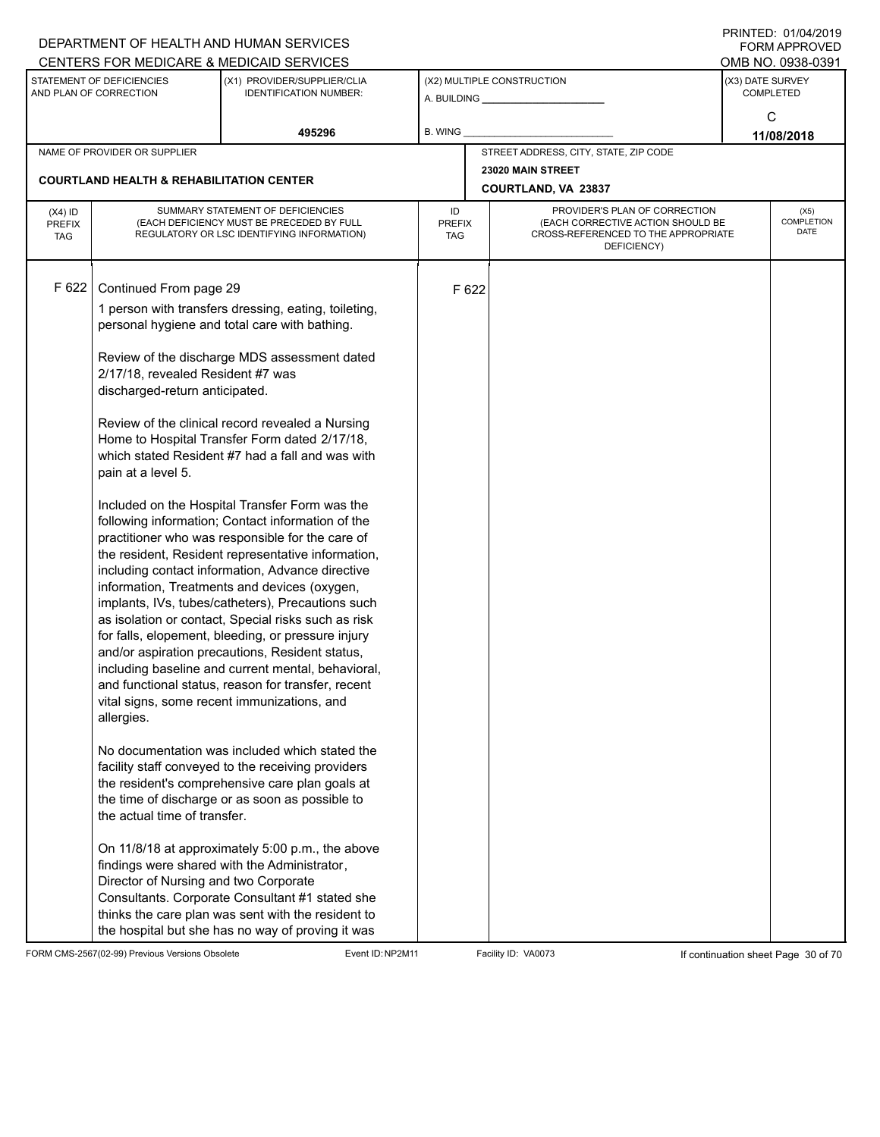|                                          |                                                                                                                                                                                                            | DEPARTMENT OF HEALTH AND HUMAN SERVICES<br>CENTERS FOR MEDICARE & MEDICAID SERVICES                                                                                                                                                                                                                                                                                                                                                                                                                                                                                                                                                                                                                                                                                                                                                                                                                                                                                                                                                                                                                                                                                                                                                                                                                                                                                                      |                                   |       |                                                                                                                          | FININILU. VIIVHIZVI J<br><b>FORM APPROVED</b><br>OMB NO. 0938-0391 |
|------------------------------------------|------------------------------------------------------------------------------------------------------------------------------------------------------------------------------------------------------------|------------------------------------------------------------------------------------------------------------------------------------------------------------------------------------------------------------------------------------------------------------------------------------------------------------------------------------------------------------------------------------------------------------------------------------------------------------------------------------------------------------------------------------------------------------------------------------------------------------------------------------------------------------------------------------------------------------------------------------------------------------------------------------------------------------------------------------------------------------------------------------------------------------------------------------------------------------------------------------------------------------------------------------------------------------------------------------------------------------------------------------------------------------------------------------------------------------------------------------------------------------------------------------------------------------------------------------------------------------------------------------------|-----------------------------------|-------|--------------------------------------------------------------------------------------------------------------------------|--------------------------------------------------------------------|
|                                          | STATEMENT OF DEFICIENCIES<br>AND PLAN OF CORRECTION                                                                                                                                                        | (X1) PROVIDER/SUPPLIER/CLIA<br><b>IDENTIFICATION NUMBER:</b>                                                                                                                                                                                                                                                                                                                                                                                                                                                                                                                                                                                                                                                                                                                                                                                                                                                                                                                                                                                                                                                                                                                                                                                                                                                                                                                             |                                   |       | (X2) MULTIPLE CONSTRUCTION                                                                                               | (X3) DATE SURVEY<br><b>COMPLETED</b>                               |
|                                          |                                                                                                                                                                                                            | 495296                                                                                                                                                                                                                                                                                                                                                                                                                                                                                                                                                                                                                                                                                                                                                                                                                                                                                                                                                                                                                                                                                                                                                                                                                                                                                                                                                                                   | <b>B. WING</b>                    |       |                                                                                                                          | C<br>11/08/2018                                                    |
|                                          | NAME OF PROVIDER OR SUPPLIER                                                                                                                                                                               |                                                                                                                                                                                                                                                                                                                                                                                                                                                                                                                                                                                                                                                                                                                                                                                                                                                                                                                                                                                                                                                                                                                                                                                                                                                                                                                                                                                          |                                   |       | STREET ADDRESS, CITY, STATE, ZIP CODE                                                                                    |                                                                    |
|                                          | <b>COURTLAND HEALTH &amp; REHABILITATION CENTER</b>                                                                                                                                                        |                                                                                                                                                                                                                                                                                                                                                                                                                                                                                                                                                                                                                                                                                                                                                                                                                                                                                                                                                                                                                                                                                                                                                                                                                                                                                                                                                                                          |                                   |       | 23020 MAIN STREET<br><b>COURTLAND, VA 23837</b>                                                                          |                                                                    |
| $(X4)$ ID<br><b>PREFIX</b><br><b>TAG</b> |                                                                                                                                                                                                            | SUMMARY STATEMENT OF DEFICIENCIES<br>(EACH DEFICIENCY MUST BE PRECEDED BY FULL<br>REGULATORY OR LSC IDENTIFYING INFORMATION)                                                                                                                                                                                                                                                                                                                                                                                                                                                                                                                                                                                                                                                                                                                                                                                                                                                                                                                                                                                                                                                                                                                                                                                                                                                             | ID<br><b>PREFIX</b><br><b>TAG</b> |       | PROVIDER'S PLAN OF CORRECTION<br>(EACH CORRECTIVE ACTION SHOULD BE<br>CROSS-REFERENCED TO THE APPROPRIATE<br>DEFICIENCY) | (X5)<br>COMPLETION<br><b>DATE</b>                                  |
| F 622                                    | Continued From page 29<br>2/17/18, revealed Resident #7 was<br>discharged-return anticipated.<br>pain at a level 5.<br>allergies.<br>the actual time of transfer.<br>Director of Nursing and two Corporate | 1 person with transfers dressing, eating, toileting,<br>personal hygiene and total care with bathing.<br>Review of the discharge MDS assessment dated<br>Review of the clinical record revealed a Nursing<br>Home to Hospital Transfer Form dated 2/17/18,<br>which stated Resident #7 had a fall and was with<br>Included on the Hospital Transfer Form was the<br>following information; Contact information of the<br>practitioner who was responsible for the care of<br>the resident, Resident representative information,<br>including contact information, Advance directive<br>information, Treatments and devices (oxygen,<br>implants, IVs, tubes/catheters), Precautions such<br>as isolation or contact, Special risks such as risk<br>for falls, elopement, bleeding, or pressure injury<br>and/or aspiration precautions, Resident status,<br>including baseline and current mental, behavioral,<br>and functional status, reason for transfer, recent<br>vital signs, some recent immunizations, and<br>No documentation was included which stated the<br>facility staff conveyed to the receiving providers<br>the resident's comprehensive care plan goals at<br>the time of discharge or as soon as possible to<br>On 11/8/18 at approximately 5:00 p.m., the above<br>findings were shared with the Administrator,<br>Consultants. Corporate Consultant #1 stated she |                                   | F 622 |                                                                                                                          |                                                                    |
|                                          |                                                                                                                                                                                                            | thinks the care plan was sent with the resident to<br>the hospital but she has no way of proving it was                                                                                                                                                                                                                                                                                                                                                                                                                                                                                                                                                                                                                                                                                                                                                                                                                                                                                                                                                                                                                                                                                                                                                                                                                                                                                  |                                   |       |                                                                                                                          |                                                                    |

FORM CMS-2567(02-99) Previous Versions Obsolete Event ID:NP2M11 Facility ID: VA0073 If continuation sheet Page 30 of 70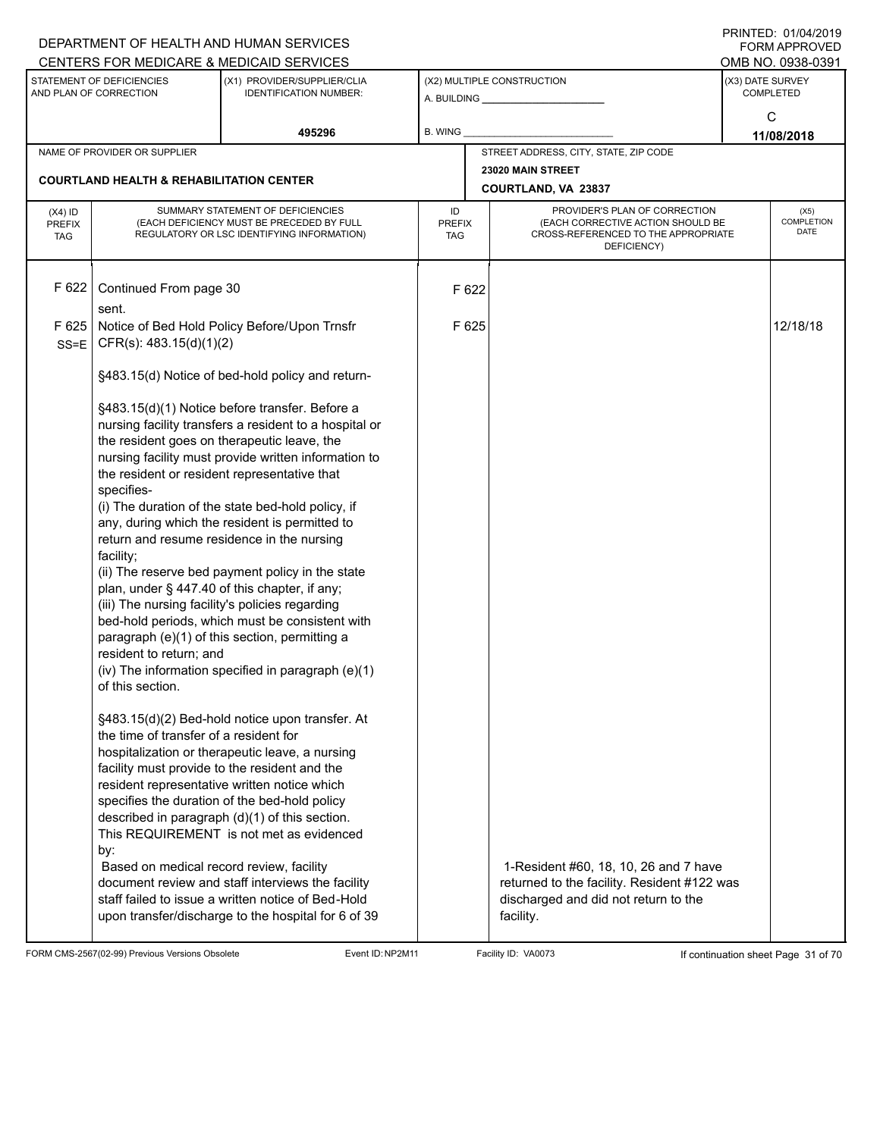|                                                                                                 |                                                     | DEPARTMENT OF HEALTH AND HUMAN SERVICES                                                                                                                                                                                                                                                                                                            |                                   |       |                                                                                                                                           |                  | FININILU. VIIVHIZVIJ<br><b>FORM APPROVED</b><br>OMB NO. 0938-0391 |  |
|-------------------------------------------------------------------------------------------------|-----------------------------------------------------|----------------------------------------------------------------------------------------------------------------------------------------------------------------------------------------------------------------------------------------------------------------------------------------------------------------------------------------------------|-----------------------------------|-------|-------------------------------------------------------------------------------------------------------------------------------------------|------------------|-------------------------------------------------------------------|--|
| CENTERS FOR MEDICARE & MEDICAID SERVICES<br>STATEMENT OF DEFICIENCIES<br>AND PLAN OF CORRECTION |                                                     | (X1) PROVIDER/SUPPLIER/CLIA<br><b>IDENTIFICATION NUMBER:</b>                                                                                                                                                                                                                                                                                       |                                   |       | (X2) MULTIPLE CONSTRUCTION                                                                                                                | (X3) DATE SURVEY | COMPLETED                                                         |  |
|                                                                                                 |                                                     | 495296                                                                                                                                                                                                                                                                                                                                             | <b>B. WING</b>                    |       |                                                                                                                                           |                  | C<br>11/08/2018                                                   |  |
|                                                                                                 | NAME OF PROVIDER OR SUPPLIER                        |                                                                                                                                                                                                                                                                                                                                                    |                                   |       | STREET ADDRESS, CITY, STATE, ZIP CODE                                                                                                     |                  |                                                                   |  |
|                                                                                                 | <b>COURTLAND HEALTH &amp; REHABILITATION CENTER</b> |                                                                                                                                                                                                                                                                                                                                                    |                                   |       | 23020 MAIN STREET<br>COURTLAND, VA 23837                                                                                                  |                  |                                                                   |  |
| $(X4)$ ID<br><b>PREFIX</b><br><b>TAG</b>                                                        |                                                     | SUMMARY STATEMENT OF DEFICIENCIES<br>(EACH DEFICIENCY MUST BE PRECEDED BY FULL<br>REGULATORY OR LSC IDENTIFYING INFORMATION)                                                                                                                                                                                                                       | ID<br><b>PREFIX</b><br><b>TAG</b> |       | PROVIDER'S PLAN OF CORRECTION<br>(EACH CORRECTIVE ACTION SHOULD BE<br>CROSS-REFERENCED TO THE APPROPRIATE<br>DEFICIENCY)                  |                  | (X5)<br><b>COMPLETION</b><br><b>DATE</b>                          |  |
| F 622                                                                                           | Continued From page 30<br>sent.                     |                                                                                                                                                                                                                                                                                                                                                    |                                   | F 622 |                                                                                                                                           |                  |                                                                   |  |
| F 625<br>$SS = E$                                                                               | CFR(s): 483.15(d)(1)(2)                             | Notice of Bed Hold Policy Before/Upon Trnsfr                                                                                                                                                                                                                                                                                                       |                                   | F 625 |                                                                                                                                           |                  | 12/18/18                                                          |  |
|                                                                                                 |                                                     | §483.15(d) Notice of bed-hold policy and return-                                                                                                                                                                                                                                                                                                   |                                   |       |                                                                                                                                           |                  |                                                                   |  |
|                                                                                                 | specifies-                                          | §483.15(d)(1) Notice before transfer. Before a<br>nursing facility transfers a resident to a hospital or<br>the resident goes on therapeutic leave, the<br>nursing facility must provide written information to<br>the resident or resident representative that                                                                                    |                                   |       |                                                                                                                                           |                  |                                                                   |  |
|                                                                                                 | facility;                                           | (i) The duration of the state bed-hold policy, if<br>any, during which the resident is permitted to<br>return and resume residence in the nursing                                                                                                                                                                                                  |                                   |       |                                                                                                                                           |                  |                                                                   |  |
|                                                                                                 | (iii) The nursing facility's policies regarding     | (ii) The reserve bed payment policy in the state<br>plan, under § 447.40 of this chapter, if any;<br>bed-hold periods, which must be consistent with<br>paragraph (e)(1) of this section, permitting a                                                                                                                                             |                                   |       |                                                                                                                                           |                  |                                                                   |  |
|                                                                                                 | resident to return; and<br>of this section.         | (iv) The information specified in paragraph (e)(1)                                                                                                                                                                                                                                                                                                 |                                   |       |                                                                                                                                           |                  |                                                                   |  |
|                                                                                                 | the time of transfer of a resident for<br>by:       | §483.15(d)(2) Bed-hold notice upon transfer. At<br>hospitalization or therapeutic leave, a nursing<br>facility must provide to the resident and the<br>resident representative written notice which<br>specifies the duration of the bed-hold policy<br>described in paragraph (d)(1) of this section.<br>This REQUIREMENT is not met as evidenced |                                   |       |                                                                                                                                           |                  |                                                                   |  |
|                                                                                                 | Based on medical record review, facility            | document review and staff interviews the facility<br>staff failed to issue a written notice of Bed-Hold<br>upon transfer/discharge to the hospital for 6 of 39                                                                                                                                                                                     |                                   |       | 1-Resident #60, 18, 10, 26 and 7 have<br>returned to the facility. Resident #122 was<br>discharged and did not return to the<br>facility. |                  |                                                                   |  |

FORM CMS-2567(02-99) Previous Versions Obsolete Event ID:NP2M11 Facility ID: VA0073 If continuation sheet Page 31 of 70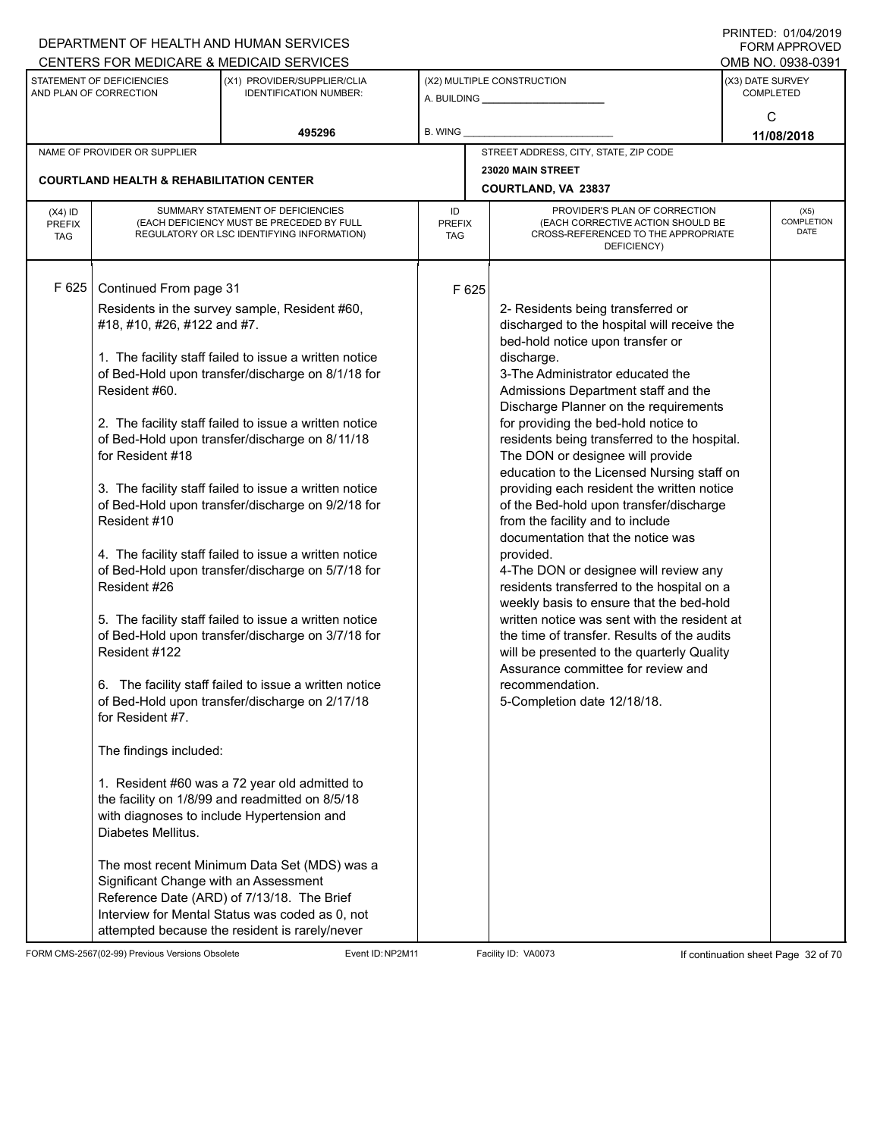|                                          |                                                                                                                                                                                                                                                          | DEPARTMENT OF HEALTH AND HUMAN SERVICES                                                                                                                                                                                                                                                                                                                                                                                                                                                                                                                                                                                                                                                                                                                                                                                                                                                                                                                                                                                                                                                |                            |       |                                                                                                                                                                                                                                                                                                                                                                                                                                                                                                                                                                                                                                                                                                                                                                                                                                                                                                                                                                                         |                  | FORM APPROVED                     |
|------------------------------------------|----------------------------------------------------------------------------------------------------------------------------------------------------------------------------------------------------------------------------------------------------------|----------------------------------------------------------------------------------------------------------------------------------------------------------------------------------------------------------------------------------------------------------------------------------------------------------------------------------------------------------------------------------------------------------------------------------------------------------------------------------------------------------------------------------------------------------------------------------------------------------------------------------------------------------------------------------------------------------------------------------------------------------------------------------------------------------------------------------------------------------------------------------------------------------------------------------------------------------------------------------------------------------------------------------------------------------------------------------------|----------------------------|-------|-----------------------------------------------------------------------------------------------------------------------------------------------------------------------------------------------------------------------------------------------------------------------------------------------------------------------------------------------------------------------------------------------------------------------------------------------------------------------------------------------------------------------------------------------------------------------------------------------------------------------------------------------------------------------------------------------------------------------------------------------------------------------------------------------------------------------------------------------------------------------------------------------------------------------------------------------------------------------------------------|------------------|-----------------------------------|
|                                          | STATEMENT OF DEFICIENCIES                                                                                                                                                                                                                                | CENTERS FOR MEDICARE & MEDICAID SERVICES<br>(X1) PROVIDER/SUPPLIER/CLIA                                                                                                                                                                                                                                                                                                                                                                                                                                                                                                                                                                                                                                                                                                                                                                                                                                                                                                                                                                                                                |                            |       | (X2) MULTIPLE CONSTRUCTION                                                                                                                                                                                                                                                                                                                                                                                                                                                                                                                                                                                                                                                                                                                                                                                                                                                                                                                                                              | (X3) DATE SURVEY | OMB NO. 0938-0391                 |
|                                          | AND PLAN OF CORRECTION                                                                                                                                                                                                                                   | <b>IDENTIFICATION NUMBER:</b>                                                                                                                                                                                                                                                                                                                                                                                                                                                                                                                                                                                                                                                                                                                                                                                                                                                                                                                                                                                                                                                          |                            |       |                                                                                                                                                                                                                                                                                                                                                                                                                                                                                                                                                                                                                                                                                                                                                                                                                                                                                                                                                                                         |                  | <b>COMPLETED</b>                  |
|                                          |                                                                                                                                                                                                                                                          |                                                                                                                                                                                                                                                                                                                                                                                                                                                                                                                                                                                                                                                                                                                                                                                                                                                                                                                                                                                                                                                                                        |                            |       |                                                                                                                                                                                                                                                                                                                                                                                                                                                                                                                                                                                                                                                                                                                                                                                                                                                                                                                                                                                         |                  | C                                 |
|                                          |                                                                                                                                                                                                                                                          | 495296                                                                                                                                                                                                                                                                                                                                                                                                                                                                                                                                                                                                                                                                                                                                                                                                                                                                                                                                                                                                                                                                                 | B. WING                    |       |                                                                                                                                                                                                                                                                                                                                                                                                                                                                                                                                                                                                                                                                                                                                                                                                                                                                                                                                                                                         |                  | 11/08/2018                        |
|                                          | NAME OF PROVIDER OR SUPPLIER                                                                                                                                                                                                                             |                                                                                                                                                                                                                                                                                                                                                                                                                                                                                                                                                                                                                                                                                                                                                                                                                                                                                                                                                                                                                                                                                        |                            |       | STREET ADDRESS, CITY, STATE, ZIP CODE                                                                                                                                                                                                                                                                                                                                                                                                                                                                                                                                                                                                                                                                                                                                                                                                                                                                                                                                                   |                  |                                   |
|                                          | <b>COURTLAND HEALTH &amp; REHABILITATION CENTER</b>                                                                                                                                                                                                      |                                                                                                                                                                                                                                                                                                                                                                                                                                                                                                                                                                                                                                                                                                                                                                                                                                                                                                                                                                                                                                                                                        |                            |       | 23020 MAIN STREET<br>COURTLAND, VA 23837                                                                                                                                                                                                                                                                                                                                                                                                                                                                                                                                                                                                                                                                                                                                                                                                                                                                                                                                                |                  |                                   |
| $(X4)$ ID<br><b>PREFIX</b><br><b>TAG</b> |                                                                                                                                                                                                                                                          | SUMMARY STATEMENT OF DEFICIENCIES<br>(EACH DEFICIENCY MUST BE PRECEDED BY FULL<br>REGULATORY OR LSC IDENTIFYING INFORMATION)                                                                                                                                                                                                                                                                                                                                                                                                                                                                                                                                                                                                                                                                                                                                                                                                                                                                                                                                                           | ID<br><b>PREFIX</b><br>TAG |       | PROVIDER'S PLAN OF CORRECTION<br>(EACH CORRECTIVE ACTION SHOULD BE<br>CROSS-REFERENCED TO THE APPROPRIATE<br>DEFICIENCY)                                                                                                                                                                                                                                                                                                                                                                                                                                                                                                                                                                                                                                                                                                                                                                                                                                                                |                  | (X5)<br>COMPLETION<br><b>DATE</b> |
| F 625                                    | Continued From page 31<br>#18, #10, #26, #122 and #7.<br>Resident #60.<br>for Resident #18<br>Resident #10<br>Resident #26<br>Resident #122<br>for Resident #7.<br>The findings included:<br>Diabetes Mellitus.<br>Significant Change with an Assessment | Residents in the survey sample, Resident #60,<br>1. The facility staff failed to issue a written notice<br>of Bed-Hold upon transfer/discharge on 8/1/18 for<br>2. The facility staff failed to issue a written notice<br>of Bed-Hold upon transfer/discharge on 8/11/18<br>3. The facility staff failed to issue a written notice<br>of Bed-Hold upon transfer/discharge on 9/2/18 for<br>4. The facility staff failed to issue a written notice<br>of Bed-Hold upon transfer/discharge on 5/7/18 for<br>5. The facility staff failed to issue a written notice<br>of Bed-Hold upon transfer/discharge on 3/7/18 for<br>6. The facility staff failed to issue a written notice<br>of Bed-Hold upon transfer/discharge on 2/17/18<br>1. Resident #60 was a 72 year old admitted to<br>the facility on 1/8/99 and readmitted on 8/5/18<br>with diagnoses to include Hypertension and<br>The most recent Minimum Data Set (MDS) was a<br>Reference Date (ARD) of 7/13/18. The Brief<br>Interview for Mental Status was coded as 0, not<br>attempted because the resident is rarely/never |                            | F 625 | 2- Residents being transferred or<br>discharged to the hospital will receive the<br>bed-hold notice upon transfer or<br>discharge.<br>3-The Administrator educated the<br>Admissions Department staff and the<br>Discharge Planner on the requirements<br>for providing the bed-hold notice to<br>residents being transferred to the hospital.<br>The DON or designee will provide<br>education to the Licensed Nursing staff on<br>providing each resident the written notice<br>of the Bed-hold upon transfer/discharge<br>from the facility and to include<br>documentation that the notice was<br>provided.<br>4-The DON or designee will review any<br>residents transferred to the hospital on a<br>weekly basis to ensure that the bed-hold<br>written notice was sent with the resident at<br>the time of transfer. Results of the audits<br>will be presented to the quarterly Quality<br>Assurance committee for review and<br>recommendation.<br>5-Completion date 12/18/18. |                  |                                   |

FORM CMS-2567(02-99) Previous Versions Obsolete Event ID:NP2M11 Facility ID: VA0073 If continuation sheet Page 32 of 70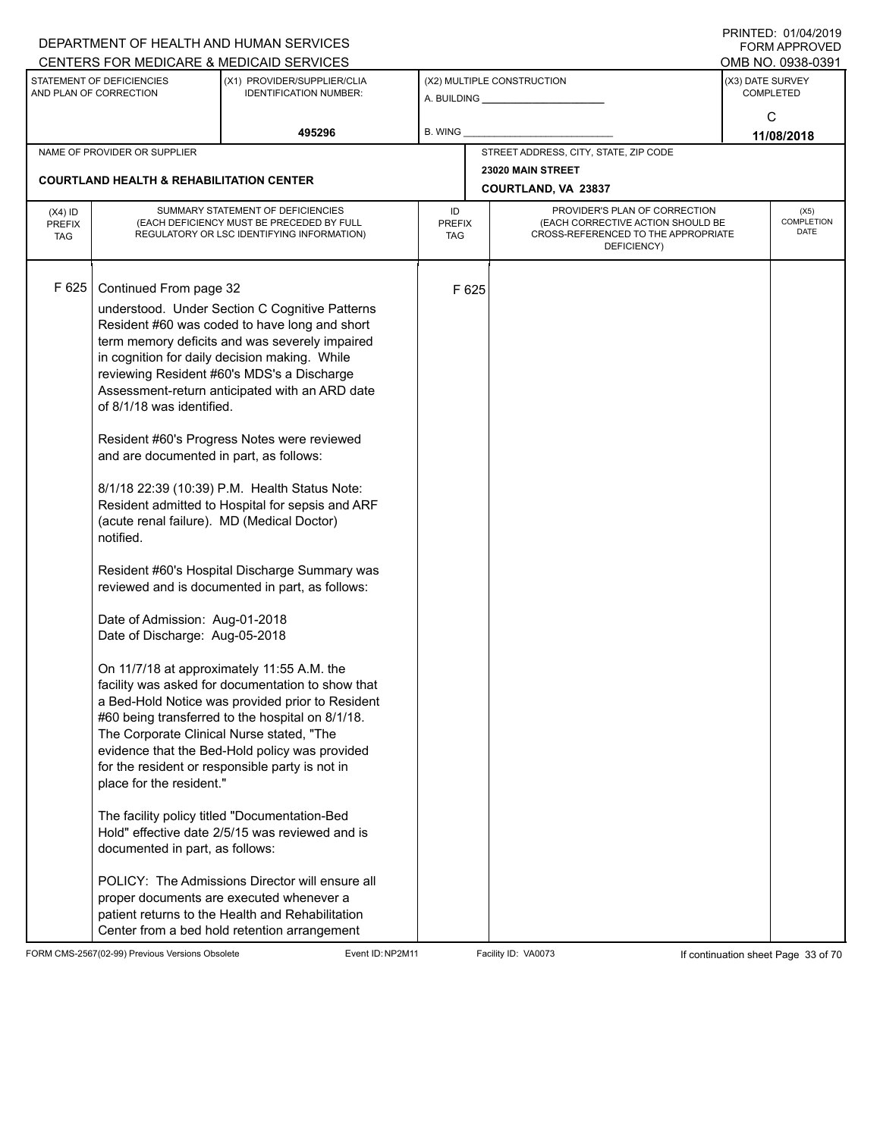|                                          |                                                                                                                                                                                                                                                                                                                                           | DEPARTMENT OF HEALTH AND HUMAN SERVICES<br>CENTERS FOR MEDICARE & MEDICAID SERVICES                                                                                                                                                                                                                                                                                                                                                                                                                                                                                                                                                                                                                                                                                                                                                                                                                                                                                                                                                                                                                                                                                               |                                   |       |                                                                                                                          | FININILU. VIIVHIZVI J<br><b>FORM APPROVED</b><br>OMB NO. 0938-0391 |
|------------------------------------------|-------------------------------------------------------------------------------------------------------------------------------------------------------------------------------------------------------------------------------------------------------------------------------------------------------------------------------------------|-----------------------------------------------------------------------------------------------------------------------------------------------------------------------------------------------------------------------------------------------------------------------------------------------------------------------------------------------------------------------------------------------------------------------------------------------------------------------------------------------------------------------------------------------------------------------------------------------------------------------------------------------------------------------------------------------------------------------------------------------------------------------------------------------------------------------------------------------------------------------------------------------------------------------------------------------------------------------------------------------------------------------------------------------------------------------------------------------------------------------------------------------------------------------------------|-----------------------------------|-------|--------------------------------------------------------------------------------------------------------------------------|--------------------------------------------------------------------|
|                                          | STATEMENT OF DEFICIENCIES<br>AND PLAN OF CORRECTION                                                                                                                                                                                                                                                                                       | (X1) PROVIDER/SUPPLIER/CLIA<br><b>IDENTIFICATION NUMBER:</b>                                                                                                                                                                                                                                                                                                                                                                                                                                                                                                                                                                                                                                                                                                                                                                                                                                                                                                                                                                                                                                                                                                                      |                                   |       | (X2) MULTIPLE CONSTRUCTION                                                                                               | (X3) DATE SURVEY<br><b>COMPLETED</b>                               |
|                                          |                                                                                                                                                                                                                                                                                                                                           | 495296                                                                                                                                                                                                                                                                                                                                                                                                                                                                                                                                                                                                                                                                                                                                                                                                                                                                                                                                                                                                                                                                                                                                                                            | B. WING                           |       |                                                                                                                          | C<br>11/08/2018                                                    |
|                                          | NAME OF PROVIDER OR SUPPLIER                                                                                                                                                                                                                                                                                                              |                                                                                                                                                                                                                                                                                                                                                                                                                                                                                                                                                                                                                                                                                                                                                                                                                                                                                                                                                                                                                                                                                                                                                                                   |                                   |       | STREET ADDRESS, CITY, STATE, ZIP CODE                                                                                    |                                                                    |
|                                          | <b>COURTLAND HEALTH &amp; REHABILITATION CENTER</b>                                                                                                                                                                                                                                                                                       |                                                                                                                                                                                                                                                                                                                                                                                                                                                                                                                                                                                                                                                                                                                                                                                                                                                                                                                                                                                                                                                                                                                                                                                   |                                   |       | 23020 MAIN STREET<br><b>COURTLAND, VA 23837</b>                                                                          |                                                                    |
| $(X4)$ ID<br><b>PREFIX</b><br><b>TAG</b> |                                                                                                                                                                                                                                                                                                                                           | SUMMARY STATEMENT OF DEFICIENCIES<br>(EACH DEFICIENCY MUST BE PRECEDED BY FULL<br>REGULATORY OR LSC IDENTIFYING INFORMATION)                                                                                                                                                                                                                                                                                                                                                                                                                                                                                                                                                                                                                                                                                                                                                                                                                                                                                                                                                                                                                                                      | ID<br><b>PREFIX</b><br><b>TAG</b> |       | PROVIDER'S PLAN OF CORRECTION<br>(EACH CORRECTIVE ACTION SHOULD BE<br>CROSS-REFERENCED TO THE APPROPRIATE<br>DEFICIENCY) | (X5)<br>COMPLETION<br><b>DATE</b>                                  |
| F 625                                    | Continued From page 32<br>of 8/1/18 was identified.<br>and are documented in part, as follows:<br>(acute renal failure). MD (Medical Doctor)<br>notified.<br>Date of Admission: Aug-01-2018<br>Date of Discharge: Aug-05-2018<br>The Corporate Clinical Nurse stated, "The<br>place for the resident."<br>documented in part, as follows: | understood. Under Section C Cognitive Patterns<br>Resident #60 was coded to have long and short<br>term memory deficits and was severely impaired<br>in cognition for daily decision making. While<br>reviewing Resident #60's MDS's a Discharge<br>Assessment-return anticipated with an ARD date<br>Resident #60's Progress Notes were reviewed<br>8/1/18 22:39 (10:39) P.M. Health Status Note:<br>Resident admitted to Hospital for sepsis and ARF<br>Resident #60's Hospital Discharge Summary was<br>reviewed and is documented in part, as follows:<br>On 11/7/18 at approximately 11:55 A.M. the<br>facility was asked for documentation to show that<br>a Bed-Hold Notice was provided prior to Resident<br>#60 being transferred to the hospital on 8/1/18.<br>evidence that the Bed-Hold policy was provided<br>for the resident or responsible party is not in<br>The facility policy titled "Documentation-Bed<br>Hold" effective date 2/5/15 was reviewed and is<br>POLICY: The Admissions Director will ensure all<br>proper documents are executed whenever a<br>patient returns to the Health and Rehabilitation<br>Center from a bed hold retention arrangement |                                   | F 625 |                                                                                                                          |                                                                    |

FORM CMS-2567(02-99) Previous Versions Obsolete Event ID:NP2M11 Facility ID: VA0073 If continuation sheet Page 33 of 70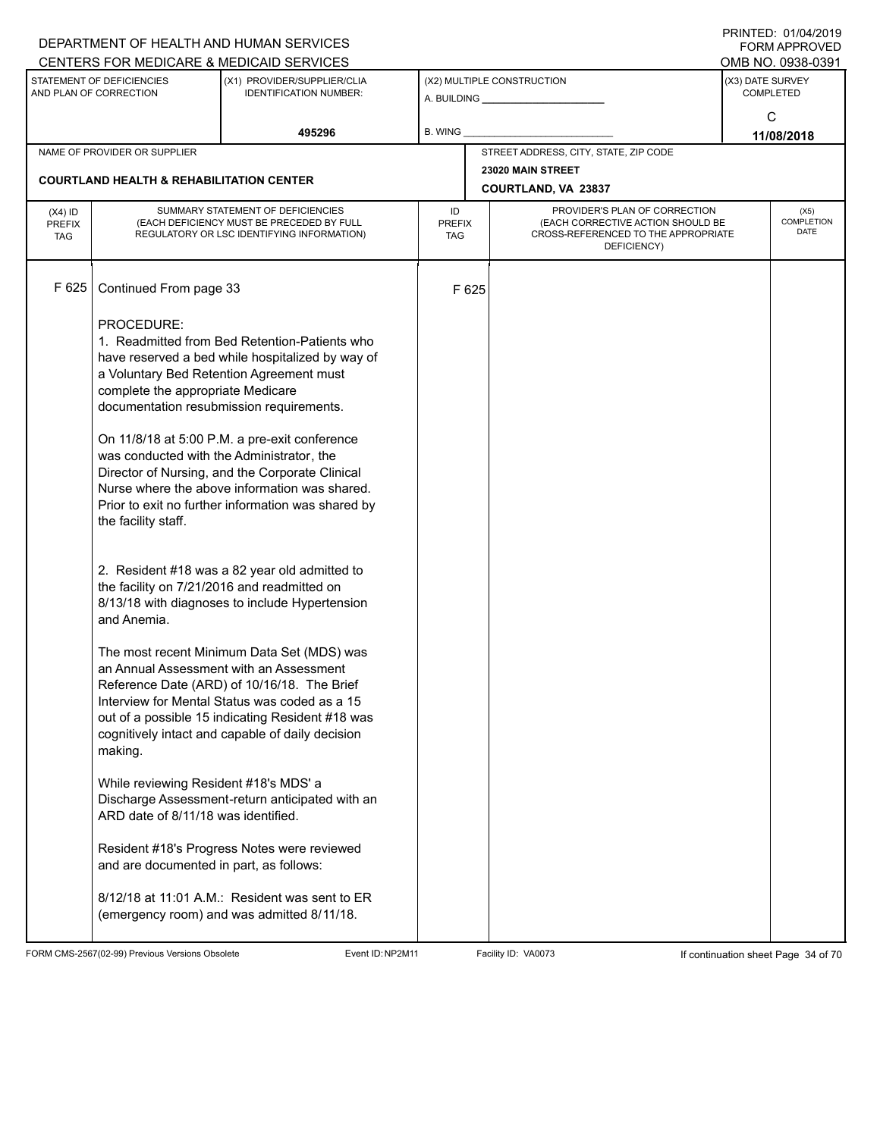|                                          |                                                                                                                     | DEPARTMENT OF HEALTH AND HUMAN SERVICES<br>CENTERS FOR MEDICARE & MEDICAID SERVICES                                                                                                                                                                                                                                                                                                                  |                                   |       |                                                                                                                          |                  | <b>FININILU. UIIUHIZUI J</b><br>FORM APPROVED<br>OMB NO. 0938-0391 |  |
|------------------------------------------|---------------------------------------------------------------------------------------------------------------------|------------------------------------------------------------------------------------------------------------------------------------------------------------------------------------------------------------------------------------------------------------------------------------------------------------------------------------------------------------------------------------------------------|-----------------------------------|-------|--------------------------------------------------------------------------------------------------------------------------|------------------|--------------------------------------------------------------------|--|
|                                          | STATEMENT OF DEFICIENCIES<br>AND PLAN OF CORRECTION                                                                 | (X1) PROVIDER/SUPPLIER/CLIA<br><b>IDENTIFICATION NUMBER:</b>                                                                                                                                                                                                                                                                                                                                         |                                   |       | (X2) MULTIPLE CONSTRUCTION                                                                                               | (X3) DATE SURVEY | <b>COMPLETED</b><br>C                                              |  |
|                                          |                                                                                                                     | 495296                                                                                                                                                                                                                                                                                                                                                                                               | <b>B. WING</b>                    |       |                                                                                                                          | 11/08/2018       |                                                                    |  |
|                                          | NAME OF PROVIDER OR SUPPLIER                                                                                        |                                                                                                                                                                                                                                                                                                                                                                                                      |                                   |       | STREET ADDRESS, CITY, STATE, ZIP CODE                                                                                    |                  |                                                                    |  |
|                                          | <b>COURTLAND HEALTH &amp; REHABILITATION CENTER</b>                                                                 |                                                                                                                                                                                                                                                                                                                                                                                                      |                                   |       | 23020 MAIN STREET<br><b>COURTLAND, VA 23837</b>                                                                          |                  |                                                                    |  |
| $(X4)$ ID<br><b>PREFIX</b><br><b>TAG</b> |                                                                                                                     | SUMMARY STATEMENT OF DEFICIENCIES<br>(EACH DEFICIENCY MUST BE PRECEDED BY FULL<br>REGULATORY OR LSC IDENTIFYING INFORMATION)                                                                                                                                                                                                                                                                         | ID<br><b>PREFIX</b><br><b>TAG</b> |       | PROVIDER'S PLAN OF CORRECTION<br>(EACH CORRECTIVE ACTION SHOULD BE<br>CROSS-REFERENCED TO THE APPROPRIATE<br>DEFICIENCY) |                  | (X5)<br>COMPLETION<br><b>DATE</b>                                  |  |
| F 625                                    | Continued From page 33                                                                                              |                                                                                                                                                                                                                                                                                                                                                                                                      |                                   | F 625 |                                                                                                                          |                  |                                                                    |  |
|                                          | PROCEDURE:<br>complete the appropriate Medicare<br>was conducted with the Administrator, the<br>the facility staff. | 1. Readmitted from Bed Retention-Patients who<br>have reserved a bed while hospitalized by way of<br>a Voluntary Bed Retention Agreement must<br>documentation resubmission requirements.<br>On 11/8/18 at 5:00 P.M. a pre-exit conference<br>Director of Nursing, and the Corporate Clinical<br>Nurse where the above information was shared.<br>Prior to exit no further information was shared by |                                   |       |                                                                                                                          |                  |                                                                    |  |
|                                          | the facility on 7/21/2016 and readmitted on<br>and Anemia.                                                          | 2. Resident #18 was a 82 year old admitted to<br>8/13/18 with diagnoses to include Hypertension                                                                                                                                                                                                                                                                                                      |                                   |       |                                                                                                                          |                  |                                                                    |  |
|                                          | making.                                                                                                             | The most recent Minimum Data Set (MDS) was<br>an Annual Assessment with an Assessment<br>Reference Date (ARD) of 10/16/18. The Brief<br>Interview for Mental Status was coded as a 15<br>out of a possible 15 indicating Resident #18 was<br>cognitively intact and capable of daily decision                                                                                                        |                                   |       |                                                                                                                          |                  |                                                                    |  |
|                                          | While reviewing Resident #18's MDS' a<br>ARD date of 8/11/18 was identified.                                        | Discharge Assessment-return anticipated with an                                                                                                                                                                                                                                                                                                                                                      |                                   |       |                                                                                                                          |                  |                                                                    |  |
|                                          | and are documented in part, as follows:                                                                             | Resident #18's Progress Notes were reviewed                                                                                                                                                                                                                                                                                                                                                          |                                   |       |                                                                                                                          |                  |                                                                    |  |
|                                          |                                                                                                                     | 8/12/18 at 11:01 A.M.: Resident was sent to ER<br>(emergency room) and was admitted 8/11/18.                                                                                                                                                                                                                                                                                                         |                                   |       |                                                                                                                          |                  |                                                                    |  |

FORM CMS-2567(02-99) Previous Versions Obsolete Event ID:NP2M11 Facility ID: VA0073 If continuation sheet Page 34 of 70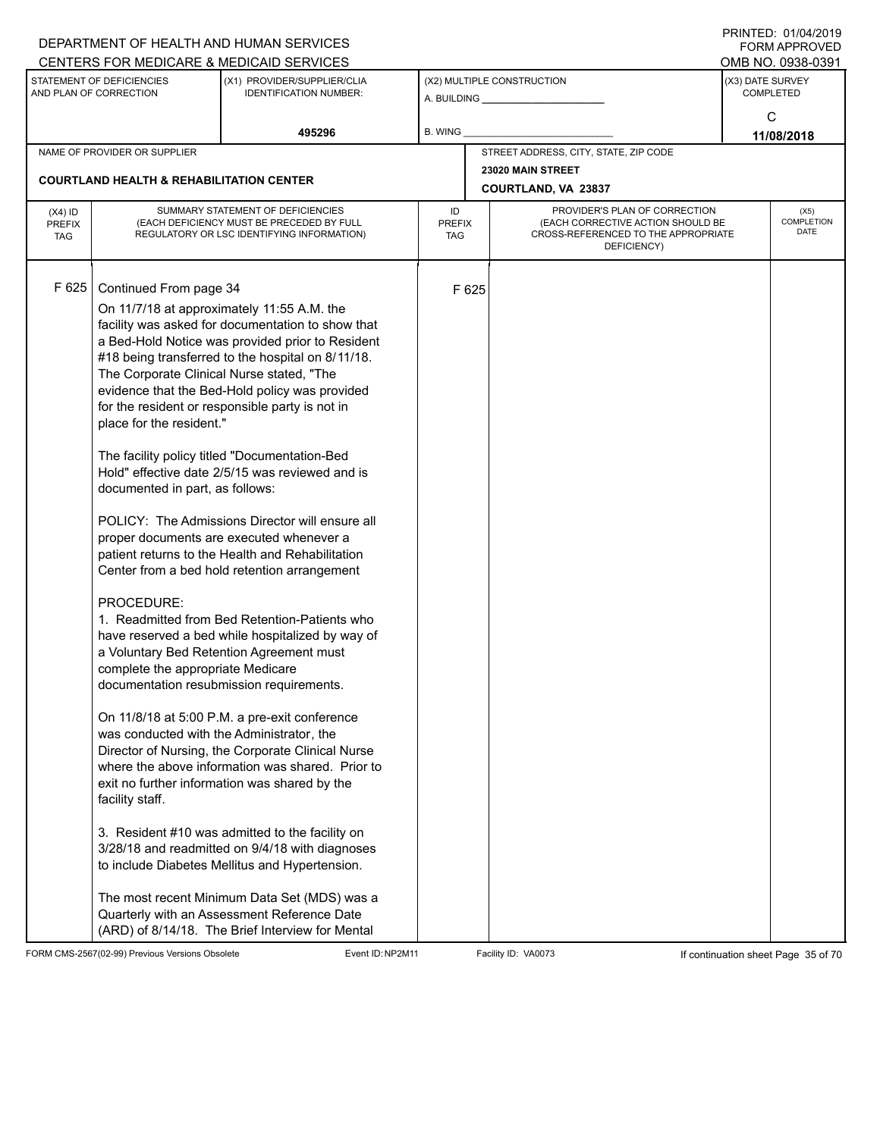|                                          |                                                                                                                                                                                                                                                       | DEPARTMENT OF HEALTH AND HUMAN SERVICES<br>CENTERS FOR MEDICARE & MEDICAID SERVICES                                                                                                                                                                                                                                                                                                                                                                                                                                                                                                                                                                                                                                                                                                                                                                                                                                                                                                                                                                                                                                                                                                                                                                                                                                                     |                                   |       |                                                                                                                          |                  | FININILU. VIIVHIZVI J<br><b>FORM APPROVED</b><br>OMB NO. 0938-0391 |
|------------------------------------------|-------------------------------------------------------------------------------------------------------------------------------------------------------------------------------------------------------------------------------------------------------|-----------------------------------------------------------------------------------------------------------------------------------------------------------------------------------------------------------------------------------------------------------------------------------------------------------------------------------------------------------------------------------------------------------------------------------------------------------------------------------------------------------------------------------------------------------------------------------------------------------------------------------------------------------------------------------------------------------------------------------------------------------------------------------------------------------------------------------------------------------------------------------------------------------------------------------------------------------------------------------------------------------------------------------------------------------------------------------------------------------------------------------------------------------------------------------------------------------------------------------------------------------------------------------------------------------------------------------------|-----------------------------------|-------|--------------------------------------------------------------------------------------------------------------------------|------------------|--------------------------------------------------------------------|
|                                          | STATEMENT OF DEFICIENCIES<br>AND PLAN OF CORRECTION                                                                                                                                                                                                   | (X1) PROVIDER/SUPPLIER/CLIA<br><b>IDENTIFICATION NUMBER:</b>                                                                                                                                                                                                                                                                                                                                                                                                                                                                                                                                                                                                                                                                                                                                                                                                                                                                                                                                                                                                                                                                                                                                                                                                                                                                            |                                   |       | (X2) MULTIPLE CONSTRUCTION                                                                                               | (X3) DATE SURVEY | <b>COMPLETED</b>                                                   |
|                                          |                                                                                                                                                                                                                                                       | 495296                                                                                                                                                                                                                                                                                                                                                                                                                                                                                                                                                                                                                                                                                                                                                                                                                                                                                                                                                                                                                                                                                                                                                                                                                                                                                                                                  | B. WING                           |       |                                                                                                                          |                  | C<br>11/08/2018                                                    |
|                                          | NAME OF PROVIDER OR SUPPLIER                                                                                                                                                                                                                          |                                                                                                                                                                                                                                                                                                                                                                                                                                                                                                                                                                                                                                                                                                                                                                                                                                                                                                                                                                                                                                                                                                                                                                                                                                                                                                                                         |                                   |       | STREET ADDRESS, CITY, STATE, ZIP CODE                                                                                    |                  |                                                                    |
|                                          | <b>COURTLAND HEALTH &amp; REHABILITATION CENTER</b>                                                                                                                                                                                                   |                                                                                                                                                                                                                                                                                                                                                                                                                                                                                                                                                                                                                                                                                                                                                                                                                                                                                                                                                                                                                                                                                                                                                                                                                                                                                                                                         |                                   |       | 23020 MAIN STREET<br><b>COURTLAND, VA 23837</b>                                                                          |                  |                                                                    |
| $(X4)$ ID<br><b>PREFIX</b><br><b>TAG</b> |                                                                                                                                                                                                                                                       | SUMMARY STATEMENT OF DEFICIENCIES<br>(EACH DEFICIENCY MUST BE PRECEDED BY FULL<br>REGULATORY OR LSC IDENTIFYING INFORMATION)                                                                                                                                                                                                                                                                                                                                                                                                                                                                                                                                                                                                                                                                                                                                                                                                                                                                                                                                                                                                                                                                                                                                                                                                            | ID<br><b>PREFIX</b><br><b>TAG</b> |       | PROVIDER'S PLAN OF CORRECTION<br>(EACH CORRECTIVE ACTION SHOULD BE<br>CROSS-REFERENCED TO THE APPROPRIATE<br>DEFICIENCY) |                  | (X5)<br>COMPLETION<br><b>DATE</b>                                  |
| F 625                                    | Continued From page 34<br>The Corporate Clinical Nurse stated, "The<br>place for the resident."<br>documented in part, as follows:<br>PROCEDURE:<br>complete the appropriate Medicare<br>was conducted with the Administrator, the<br>facility staff. | On 11/7/18 at approximately 11:55 A.M. the<br>facility was asked for documentation to show that<br>a Bed-Hold Notice was provided prior to Resident<br>#18 being transferred to the hospital on 8/11/18.<br>evidence that the Bed-Hold policy was provided<br>for the resident or responsible party is not in<br>The facility policy titled "Documentation-Bed<br>Hold" effective date 2/5/15 was reviewed and is<br>POLICY: The Admissions Director will ensure all<br>proper documents are executed whenever a<br>patient returns to the Health and Rehabilitation<br>Center from a bed hold retention arrangement<br>1. Readmitted from Bed Retention-Patients who<br>have reserved a bed while hospitalized by way of<br>a Voluntary Bed Retention Agreement must<br>documentation resubmission requirements.<br>On 11/8/18 at 5:00 P.M. a pre-exit conference<br>Director of Nursing, the Corporate Clinical Nurse<br>where the above information was shared. Prior to<br>exit no further information was shared by the<br>3. Resident #10 was admitted to the facility on<br>3/28/18 and readmitted on 9/4/18 with diagnoses<br>to include Diabetes Mellitus and Hypertension.<br>The most recent Minimum Data Set (MDS) was a<br>Quarterly with an Assessment Reference Date<br>(ARD) of 8/14/18. The Brief Interview for Mental |                                   | F 625 |                                                                                                                          |                  |                                                                    |

FORM CMS-2567(02-99) Previous Versions Obsolete Event ID:NP2M11 Facility ID: VA0073 If continuation sheet Page 35 of 70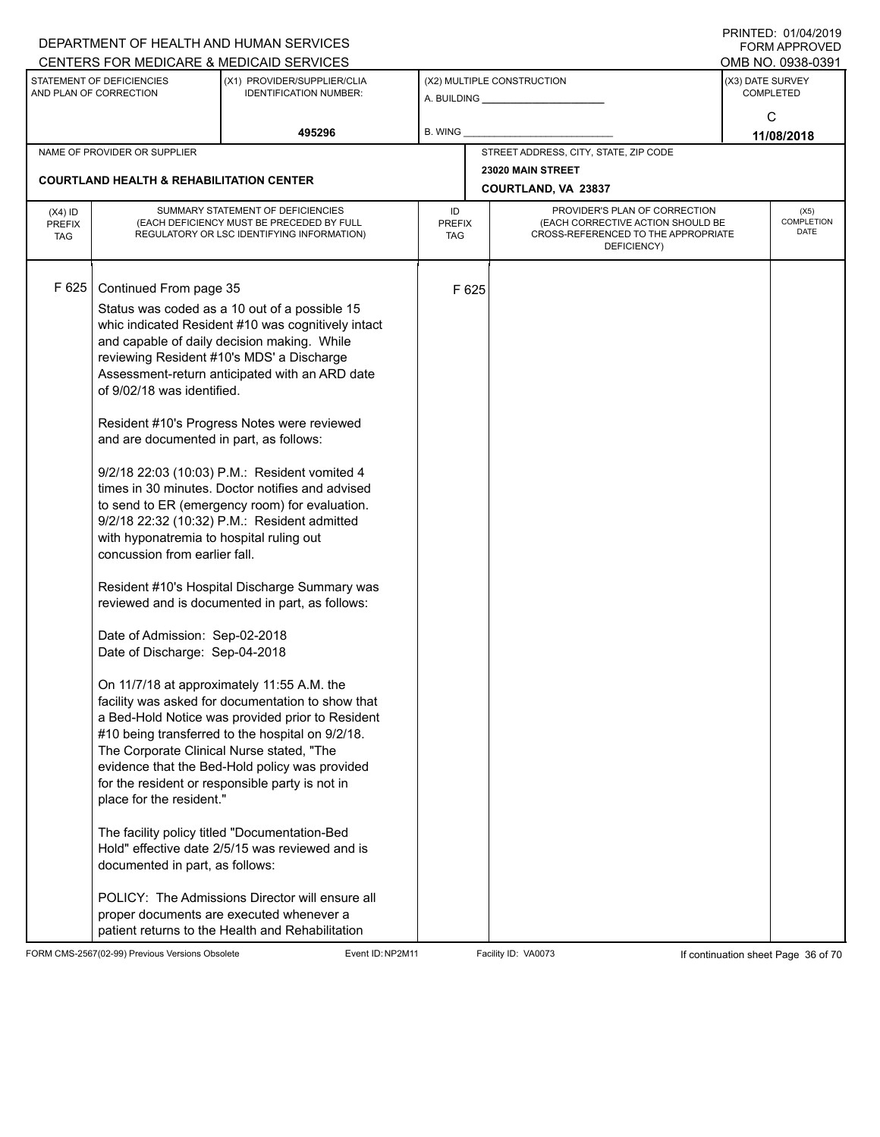|                                                                                                 |                                                                                                                                                                                                                                                                                                                                                              | DEPARTMENT OF HEALTH AND HUMAN SERVICES                                                                                                                                                                                                                                                                                                                                                                                                                                                                                                                                                                                                                                                                                                                                                                                                                                                                                                                                                                                                                                                                                                                                            |                                   |       |                                                                                                                          |                  | FININILU. VIIVHIZVI J<br><b>FORM APPROVED</b><br>OMB NO. 0938-0391 |
|-------------------------------------------------------------------------------------------------|--------------------------------------------------------------------------------------------------------------------------------------------------------------------------------------------------------------------------------------------------------------------------------------------------------------------------------------------------------------|------------------------------------------------------------------------------------------------------------------------------------------------------------------------------------------------------------------------------------------------------------------------------------------------------------------------------------------------------------------------------------------------------------------------------------------------------------------------------------------------------------------------------------------------------------------------------------------------------------------------------------------------------------------------------------------------------------------------------------------------------------------------------------------------------------------------------------------------------------------------------------------------------------------------------------------------------------------------------------------------------------------------------------------------------------------------------------------------------------------------------------------------------------------------------------|-----------------------------------|-------|--------------------------------------------------------------------------------------------------------------------------|------------------|--------------------------------------------------------------------|
| CENTERS FOR MEDICARE & MEDICAID SERVICES<br>STATEMENT OF DEFICIENCIES<br>AND PLAN OF CORRECTION |                                                                                                                                                                                                                                                                                                                                                              | (X1) PROVIDER/SUPPLIER/CLIA<br><b>IDENTIFICATION NUMBER:</b>                                                                                                                                                                                                                                                                                                                                                                                                                                                                                                                                                                                                                                                                                                                                                                                                                                                                                                                                                                                                                                                                                                                       |                                   |       | (X2) MULTIPLE CONSTRUCTION<br>A. BUILDING A. BUILDING                                                                    | (X3) DATE SURVEY | <b>COMPLETED</b>                                                   |
|                                                                                                 |                                                                                                                                                                                                                                                                                                                                                              | 495296                                                                                                                                                                                                                                                                                                                                                                                                                                                                                                                                                                                                                                                                                                                                                                                                                                                                                                                                                                                                                                                                                                                                                                             | <b>B. WING</b>                    |       |                                                                                                                          |                  | C<br>11/08/2018                                                    |
|                                                                                                 | NAME OF PROVIDER OR SUPPLIER                                                                                                                                                                                                                                                                                                                                 |                                                                                                                                                                                                                                                                                                                                                                                                                                                                                                                                                                                                                                                                                                                                                                                                                                                                                                                                                                                                                                                                                                                                                                                    |                                   |       | STREET ADDRESS, CITY, STATE, ZIP CODE                                                                                    |                  |                                                                    |
|                                                                                                 | <b>COURTLAND HEALTH &amp; REHABILITATION CENTER</b>                                                                                                                                                                                                                                                                                                          |                                                                                                                                                                                                                                                                                                                                                                                                                                                                                                                                                                                                                                                                                                                                                                                                                                                                                                                                                                                                                                                                                                                                                                                    |                                   |       | 23020 MAIN STREET<br><b>COURTLAND, VA 23837</b>                                                                          |                  |                                                                    |
| $(X4)$ ID<br><b>PREFIX</b><br><b>TAG</b>                                                        |                                                                                                                                                                                                                                                                                                                                                              | SUMMARY STATEMENT OF DEFICIENCIES<br>(EACH DEFICIENCY MUST BE PRECEDED BY FULL<br>REGULATORY OR LSC IDENTIFYING INFORMATION)                                                                                                                                                                                                                                                                                                                                                                                                                                                                                                                                                                                                                                                                                                                                                                                                                                                                                                                                                                                                                                                       | ID<br><b>PREFIX</b><br><b>TAG</b> |       | PROVIDER'S PLAN OF CORRECTION<br>(EACH CORRECTIVE ACTION SHOULD BE<br>CROSS-REFERENCED TO THE APPROPRIATE<br>DEFICIENCY) |                  | (X5)<br>COMPLETION<br><b>DATE</b>                                  |
| F 625                                                                                           | Continued From page 35<br>of 9/02/18 was identified.<br>and are documented in part, as follows:<br>with hyponatremia to hospital ruling out<br>concussion from earlier fall.<br>Date of Admission: Sep-02-2018<br>Date of Discharge: Sep-04-2018<br>The Corporate Clinical Nurse stated, "The<br>place for the resident."<br>documented in part, as follows: | Status was coded as a 10 out of a possible 15<br>whic indicated Resident #10 was cognitively intact<br>and capable of daily decision making. While<br>reviewing Resident #10's MDS' a Discharge<br>Assessment-return anticipated with an ARD date<br>Resident #10's Progress Notes were reviewed<br>9/2/18 22:03 (10:03) P.M.: Resident vomited 4<br>times in 30 minutes. Doctor notifies and advised<br>to send to ER (emergency room) for evaluation.<br>9/2/18 22:32 (10:32) P.M.: Resident admitted<br>Resident #10's Hospital Discharge Summary was<br>reviewed and is documented in part, as follows:<br>On 11/7/18 at approximately 11:55 A.M. the<br>facility was asked for documentation to show that<br>a Bed-Hold Notice was provided prior to Resident<br>#10 being transferred to the hospital on 9/2/18.<br>evidence that the Bed-Hold policy was provided<br>for the resident or responsible party is not in<br>The facility policy titled "Documentation-Bed<br>Hold" effective date 2/5/15 was reviewed and is<br>POLICY: The Admissions Director will ensure all<br>proper documents are executed whenever a<br>patient returns to the Health and Rehabilitation |                                   | F 625 |                                                                                                                          |                  |                                                                    |

FORM CMS-2567(02-99) Previous Versions Obsolete Event ID:NP2M11 Facility ID: VA0073 If continuation sheet Page 36 of 70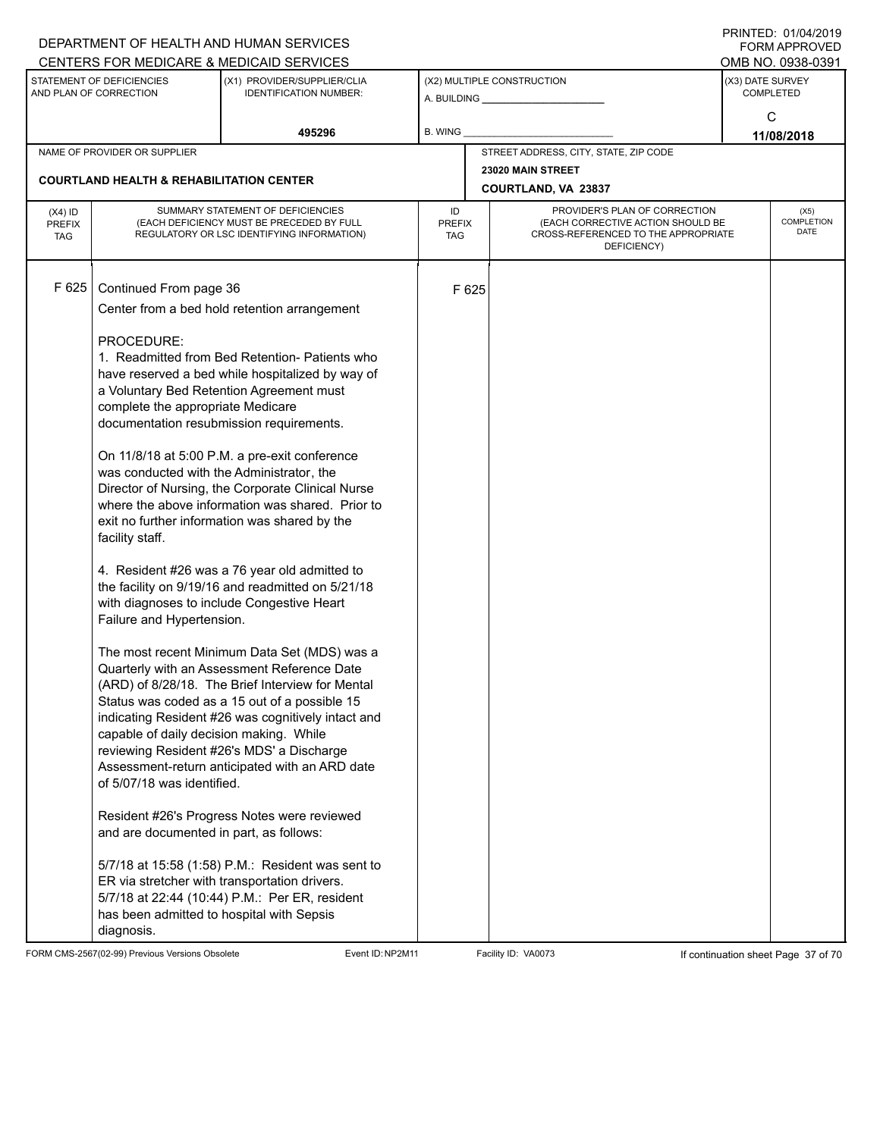|                                          |                                                                                                                                                                                                                                                                                                                                         | DEPARTMENT OF HEALTH AND HUMAN SERVICES<br>CENTERS FOR MEDICARE & MEDICAID SERVICES                                                                                                                                                                                                                                                                                                                                                                                                                                                                                                                                                                                                                                                                                                                                                                                                                                                                                                                                                                                                                                                                                       |                                   |       |                                                                                                                          | FININILU. VIIVHIZVI J<br><b>FORM APPROVED</b><br>OMB NO. 0938-0391 |
|------------------------------------------|-----------------------------------------------------------------------------------------------------------------------------------------------------------------------------------------------------------------------------------------------------------------------------------------------------------------------------------------|---------------------------------------------------------------------------------------------------------------------------------------------------------------------------------------------------------------------------------------------------------------------------------------------------------------------------------------------------------------------------------------------------------------------------------------------------------------------------------------------------------------------------------------------------------------------------------------------------------------------------------------------------------------------------------------------------------------------------------------------------------------------------------------------------------------------------------------------------------------------------------------------------------------------------------------------------------------------------------------------------------------------------------------------------------------------------------------------------------------------------------------------------------------------------|-----------------------------------|-------|--------------------------------------------------------------------------------------------------------------------------|--------------------------------------------------------------------|
|                                          | STATEMENT OF DEFICIENCIES<br>AND PLAN OF CORRECTION                                                                                                                                                                                                                                                                                     | (X1) PROVIDER/SUPPLIER/CLIA<br><b>IDENTIFICATION NUMBER:</b>                                                                                                                                                                                                                                                                                                                                                                                                                                                                                                                                                                                                                                                                                                                                                                                                                                                                                                                                                                                                                                                                                                              |                                   |       | (X2) MULTIPLE CONSTRUCTION                                                                                               | (X3) DATE SURVEY<br><b>COMPLETED</b>                               |
|                                          |                                                                                                                                                                                                                                                                                                                                         | 495296                                                                                                                                                                                                                                                                                                                                                                                                                                                                                                                                                                                                                                                                                                                                                                                                                                                                                                                                                                                                                                                                                                                                                                    | <b>B. WING</b>                    |       |                                                                                                                          | C<br>11/08/2018                                                    |
|                                          | NAME OF PROVIDER OR SUPPLIER                                                                                                                                                                                                                                                                                                            |                                                                                                                                                                                                                                                                                                                                                                                                                                                                                                                                                                                                                                                                                                                                                                                                                                                                                                                                                                                                                                                                                                                                                                           |                                   |       | STREET ADDRESS, CITY, STATE, ZIP CODE                                                                                    |                                                                    |
|                                          | <b>COURTLAND HEALTH &amp; REHABILITATION CENTER</b>                                                                                                                                                                                                                                                                                     |                                                                                                                                                                                                                                                                                                                                                                                                                                                                                                                                                                                                                                                                                                                                                                                                                                                                                                                                                                                                                                                                                                                                                                           |                                   |       | 23020 MAIN STREET<br>COURTLAND, VA 23837                                                                                 |                                                                    |
| $(X4)$ ID<br><b>PREFIX</b><br><b>TAG</b> |                                                                                                                                                                                                                                                                                                                                         | SUMMARY STATEMENT OF DEFICIENCIES<br>(EACH DEFICIENCY MUST BE PRECEDED BY FULL<br>REGULATORY OR LSC IDENTIFYING INFORMATION)                                                                                                                                                                                                                                                                                                                                                                                                                                                                                                                                                                                                                                                                                                                                                                                                                                                                                                                                                                                                                                              | ID<br><b>PREFIX</b><br><b>TAG</b> |       | PROVIDER'S PLAN OF CORRECTION<br>(EACH CORRECTIVE ACTION SHOULD BE<br>CROSS-REFERENCED TO THE APPROPRIATE<br>DEFICIENCY) | (X5)<br>COMPLETION<br><b>DATE</b>                                  |
| F 625                                    | Continued From page 36<br>PROCEDURE:<br>complete the appropriate Medicare<br>was conducted with the Administrator, the<br>facility staff.<br>Failure and Hypertension.<br>capable of daily decision making. While<br>of 5/07/18 was identified.<br>and are documented in part, as follows:<br>has been admitted to hospital with Sepsis | Center from a bed hold retention arrangement<br>1. Readmitted from Bed Retention- Patients who<br>have reserved a bed while hospitalized by way of<br>a Voluntary Bed Retention Agreement must<br>documentation resubmission requirements.<br>On 11/8/18 at 5:00 P.M. a pre-exit conference<br>Director of Nursing, the Corporate Clinical Nurse<br>where the above information was shared. Prior to<br>exit no further information was shared by the<br>4. Resident #26 was a 76 year old admitted to<br>the facility on 9/19/16 and readmitted on 5/21/18<br>with diagnoses to include Congestive Heart<br>The most recent Minimum Data Set (MDS) was a<br>Quarterly with an Assessment Reference Date<br>(ARD) of 8/28/18. The Brief Interview for Mental<br>Status was coded as a 15 out of a possible 15<br>indicating Resident #26 was cognitively intact and<br>reviewing Resident #26's MDS' a Discharge<br>Assessment-return anticipated with an ARD date<br>Resident #26's Progress Notes were reviewed<br>5/7/18 at 15:58 (1:58) P.M.: Resident was sent to<br>ER via stretcher with transportation drivers.<br>5/7/18 at 22:44 (10:44) P.M.: Per ER, resident |                                   | F 625 |                                                                                                                          |                                                                    |
|                                          | diagnosis.                                                                                                                                                                                                                                                                                                                              |                                                                                                                                                                                                                                                                                                                                                                                                                                                                                                                                                                                                                                                                                                                                                                                                                                                                                                                                                                                                                                                                                                                                                                           |                                   |       |                                                                                                                          |                                                                    |

FORM CMS-2567(02-99) Previous Versions Obsolete Event ID:NP2M11 Facility ID: VA0073 If continuation sheet Page 37 of 70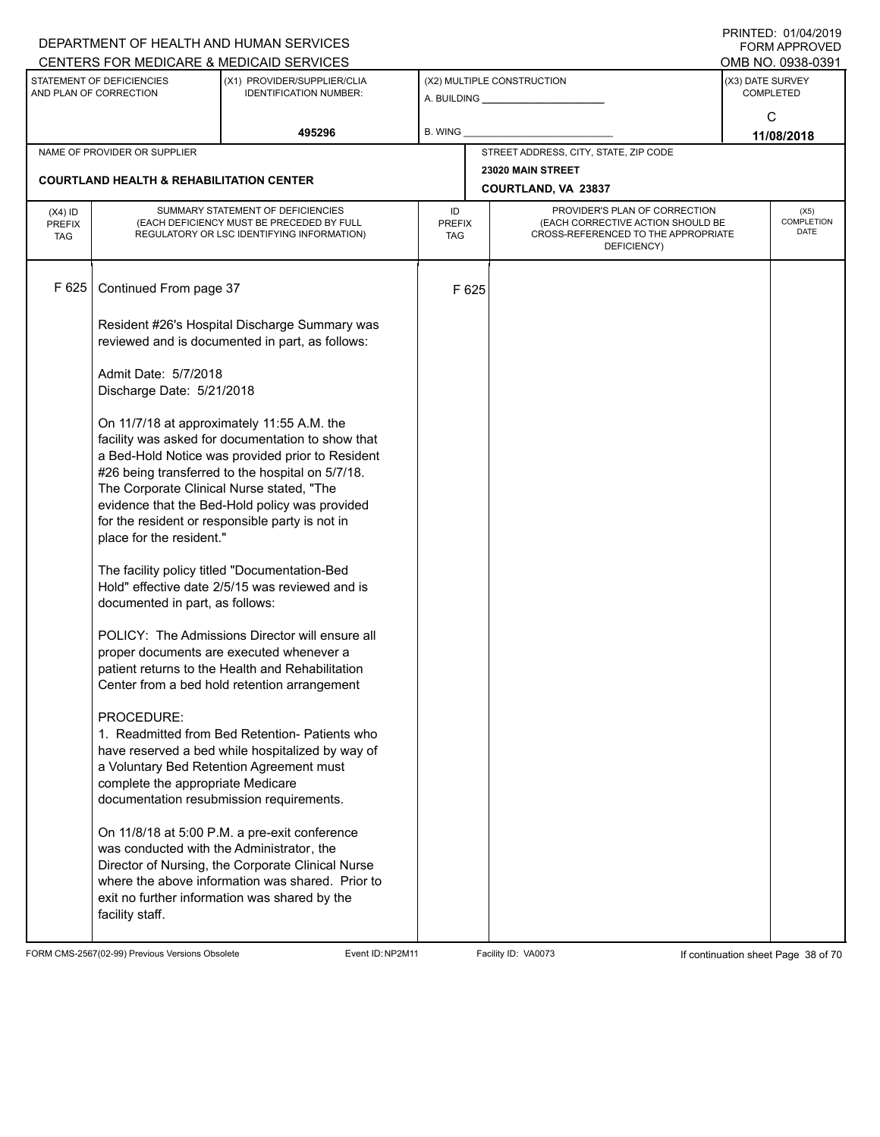|                                                                                                                     |                                                                       | DEPARTMENT OF HEALTH AND HUMAN SERVICES<br>CENTERS FOR MEDICARE & MEDICAID SERVICES                                                                                                                                                                                                                          |                                   |                            |                                                                                                                          |  | FININILU. VIIVHIZVI J<br><b>FORM APPROVED</b><br>OMB NO. 0938-0391 |
|---------------------------------------------------------------------------------------------------------------------|-----------------------------------------------------------------------|--------------------------------------------------------------------------------------------------------------------------------------------------------------------------------------------------------------------------------------------------------------------------------------------------------------|-----------------------------------|----------------------------|--------------------------------------------------------------------------------------------------------------------------|--|--------------------------------------------------------------------|
| STATEMENT OF DEFICIENCIES<br>(X1) PROVIDER/SUPPLIER/CLIA<br>AND PLAN OF CORRECTION<br><b>IDENTIFICATION NUMBER:</b> |                                                                       |                                                                                                                                                                                                                                                                                                              |                                   | (X2) MULTIPLE CONSTRUCTION | (X3) DATE SURVEY<br><b>COMPLETED</b>                                                                                     |  |                                                                    |
|                                                                                                                     |                                                                       | 495296                                                                                                                                                                                                                                                                                                       | <b>B. WING</b>                    |                            |                                                                                                                          |  | C<br>11/08/2018                                                    |
|                                                                                                                     | NAME OF PROVIDER OR SUPPLIER                                          |                                                                                                                                                                                                                                                                                                              |                                   |                            | STREET ADDRESS, CITY, STATE, ZIP CODE                                                                                    |  |                                                                    |
|                                                                                                                     | <b>COURTLAND HEALTH &amp; REHABILITATION CENTER</b>                   |                                                                                                                                                                                                                                                                                                              |                                   |                            | 23020 MAIN STREET<br>COURTLAND, VA 23837                                                                                 |  |                                                                    |
| $(X4)$ ID<br><b>PREFIX</b><br><b>TAG</b>                                                                            |                                                                       | SUMMARY STATEMENT OF DEFICIENCIES<br>(EACH DEFICIENCY MUST BE PRECEDED BY FULL<br>REGULATORY OR LSC IDENTIFYING INFORMATION)                                                                                                                                                                                 | ID<br><b>PREFIX</b><br><b>TAG</b> |                            | PROVIDER'S PLAN OF CORRECTION<br>(EACH CORRECTIVE ACTION SHOULD BE<br>CROSS-REFERENCED TO THE APPROPRIATE<br>DEFICIENCY) |  | (X5)<br>COMPLETION<br><b>DATE</b>                                  |
| F 625                                                                                                               | Continued From page 37                                                |                                                                                                                                                                                                                                                                                                              |                                   | F 625                      |                                                                                                                          |  |                                                                    |
|                                                                                                                     |                                                                       | Resident #26's Hospital Discharge Summary was<br>reviewed and is documented in part, as follows:                                                                                                                                                                                                             |                                   |                            |                                                                                                                          |  |                                                                    |
|                                                                                                                     | Admit Date: 5/7/2018<br>Discharge Date: 5/21/2018                     |                                                                                                                                                                                                                                                                                                              |                                   |                            |                                                                                                                          |  |                                                                    |
|                                                                                                                     | The Corporate Clinical Nurse stated, "The<br>place for the resident." | On 11/7/18 at approximately 11:55 A.M. the<br>facility was asked for documentation to show that<br>a Bed-Hold Notice was provided prior to Resident<br>#26 being transferred to the hospital on 5/7/18.<br>evidence that the Bed-Hold policy was provided<br>for the resident or responsible party is not in |                                   |                            |                                                                                                                          |  |                                                                    |
|                                                                                                                     | documented in part, as follows:                                       | The facility policy titled "Documentation-Bed<br>Hold" effective date 2/5/15 was reviewed and is                                                                                                                                                                                                             |                                   |                            |                                                                                                                          |  |                                                                    |
|                                                                                                                     |                                                                       | POLICY: The Admissions Director will ensure all<br>proper documents are executed whenever a<br>patient returns to the Health and Rehabilitation<br>Center from a bed hold retention arrangement                                                                                                              |                                   |                            |                                                                                                                          |  |                                                                    |
|                                                                                                                     | PROCEDURE:<br>complete the appropriate Medicare                       | 1. Readmitted from Bed Retention- Patients who<br>have reserved a bed while hospitalized by way of<br>a Voluntary Bed Retention Agreement must<br>documentation resubmission requirements.                                                                                                                   |                                   |                            |                                                                                                                          |  |                                                                    |
|                                                                                                                     | was conducted with the Administrator, the<br>facility staff.          | On 11/8/18 at 5:00 P.M. a pre-exit conference<br>Director of Nursing, the Corporate Clinical Nurse<br>where the above information was shared. Prior to<br>exit no further information was shared by the                                                                                                      |                                   |                            |                                                                                                                          |  |                                                                    |

FORM CMS-2567(02-99) Previous Versions Obsolete Event ID:NP2M11 Facility ID: VA0073 If continuation sheet Page 38 of 70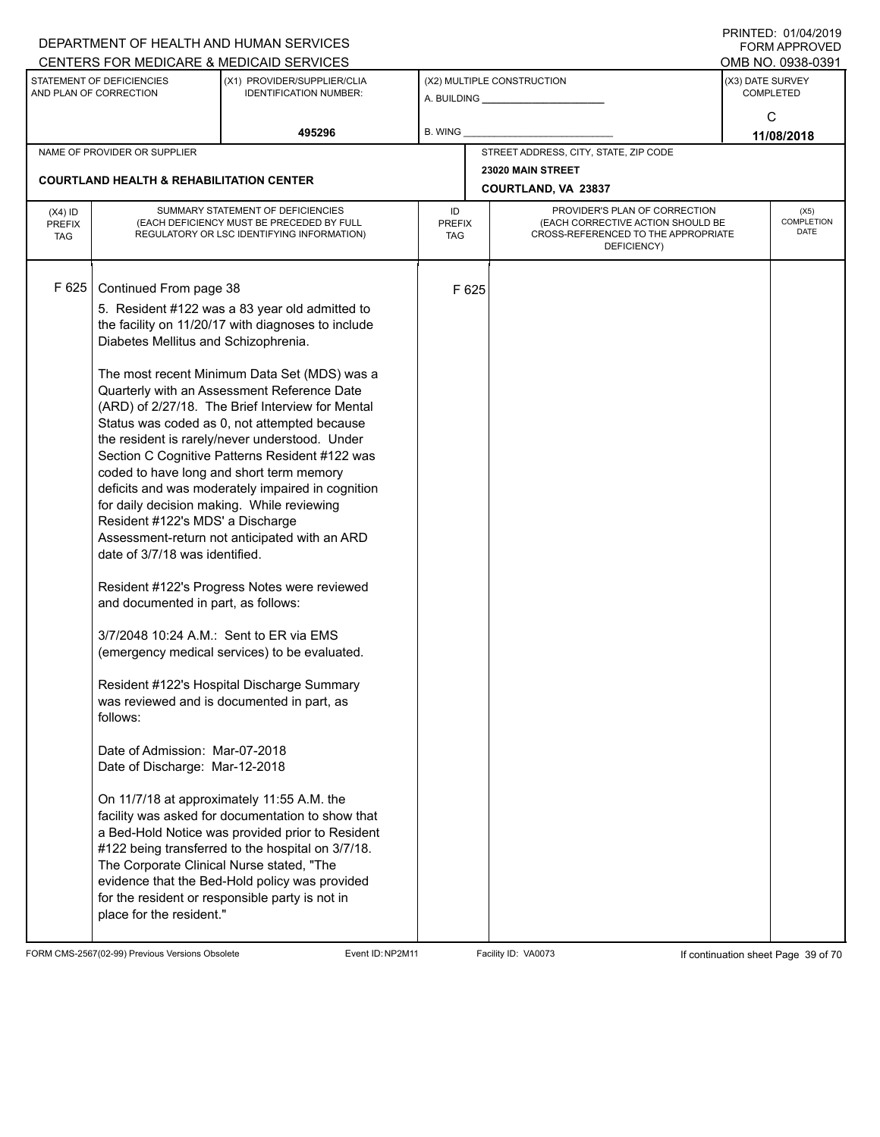|                                   |                                                                                                                                                                                                                                                                                                                                                             | DEPARTMENT OF HEALTH AND HUMAN SERVICES                                                                                                                                                                                                                                                                                                                                                                                                                                                                                                                                                                                                                                                                                                                                                                                                                                                                                                                             |                            |       |                                                                                                                          |                  | $1 \times 11 \times 11 = 12.$ $0 \times 110 = 12$<br><b>FORM APPROVED</b> |
|-----------------------------------|-------------------------------------------------------------------------------------------------------------------------------------------------------------------------------------------------------------------------------------------------------------------------------------------------------------------------------------------------------------|---------------------------------------------------------------------------------------------------------------------------------------------------------------------------------------------------------------------------------------------------------------------------------------------------------------------------------------------------------------------------------------------------------------------------------------------------------------------------------------------------------------------------------------------------------------------------------------------------------------------------------------------------------------------------------------------------------------------------------------------------------------------------------------------------------------------------------------------------------------------------------------------------------------------------------------------------------------------|----------------------------|-------|--------------------------------------------------------------------------------------------------------------------------|------------------|---------------------------------------------------------------------------|
|                                   |                                                                                                                                                                                                                                                                                                                                                             | CENTERS FOR MEDICARE & MEDICAID SERVICES                                                                                                                                                                                                                                                                                                                                                                                                                                                                                                                                                                                                                                                                                                                                                                                                                                                                                                                            |                            |       |                                                                                                                          |                  | OMB NO. 0938-0391                                                         |
|                                   | STATEMENT OF DEFICIENCIES<br>AND PLAN OF CORRECTION                                                                                                                                                                                                                                                                                                         | (X1) PROVIDER/SUPPLIER/CLIA<br><b>IDENTIFICATION NUMBER:</b>                                                                                                                                                                                                                                                                                                                                                                                                                                                                                                                                                                                                                                                                                                                                                                                                                                                                                                        |                            |       | (X2) MULTIPLE CONSTRUCTION<br>A. BUILDING A. BUILDING                                                                    | (X3) DATE SURVEY | <b>COMPLETED</b>                                                          |
|                                   |                                                                                                                                                                                                                                                                                                                                                             | 495296                                                                                                                                                                                                                                                                                                                                                                                                                                                                                                                                                                                                                                                                                                                                                                                                                                                                                                                                                              | B. WING                    |       |                                                                                                                          |                  | C<br>11/08/2018                                                           |
|                                   | NAME OF PROVIDER OR SUPPLIER                                                                                                                                                                                                                                                                                                                                |                                                                                                                                                                                                                                                                                                                                                                                                                                                                                                                                                                                                                                                                                                                                                                                                                                                                                                                                                                     |                            |       | STREET ADDRESS, CITY, STATE, ZIP CODE                                                                                    |                  |                                                                           |
|                                   | <b>COURTLAND HEALTH &amp; REHABILITATION CENTER</b>                                                                                                                                                                                                                                                                                                         |                                                                                                                                                                                                                                                                                                                                                                                                                                                                                                                                                                                                                                                                                                                                                                                                                                                                                                                                                                     |                            |       | 23020 MAIN STREET                                                                                                        |                  |                                                                           |
|                                   |                                                                                                                                                                                                                                                                                                                                                             |                                                                                                                                                                                                                                                                                                                                                                                                                                                                                                                                                                                                                                                                                                                                                                                                                                                                                                                                                                     |                            |       | COURTLAND, VA 23837                                                                                                      |                  |                                                                           |
| $(X4)$ ID<br>PREFIX<br><b>TAG</b> |                                                                                                                                                                                                                                                                                                                                                             | SUMMARY STATEMENT OF DEFICIENCIES<br>(EACH DEFICIENCY MUST BE PRECEDED BY FULL<br>REGULATORY OR LSC IDENTIFYING INFORMATION)                                                                                                                                                                                                                                                                                                                                                                                                                                                                                                                                                                                                                                                                                                                                                                                                                                        | ID<br><b>PREFIX</b><br>TAG |       | PROVIDER'S PLAN OF CORRECTION<br>(EACH CORRECTIVE ACTION SHOULD BE<br>CROSS-REFERENCED TO THE APPROPRIATE<br>DEFICIENCY) |                  | (X5)<br>COMPLETION<br><b>DATE</b>                                         |
| F 625                             | Continued From page 38<br>Diabetes Mellitus and Schizophrenia.                                                                                                                                                                                                                                                                                              | 5. Resident #122 was a 83 year old admitted to<br>the facility on 11/20/17 with diagnoses to include                                                                                                                                                                                                                                                                                                                                                                                                                                                                                                                                                                                                                                                                                                                                                                                                                                                                |                            | F 625 |                                                                                                                          |                  |                                                                           |
|                                   | for daily decision making. While reviewing<br>Resident #122's MDS' a Discharge<br>date of 3/7/18 was identified.<br>and documented in part, as follows:<br>3/7/2048 10:24 A.M.: Sent to ER via EMS<br>follows:<br>Date of Admission: Mar-07-2018<br>Date of Discharge: Mar-12-2018<br>The Corporate Clinical Nurse stated, "The<br>place for the resident." | The most recent Minimum Data Set (MDS) was a<br>Quarterly with an Assessment Reference Date<br>(ARD) of 2/27/18. The Brief Interview for Mental<br>Status was coded as 0, not attempted because<br>the resident is rarely/never understood. Under<br>Section C Cognitive Patterns Resident #122 was<br>coded to have long and short term memory<br>deficits and was moderately impaired in cognition<br>Assessment-return not anticipated with an ARD<br>Resident #122's Progress Notes were reviewed<br>(emergency medical services) to be evaluated.<br>Resident #122's Hospital Discharge Summary<br>was reviewed and is documented in part, as<br>On 11/7/18 at approximately 11:55 A.M. the<br>facility was asked for documentation to show that<br>a Bed-Hold Notice was provided prior to Resident<br>#122 being transferred to the hospital on 3/7/18.<br>evidence that the Bed-Hold policy was provided<br>for the resident or responsible party is not in |                            |       |                                                                                                                          |                  |                                                                           |

FORM CMS-2567(02-99) Previous Versions Obsolete Event ID:NP2M11 Facility ID: VA0073 If continuation sheet Page 39 of 70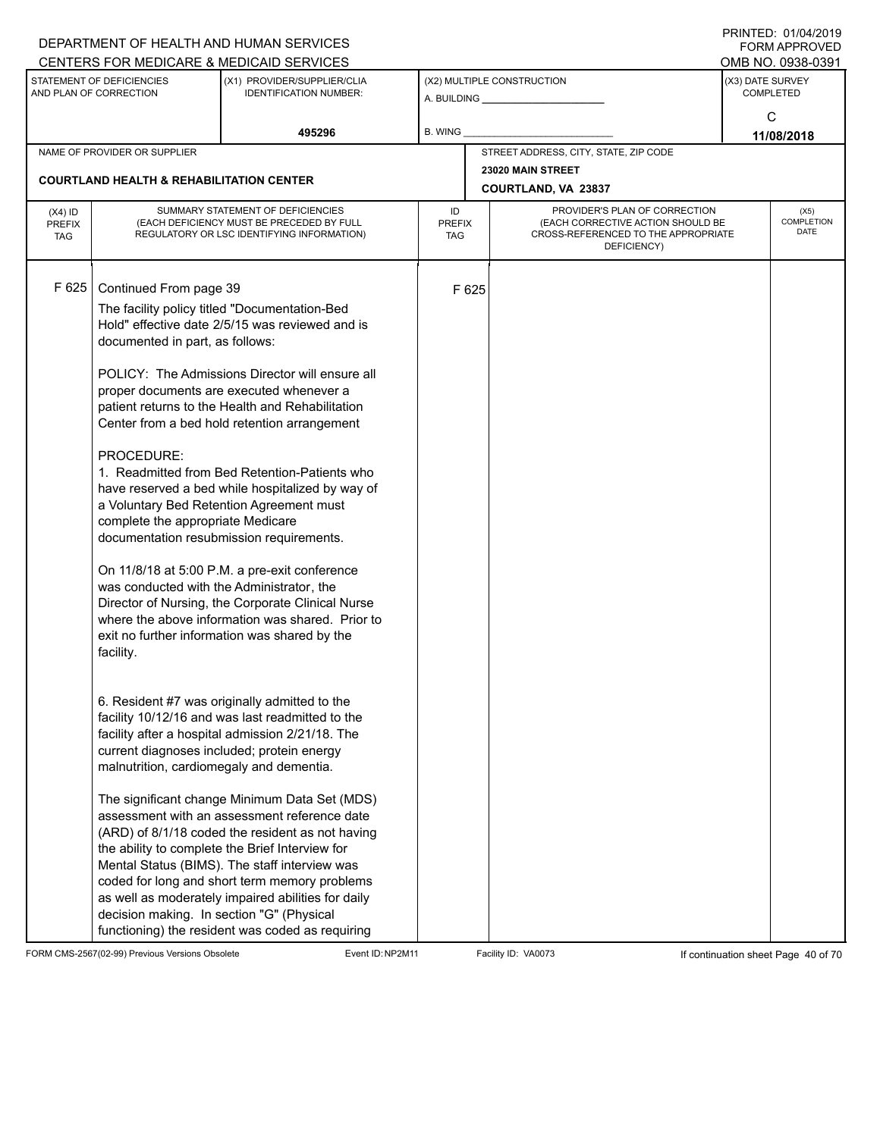|                                          |                                                                                                                                                                                                                    | DEPARTMENT OF HEALTH AND HUMAN SERVICES                                                                                                                                                                                                                                                                                                                                                                                                                                                                                                                                                                                                                                                                                                                                                                                                                                                                                                                                                                                                                                                                                                                                                                                                                                            |                            |       |                                                                                                                          |                  | $1 \times 11 \times 11 = 12.$ $0 \times 110 = 12$<br><b>FORM APPROVED</b> |
|------------------------------------------|--------------------------------------------------------------------------------------------------------------------------------------------------------------------------------------------------------------------|------------------------------------------------------------------------------------------------------------------------------------------------------------------------------------------------------------------------------------------------------------------------------------------------------------------------------------------------------------------------------------------------------------------------------------------------------------------------------------------------------------------------------------------------------------------------------------------------------------------------------------------------------------------------------------------------------------------------------------------------------------------------------------------------------------------------------------------------------------------------------------------------------------------------------------------------------------------------------------------------------------------------------------------------------------------------------------------------------------------------------------------------------------------------------------------------------------------------------------------------------------------------------------|----------------------------|-------|--------------------------------------------------------------------------------------------------------------------------|------------------|---------------------------------------------------------------------------|
|                                          |                                                                                                                                                                                                                    | CENTERS FOR MEDICARE & MEDICAID SERVICES                                                                                                                                                                                                                                                                                                                                                                                                                                                                                                                                                                                                                                                                                                                                                                                                                                                                                                                                                                                                                                                                                                                                                                                                                                           |                            |       |                                                                                                                          |                  | OMB NO. 0938-0391                                                         |
|                                          | STATEMENT OF DEFICIENCIES<br>AND PLAN OF CORRECTION                                                                                                                                                                | (X1) PROVIDER/SUPPLIER/CLIA<br><b>IDENTIFICATION NUMBER:</b>                                                                                                                                                                                                                                                                                                                                                                                                                                                                                                                                                                                                                                                                                                                                                                                                                                                                                                                                                                                                                                                                                                                                                                                                                       |                            |       | (X2) MULTIPLE CONSTRUCTION<br>A. BUILDING <b>A.</b> BUILDING                                                             | (X3) DATE SURVEY | <b>COMPLETED</b>                                                          |
|                                          |                                                                                                                                                                                                                    | 495296                                                                                                                                                                                                                                                                                                                                                                                                                                                                                                                                                                                                                                                                                                                                                                                                                                                                                                                                                                                                                                                                                                                                                                                                                                                                             | B. WING                    |       |                                                                                                                          |                  | C<br>11/08/2018                                                           |
|                                          | NAME OF PROVIDER OR SUPPLIER                                                                                                                                                                                       |                                                                                                                                                                                                                                                                                                                                                                                                                                                                                                                                                                                                                                                                                                                                                                                                                                                                                                                                                                                                                                                                                                                                                                                                                                                                                    |                            |       | STREET ADDRESS, CITY, STATE, ZIP CODE                                                                                    |                  |                                                                           |
|                                          |                                                                                                                                                                                                                    |                                                                                                                                                                                                                                                                                                                                                                                                                                                                                                                                                                                                                                                                                                                                                                                                                                                                                                                                                                                                                                                                                                                                                                                                                                                                                    |                            |       | 23020 MAIN STREET                                                                                                        |                  |                                                                           |
|                                          | <b>COURTLAND HEALTH &amp; REHABILITATION CENTER</b>                                                                                                                                                                |                                                                                                                                                                                                                                                                                                                                                                                                                                                                                                                                                                                                                                                                                                                                                                                                                                                                                                                                                                                                                                                                                                                                                                                                                                                                                    |                            |       | COURTLAND, VA 23837                                                                                                      |                  |                                                                           |
| $(X4)$ ID<br><b>PREFIX</b><br><b>TAG</b> |                                                                                                                                                                                                                    | SUMMARY STATEMENT OF DEFICIENCIES<br>(EACH DEFICIENCY MUST BE PRECEDED BY FULL<br>REGULATORY OR LSC IDENTIFYING INFORMATION)                                                                                                                                                                                                                                                                                                                                                                                                                                                                                                                                                                                                                                                                                                                                                                                                                                                                                                                                                                                                                                                                                                                                                       | ID<br><b>PREFIX</b><br>TAG |       | PROVIDER'S PLAN OF CORRECTION<br>(EACH CORRECTIVE ACTION SHOULD BE<br>CROSS-REFERENCED TO THE APPROPRIATE<br>DEFICIENCY) |                  | (X5)<br>COMPLETION<br><b>DATE</b>                                         |
| F 625                                    | Continued From page 39<br>documented in part, as follows:<br>PROCEDURE:<br>complete the appropriate Medicare<br>was conducted with the Administrator, the<br>facility.<br>malnutrition, cardiomegaly and dementia. | The facility policy titled "Documentation-Bed<br>Hold" effective date 2/5/15 was reviewed and is<br>POLICY: The Admissions Director will ensure all<br>proper documents are executed whenever a<br>patient returns to the Health and Rehabilitation<br>Center from a bed hold retention arrangement<br>1. Readmitted from Bed Retention-Patients who<br>have reserved a bed while hospitalized by way of<br>a Voluntary Bed Retention Agreement must<br>documentation resubmission requirements.<br>On 11/8/18 at 5:00 P.M. a pre-exit conference<br>Director of Nursing, the Corporate Clinical Nurse<br>where the above information was shared. Prior to<br>exit no further information was shared by the<br>6. Resident #7 was originally admitted to the<br>facility 10/12/16 and was last readmitted to the<br>facility after a hospital admission 2/21/18. The<br>current diagnoses included; protein energy<br>The significant change Minimum Data Set (MDS)<br>assessment with an assessment reference date<br>(ARD) of 8/1/18 coded the resident as not having<br>the ability to complete the Brief Interview for<br>Mental Status (BIMS). The staff interview was<br>coded for long and short term memory problems<br>as well as moderately impaired abilities for daily |                            | F 625 |                                                                                                                          |                  |                                                                           |
|                                          | decision making. In section "G" (Physical                                                                                                                                                                          | functioning) the resident was coded as requiring                                                                                                                                                                                                                                                                                                                                                                                                                                                                                                                                                                                                                                                                                                                                                                                                                                                                                                                                                                                                                                                                                                                                                                                                                                   |                            |       |                                                                                                                          |                  |                                                                           |

FORM CMS-2567(02-99) Previous Versions Obsolete Event ID:NP2M11 Facility ID: VA0073 If continuation sheet Page 40 of 70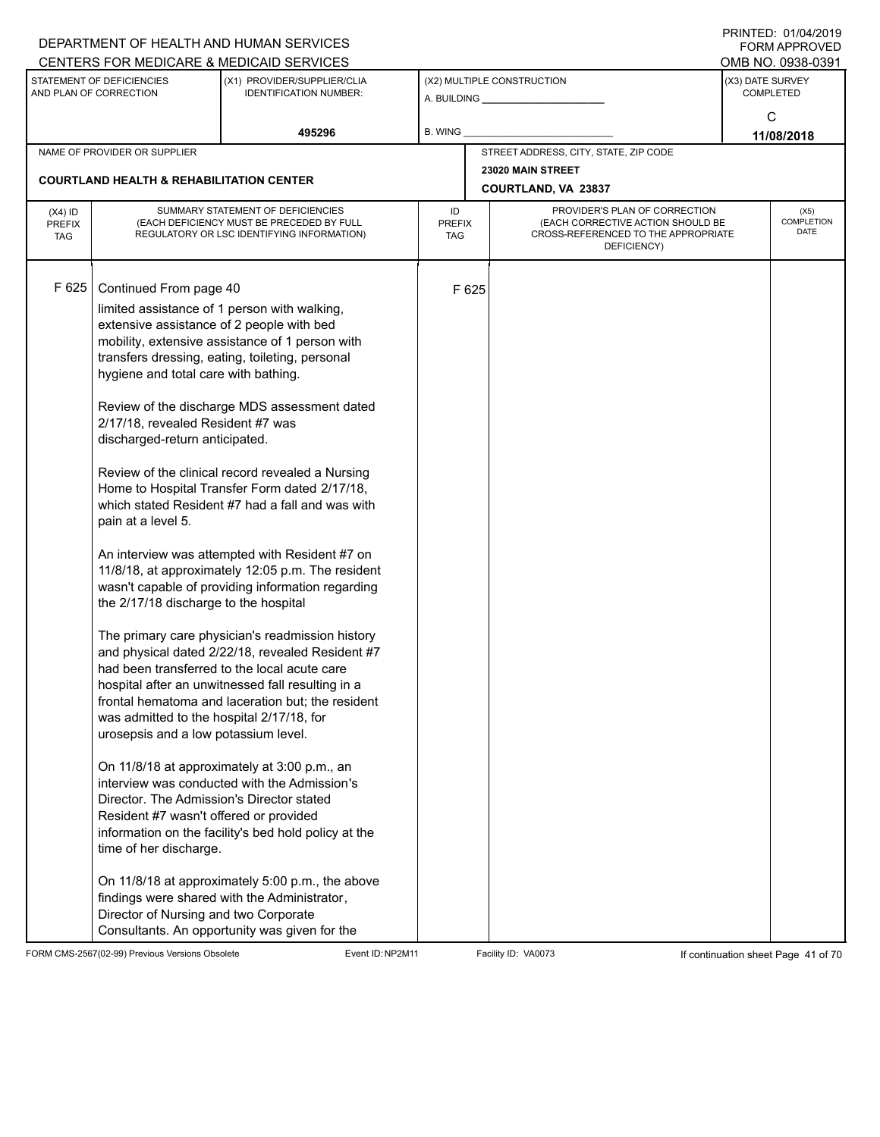|                                          |                                                                                                                                                                                                                                                                                                                                                                                                                                                                                                                                                  | DEPARTMENT OF HEALTH AND HUMAN SERVICES<br>CENTERS FOR MEDICARE & MEDICAID SERVICES                                                                                                                                                                                                                                                                                                                                                                                                                                                                                                                                                                                                                                                                                                                                                                                                                                                                                                                                                                    |                                   |       |                                                                                                                          | FININILU. VIIVHIZVI J<br><b>FORM APPROVED</b><br>OMB NO. 0938-0391 |
|------------------------------------------|--------------------------------------------------------------------------------------------------------------------------------------------------------------------------------------------------------------------------------------------------------------------------------------------------------------------------------------------------------------------------------------------------------------------------------------------------------------------------------------------------------------------------------------------------|--------------------------------------------------------------------------------------------------------------------------------------------------------------------------------------------------------------------------------------------------------------------------------------------------------------------------------------------------------------------------------------------------------------------------------------------------------------------------------------------------------------------------------------------------------------------------------------------------------------------------------------------------------------------------------------------------------------------------------------------------------------------------------------------------------------------------------------------------------------------------------------------------------------------------------------------------------------------------------------------------------------------------------------------------------|-----------------------------------|-------|--------------------------------------------------------------------------------------------------------------------------|--------------------------------------------------------------------|
|                                          | STATEMENT OF DEFICIENCIES<br>AND PLAN OF CORRECTION                                                                                                                                                                                                                                                                                                                                                                                                                                                                                              | (X1) PROVIDER/SUPPLIER/CLIA<br><b>IDENTIFICATION NUMBER:</b>                                                                                                                                                                                                                                                                                                                                                                                                                                                                                                                                                                                                                                                                                                                                                                                                                                                                                                                                                                                           |                                   |       | (X2) MULTIPLE CONSTRUCTION                                                                                               | (X3) DATE SURVEY<br><b>COMPLETED</b>                               |
|                                          |                                                                                                                                                                                                                                                                                                                                                                                                                                                                                                                                                  | 495296                                                                                                                                                                                                                                                                                                                                                                                                                                                                                                                                                                                                                                                                                                                                                                                                                                                                                                                                                                                                                                                 | <b>B. WING</b>                    |       |                                                                                                                          | C<br>11/08/2018                                                    |
|                                          | NAME OF PROVIDER OR SUPPLIER                                                                                                                                                                                                                                                                                                                                                                                                                                                                                                                     |                                                                                                                                                                                                                                                                                                                                                                                                                                                                                                                                                                                                                                                                                                                                                                                                                                                                                                                                                                                                                                                        |                                   |       | STREET ADDRESS, CITY, STATE, ZIP CODE                                                                                    |                                                                    |
|                                          | <b>COURTLAND HEALTH &amp; REHABILITATION CENTER</b>                                                                                                                                                                                                                                                                                                                                                                                                                                                                                              |                                                                                                                                                                                                                                                                                                                                                                                                                                                                                                                                                                                                                                                                                                                                                                                                                                                                                                                                                                                                                                                        |                                   |       | 23020 MAIN STREET<br><b>COURTLAND, VA 23837</b>                                                                          |                                                                    |
| $(X4)$ ID<br><b>PREFIX</b><br><b>TAG</b> |                                                                                                                                                                                                                                                                                                                                                                                                                                                                                                                                                  | SUMMARY STATEMENT OF DEFICIENCIES<br>(EACH DEFICIENCY MUST BE PRECEDED BY FULL<br>REGULATORY OR LSC IDENTIFYING INFORMATION)                                                                                                                                                                                                                                                                                                                                                                                                                                                                                                                                                                                                                                                                                                                                                                                                                                                                                                                           | ID<br><b>PREFIX</b><br><b>TAG</b> |       | PROVIDER'S PLAN OF CORRECTION<br>(EACH CORRECTIVE ACTION SHOULD BE<br>CROSS-REFERENCED TO THE APPROPRIATE<br>DEFICIENCY) | (X5)<br>COMPLETION<br><b>DATE</b>                                  |
| F 625                                    | Continued From page 40<br>limited assistance of 1 person with walking,<br>extensive assistance of 2 people with bed<br>hygiene and total care with bathing.<br>2/17/18, revealed Resident #7 was<br>discharged-return anticipated.<br>pain at a level 5.<br>the 2/17/18 discharge to the hospital<br>was admitted to the hospital 2/17/18, for<br>urosepsis and a low potassium level.<br>Director. The Admission's Director stated<br>Resident #7 wasn't offered or provided<br>time of her discharge.<br>Director of Nursing and two Corporate | mobility, extensive assistance of 1 person with<br>transfers dressing, eating, toileting, personal<br>Review of the discharge MDS assessment dated<br>Review of the clinical record revealed a Nursing<br>Home to Hospital Transfer Form dated 2/17/18,<br>which stated Resident #7 had a fall and was with<br>An interview was attempted with Resident #7 on<br>11/8/18, at approximately 12:05 p.m. The resident<br>wasn't capable of providing information regarding<br>The primary care physician's readmission history<br>and physical dated 2/22/18, revealed Resident #7<br>had been transferred to the local acute care<br>hospital after an unwitnessed fall resulting in a<br>frontal hematoma and laceration but; the resident<br>On 11/8/18 at approximately at 3:00 p.m., an<br>interview was conducted with the Admission's<br>information on the facility's bed hold policy at the<br>On 11/8/18 at approximately 5:00 p.m., the above<br>findings were shared with the Administrator,<br>Consultants. An opportunity was given for the |                                   | F 625 |                                                                                                                          |                                                                    |

FORM CMS-2567(02-99) Previous Versions Obsolete Event ID:NP2M11 Facility ID: VA0073 If continuation sheet Page 41 of 70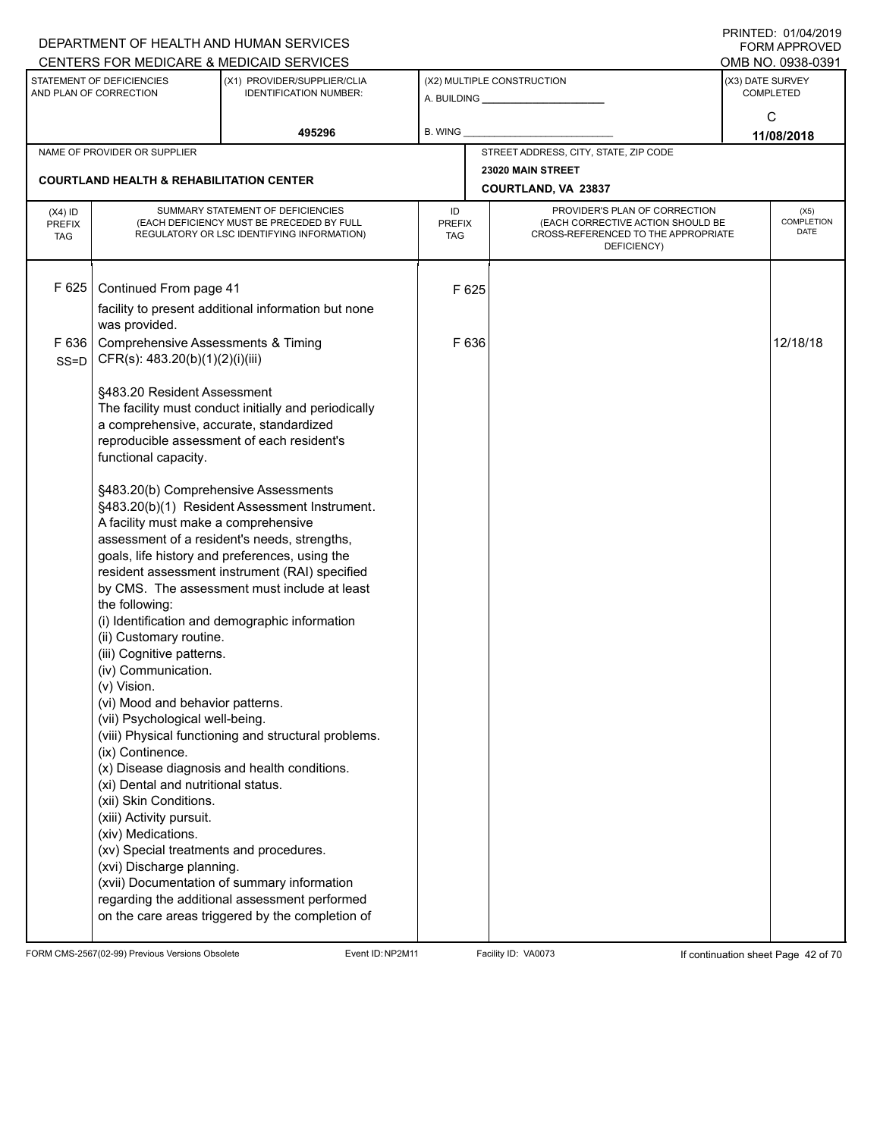|                                          |                                                                                                                                                                                                                                                                                                                                                                                                                                                                                                                                                                 | DEPARTMENT OF HEALTH AND HUMAN SERVICES                                                                                                                                                                                                                                                                                                                                                                                                                                                                                                                                  |                                   |                                                                                                                          | <b>FORM APPROVED</b>                     |
|------------------------------------------|-----------------------------------------------------------------------------------------------------------------------------------------------------------------------------------------------------------------------------------------------------------------------------------------------------------------------------------------------------------------------------------------------------------------------------------------------------------------------------------------------------------------------------------------------------------------|--------------------------------------------------------------------------------------------------------------------------------------------------------------------------------------------------------------------------------------------------------------------------------------------------------------------------------------------------------------------------------------------------------------------------------------------------------------------------------------------------------------------------------------------------------------------------|-----------------------------------|--------------------------------------------------------------------------------------------------------------------------|------------------------------------------|
|                                          |                                                                                                                                                                                                                                                                                                                                                                                                                                                                                                                                                                 | CENTERS FOR MEDICARE & MEDICAID SERVICES                                                                                                                                                                                                                                                                                                                                                                                                                                                                                                                                 |                                   |                                                                                                                          | OMB NO. 0938-0391                        |
|                                          | STATEMENT OF DEFICIENCIES<br>AND PLAN OF CORRECTION                                                                                                                                                                                                                                                                                                                                                                                                                                                                                                             | (X1) PROVIDER/SUPPLIER/CLIA<br><b>IDENTIFICATION NUMBER:</b>                                                                                                                                                                                                                                                                                                                                                                                                                                                                                                             |                                   | (X2) MULTIPLE CONSTRUCTION<br>A. BUILDING <b>A. BUILDING</b>                                                             | (X3) DATE SURVEY<br><b>COMPLETED</b>     |
|                                          |                                                                                                                                                                                                                                                                                                                                                                                                                                                                                                                                                                 | 495296                                                                                                                                                                                                                                                                                                                                                                                                                                                                                                                                                                   | B. WING                           |                                                                                                                          | C<br>11/08/2018                          |
|                                          | NAME OF PROVIDER OR SUPPLIER                                                                                                                                                                                                                                                                                                                                                                                                                                                                                                                                    |                                                                                                                                                                                                                                                                                                                                                                                                                                                                                                                                                                          |                                   | STREET ADDRESS, CITY, STATE, ZIP CODE                                                                                    |                                          |
|                                          | <b>COURTLAND HEALTH &amp; REHABILITATION CENTER</b>                                                                                                                                                                                                                                                                                                                                                                                                                                                                                                             |                                                                                                                                                                                                                                                                                                                                                                                                                                                                                                                                                                          |                                   | 23020 MAIN STREET<br>COURTLAND, VA 23837                                                                                 |                                          |
| $(X4)$ ID<br><b>PREFIX</b><br><b>TAG</b> |                                                                                                                                                                                                                                                                                                                                                                                                                                                                                                                                                                 | SUMMARY STATEMENT OF DEFICIENCIES<br>(EACH DEFICIENCY MUST BE PRECEDED BY FULL<br>REGULATORY OR LSC IDENTIFYING INFORMATION)                                                                                                                                                                                                                                                                                                                                                                                                                                             | ID<br><b>PREFIX</b><br><b>TAG</b> | PROVIDER'S PLAN OF CORRECTION<br>(EACH CORRECTIVE ACTION SHOULD BE<br>CROSS-REFERENCED TO THE APPROPRIATE<br>DEFICIENCY) | (X5)<br><b>COMPLETION</b><br><b>DATE</b> |
| F 625<br>F636<br>SS=D                    | Continued From page 41<br>was provided.<br><b>Comprehensive Assessments &amp; Timing</b><br>CFR(s): 483.20(b)(1)(2)(i)(iii)<br>§483.20 Resident Assessment<br>a comprehensive, accurate, standardized<br>functional capacity.<br>§483.20(b) Comprehensive Assessments<br>A facility must make a comprehensive<br>the following:<br>(ii) Customary routine.<br>(iii) Cognitive patterns.<br>(iv) Communication.<br>(v) Vision.<br>(vi) Mood and behavior patterns.<br>(vii) Psychological well-being.<br>(ix) Continence.<br>(xi) Dental and nutritional status. | facility to present additional information but none<br>The facility must conduct initially and periodically<br>reproducible assessment of each resident's<br>§483.20(b)(1) Resident Assessment Instrument.<br>assessment of a resident's needs, strengths,<br>goals, life history and preferences, using the<br>resident assessment instrument (RAI) specified<br>by CMS. The assessment must include at least<br>(i) Identification and demographic information<br>(viii) Physical functioning and structural problems.<br>(x) Disease diagnosis and health conditions. | F 625<br>F 636                    |                                                                                                                          | 12/18/18                                 |
|                                          | (xii) Skin Conditions.<br>(xiii) Activity pursuit.<br>(xiv) Medications.<br>(xv) Special treatments and procedures.<br>(xvi) Discharge planning.                                                                                                                                                                                                                                                                                                                                                                                                                | (xvii) Documentation of summary information<br>regarding the additional assessment performed<br>on the care areas triggered by the completion of                                                                                                                                                                                                                                                                                                                                                                                                                         |                                   |                                                                                                                          |                                          |

FORM CMS-2567(02-99) Previous Versions Obsolete Event ID:NP2M11 Facility ID: VA0073 If continuation sheet Page 42 of 70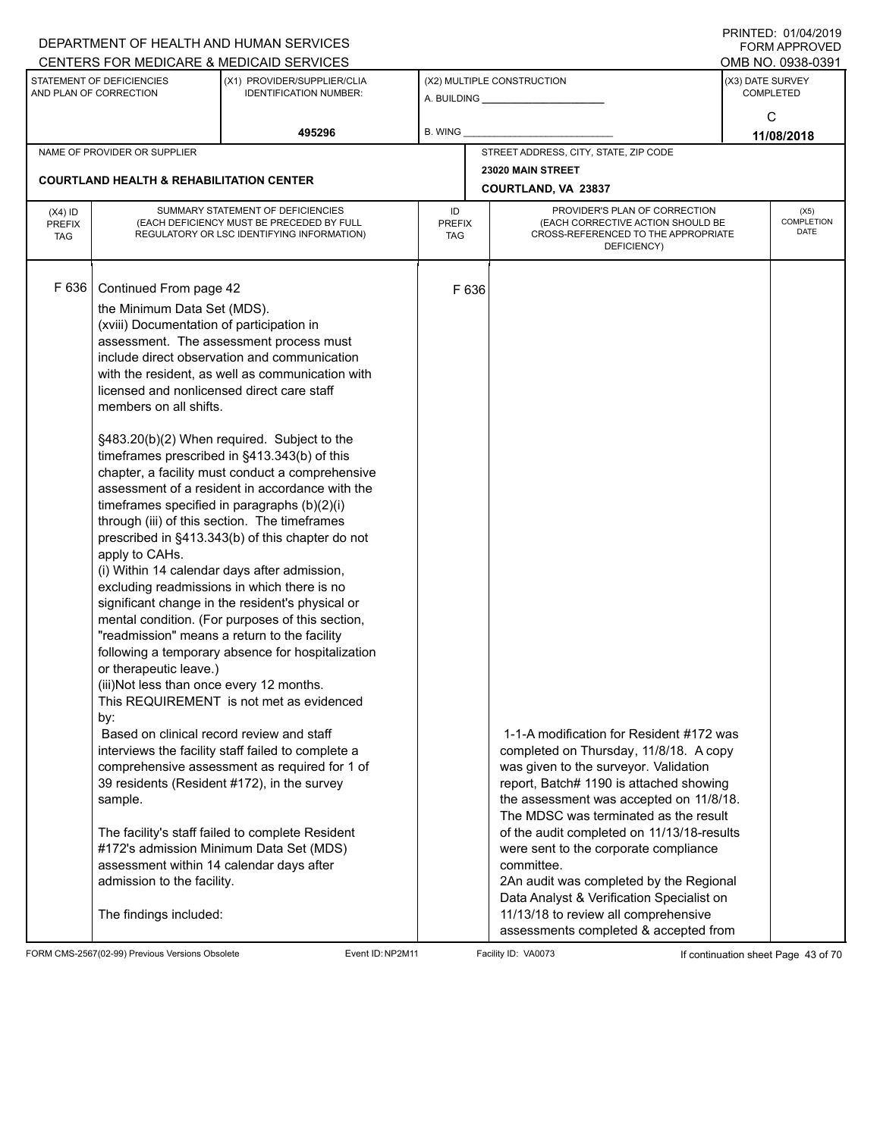|                                   |                                                                                                                                                                                                                                                                                                                                                                                                                                       | DEPARTMENT OF HEALTH AND HUMAN SERVICES                                                                                                                                                                                                                                                                                                                                                                                                                                                                                                                                                                                                                                                                                                                                                                                                                                                                                                                                                                                                                                                                             |                  |                                                                                                                                           |                                                                                                                                                                                                                                                                                                                                                                                                                                                                                                 |                  | FORM APPROVED                     |
|-----------------------------------|---------------------------------------------------------------------------------------------------------------------------------------------------------------------------------------------------------------------------------------------------------------------------------------------------------------------------------------------------------------------------------------------------------------------------------------|---------------------------------------------------------------------------------------------------------------------------------------------------------------------------------------------------------------------------------------------------------------------------------------------------------------------------------------------------------------------------------------------------------------------------------------------------------------------------------------------------------------------------------------------------------------------------------------------------------------------------------------------------------------------------------------------------------------------------------------------------------------------------------------------------------------------------------------------------------------------------------------------------------------------------------------------------------------------------------------------------------------------------------------------------------------------------------------------------------------------|------------------|-------------------------------------------------------------------------------------------------------------------------------------------|-------------------------------------------------------------------------------------------------------------------------------------------------------------------------------------------------------------------------------------------------------------------------------------------------------------------------------------------------------------------------------------------------------------------------------------------------------------------------------------------------|------------------|-----------------------------------|
|                                   |                                                                                                                                                                                                                                                                                                                                                                                                                                       | CENTERS FOR MEDICARE & MEDICAID SERVICES                                                                                                                                                                                                                                                                                                                                                                                                                                                                                                                                                                                                                                                                                                                                                                                                                                                                                                                                                                                                                                                                            |                  |                                                                                                                                           |                                                                                                                                                                                                                                                                                                                                                                                                                                                                                                 |                  | OMB NO. 0938-0391                 |
|                                   | STATEMENT OF DEFICIENCIES<br>AND PLAN OF CORRECTION                                                                                                                                                                                                                                                                                                                                                                                   | (X1) PROVIDER/SUPPLIER/CLIA<br><b>IDENTIFICATION NUMBER:</b>                                                                                                                                                                                                                                                                                                                                                                                                                                                                                                                                                                                                                                                                                                                                                                                                                                                                                                                                                                                                                                                        |                  |                                                                                                                                           | (X2) MULTIPLE CONSTRUCTION<br>A. BUILDING <b>A.</b> BUILDING                                                                                                                                                                                                                                                                                                                                                                                                                                    | (X3) DATE SURVEY | <b>COMPLETED</b>                  |
|                                   |                                                                                                                                                                                                                                                                                                                                                                                                                                       | 495296                                                                                                                                                                                                                                                                                                                                                                                                                                                                                                                                                                                                                                                                                                                                                                                                                                                                                                                                                                                                                                                                                                              | <b>B. WING</b>   |                                                                                                                                           |                                                                                                                                                                                                                                                                                                                                                                                                                                                                                                 |                  | C<br>11/08/2018                   |
|                                   | NAME OF PROVIDER OR SUPPLIER                                                                                                                                                                                                                                                                                                                                                                                                          |                                                                                                                                                                                                                                                                                                                                                                                                                                                                                                                                                                                                                                                                                                                                                                                                                                                                                                                                                                                                                                                                                                                     |                  |                                                                                                                                           | STREET ADDRESS, CITY, STATE, ZIP CODE                                                                                                                                                                                                                                                                                                                                                                                                                                                           |                  |                                   |
|                                   |                                                                                                                                                                                                                                                                                                                                                                                                                                       |                                                                                                                                                                                                                                                                                                                                                                                                                                                                                                                                                                                                                                                                                                                                                                                                                                                                                                                                                                                                                                                                                                                     |                  |                                                                                                                                           | 23020 MAIN STREET                                                                                                                                                                                                                                                                                                                                                                                                                                                                               |                  |                                   |
|                                   | <b>COURTLAND HEALTH &amp; REHABILITATION CENTER</b>                                                                                                                                                                                                                                                                                                                                                                                   |                                                                                                                                                                                                                                                                                                                                                                                                                                                                                                                                                                                                                                                                                                                                                                                                                                                                                                                                                                                                                                                                                                                     |                  |                                                                                                                                           | COURTLAND, VA 23837                                                                                                                                                                                                                                                                                                                                                                                                                                                                             |                  |                                   |
| $(X4)$ ID<br>PREFIX<br><b>TAG</b> |                                                                                                                                                                                                                                                                                                                                                                                                                                       | SUMMARY STATEMENT OF DEFICIENCIES<br>(EACH DEFICIENCY MUST BE PRECEDED BY FULL<br>REGULATORY OR LSC IDENTIFYING INFORMATION)                                                                                                                                                                                                                                                                                                                                                                                                                                                                                                                                                                                                                                                                                                                                                                                                                                                                                                                                                                                        | ID<br><b>TAG</b> | PROVIDER'S PLAN OF CORRECTION<br>(EACH CORRECTIVE ACTION SHOULD BE<br><b>PREFIX</b><br>CROSS-REFERENCED TO THE APPROPRIATE<br>DEFICIENCY) |                                                                                                                                                                                                                                                                                                                                                                                                                                                                                                 |                  | (X5)<br>COMPLETION<br><b>DATE</b> |
| F636                              | Continued From page 42<br>the Minimum Data Set (MDS).<br>(xviii) Documentation of participation in<br>licensed and nonlicensed direct care staff<br>members on all shifts.<br>apply to CAHs.<br>or therapeutic leave.)<br>(iii)Not less than once every 12 months.<br>by:<br>Based on clinical record review and staff<br>sample.<br>assessment within 14 calendar days after<br>admission to the facility.<br>The findings included: | assessment. The assessment process must<br>include direct observation and communication<br>with the resident, as well as communication with<br>§483.20(b)(2) When required. Subject to the<br>timeframes prescribed in §413.343(b) of this<br>chapter, a facility must conduct a comprehensive<br>assessment of a resident in accordance with the<br>timeframes specified in paragraphs (b)(2)(i)<br>through (iii) of this section. The timeframes<br>prescribed in §413.343(b) of this chapter do not<br>(i) Within 14 calendar days after admission,<br>excluding readmissions in which there is no<br>significant change in the resident's physical or<br>mental condition. (For purposes of this section,<br>"readmission" means a return to the facility<br>following a temporary absence for hospitalization<br>This REQUIREMENT is not met as evidenced<br>interviews the facility staff failed to complete a<br>comprehensive assessment as required for 1 of<br>39 residents (Resident #172), in the survey<br>The facility's staff failed to complete Resident<br>#172's admission Minimum Data Set (MDS) |                  | F 636                                                                                                                                     | 1-1-A modification for Resident #172 was<br>completed on Thursday, 11/8/18. A copy<br>was given to the surveyor. Validation<br>report, Batch# 1190 is attached showing<br>the assessment was accepted on 11/8/18.<br>The MDSC was terminated as the result<br>of the audit completed on 11/13/18-results<br>were sent to the corporate compliance<br>committee.<br>2An audit was completed by the Regional<br>Data Analyst & Verification Specialist on<br>11/13/18 to review all comprehensive |                  |                                   |
|                                   |                                                                                                                                                                                                                                                                                                                                                                                                                                       |                                                                                                                                                                                                                                                                                                                                                                                                                                                                                                                                                                                                                                                                                                                                                                                                                                                                                                                                                                                                                                                                                                                     |                  |                                                                                                                                           | assessments completed & accepted from                                                                                                                                                                                                                                                                                                                                                                                                                                                           |                  |                                   |

FORM CMS-2567(02-99) Previous Versions Obsolete Event ID:NP2M11 Facility ID: VA0073 If continuation sheet Page 43 of 70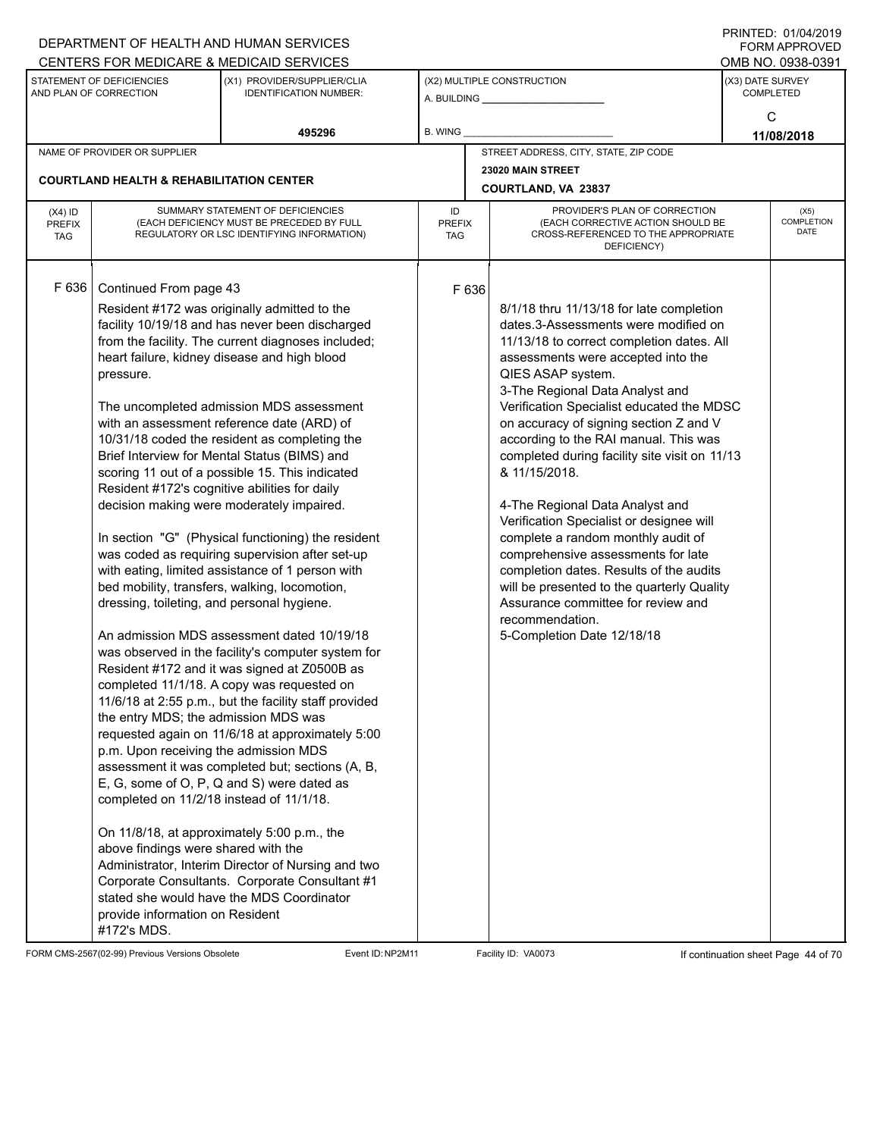|                                   |                                                                        | CENTERS FOR MEDICARE & MEDICAID SERVICES                                                                                                                                                         |                     |       |                                                                                                                          |                  | OMB NO. 0938-0391                 |
|-----------------------------------|------------------------------------------------------------------------|--------------------------------------------------------------------------------------------------------------------------------------------------------------------------------------------------|---------------------|-------|--------------------------------------------------------------------------------------------------------------------------|------------------|-----------------------------------|
|                                   | STATEMENT OF DEFICIENCIES<br>AND PLAN OF CORRECTION                    | (X1) PROVIDER/SUPPLIER/CLIA<br><b>IDENTIFICATION NUMBER:</b>                                                                                                                                     |                     |       | (X2) MULTIPLE CONSTRUCTION                                                                                               | (X3) DATE SURVEY | <b>COMPLETED</b>                  |
|                                   |                                                                        |                                                                                                                                                                                                  |                     |       |                                                                                                                          |                  | C                                 |
|                                   |                                                                        | 495296                                                                                                                                                                                           | B. WING             |       |                                                                                                                          |                  | 11/08/2018                        |
|                                   | NAME OF PROVIDER OR SUPPLIER                                           |                                                                                                                                                                                                  |                     |       | STREET ADDRESS, CITY, STATE, ZIP CODE<br>23020 MAIN STREET                                                               |                  |                                   |
|                                   | <b>COURTLAND HEALTH &amp; REHABILITATION CENTER</b>                    |                                                                                                                                                                                                  |                     |       | COURTLAND, VA 23837                                                                                                      |                  |                                   |
| $(X4)$ ID<br><b>PREFIX</b><br>TAG |                                                                        | SUMMARY STATEMENT OF DEFICIENCIES<br>(EACH DEFICIENCY MUST BE PRECEDED BY FULL<br>REGULATORY OR LSC IDENTIFYING INFORMATION)                                                                     | ID<br>PREFIX<br>TAG |       | PROVIDER'S PLAN OF CORRECTION<br>(EACH CORRECTIVE ACTION SHOULD BE<br>CROSS-REFERENCED TO THE APPROPRIATE<br>DEFICIENCY) |                  | (X5)<br><b>COMPLETION</b><br>DATE |
| F 636                             | Continued From page 43                                                 | Resident #172 was originally admitted to the                                                                                                                                                     |                     | F 636 | 8/1/18 thru 11/13/18 for late completion                                                                                 |                  |                                   |
|                                   |                                                                        | facility 10/19/18 and has never been discharged                                                                                                                                                  |                     |       | dates.3-Assessments were modified on                                                                                     |                  |                                   |
|                                   |                                                                        | from the facility. The current diagnoses included;                                                                                                                                               |                     |       | 11/13/18 to correct completion dates. All                                                                                |                  |                                   |
|                                   |                                                                        | heart failure, kidney disease and high blood                                                                                                                                                     |                     |       | assessments were accepted into the                                                                                       |                  |                                   |
|                                   | pressure.                                                              |                                                                                                                                                                                                  |                     |       | QIES ASAP system.                                                                                                        |                  |                                   |
|                                   |                                                                        | The uncompleted admission MDS assessment                                                                                                                                                         |                     |       | 3-The Regional Data Analyst and<br>Verification Specialist educated the MDSC                                             |                  |                                   |
|                                   |                                                                        | with an assessment reference date (ARD) of                                                                                                                                                       |                     |       | on accuracy of signing section Z and V                                                                                   |                  |                                   |
|                                   |                                                                        | 10/31/18 coded the resident as completing the                                                                                                                                                    |                     |       | according to the RAI manual. This was                                                                                    |                  |                                   |
|                                   |                                                                        | Brief Interview for Mental Status (BIMS) and                                                                                                                                                     |                     |       | completed during facility site visit on 11/13                                                                            |                  |                                   |
|                                   | Resident #172's cognitive abilities for daily                          | scoring 11 out of a possible 15. This indicated                                                                                                                                                  |                     |       | & 11/15/2018.                                                                                                            |                  |                                   |
|                                   |                                                                        | decision making were moderately impaired.                                                                                                                                                        |                     |       | 4-The Regional Data Analyst and                                                                                          |                  |                                   |
|                                   |                                                                        | In section "G" (Physical functioning) the resident                                                                                                                                               |                     |       | Verification Specialist or designee will<br>complete a random monthly audit of                                           |                  |                                   |
|                                   |                                                                        | was coded as requiring supervision after set-up                                                                                                                                                  |                     |       | comprehensive assessments for late                                                                                       |                  |                                   |
|                                   |                                                                        | with eating, limited assistance of 1 person with                                                                                                                                                 |                     |       | completion dates. Results of the audits                                                                                  |                  |                                   |
|                                   |                                                                        | bed mobility, transfers, walking, locomotion,                                                                                                                                                    |                     |       | will be presented to the quarterly Quality                                                                               |                  |                                   |
|                                   | dressing, toileting, and personal hygiene.                             |                                                                                                                                                                                                  |                     |       | Assurance committee for review and<br>recommendation.                                                                    |                  |                                   |
|                                   |                                                                        | An admission MDS assessment dated 10/19/18                                                                                                                                                       |                     |       | 5-Completion Date 12/18/18                                                                                               |                  |                                   |
|                                   |                                                                        | was observed in the facility's computer system for                                                                                                                                               |                     |       |                                                                                                                          |                  |                                   |
|                                   |                                                                        | Resident #172 and it was signed at Z0500B as                                                                                                                                                     |                     |       |                                                                                                                          |                  |                                   |
|                                   |                                                                        | completed 11/1/18. A copy was requested on<br>11/6/18 at 2:55 p.m., but the facility staff provided                                                                                              |                     |       |                                                                                                                          |                  |                                   |
|                                   | the entry MDS; the admission MDS was                                   |                                                                                                                                                                                                  |                     |       |                                                                                                                          |                  |                                   |
|                                   |                                                                        | requested again on 11/6/18 at approximately 5:00                                                                                                                                                 |                     |       |                                                                                                                          |                  |                                   |
|                                   | p.m. Upon receiving the admission MDS                                  |                                                                                                                                                                                                  |                     |       |                                                                                                                          |                  |                                   |
|                                   |                                                                        | assessment it was completed but; sections (A, B,<br>E, G, some of O, P, Q and S) were dated as                                                                                                   |                     |       |                                                                                                                          |                  |                                   |
|                                   | completed on 11/2/18 instead of 11/1/18.                               |                                                                                                                                                                                                  |                     |       |                                                                                                                          |                  |                                   |
|                                   | above findings were shared with the<br>provide information on Resident | On 11/8/18, at approximately 5:00 p.m., the<br>Administrator, Interim Director of Nursing and two<br>Corporate Consultants. Corporate Consultant #1<br>stated she would have the MDS Coordinator |                     |       |                                                                                                                          |                  |                                   |
|                                   | #172's MDS.                                                            |                                                                                                                                                                                                  |                     |       |                                                                                                                          |                  |                                   |

FORM CMS-2567(02-99) Previous Versions Obsolete Event ID:NP2M11 Facility ID: VA0073 If continuation sheet Page 44 of 70

DEPARTMENT OF HEALTH AND HUMAN SERVICES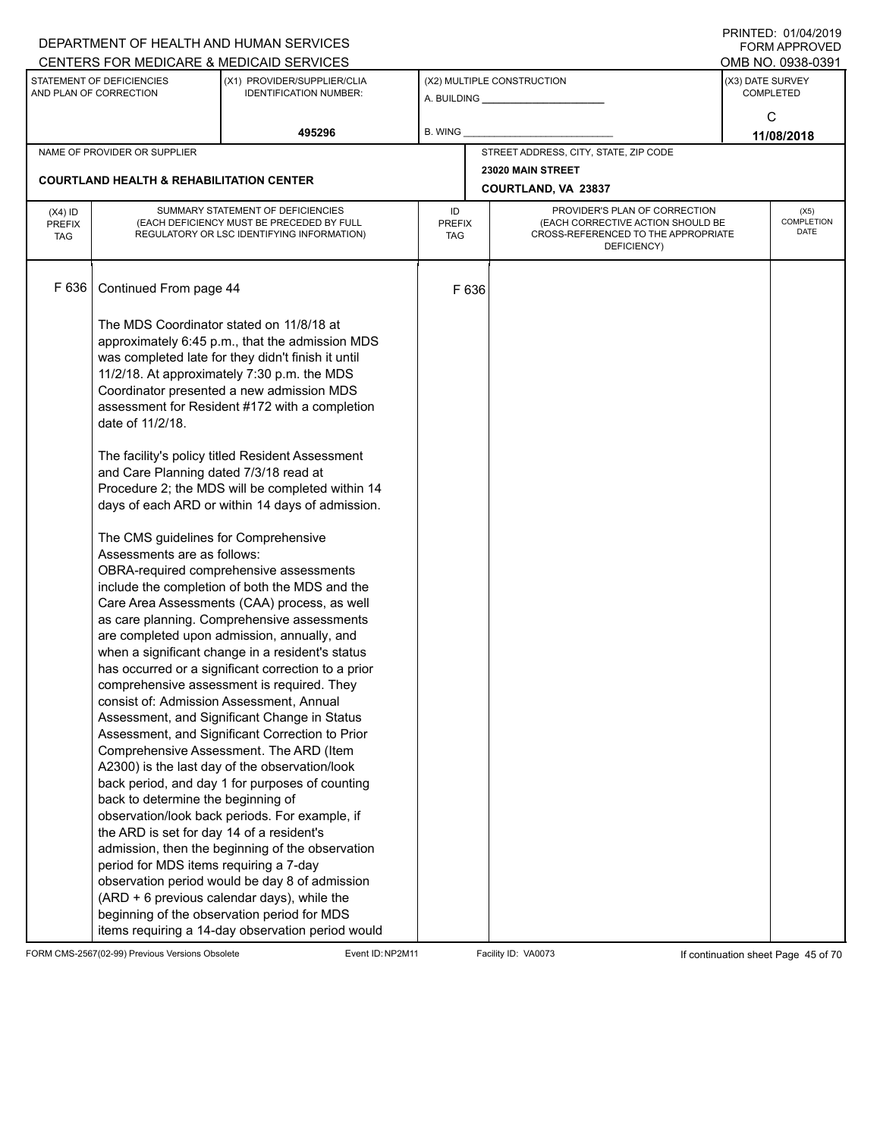|                                          |                                                                                                                           | DEPARTMENT OF HEALTH AND HUMAN SERVICES<br>CENTERS FOR MEDICARE & MEDICAID SERVICES                                                                                                                                                                                                                                                                                                                                                                                                                                                                        |                                   |       |                                                                                                                          |                  | FNINILD. VIIV <del>I</del> IZVIJ<br>FORM APPROVED<br>OMB NO. 0938-0391 |
|------------------------------------------|---------------------------------------------------------------------------------------------------------------------------|------------------------------------------------------------------------------------------------------------------------------------------------------------------------------------------------------------------------------------------------------------------------------------------------------------------------------------------------------------------------------------------------------------------------------------------------------------------------------------------------------------------------------------------------------------|-----------------------------------|-------|--------------------------------------------------------------------------------------------------------------------------|------------------|------------------------------------------------------------------------|
|                                          | STATEMENT OF DEFICIENCIES<br>AND PLAN OF CORRECTION                                                                       | (X1) PROVIDER/SUPPLIER/CLIA<br><b>IDENTIFICATION NUMBER:</b>                                                                                                                                                                                                                                                                                                                                                                                                                                                                                               |                                   |       | (X2) MULTIPLE CONSTRUCTION                                                                                               | (X3) DATE SURVEY | <b>COMPLETED</b>                                                       |
|                                          |                                                                                                                           | 495296                                                                                                                                                                                                                                                                                                                                                                                                                                                                                                                                                     | <b>B. WING</b>                    |       |                                                                                                                          |                  | C<br>11/08/2018                                                        |
|                                          | NAME OF PROVIDER OR SUPPLIER                                                                                              |                                                                                                                                                                                                                                                                                                                                                                                                                                                                                                                                                            |                                   |       | STREET ADDRESS, CITY, STATE, ZIP CODE                                                                                    |                  |                                                                        |
|                                          |                                                                                                                           |                                                                                                                                                                                                                                                                                                                                                                                                                                                                                                                                                            |                                   |       | 23020 MAIN STREET                                                                                                        |                  |                                                                        |
|                                          | <b>COURTLAND HEALTH &amp; REHABILITATION CENTER</b>                                                                       |                                                                                                                                                                                                                                                                                                                                                                                                                                                                                                                                                            |                                   |       | COURTLAND, VA 23837                                                                                                      |                  |                                                                        |
| $(X4)$ ID<br><b>PREFIX</b><br><b>TAG</b> |                                                                                                                           | SUMMARY STATEMENT OF DEFICIENCIES<br>(EACH DEFICIENCY MUST BE PRECEDED BY FULL<br>REGULATORY OR LSC IDENTIFYING INFORMATION)                                                                                                                                                                                                                                                                                                                                                                                                                               | ID<br><b>PREFIX</b><br><b>TAG</b> |       | PROVIDER'S PLAN OF CORRECTION<br>(EACH CORRECTIVE ACTION SHOULD BE<br>CROSS-REFERENCED TO THE APPROPRIATE<br>DEFICIENCY) |                  | (X5)<br>COMPLETION<br><b>DATE</b>                                      |
| F 636                                    | Continued From page 44                                                                                                    |                                                                                                                                                                                                                                                                                                                                                                                                                                                                                                                                                            |                                   | F 636 |                                                                                                                          |                  |                                                                        |
|                                          | date of 11/2/18.                                                                                                          | The MDS Coordinator stated on 11/8/18 at<br>approximately 6:45 p.m., that the admission MDS<br>was completed late for they didn't finish it until<br>11/2/18. At approximately 7:30 p.m. the MDS<br>Coordinator presented a new admission MDS<br>assessment for Resident #172 with a completion<br>The facility's policy titled Resident Assessment                                                                                                                                                                                                        |                                   |       |                                                                                                                          |                  |                                                                        |
|                                          | and Care Planning dated 7/3/18 read at                                                                                    | Procedure 2; the MDS will be completed within 14<br>days of each ARD or within 14 days of admission.                                                                                                                                                                                                                                                                                                                                                                                                                                                       |                                   |       |                                                                                                                          |                  |                                                                        |
|                                          | The CMS guidelines for Comprehensive<br>Assessments are as follows:<br>consist of: Admission Assessment, Annual           | OBRA-required comprehensive assessments<br>include the completion of both the MDS and the<br>Care Area Assessments (CAA) process, as well<br>as care planning. Comprehensive assessments<br>are completed upon admission, annually, and<br>when a significant change in a resident's status<br>has occurred or a significant correction to a prior<br>comprehensive assessment is required. They                                                                                                                                                           |                                   |       |                                                                                                                          |                  |                                                                        |
|                                          | back to determine the beginning of<br>the ARD is set for day 14 of a resident's<br>period for MDS items requiring a 7-day | Assessment, and Significant Change in Status<br>Assessment, and Significant Correction to Prior<br>Comprehensive Assessment. The ARD (Item<br>A2300) is the last day of the observation/look<br>back period, and day 1 for purposes of counting<br>observation/look back periods. For example, if<br>admission, then the beginning of the observation<br>observation period would be day 8 of admission<br>(ARD + 6 previous calendar days), while the<br>beginning of the observation period for MDS<br>items requiring a 14-day observation period would |                                   |       |                                                                                                                          |                  |                                                                        |

FORM CMS-2567(02-99) Previous Versions Obsolete Event ID:NP2M11 Facility ID: VA0073 If continuation sheet Page 45 of 70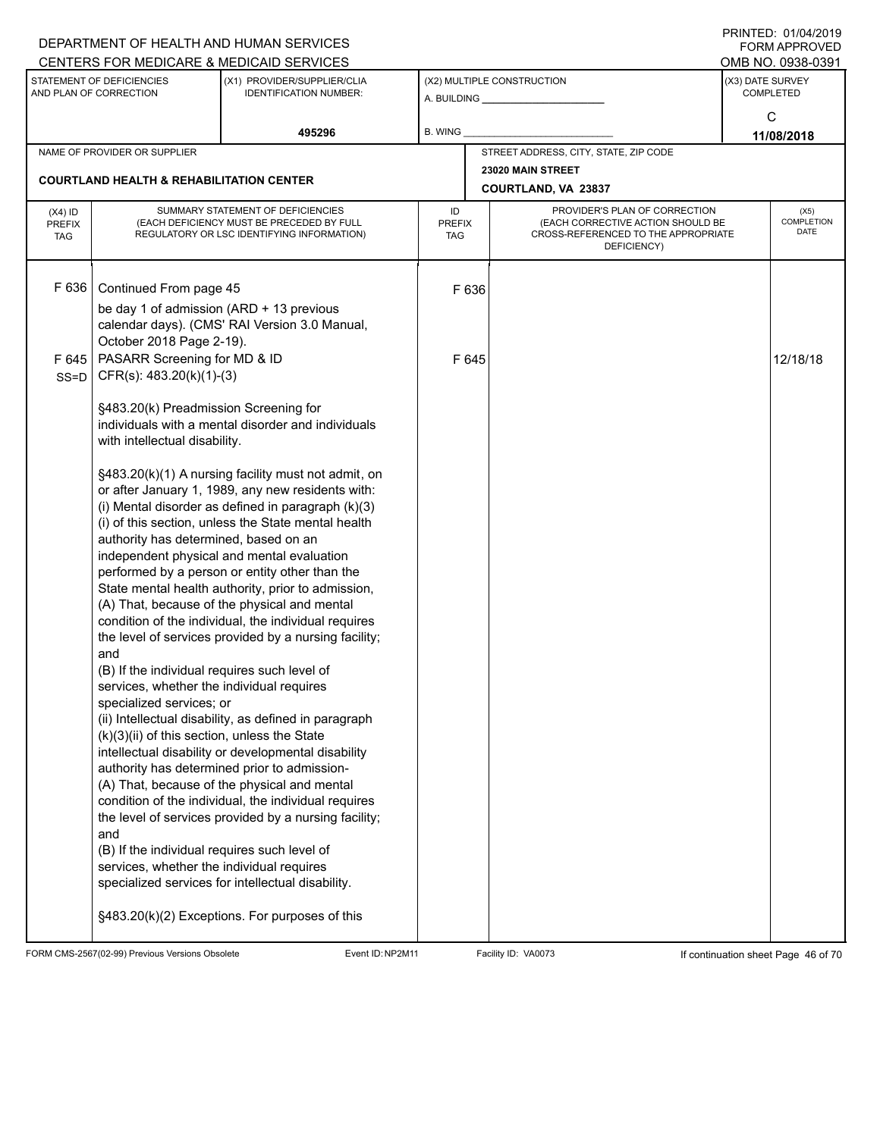|                                                     |                                                              |                                                                                                                                                                                                                                                                                                                                                                                                                                                                                                                                                                                                                                                                                                                                                                                                                                                                                                                                                                                                                                                                                                                                                                                                                                                                                                                                                                                                                                                                                                                                                                                                                                                                                                                                                                                                                                                                                                                                  |             |                                                                                                                                                                     | <b>FORM APPROVED</b>                                                                                      |  |
|-----------------------------------------------------|--------------------------------------------------------------|----------------------------------------------------------------------------------------------------------------------------------------------------------------------------------------------------------------------------------------------------------------------------------------------------------------------------------------------------------------------------------------------------------------------------------------------------------------------------------------------------------------------------------------------------------------------------------------------------------------------------------------------------------------------------------------------------------------------------------------------------------------------------------------------------------------------------------------------------------------------------------------------------------------------------------------------------------------------------------------------------------------------------------------------------------------------------------------------------------------------------------------------------------------------------------------------------------------------------------------------------------------------------------------------------------------------------------------------------------------------------------------------------------------------------------------------------------------------------------------------------------------------------------------------------------------------------------------------------------------------------------------------------------------------------------------------------------------------------------------------------------------------------------------------------------------------------------------------------------------------------------------------------------------------------------|-------------|---------------------------------------------------------------------------------------------------------------------------------------------------------------------|-----------------------------------------------------------------------------------------------------------|--|
|                                                     |                                                              |                                                                                                                                                                                                                                                                                                                                                                                                                                                                                                                                                                                                                                                                                                                                                                                                                                                                                                                                                                                                                                                                                                                                                                                                                                                                                                                                                                                                                                                                                                                                                                                                                                                                                                                                                                                                                                                                                                                                  |             |                                                                                                                                                                     | OMB NO. 0938-0391                                                                                         |  |
| STATEMENT OF DEFICIENCIES<br>AND PLAN OF CORRECTION | (X1) PROVIDER/SUPPLIER/CLIA<br><b>IDENTIFICATION NUMBER:</b> |                                                                                                                                                                                                                                                                                                                                                                                                                                                                                                                                                                                                                                                                                                                                                                                                                                                                                                                                                                                                                                                                                                                                                                                                                                                                                                                                                                                                                                                                                                                                                                                                                                                                                                                                                                                                                                                                                                                                  |             | (X3) DATE SURVEY<br><b>COMPLETED</b>                                                                                                                                |                                                                                                           |  |
|                                                     | 495296                                                       | B. WING                                                                                                                                                                                                                                                                                                                                                                                                                                                                                                                                                                                                                                                                                                                                                                                                                                                                                                                                                                                                                                                                                                                                                                                                                                                                                                                                                                                                                                                                                                                                                                                                                                                                                                                                                                                                                                                                                                                          |             |                                                                                                                                                                     | C<br>11/08/2018                                                                                           |  |
| NAME OF PROVIDER OR SUPPLIER                        |                                                              |                                                                                                                                                                                                                                                                                                                                                                                                                                                                                                                                                                                                                                                                                                                                                                                                                                                                                                                                                                                                                                                                                                                                                                                                                                                                                                                                                                                                                                                                                                                                                                                                                                                                                                                                                                                                                                                                                                                                  |             |                                                                                                                                                                     |                                                                                                           |  |
|                                                     |                                                              |                                                                                                                                                                                                                                                                                                                                                                                                                                                                                                                                                                                                                                                                                                                                                                                                                                                                                                                                                                                                                                                                                                                                                                                                                                                                                                                                                                                                                                                                                                                                                                                                                                                                                                                                                                                                                                                                                                                                  |             |                                                                                                                                                                     |                                                                                                           |  |
|                                                     |                                                              | ID<br><b>PREFIX</b><br><b>TAG</b>                                                                                                                                                                                                                                                                                                                                                                                                                                                                                                                                                                                                                                                                                                                                                                                                                                                                                                                                                                                                                                                                                                                                                                                                                                                                                                                                                                                                                                                                                                                                                                                                                                                                                                                                                                                                                                                                                                | DEFICIENCY) |                                                                                                                                                                     | (X5)<br><b>COMPLETION</b><br>DATE                                                                         |  |
| F 636                                               |                                                              |                                                                                                                                                                                                                                                                                                                                                                                                                                                                                                                                                                                                                                                                                                                                                                                                                                                                                                                                                                                                                                                                                                                                                                                                                                                                                                                                                                                                                                                                                                                                                                                                                                                                                                                                                                                                                                                                                                                                  |             |                                                                                                                                                                     |                                                                                                           |  |
| F 645<br>and<br>and                                 |                                                              |                                                                                                                                                                                                                                                                                                                                                                                                                                                                                                                                                                                                                                                                                                                                                                                                                                                                                                                                                                                                                                                                                                                                                                                                                                                                                                                                                                                                                                                                                                                                                                                                                                                                                                                                                                                                                                                                                                                                  |             |                                                                                                                                                                     | 12/18/18                                                                                                  |  |
|                                                     |                                                              |                                                                                                                                                                                                                                                                                                                                                                                                                                                                                                                                                                                                                                                                                                                                                                                                                                                                                                                                                                                                                                                                                                                                                                                                                                                                                                                                                                                                                                                                                                                                                                                                                                                                                                                                                                                                                                                                                                                                  |             |                                                                                                                                                                     |                                                                                                           |  |
|                                                     |                                                              | DEPARTMENT OF HEALTH AND HUMAN SERVICES<br>CENTERS FOR MEDICARE & MEDICAID SERVICES<br><b>COURTLAND HEALTH &amp; REHABILITATION CENTER</b><br>SUMMARY STATEMENT OF DEFICIENCIES<br>(EACH DEFICIENCY MUST BE PRECEDED BY FULL<br>REGULATORY OR LSC IDENTIFYING INFORMATION)<br>Continued From page 45<br>be day 1 of admission (ARD + 13 previous<br>calendar days). (CMS' RAI Version 3.0 Manual,<br>October 2018 Page 2-19).<br>PASARR Screening for MD & ID<br>CFR(s): 483.20(k)(1)-(3)<br>§483.20(k) Preadmission Screening for<br>individuals with a mental disorder and individuals<br>with intellectual disability.<br>§483.20(k)(1) A nursing facility must not admit, on<br>or after January 1, 1989, any new residents with:<br>(i) Mental disorder as defined in paragraph (k)(3)<br>(i) of this section, unless the State mental health<br>authority has determined, based on an<br>independent physical and mental evaluation<br>performed by a person or entity other than the<br>State mental health authority, prior to admission,<br>(A) That, because of the physical and mental<br>condition of the individual, the individual requires<br>the level of services provided by a nursing facility;<br>(B) If the individual requires such level of<br>services, whether the individual requires<br>specialized services; or<br>(ii) Intellectual disability, as defined in paragraph<br>(k)(3)(ii) of this section, unless the State<br>intellectual disability or developmental disability<br>authority has determined prior to admission-<br>(A) That, because of the physical and mental<br>condition of the individual, the individual requires<br>the level of services provided by a nursing facility;<br>(B) If the individual requires such level of<br>services, whether the individual requires<br>specialized services for intellectual disability.<br>§483.20(k)(2) Exceptions. For purposes of this |             | (X2) MULTIPLE CONSTRUCTION<br>A. BUILDING <b>A.</b> BUILDING<br>STREET ADDRESS, CITY, STATE, ZIP CODE<br>23020 MAIN STREET<br>COURTLAND, VA 23837<br>F 636<br>F 645 | PROVIDER'S PLAN OF CORRECTION<br>(EACH CORRECTIVE ACTION SHOULD BE<br>CROSS-REFERENCED TO THE APPROPRIATE |  |

FORM CMS-2567(02-99) Previous Versions Obsolete Event ID:NP2M11 Facility ID: VA0073 If continuation sheet Page 46 of 70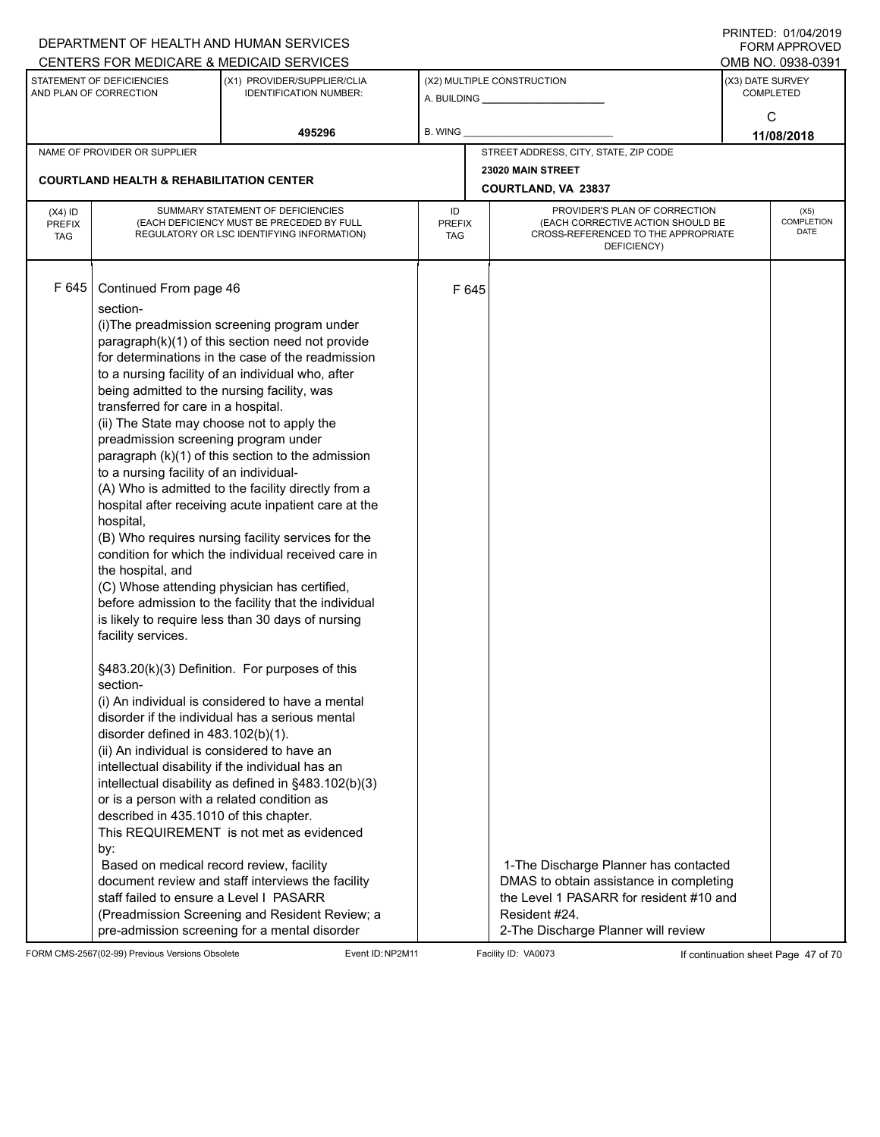|                                          |                                                                                                                                                                                                                                                                                                                                                                                                                                                                                                                                                                                                          | DEPARTMENT OF HEALTH AND HUMAN SERVICES<br>CENTERS FOR MEDICARE & MEDICAID SERVICES                                                                                                                                                                                                                                                                                                                                                                                                                                                                                                                                                                                                                                                                                                                                                                                                                                                                                                                                                                                                                                               |                                   |       |                                                                                                                                                                                     |                  | FININILU. VIIVHIZVI J<br><b>FORM APPROVED</b><br>OMB NO. 0938-0391 |
|------------------------------------------|----------------------------------------------------------------------------------------------------------------------------------------------------------------------------------------------------------------------------------------------------------------------------------------------------------------------------------------------------------------------------------------------------------------------------------------------------------------------------------------------------------------------------------------------------------------------------------------------------------|-----------------------------------------------------------------------------------------------------------------------------------------------------------------------------------------------------------------------------------------------------------------------------------------------------------------------------------------------------------------------------------------------------------------------------------------------------------------------------------------------------------------------------------------------------------------------------------------------------------------------------------------------------------------------------------------------------------------------------------------------------------------------------------------------------------------------------------------------------------------------------------------------------------------------------------------------------------------------------------------------------------------------------------------------------------------------------------------------------------------------------------|-----------------------------------|-------|-------------------------------------------------------------------------------------------------------------------------------------------------------------------------------------|------------------|--------------------------------------------------------------------|
|                                          | STATEMENT OF DEFICIENCIES<br>AND PLAN OF CORRECTION                                                                                                                                                                                                                                                                                                                                                                                                                                                                                                                                                      | (X1) PROVIDER/SUPPLIER/CLIA<br><b>IDENTIFICATION NUMBER:</b>                                                                                                                                                                                                                                                                                                                                                                                                                                                                                                                                                                                                                                                                                                                                                                                                                                                                                                                                                                                                                                                                      |                                   |       | (X2) MULTIPLE CONSTRUCTION                                                                                                                                                          | (X3) DATE SURVEY | <b>COMPLETED</b>                                                   |
|                                          |                                                                                                                                                                                                                                                                                                                                                                                                                                                                                                                                                                                                          | 495296                                                                                                                                                                                                                                                                                                                                                                                                                                                                                                                                                                                                                                                                                                                                                                                                                                                                                                                                                                                                                                                                                                                            | B. WING                           |       |                                                                                                                                                                                     |                  | C<br>11/08/2018                                                    |
|                                          | NAME OF PROVIDER OR SUPPLIER                                                                                                                                                                                                                                                                                                                                                                                                                                                                                                                                                                             |                                                                                                                                                                                                                                                                                                                                                                                                                                                                                                                                                                                                                                                                                                                                                                                                                                                                                                                                                                                                                                                                                                                                   |                                   |       | STREET ADDRESS, CITY, STATE, ZIP CODE                                                                                                                                               |                  |                                                                    |
|                                          |                                                                                                                                                                                                                                                                                                                                                                                                                                                                                                                                                                                                          |                                                                                                                                                                                                                                                                                                                                                                                                                                                                                                                                                                                                                                                                                                                                                                                                                                                                                                                                                                                                                                                                                                                                   |                                   |       | 23020 MAIN STREET                                                                                                                                                                   |                  |                                                                    |
|                                          | <b>COURTLAND HEALTH &amp; REHABILITATION CENTER</b>                                                                                                                                                                                                                                                                                                                                                                                                                                                                                                                                                      |                                                                                                                                                                                                                                                                                                                                                                                                                                                                                                                                                                                                                                                                                                                                                                                                                                                                                                                                                                                                                                                                                                                                   |                                   |       | COURTLAND, VA 23837                                                                                                                                                                 |                  |                                                                    |
| $(X4)$ ID<br><b>PREFIX</b><br><b>TAG</b> |                                                                                                                                                                                                                                                                                                                                                                                                                                                                                                                                                                                                          | SUMMARY STATEMENT OF DEFICIENCIES<br>(EACH DEFICIENCY MUST BE PRECEDED BY FULL<br>REGULATORY OR LSC IDENTIFYING INFORMATION)                                                                                                                                                                                                                                                                                                                                                                                                                                                                                                                                                                                                                                                                                                                                                                                                                                                                                                                                                                                                      | ID<br><b>PREFIX</b><br><b>TAG</b> |       | PROVIDER'S PLAN OF CORRECTION<br>(EACH CORRECTIVE ACTION SHOULD BE<br>CROSS-REFERENCED TO THE APPROPRIATE<br>DEFICIENCY)                                                            |                  | (X5)<br>COMPLETION<br><b>DATE</b>                                  |
| F 645                                    | Continued From page 46<br>section-<br>being admitted to the nursing facility, was<br>transferred for care in a hospital.<br>(ii) The State may choose not to apply the<br>preadmission screening program under<br>to a nursing facility of an individual-<br>hospital,<br>the hospital, and<br>facility services.<br>section-<br>disorder defined in 483.102(b)(1).<br>(ii) An individual is considered to have an<br>or is a person with a related condition as<br>described in 435.1010 of this chapter.<br>by:<br>Based on medical record review, facility<br>staff failed to ensure a Level I PASARR | (i) The preadmission screening program under<br>paragraph(k)(1) of this section need not provide<br>for determinations in the case of the readmission<br>to a nursing facility of an individual who, after<br>paragraph (k)(1) of this section to the admission<br>(A) Who is admitted to the facility directly from a<br>hospital after receiving acute inpatient care at the<br>(B) Who requires nursing facility services for the<br>condition for which the individual received care in<br>(C) Whose attending physician has certified,<br>before admission to the facility that the individual<br>is likely to require less than 30 days of nursing<br>§483.20(k)(3) Definition. For purposes of this<br>(i) An individual is considered to have a mental<br>disorder if the individual has a serious mental<br>intellectual disability if the individual has an<br>intellectual disability as defined in §483.102(b)(3)<br>This REQUIREMENT is not met as evidenced<br>document review and staff interviews the facility<br>(Preadmission Screening and Resident Review; a<br>pre-admission screening for a mental disorder |                                   | F 645 | 1-The Discharge Planner has contacted<br>DMAS to obtain assistance in completing<br>the Level 1 PASARR for resident #10 and<br>Resident #24.<br>2-The Discharge Planner will review |                  |                                                                    |

FORM CMS-2567(02-99) Previous Versions Obsolete Event ID:NP2M11 Facility ID: VA0073 If continuation sheet Page 47 of 70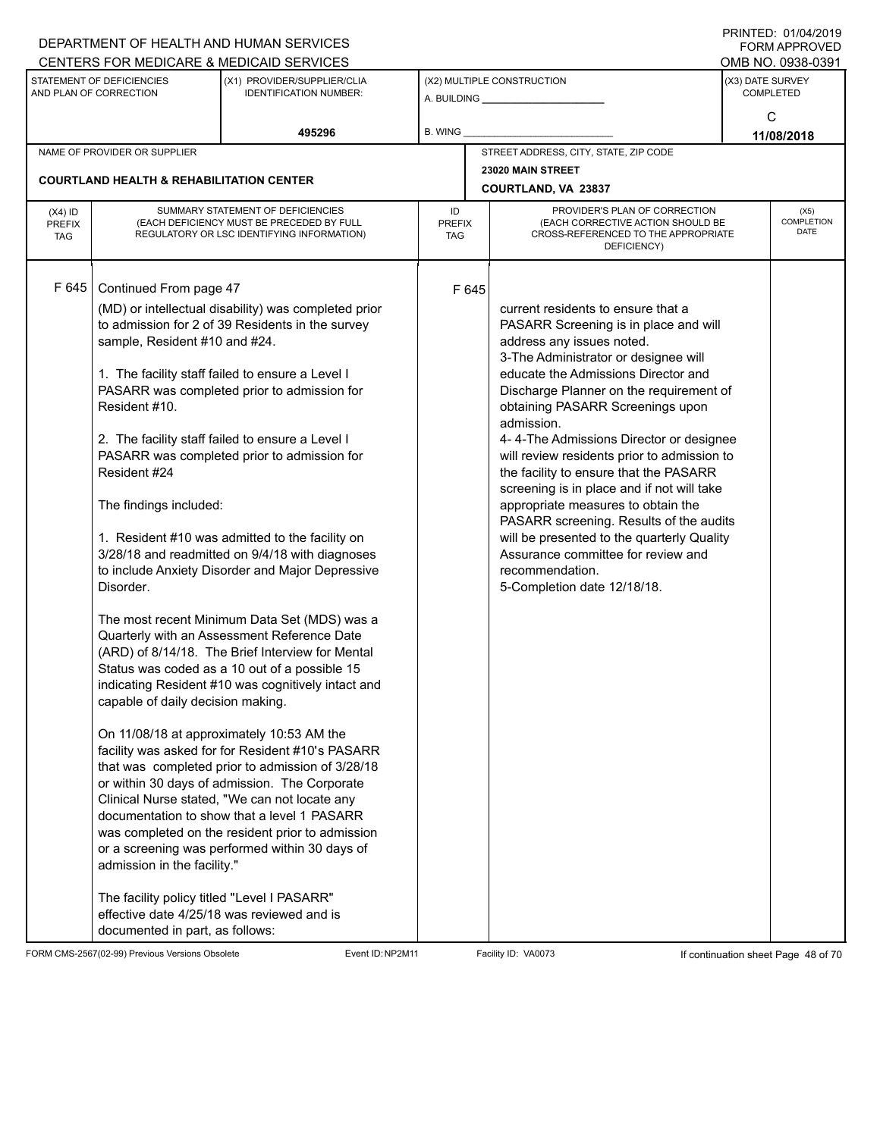|                             |                                                     | DEPARTMENT OF HEALTH AND HUMAN SERVICES                                                             |                      |       |                                                                                        |                  | 11111LD. 01/07/4019<br>FORM APPROVED |
|-----------------------------|-----------------------------------------------------|-----------------------------------------------------------------------------------------------------|----------------------|-------|----------------------------------------------------------------------------------------|------------------|--------------------------------------|
|                             |                                                     | CENTERS FOR MEDICARE & MEDICAID SERVICES                                                            |                      |       |                                                                                        |                  | OMB NO. 0938-0391                    |
|                             | STATEMENT OF DEFICIENCIES<br>AND PLAN OF CORRECTION | (X1) PROVIDER/SUPPLIER/CLIA<br><b>IDENTIFICATION NUMBER:</b>                                        |                      |       | (X2) MULTIPLE CONSTRUCTION                                                             | (X3) DATE SURVEY | <b>COMPLETED</b>                     |
|                             |                                                     |                                                                                                     |                      |       |                                                                                        |                  | C                                    |
|                             |                                                     | 495296                                                                                              | B. WING              |       |                                                                                        |                  | 11/08/2018                           |
|                             | NAME OF PROVIDER OR SUPPLIER                        |                                                                                                     |                      |       | STREET ADDRESS, CITY, STATE, ZIP CODE                                                  |                  |                                      |
|                             |                                                     |                                                                                                     |                      |       | 23020 MAIN STREET                                                                      |                  |                                      |
|                             | <b>COURTLAND HEALTH &amp; REHABILITATION CENTER</b> |                                                                                                     |                      |       | COURTLAND, VA 23837                                                                    |                  |                                      |
| $(X4)$ ID                   |                                                     | SUMMARY STATEMENT OF DEFICIENCIES                                                                   | ID                   |       | PROVIDER'S PLAN OF CORRECTION                                                          |                  | (X5)                                 |
| <b>PREFIX</b><br><b>TAG</b> |                                                     | (EACH DEFICIENCY MUST BE PRECEDED BY FULL<br>REGULATORY OR LSC IDENTIFYING INFORMATION)             | <b>PREFIX</b><br>TAG |       | (EACH CORRECTIVE ACTION SHOULD BE<br>CROSS-REFERENCED TO THE APPROPRIATE               |                  | <b>COMPLETION</b><br>DATE            |
|                             |                                                     |                                                                                                     |                      |       | DEFICIENCY)                                                                            |                  |                                      |
|                             |                                                     |                                                                                                     |                      |       |                                                                                        |                  |                                      |
| F 645                       | Continued From page 47                              |                                                                                                     |                      | F 645 |                                                                                        |                  |                                      |
|                             |                                                     | (MD) or intellectual disability) was completed prior                                                |                      |       | current residents to ensure that a                                                     |                  |                                      |
|                             |                                                     | to admission for 2 of 39 Residents in the survey                                                    |                      |       | PASARR Screening is in place and will                                                  |                  |                                      |
|                             | sample, Resident #10 and #24.                       |                                                                                                     |                      |       | address any issues noted.<br>3-The Administrator or designee will                      |                  |                                      |
|                             |                                                     | 1. The facility staff failed to ensure a Level I                                                    |                      |       | educate the Admissions Director and                                                    |                  |                                      |
|                             |                                                     | PASARR was completed prior to admission for                                                         |                      |       | Discharge Planner on the requirement of                                                |                  |                                      |
|                             | Resident #10.                                       |                                                                                                     |                      |       | obtaining PASARR Screenings upon                                                       |                  |                                      |
|                             |                                                     |                                                                                                     |                      |       | admission.                                                                             |                  |                                      |
|                             |                                                     | 2. The facility staff failed to ensure a Level I<br>PASARR was completed prior to admission for     |                      |       | 4-4-The Admissions Director or designee<br>will review residents prior to admission to |                  |                                      |
|                             | Resident #24                                        |                                                                                                     |                      |       | the facility to ensure that the PASARR                                                 |                  |                                      |
|                             |                                                     |                                                                                                     |                      |       | screening is in place and if not will take                                             |                  |                                      |
|                             | The findings included:                              |                                                                                                     |                      |       | appropriate measures to obtain the<br>PASARR screening. Results of the audits          |                  |                                      |
|                             |                                                     | 1. Resident #10 was admitted to the facility on                                                     |                      |       | will be presented to the quarterly Quality                                             |                  |                                      |
|                             |                                                     | 3/28/18 and readmitted on 9/4/18 with diagnoses                                                     |                      |       | Assurance committee for review and                                                     |                  |                                      |
|                             | Disorder.                                           | to include Anxiety Disorder and Major Depressive                                                    |                      |       | recommendation.<br>5-Completion date 12/18/18.                                         |                  |                                      |
|                             |                                                     |                                                                                                     |                      |       |                                                                                        |                  |                                      |
|                             |                                                     | The most recent Minimum Data Set (MDS) was a                                                        |                      |       |                                                                                        |                  |                                      |
|                             |                                                     | Quarterly with an Assessment Reference Date                                                         |                      |       |                                                                                        |                  |                                      |
|                             |                                                     | (ARD) of 8/14/18. The Brief Interview for Mental                                                    |                      |       |                                                                                        |                  |                                      |
|                             |                                                     | Status was coded as a 10 out of a possible 15<br>indicating Resident #10 was cognitively intact and |                      |       |                                                                                        |                  |                                      |
|                             | capable of daily decision making.                   |                                                                                                     |                      |       |                                                                                        |                  |                                      |
|                             |                                                     |                                                                                                     |                      |       |                                                                                        |                  |                                      |
|                             |                                                     | On 11/08/18 at approximately 10:53 AM the                                                           |                      |       |                                                                                        |                  |                                      |
|                             |                                                     | facility was asked for for Resident #10's PASARR                                                    |                      |       |                                                                                        |                  |                                      |
|                             |                                                     | that was completed prior to admission of 3/28/18<br>or within 30 days of admission. The Corporate   |                      |       |                                                                                        |                  |                                      |
|                             |                                                     | Clinical Nurse stated, "We can not locate any                                                       |                      |       |                                                                                        |                  |                                      |
|                             |                                                     | documentation to show that a level 1 PASARR                                                         |                      |       |                                                                                        |                  |                                      |
|                             |                                                     | was completed on the resident prior to admission                                                    |                      |       |                                                                                        |                  |                                      |
|                             |                                                     | or a screening was performed within 30 days of                                                      |                      |       |                                                                                        |                  |                                      |
|                             | admission in the facility."                         |                                                                                                     |                      |       |                                                                                        |                  |                                      |
|                             | The facility policy titled "Level I PASARR"         |                                                                                                     |                      |       |                                                                                        |                  |                                      |
|                             |                                                     | effective date 4/25/18 was reviewed and is                                                          |                      |       |                                                                                        |                  |                                      |
|                             | documented in part, as follows:                     |                                                                                                     |                      |       |                                                                                        |                  |                                      |

FORM CMS-2567(02-99) Previous Versions Obsolete Event ID:NP2M11 Facility ID: VA0073 If continuation sheet Page 48 of 70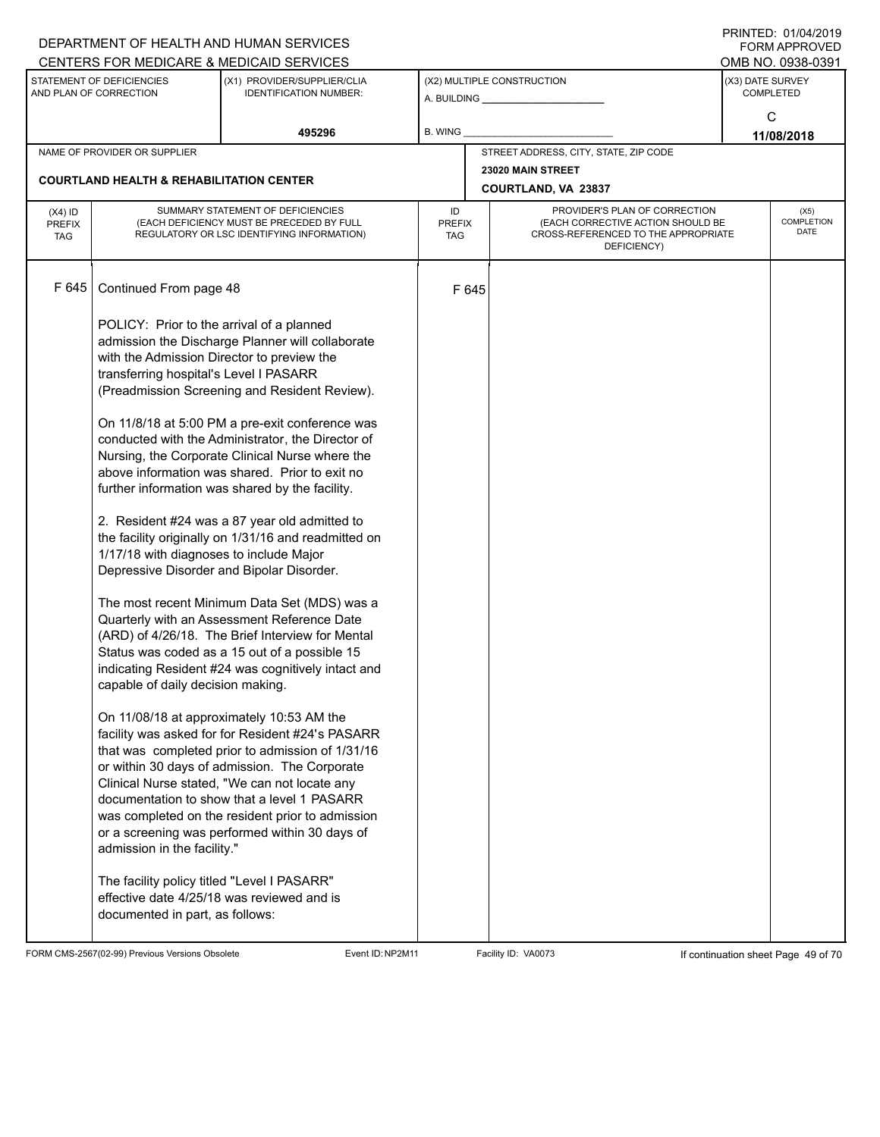|                                          |                                                                                                                                                                                                                                                                                                                                                                                                                               | DEPARTMENT OF HEALTH AND HUMAN SERVICES<br>CENTERS FOR MEDICARE & MEDICAID SERVICES                                                                                                                                                                                                                                                                                                                                                                                                                                                                                                                                                                                                                                                                                                                                                                                                                                                                                                                                                                                                                                                              |                                   |       |                                                                                                                          |                  | FININILU. VIIVHIZVI J<br>FORM APPROVED<br>OMB NO. 0938-0391 |
|------------------------------------------|-------------------------------------------------------------------------------------------------------------------------------------------------------------------------------------------------------------------------------------------------------------------------------------------------------------------------------------------------------------------------------------------------------------------------------|--------------------------------------------------------------------------------------------------------------------------------------------------------------------------------------------------------------------------------------------------------------------------------------------------------------------------------------------------------------------------------------------------------------------------------------------------------------------------------------------------------------------------------------------------------------------------------------------------------------------------------------------------------------------------------------------------------------------------------------------------------------------------------------------------------------------------------------------------------------------------------------------------------------------------------------------------------------------------------------------------------------------------------------------------------------------------------------------------------------------------------------------------|-----------------------------------|-------|--------------------------------------------------------------------------------------------------------------------------|------------------|-------------------------------------------------------------|
|                                          | STATEMENT OF DEFICIENCIES<br>AND PLAN OF CORRECTION                                                                                                                                                                                                                                                                                                                                                                           | (X1) PROVIDER/SUPPLIER/CLIA<br><b>IDENTIFICATION NUMBER:</b>                                                                                                                                                                                                                                                                                                                                                                                                                                                                                                                                                                                                                                                                                                                                                                                                                                                                                                                                                                                                                                                                                     |                                   |       | (X2) MULTIPLE CONSTRUCTION                                                                                               | (X3) DATE SURVEY | <b>COMPLETED</b><br>C                                       |
|                                          |                                                                                                                                                                                                                                                                                                                                                                                                                               | 495296                                                                                                                                                                                                                                                                                                                                                                                                                                                                                                                                                                                                                                                                                                                                                                                                                                                                                                                                                                                                                                                                                                                                           | <b>B. WING</b>                    |       |                                                                                                                          |                  | 11/08/2018                                                  |
|                                          | NAME OF PROVIDER OR SUPPLIER                                                                                                                                                                                                                                                                                                                                                                                                  |                                                                                                                                                                                                                                                                                                                                                                                                                                                                                                                                                                                                                                                                                                                                                                                                                                                                                                                                                                                                                                                                                                                                                  |                                   |       | STREET ADDRESS, CITY, STATE, ZIP CODE                                                                                    |                  |                                                             |
|                                          | <b>COURTLAND HEALTH &amp; REHABILITATION CENTER</b>                                                                                                                                                                                                                                                                                                                                                                           |                                                                                                                                                                                                                                                                                                                                                                                                                                                                                                                                                                                                                                                                                                                                                                                                                                                                                                                                                                                                                                                                                                                                                  |                                   |       | 23020 MAIN STREET<br>COURTLAND, VA 23837                                                                                 |                  |                                                             |
| $(X4)$ ID<br><b>PREFIX</b><br><b>TAG</b> |                                                                                                                                                                                                                                                                                                                                                                                                                               | SUMMARY STATEMENT OF DEFICIENCIES<br>(EACH DEFICIENCY MUST BE PRECEDED BY FULL<br>REGULATORY OR LSC IDENTIFYING INFORMATION)                                                                                                                                                                                                                                                                                                                                                                                                                                                                                                                                                                                                                                                                                                                                                                                                                                                                                                                                                                                                                     | ID<br><b>PREFIX</b><br><b>TAG</b> |       | PROVIDER'S PLAN OF CORRECTION<br>(EACH CORRECTIVE ACTION SHOULD BE<br>CROSS-REFERENCED TO THE APPROPRIATE<br>DEFICIENCY) |                  | (X5)<br>COMPLETION<br><b>DATE</b>                           |
| F 645                                    | Continued From page 48                                                                                                                                                                                                                                                                                                                                                                                                        |                                                                                                                                                                                                                                                                                                                                                                                                                                                                                                                                                                                                                                                                                                                                                                                                                                                                                                                                                                                                                                                                                                                                                  |                                   | F 645 |                                                                                                                          |                  |                                                             |
|                                          | POLICY: Prior to the arrival of a planned<br>with the Admission Director to preview the<br>transferring hospital's Level I PASARR<br>1/17/18 with diagnoses to include Major<br>Depressive Disorder and Bipolar Disorder.<br>capable of daily decision making.<br>admission in the facility."<br>The facility policy titled "Level I PASARR"<br>effective date 4/25/18 was reviewed and is<br>documented in part, as follows: | admission the Discharge Planner will collaborate<br>(Preadmission Screening and Resident Review).<br>On 11/8/18 at 5:00 PM a pre-exit conference was<br>conducted with the Administrator, the Director of<br>Nursing, the Corporate Clinical Nurse where the<br>above information was shared. Prior to exit no<br>further information was shared by the facility.<br>2. Resident #24 was a 87 year old admitted to<br>the facility originally on 1/31/16 and readmitted on<br>The most recent Minimum Data Set (MDS) was a<br>Quarterly with an Assessment Reference Date<br>(ARD) of 4/26/18. The Brief Interview for Mental<br>Status was coded as a 15 out of a possible 15<br>indicating Resident #24 was cognitively intact and<br>On 11/08/18 at approximately 10:53 AM the<br>facility was asked for for Resident #24's PASARR<br>that was completed prior to admission of 1/31/16<br>or within 30 days of admission. The Corporate<br>Clinical Nurse stated, "We can not locate any<br>documentation to show that a level 1 PASARR<br>was completed on the resident prior to admission<br>or a screening was performed within 30 days of |                                   |       |                                                                                                                          |                  |                                                             |

FORM CMS-2567(02-99) Previous Versions Obsolete Event ID:NP2M11 Facility ID: VA0073 If continuation sheet Page 49 of 70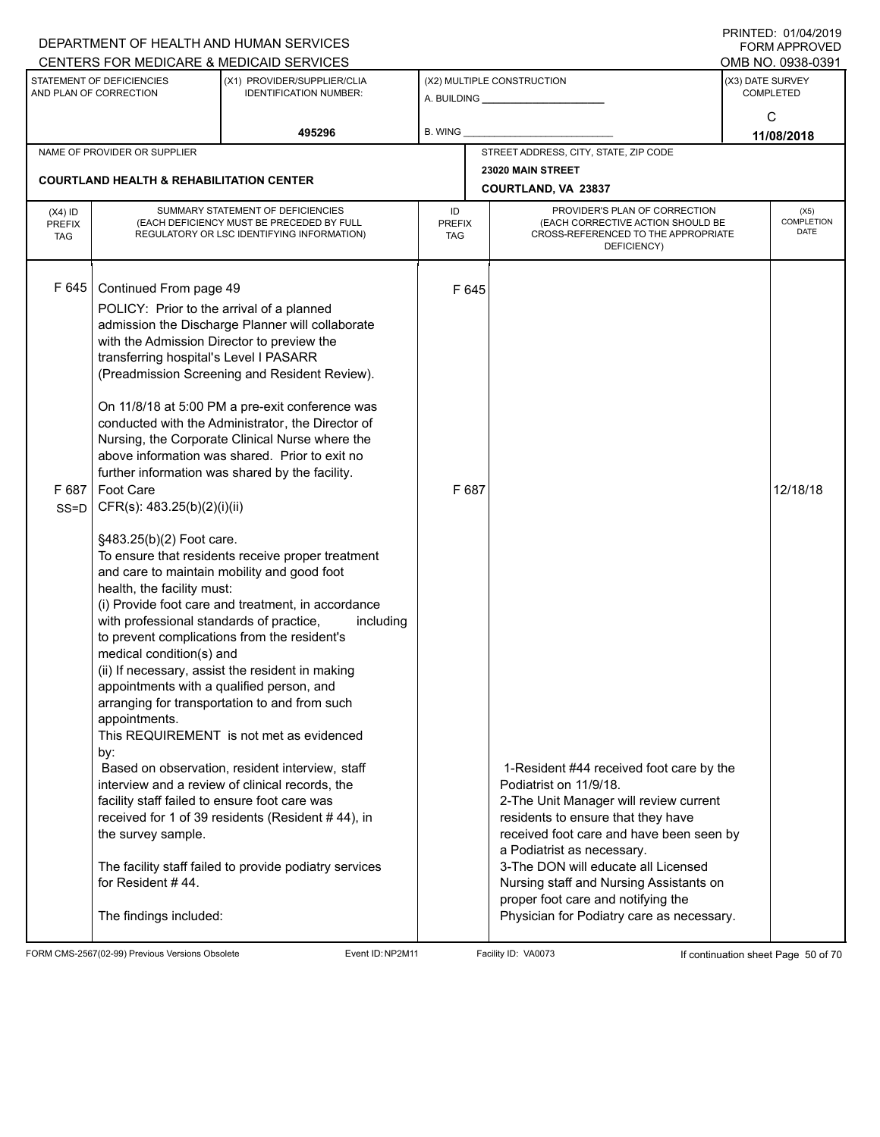|                                          |                                                                                                                                                                                                                                                                                                                                                                                                                | DEPARTMENT OF HEALTH AND HUMAN SERVICES<br>CENTERS FOR MEDICARE & MEDICAID SERVICES                                                                                                                                                                                                                                                                                                                                                                                                                                                                                                                                                                                                                                                                                                          |                                   |                                                                                                                                                                                                                         | FININILU. VIIVHIZVI J<br><b>FORM APPROVED</b><br>OMB NO. 0938-0391 |                                   |
|------------------------------------------|----------------------------------------------------------------------------------------------------------------------------------------------------------------------------------------------------------------------------------------------------------------------------------------------------------------------------------------------------------------------------------------------------------------|----------------------------------------------------------------------------------------------------------------------------------------------------------------------------------------------------------------------------------------------------------------------------------------------------------------------------------------------------------------------------------------------------------------------------------------------------------------------------------------------------------------------------------------------------------------------------------------------------------------------------------------------------------------------------------------------------------------------------------------------------------------------------------------------|-----------------------------------|-------------------------------------------------------------------------------------------------------------------------------------------------------------------------------------------------------------------------|--------------------------------------------------------------------|-----------------------------------|
|                                          | STATEMENT OF DEFICIENCIES<br>AND PLAN OF CORRECTION                                                                                                                                                                                                                                                                                                                                                            | (X1) PROVIDER/SUPPLIER/CLIA<br><b>IDENTIFICATION NUMBER:</b>                                                                                                                                                                                                                                                                                                                                                                                                                                                                                                                                                                                                                                                                                                                                 |                                   | (X2) MULTIPLE CONSTRUCTION                                                                                                                                                                                              | (X3) DATE SURVEY                                                   | <b>COMPLETED</b><br>C             |
|                                          |                                                                                                                                                                                                                                                                                                                                                                                                                | 495296                                                                                                                                                                                                                                                                                                                                                                                                                                                                                                                                                                                                                                                                                                                                                                                       | <b>B. WING</b>                    |                                                                                                                                                                                                                         |                                                                    | 11/08/2018                        |
|                                          | NAME OF PROVIDER OR SUPPLIER                                                                                                                                                                                                                                                                                                                                                                                   |                                                                                                                                                                                                                                                                                                                                                                                                                                                                                                                                                                                                                                                                                                                                                                                              |                                   | STREET ADDRESS, CITY, STATE, ZIP CODE                                                                                                                                                                                   |                                                                    |                                   |
|                                          | <b>COURTLAND HEALTH &amp; REHABILITATION CENTER</b>                                                                                                                                                                                                                                                                                                                                                            |                                                                                                                                                                                                                                                                                                                                                                                                                                                                                                                                                                                                                                                                                                                                                                                              |                                   | 23020 MAIN STREET<br>COURTLAND, VA 23837                                                                                                                                                                                |                                                                    |                                   |
| $(X4)$ ID<br><b>PREFIX</b><br><b>TAG</b> |                                                                                                                                                                                                                                                                                                                                                                                                                | SUMMARY STATEMENT OF DEFICIENCIES<br>(EACH DEFICIENCY MUST BE PRECEDED BY FULL<br>REGULATORY OR LSC IDENTIFYING INFORMATION)                                                                                                                                                                                                                                                                                                                                                                                                                                                                                                                                                                                                                                                                 | ID<br><b>PREFIX</b><br><b>TAG</b> | PROVIDER'S PLAN OF CORRECTION<br>(EACH CORRECTIVE ACTION SHOULD BE<br>CROSS-REFERENCED TO THE APPROPRIATE<br>DEFICIENCY)                                                                                                |                                                                    | (X5)<br>COMPLETION<br><b>DATE</b> |
| F645<br>F 687<br>$SS = D$                | Continued From page 49<br>POLICY: Prior to the arrival of a planned<br>with the Admission Director to preview the<br>transferring hospital's Level I PASARR<br>Foot Care<br>CFR(s): 483.25(b)(2)(i)(ii)<br>§483.25(b)(2) Foot care.<br>health, the facility must:<br>with professional standards of practice,<br>medical condition(s) and<br>appointments with a qualified person, and<br>appointments.<br>by: | admission the Discharge Planner will collaborate<br>(Preadmission Screening and Resident Review).<br>On 11/8/18 at 5:00 PM a pre-exit conference was<br>conducted with the Administrator, the Director of<br>Nursing, the Corporate Clinical Nurse where the<br>above information was shared. Prior to exit no<br>further information was shared by the facility.<br>To ensure that residents receive proper treatment<br>and care to maintain mobility and good foot<br>(i) Provide foot care and treatment, in accordance<br>including<br>to prevent complications from the resident's<br>(ii) If necessary, assist the resident in making<br>arranging for transportation to and from such<br>This REQUIREMENT is not met as evidenced<br>Based on observation, resident interview, staff | F 645<br>F 687                    | 1-Resident #44 received foot care by the                                                                                                                                                                                |                                                                    | 12/18/18                          |
|                                          | facility staff failed to ensure foot care was<br>the survey sample.                                                                                                                                                                                                                                                                                                                                            | interview and a review of clinical records, the<br>received for 1 of 39 residents (Resident #44), in<br>The facility staff failed to provide podiatry services                                                                                                                                                                                                                                                                                                                                                                                                                                                                                                                                                                                                                               |                                   | Podiatrist on 11/9/18.<br>2-The Unit Manager will review current<br>residents to ensure that they have<br>received foot care and have been seen by<br>a Podiatrist as necessary.<br>3-The DON will educate all Licensed |                                                                    |                                   |
|                                          | for Resident #44.<br>The findings included:                                                                                                                                                                                                                                                                                                                                                                    |                                                                                                                                                                                                                                                                                                                                                                                                                                                                                                                                                                                                                                                                                                                                                                                              |                                   | Nursing staff and Nursing Assistants on<br>proper foot care and notifying the<br>Physician for Podiatry care as necessary.                                                                                              |                                                                    |                                   |

FORM CMS-2567(02-99) Previous Versions Obsolete Event ID:NP2M11 Facility ID: VA0073 If continuation sheet Page 50 of 70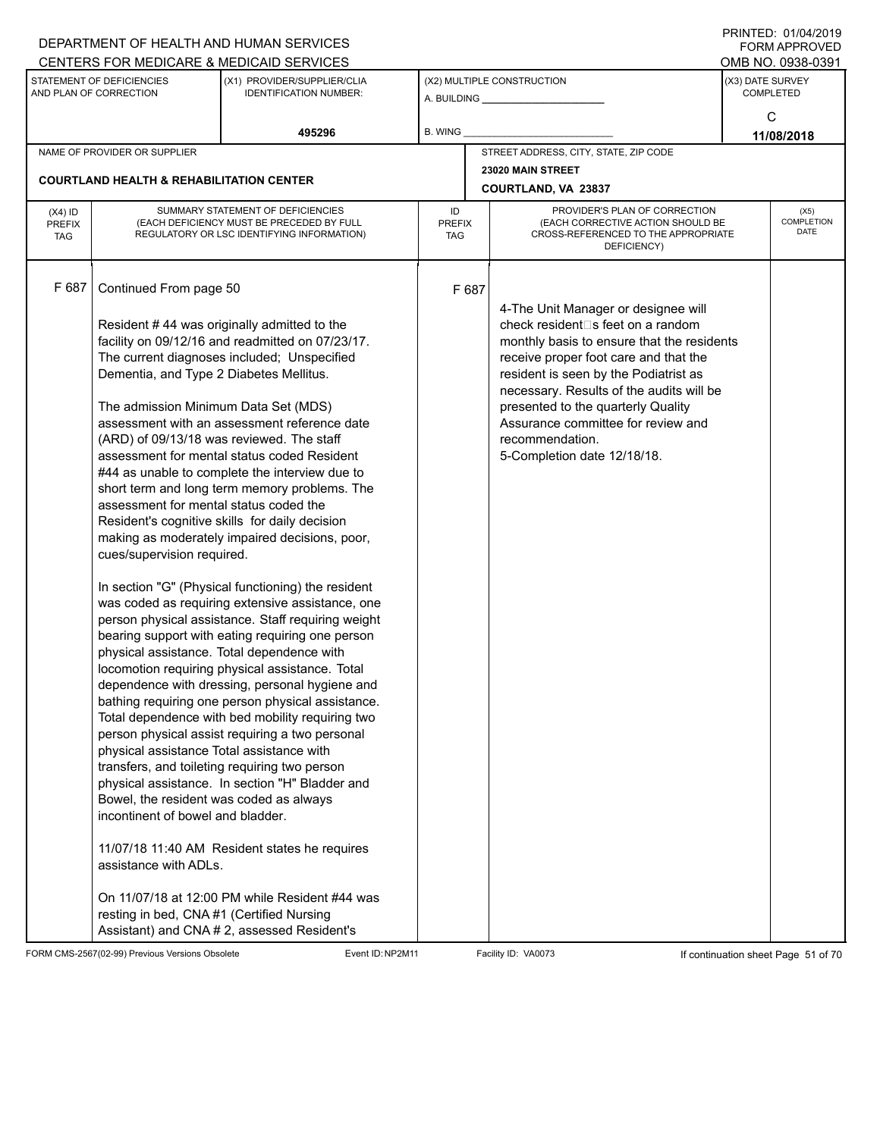|                                          |                                                                                                                                                                                                                                                                                                                                         | DEPARTMENT OF HEALTH AND HUMAN SERVICES                                                                                                                                                                                                                                                                                                                                                                                                                                                                                                                                                                                                                                                                                                                                                                                                                                                                                                                                                                                                                                                                                                                                                                                                     |                     |       |                                                                                                                                                                                                                                                                                                                                                                                    | <b>FORM APPROVED</b>                 |
|------------------------------------------|-----------------------------------------------------------------------------------------------------------------------------------------------------------------------------------------------------------------------------------------------------------------------------------------------------------------------------------------|---------------------------------------------------------------------------------------------------------------------------------------------------------------------------------------------------------------------------------------------------------------------------------------------------------------------------------------------------------------------------------------------------------------------------------------------------------------------------------------------------------------------------------------------------------------------------------------------------------------------------------------------------------------------------------------------------------------------------------------------------------------------------------------------------------------------------------------------------------------------------------------------------------------------------------------------------------------------------------------------------------------------------------------------------------------------------------------------------------------------------------------------------------------------------------------------------------------------------------------------|---------------------|-------|------------------------------------------------------------------------------------------------------------------------------------------------------------------------------------------------------------------------------------------------------------------------------------------------------------------------------------------------------------------------------------|--------------------------------------|
|                                          |                                                                                                                                                                                                                                                                                                                                         | CENTERS FOR MEDICARE & MEDICAID SERVICES                                                                                                                                                                                                                                                                                                                                                                                                                                                                                                                                                                                                                                                                                                                                                                                                                                                                                                                                                                                                                                                                                                                                                                                                    |                     |       |                                                                                                                                                                                                                                                                                                                                                                                    | OMB NO. 0938-0391                    |
|                                          | STATEMENT OF DEFICIENCIES<br>AND PLAN OF CORRECTION                                                                                                                                                                                                                                                                                     | (X1) PROVIDER/SUPPLIER/CLIA<br><b>IDENTIFICATION NUMBER:</b>                                                                                                                                                                                                                                                                                                                                                                                                                                                                                                                                                                                                                                                                                                                                                                                                                                                                                                                                                                                                                                                                                                                                                                                |                     |       | (X2) MULTIPLE CONSTRUCTION                                                                                                                                                                                                                                                                                                                                                         | (X3) DATE SURVEY<br><b>COMPLETED</b> |
|                                          |                                                                                                                                                                                                                                                                                                                                         | 495296                                                                                                                                                                                                                                                                                                                                                                                                                                                                                                                                                                                                                                                                                                                                                                                                                                                                                                                                                                                                                                                                                                                                                                                                                                      | B. WING             |       |                                                                                                                                                                                                                                                                                                                                                                                    | С<br>11/08/2018                      |
|                                          | NAME OF PROVIDER OR SUPPLIER                                                                                                                                                                                                                                                                                                            |                                                                                                                                                                                                                                                                                                                                                                                                                                                                                                                                                                                                                                                                                                                                                                                                                                                                                                                                                                                                                                                                                                                                                                                                                                             |                     |       | STREET ADDRESS, CITY, STATE, ZIP CODE                                                                                                                                                                                                                                                                                                                                              |                                      |
|                                          |                                                                                                                                                                                                                                                                                                                                         |                                                                                                                                                                                                                                                                                                                                                                                                                                                                                                                                                                                                                                                                                                                                                                                                                                                                                                                                                                                                                                                                                                                                                                                                                                             |                     |       | 23020 MAIN STREET                                                                                                                                                                                                                                                                                                                                                                  |                                      |
|                                          | <b>COURTLAND HEALTH &amp; REHABILITATION CENTER</b>                                                                                                                                                                                                                                                                                     |                                                                                                                                                                                                                                                                                                                                                                                                                                                                                                                                                                                                                                                                                                                                                                                                                                                                                                                                                                                                                                                                                                                                                                                                                                             |                     |       | <b>COURTLAND, VA 23837</b>                                                                                                                                                                                                                                                                                                                                                         |                                      |
| $(X4)$ ID<br><b>PREFIX</b><br><b>TAG</b> |                                                                                                                                                                                                                                                                                                                                         | SUMMARY STATEMENT OF DEFICIENCIES<br>(EACH DEFICIENCY MUST BE PRECEDED BY FULL<br>REGULATORY OR LSC IDENTIFYING INFORMATION)                                                                                                                                                                                                                                                                                                                                                                                                                                                                                                                                                                                                                                                                                                                                                                                                                                                                                                                                                                                                                                                                                                                | ID<br>PREFIX<br>TAG |       | PROVIDER'S PLAN OF CORRECTION<br>(EACH CORRECTIVE ACTION SHOULD BE<br>CROSS-REFERENCED TO THE APPROPRIATE<br>DEFICIENCY)                                                                                                                                                                                                                                                           | (X5)<br><b>COMPLETION</b><br>DATE    |
| F 687                                    | Continued From page 50<br>Dementia, and Type 2 Diabetes Mellitus.<br>The admission Minimum Data Set (MDS)<br>assessment for mental status coded the<br>cues/supervision required.<br>physical assistance Total assistance with<br>Bowel, the resident was coded as always<br>incontinent of bowel and bladder.<br>assistance with ADLs. | Resident #44 was originally admitted to the<br>facility on 09/12/16 and readmitted on 07/23/17.<br>The current diagnoses included; Unspecified<br>assessment with an assessment reference date<br>(ARD) of 09/13/18 was reviewed. The staff<br>assessment for mental status coded Resident<br>#44 as unable to complete the interview due to<br>short term and long term memory problems. The<br>Resident's cognitive skills for daily decision<br>making as moderately impaired decisions, poor,<br>In section "G" (Physical functioning) the resident<br>was coded as requiring extensive assistance, one<br>person physical assistance. Staff requiring weight<br>bearing support with eating requiring one person<br>physical assistance. Total dependence with<br>locomotion requiring physical assistance. Total<br>dependence with dressing, personal hygiene and<br>bathing requiring one person physical assistance.<br>Total dependence with bed mobility requiring two<br>person physical assist requiring a two personal<br>transfers, and toileting requiring two person<br>physical assistance. In section "H" Bladder and<br>11/07/18 11:40 AM Resident states he requires<br>On 11/07/18 at 12:00 PM while Resident #44 was |                     | F 687 | 4-The Unit Manager or designee will<br>check resident⊡s feet on a random<br>monthly basis to ensure that the residents<br>receive proper foot care and that the<br>resident is seen by the Podiatrist as<br>necessary. Results of the audits will be<br>presented to the quarterly Quality<br>Assurance committee for review and<br>recommendation.<br>5-Completion date 12/18/18. |                                      |
|                                          | resting in bed, CNA#1 (Certified Nursing                                                                                                                                                                                                                                                                                                | Assistant) and CNA # 2, assessed Resident's                                                                                                                                                                                                                                                                                                                                                                                                                                                                                                                                                                                                                                                                                                                                                                                                                                                                                                                                                                                                                                                                                                                                                                                                 |                     |       |                                                                                                                                                                                                                                                                                                                                                                                    |                                      |

FORM CMS-2567(02-99) Previous Versions Obsolete Event ID:NP2M11 Facility ID: VA0073 If continuation sheet Page 51 of 70

DEPARTMENT OF HEALTH AND HUMAN SERVICES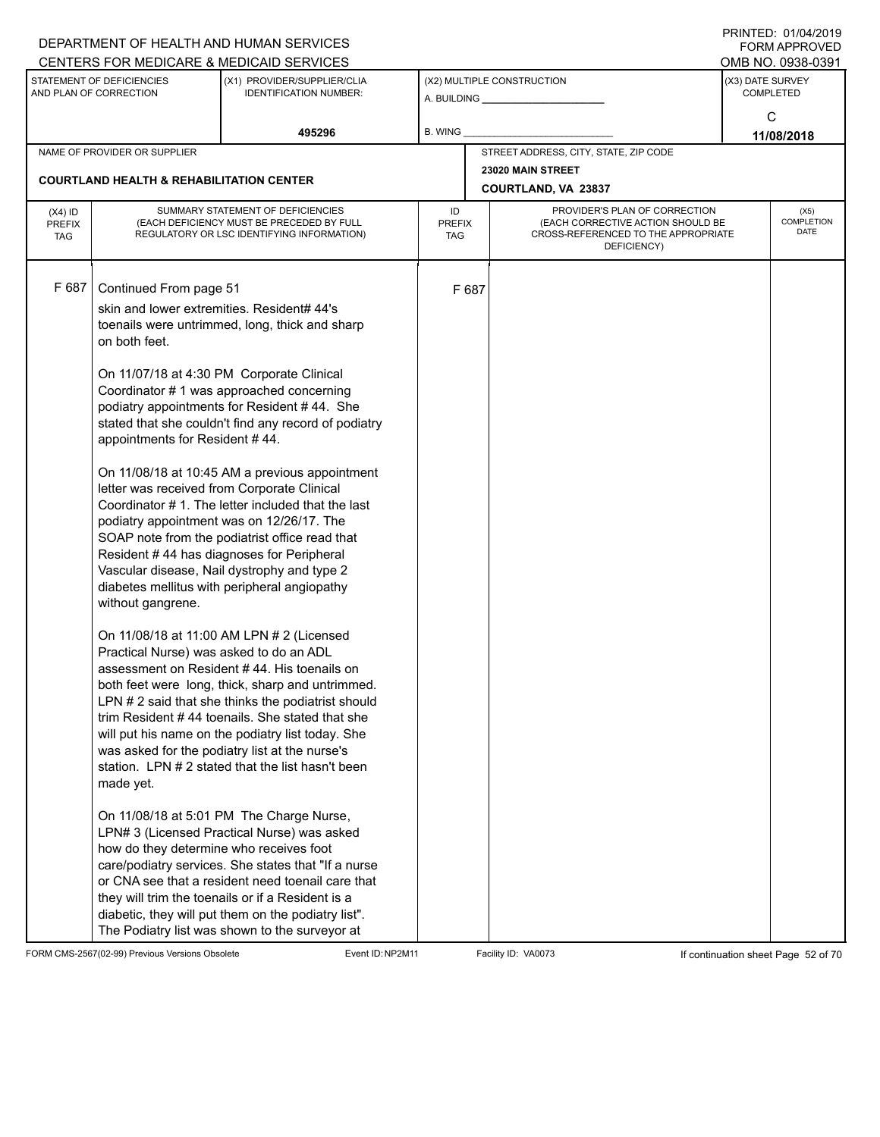|                                          |                                                                                                                                                                                                                                                                                                | DEPARTMENT OF HEALTH AND HUMAN SERVICES                                                                                                                                                                                                                                                                                                                                                                                                                                                                                                                                                                                                                                                                                                                                                                                                                                                                                                                                                                                                                                                                                                                                                                                                                                                                                                                                                   |                            |       |                                                                                                                          |                  | $1 \times 11 \times 11 = 12.$ $0 \times 110 = 12$<br>FORM APPROVED |
|------------------------------------------|------------------------------------------------------------------------------------------------------------------------------------------------------------------------------------------------------------------------------------------------------------------------------------------------|-------------------------------------------------------------------------------------------------------------------------------------------------------------------------------------------------------------------------------------------------------------------------------------------------------------------------------------------------------------------------------------------------------------------------------------------------------------------------------------------------------------------------------------------------------------------------------------------------------------------------------------------------------------------------------------------------------------------------------------------------------------------------------------------------------------------------------------------------------------------------------------------------------------------------------------------------------------------------------------------------------------------------------------------------------------------------------------------------------------------------------------------------------------------------------------------------------------------------------------------------------------------------------------------------------------------------------------------------------------------------------------------|----------------------------|-------|--------------------------------------------------------------------------------------------------------------------------|------------------|--------------------------------------------------------------------|
|                                          |                                                                                                                                                                                                                                                                                                | CENTERS FOR MEDICARE & MEDICAID SERVICES                                                                                                                                                                                                                                                                                                                                                                                                                                                                                                                                                                                                                                                                                                                                                                                                                                                                                                                                                                                                                                                                                                                                                                                                                                                                                                                                                  |                            |       |                                                                                                                          |                  | OMB NO. 0938-0391                                                  |
|                                          | STATEMENT OF DEFICIENCIES<br>AND PLAN OF CORRECTION                                                                                                                                                                                                                                            | (X1) PROVIDER/SUPPLIER/CLIA<br><b>IDENTIFICATION NUMBER:</b>                                                                                                                                                                                                                                                                                                                                                                                                                                                                                                                                                                                                                                                                                                                                                                                                                                                                                                                                                                                                                                                                                                                                                                                                                                                                                                                              |                            |       | (X2) MULTIPLE CONSTRUCTION<br>A. BUILDING A. BUILDING                                                                    | (X3) DATE SURVEY | <b>COMPLETED</b>                                                   |
|                                          |                                                                                                                                                                                                                                                                                                | 495296                                                                                                                                                                                                                                                                                                                                                                                                                                                                                                                                                                                                                                                                                                                                                                                                                                                                                                                                                                                                                                                                                                                                                                                                                                                                                                                                                                                    | B. WING                    |       |                                                                                                                          |                  | C<br>11/08/2018                                                    |
|                                          | NAME OF PROVIDER OR SUPPLIER                                                                                                                                                                                                                                                                   |                                                                                                                                                                                                                                                                                                                                                                                                                                                                                                                                                                                                                                                                                                                                                                                                                                                                                                                                                                                                                                                                                                                                                                                                                                                                                                                                                                                           |                            |       | STREET ADDRESS, CITY, STATE, ZIP CODE                                                                                    |                  |                                                                    |
|                                          | <b>COURTLAND HEALTH &amp; REHABILITATION CENTER</b>                                                                                                                                                                                                                                            |                                                                                                                                                                                                                                                                                                                                                                                                                                                                                                                                                                                                                                                                                                                                                                                                                                                                                                                                                                                                                                                                                                                                                                                                                                                                                                                                                                                           |                            |       | 23020 MAIN STREET                                                                                                        |                  |                                                                    |
|                                          |                                                                                                                                                                                                                                                                                                |                                                                                                                                                                                                                                                                                                                                                                                                                                                                                                                                                                                                                                                                                                                                                                                                                                                                                                                                                                                                                                                                                                                                                                                                                                                                                                                                                                                           |                            |       | COURTLAND, VA 23837                                                                                                      |                  |                                                                    |
| $(X4)$ ID<br><b>PREFIX</b><br><b>TAG</b> |                                                                                                                                                                                                                                                                                                | SUMMARY STATEMENT OF DEFICIENCIES<br>(EACH DEFICIENCY MUST BE PRECEDED BY FULL<br>REGULATORY OR LSC IDENTIFYING INFORMATION)                                                                                                                                                                                                                                                                                                                                                                                                                                                                                                                                                                                                                                                                                                                                                                                                                                                                                                                                                                                                                                                                                                                                                                                                                                                              | ID<br><b>PREFIX</b><br>TAG |       | PROVIDER'S PLAN OF CORRECTION<br>(EACH CORRECTIVE ACTION SHOULD BE<br>CROSS-REFERENCED TO THE APPROPRIATE<br>DEFICIENCY) |                  | (X5)<br>COMPLETION<br><b>DATE</b>                                  |
| F 687                                    | Continued From page 51<br>skin and lower extremities. Resident# 44's<br>on both feet.<br>appointments for Resident #44.<br>letter was received from Corporate Clinical<br>without gangrene.<br>Practical Nurse) was asked to do an ADL<br>made yet.<br>how do they determine who receives foot | toenails were untrimmed, long, thick and sharp<br>On 11/07/18 at 4:30 PM Corporate Clinical<br>Coordinator #1 was approached concerning<br>podiatry appointments for Resident #44. She<br>stated that she couldn't find any record of podiatry<br>On 11/08/18 at 10:45 AM a previous appointment<br>Coordinator #1. The letter included that the last<br>podiatry appointment was on 12/26/17. The<br>SOAP note from the podiatrist office read that<br>Resident #44 has diagnoses for Peripheral<br>Vascular disease, Nail dystrophy and type 2<br>diabetes mellitus with peripheral angiopathy<br>On 11/08/18 at 11:00 AM LPN # 2 (Licensed<br>assessment on Resident #44. His toenails on<br>both feet were long, thick, sharp and untrimmed.<br>LPN # 2 said that she thinks the podiatrist should<br>trim Resident #44 toenails. She stated that she<br>will put his name on the podiatry list today. She<br>was asked for the podiatry list at the nurse's<br>station. LPN #2 stated that the list hasn't been<br>On 11/08/18 at 5:01 PM The Charge Nurse,<br>LPN# 3 (Licensed Practical Nurse) was asked<br>care/podiatry services. She states that "If a nurse<br>or CNA see that a resident need toenail care that<br>they will trim the toenails or if a Resident is a<br>diabetic, they will put them on the podiatry list".<br>The Podiatry list was shown to the surveyor at |                            | F 687 |                                                                                                                          |                  |                                                                    |

FORM CMS-2567(02-99) Previous Versions Obsolete Event ID:NP2M11 Facility ID: VA0073 If continuation sheet Page 52 of 70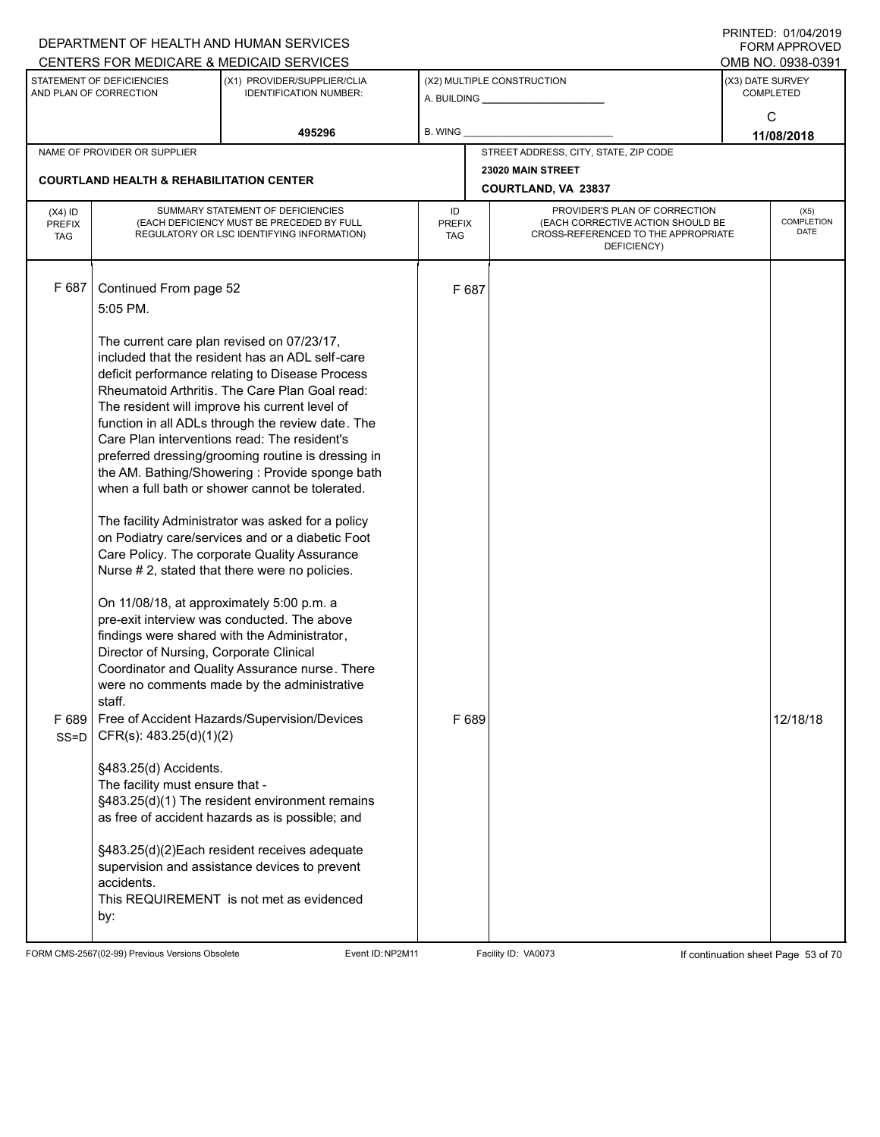| (X1) PROVIDER/SUPPLIER/CLIA<br>(X3) DATE SURVEY<br>STATEMENT OF DEFICIENCIES<br>(X2) MULTIPLE CONSTRUCTION<br>AND PLAN OF CORRECTION<br><b>IDENTIFICATION NUMBER:</b><br><b>COMPLETED</b><br>C<br><b>B. WING</b><br>495296<br>11/08/2018<br>STREET ADDRESS, CITY, STATE, ZIP CODE<br>NAME OF PROVIDER OR SUPPLIER<br>23020 MAIN STREET<br><b>COURTLAND HEALTH &amp; REHABILITATION CENTER</b><br><b>COURTLAND, VA 23837</b><br>PROVIDER'S PLAN OF CORRECTION<br>SUMMARY STATEMENT OF DEFICIENCIES<br>ID<br>$(X4)$ ID<br>(X5)<br>(EACH CORRECTIVE ACTION SHOULD BE<br>(EACH DEFICIENCY MUST BE PRECEDED BY FULL<br><b>PREFIX</b><br><b>PREFIX</b><br>DATE<br>CROSS-REFERENCED TO THE APPROPRIATE<br>REGULATORY OR LSC IDENTIFYING INFORMATION)<br><b>TAG</b><br><b>TAG</b><br>DEFICIENCY)<br>F 687<br>Continued From page 52<br>F 687<br>5:05 PM.<br>The current care plan revised on 07/23/17,<br>included that the resident has an ADL self-care<br>deficit performance relating to Disease Process<br>Rheumatoid Arthritis. The Care Plan Goal read:<br>The resident will improve his current level of<br>function in all ADLs through the review date. The<br>Care Plan interventions read: The resident's<br>preferred dressing/grooming routine is dressing in |  | DEPARTMENT OF HEALTH AND HUMAN SERVICES<br>CENTERS FOR MEDICARE & MEDICAID SERVICES |  | FININILU. VIIV <del>I</del> IZVIJ<br>FORM APPROVED<br>OMB NO. 0938-0391 |
|---------------------------------------------------------------------------------------------------------------------------------------------------------------------------------------------------------------------------------------------------------------------------------------------------------------------------------------------------------------------------------------------------------------------------------------------------------------------------------------------------------------------------------------------------------------------------------------------------------------------------------------------------------------------------------------------------------------------------------------------------------------------------------------------------------------------------------------------------------------------------------------------------------------------------------------------------------------------------------------------------------------------------------------------------------------------------------------------------------------------------------------------------------------------------------------------------------------------------------------------------------------------|--|-------------------------------------------------------------------------------------|--|-------------------------------------------------------------------------|
|                                                                                                                                                                                                                                                                                                                                                                                                                                                                                                                                                                                                                                                                                                                                                                                                                                                                                                                                                                                                                                                                                                                                                                                                                                                                     |  |                                                                                     |  |                                                                         |
|                                                                                                                                                                                                                                                                                                                                                                                                                                                                                                                                                                                                                                                                                                                                                                                                                                                                                                                                                                                                                                                                                                                                                                                                                                                                     |  |                                                                                     |  |                                                                         |
|                                                                                                                                                                                                                                                                                                                                                                                                                                                                                                                                                                                                                                                                                                                                                                                                                                                                                                                                                                                                                                                                                                                                                                                                                                                                     |  |                                                                                     |  |                                                                         |
|                                                                                                                                                                                                                                                                                                                                                                                                                                                                                                                                                                                                                                                                                                                                                                                                                                                                                                                                                                                                                                                                                                                                                                                                                                                                     |  |                                                                                     |  |                                                                         |
|                                                                                                                                                                                                                                                                                                                                                                                                                                                                                                                                                                                                                                                                                                                                                                                                                                                                                                                                                                                                                                                                                                                                                                                                                                                                     |  |                                                                                     |  | <b>COMPLETION</b>                                                       |
| the AM. Bathing/Showering: Provide sponge bath<br>when a full bath or shower cannot be tolerated.<br>The facility Administrator was asked for a policy<br>on Podiatry care/services and or a diabetic Foot<br>Care Policy. The corporate Quality Assurance<br>Nurse # 2, stated that there were no policies.<br>On 11/08/18, at approximately 5:00 p.m. a<br>pre-exit interview was conducted. The above<br>findings were shared with the Administrator,<br>Director of Nursing, Corporate Clinical<br>Coordinator and Quality Assurance nurse. There<br>were no comments made by the administrative<br>staff.<br>F 689<br>Free of Accident Hazards/Supervision/Devices<br>F 689<br>CFR(s): 483.25(d)(1)(2)<br>$SS = D$<br>§483.25(d) Accidents.<br>The facility must ensure that -<br>§483.25(d)(1) The resident environment remains<br>as free of accident hazards as is possible; and<br>§483.25(d)(2)Each resident receives adequate<br>supervision and assistance devices to prevent<br>accidents.<br>This REQUIREMENT is not met as evidenced<br>by:                                                                                                                                                                                                          |  |                                                                                     |  | 12/18/18                                                                |

FORM CMS-2567(02-99) Previous Versions Obsolete Event ID:NP2M11 Facility ID: VA0073 If continuation sheet Page 53 of 70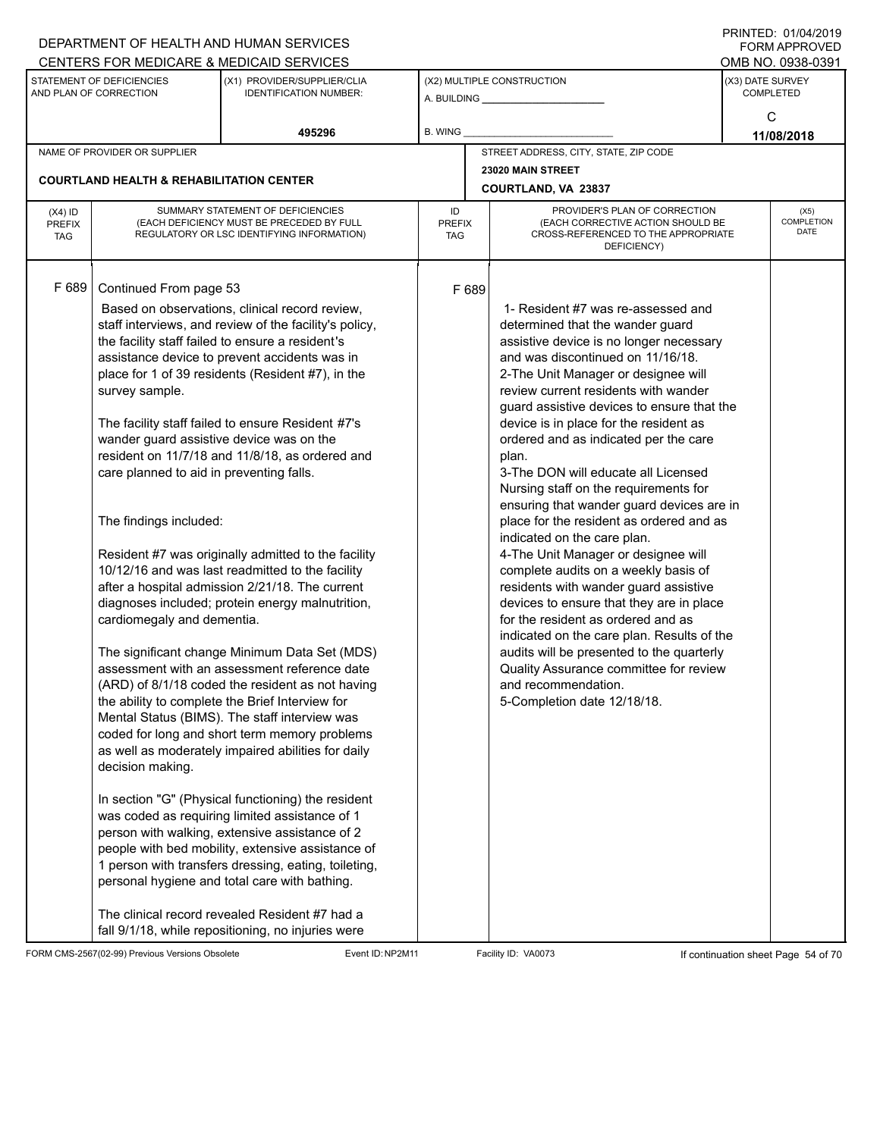|                             |                                                     | DEPARTMENT OF HEALTH AND HUMAN SERVICES                                                              |                      |       |                                                                               |                  | $1 \times 1 \times 1 = 12.5$ $1 \times 1 \times 1 = 12.5$<br>FORM APPROVED |
|-----------------------------|-----------------------------------------------------|------------------------------------------------------------------------------------------------------|----------------------|-------|-------------------------------------------------------------------------------|------------------|----------------------------------------------------------------------------|
|                             | STATEMENT OF DEFICIENCIES                           | CENTERS FOR MEDICARE & MEDICAID SERVICES<br>(X1) PROVIDER/SUPPLIER/CLIA                              |                      |       | (X2) MULTIPLE CONSTRUCTION                                                    | (X3) DATE SURVEY | OMB NO. 0938-0391                                                          |
|                             | AND PLAN OF CORRECTION                              | <b>IDENTIFICATION NUMBER:</b>                                                                        |                      |       | A. BUILDING <b>A.</b> BUILDING                                                |                  | <b>COMPLETED</b>                                                           |
|                             |                                                     |                                                                                                      |                      |       |                                                                               |                  | C                                                                          |
|                             |                                                     | 495296                                                                                               | B. WING              |       |                                                                               |                  | 11/08/2018                                                                 |
|                             | NAME OF PROVIDER OR SUPPLIER                        |                                                                                                      |                      |       | STREET ADDRESS, CITY, STATE, ZIP CODE                                         |                  |                                                                            |
|                             | <b>COURTLAND HEALTH &amp; REHABILITATION CENTER</b> |                                                                                                      |                      |       | 23020 MAIN STREET                                                             |                  |                                                                            |
|                             |                                                     |                                                                                                      |                      |       | COURTLAND, VA 23837                                                           |                  |                                                                            |
| $(X4)$ ID                   |                                                     | SUMMARY STATEMENT OF DEFICIENCIES                                                                    | ID                   |       | PROVIDER'S PLAN OF CORRECTION                                                 |                  | (X5)<br>COMPLETION                                                         |
| <b>PREFIX</b><br><b>TAG</b> |                                                     | (EACH DEFICIENCY MUST BE PRECEDED BY FULL<br>REGULATORY OR LSC IDENTIFYING INFORMATION)              | <b>PREFIX</b><br>TAG |       | (EACH CORRECTIVE ACTION SHOULD BE<br>CROSS-REFERENCED TO THE APPROPRIATE      |                  | <b>DATE</b>                                                                |
|                             |                                                     |                                                                                                      |                      |       | DEFICIENCY)                                                                   |                  |                                                                            |
|                             |                                                     |                                                                                                      |                      |       |                                                                               |                  |                                                                            |
| F 689                       | Continued From page 53                              |                                                                                                      |                      | F 689 |                                                                               |                  |                                                                            |
|                             |                                                     | Based on observations, clinical record review,                                                       |                      |       | 1- Resident #7 was re-assessed and                                            |                  |                                                                            |
|                             |                                                     | staff interviews, and review of the facility's policy,                                               |                      |       | determined that the wander guard                                              |                  |                                                                            |
|                             |                                                     | the facility staff failed to ensure a resident's<br>assistance device to prevent accidents was in    |                      |       | assistive device is no longer necessary<br>and was discontinued on 11/16/18.  |                  |                                                                            |
|                             |                                                     | place for 1 of 39 residents (Resident #7), in the                                                    |                      |       | 2-The Unit Manager or designee will                                           |                  |                                                                            |
|                             | survey sample.                                      |                                                                                                      |                      |       | review current residents with wander                                          |                  |                                                                            |
|                             |                                                     |                                                                                                      |                      |       | guard assistive devices to ensure that the                                    |                  |                                                                            |
|                             |                                                     | The facility staff failed to ensure Resident #7's                                                    |                      |       | device is in place for the resident as                                        |                  |                                                                            |
|                             | wander guard assistive device was on the            |                                                                                                      |                      |       | ordered and as indicated per the care                                         |                  |                                                                            |
|                             | care planned to aid in preventing falls.            | resident on 11/7/18 and 11/8/18, as ordered and                                                      |                      |       | plan.<br>3-The DON will educate all Licensed                                  |                  |                                                                            |
|                             |                                                     |                                                                                                      |                      |       | Nursing staff on the requirements for                                         |                  |                                                                            |
|                             |                                                     |                                                                                                      |                      |       | ensuring that wander guard devices are in                                     |                  |                                                                            |
|                             | The findings included:                              |                                                                                                      |                      |       | place for the resident as ordered and as                                      |                  |                                                                            |
|                             |                                                     |                                                                                                      |                      |       | indicated on the care plan.                                                   |                  |                                                                            |
|                             |                                                     | Resident #7 was originally admitted to the facility                                                  |                      |       | 4-The Unit Manager or designee will                                           |                  |                                                                            |
|                             |                                                     | 10/12/16 and was last readmitted to the facility<br>after a hospital admission 2/21/18. The current  |                      |       | complete audits on a weekly basis of<br>residents with wander guard assistive |                  |                                                                            |
|                             |                                                     | diagnoses included; protein energy malnutrition,                                                     |                      |       | devices to ensure that they are in place                                      |                  |                                                                            |
|                             | cardiomegaly and dementia.                          |                                                                                                      |                      |       | for the resident as ordered and as                                            |                  |                                                                            |
|                             |                                                     |                                                                                                      |                      |       | indicated on the care plan. Results of the                                    |                  |                                                                            |
|                             |                                                     | The significant change Minimum Data Set (MDS)                                                        |                      |       | audits will be presented to the quarterly                                     |                  |                                                                            |
|                             |                                                     | assessment with an assessment reference date                                                         |                      |       | Quality Assurance committee for review                                        |                  |                                                                            |
|                             |                                                     | (ARD) of 8/1/18 coded the resident as not having<br>the ability to complete the Brief Interview for  |                      |       | and recommendation.<br>5-Completion date 12/18/18.                            |                  |                                                                            |
|                             |                                                     | Mental Status (BIMS). The staff interview was                                                        |                      |       |                                                                               |                  |                                                                            |
|                             |                                                     | coded for long and short term memory problems                                                        |                      |       |                                                                               |                  |                                                                            |
|                             |                                                     | as well as moderately impaired abilities for daily                                                   |                      |       |                                                                               |                  |                                                                            |
|                             | decision making.                                    |                                                                                                      |                      |       |                                                                               |                  |                                                                            |
|                             |                                                     |                                                                                                      |                      |       |                                                                               |                  |                                                                            |
|                             |                                                     | In section "G" (Physical functioning) the resident<br>was coded as requiring limited assistance of 1 |                      |       |                                                                               |                  |                                                                            |
|                             |                                                     | person with walking, extensive assistance of 2                                                       |                      |       |                                                                               |                  |                                                                            |
|                             |                                                     | people with bed mobility, extensive assistance of                                                    |                      |       |                                                                               |                  |                                                                            |
|                             |                                                     | 1 person with transfers dressing, eating, toileting,                                                 |                      |       |                                                                               |                  |                                                                            |
|                             |                                                     | personal hygiene and total care with bathing.                                                        |                      |       |                                                                               |                  |                                                                            |
|                             |                                                     | The clinical record revealed Resident #7 had a                                                       |                      |       |                                                                               |                  |                                                                            |
|                             |                                                     | fall 9/1/18, while repositioning, no injuries were                                                   |                      |       |                                                                               |                  |                                                                            |

FORM CMS-2567(02-99) Previous Versions Obsolete Event ID:NP2M11 Facility ID: VA0073 If continuation sheet Page 54 of 70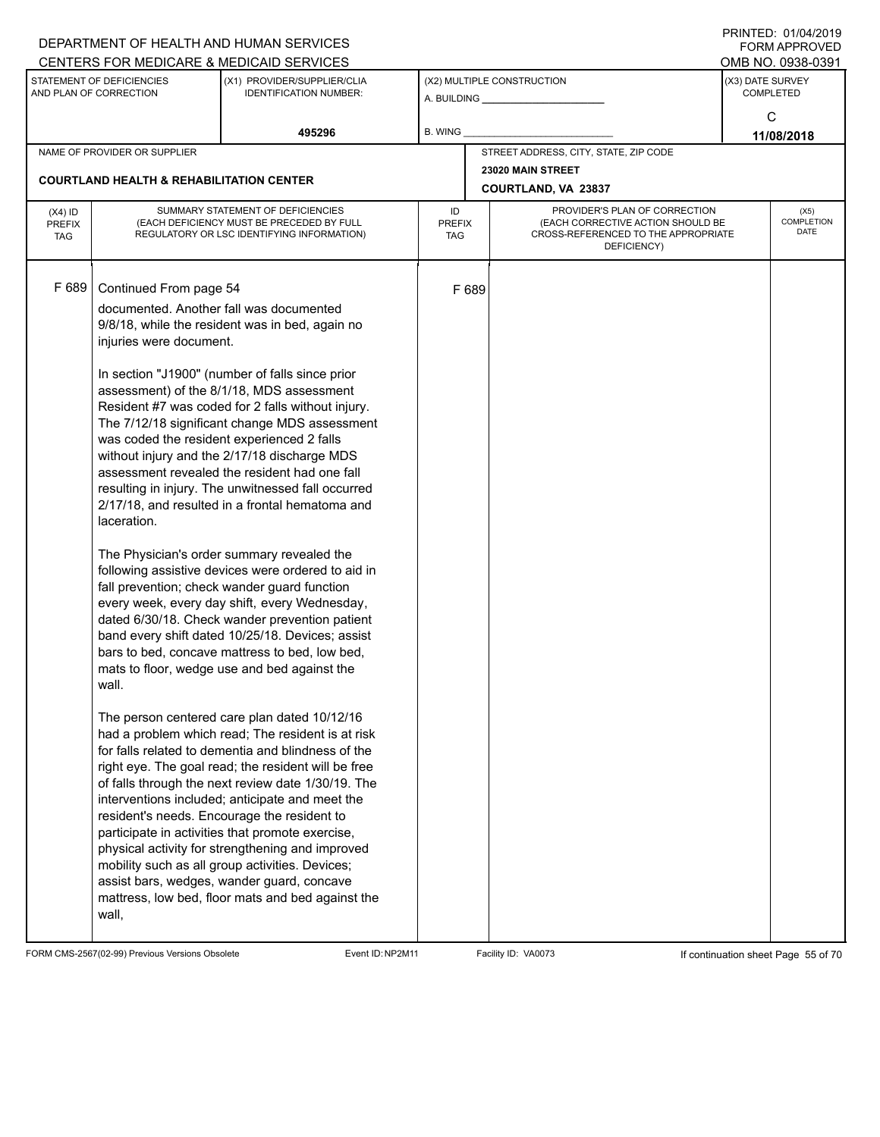|                             |                                                     | DEPARTMENT OF HEALTH AND HUMAN SERVICES                                                               |                      |       |                                                                          |                  | $1 \times 11 \times 11 = 12.$ $0 \times 110 = 12$<br>FORM APPROVED |
|-----------------------------|-----------------------------------------------------|-------------------------------------------------------------------------------------------------------|----------------------|-------|--------------------------------------------------------------------------|------------------|--------------------------------------------------------------------|
|                             |                                                     | CENTERS FOR MEDICARE & MEDICAID SERVICES                                                              |                      |       |                                                                          |                  | OMB NO. 0938-0391                                                  |
|                             | STATEMENT OF DEFICIENCIES<br>AND PLAN OF CORRECTION | (X1) PROVIDER/SUPPLIER/CLIA<br><b>IDENTIFICATION NUMBER:</b>                                          |                      |       | (X2) MULTIPLE CONSTRUCTION                                               | (X3) DATE SURVEY | <b>COMPLETED</b>                                                   |
|                             |                                                     |                                                                                                       |                      |       |                                                                          |                  | C                                                                  |
|                             |                                                     | 495296                                                                                                | B. WING              |       |                                                                          |                  | 11/08/2018                                                         |
|                             | NAME OF PROVIDER OR SUPPLIER                        |                                                                                                       |                      |       | STREET ADDRESS, CITY, STATE, ZIP CODE                                    |                  |                                                                    |
|                             | <b>COURTLAND HEALTH &amp; REHABILITATION CENTER</b> |                                                                                                       |                      |       | 23020 MAIN STREET                                                        |                  |                                                                    |
|                             |                                                     |                                                                                                       |                      |       | COURTLAND, VA 23837                                                      |                  |                                                                    |
| $(X4)$ ID                   |                                                     | SUMMARY STATEMENT OF DEFICIENCIES                                                                     | ID                   |       | PROVIDER'S PLAN OF CORRECTION                                            |                  | (X5)                                                               |
| <b>PREFIX</b><br><b>TAG</b> |                                                     | (EACH DEFICIENCY MUST BE PRECEDED BY FULL<br>REGULATORY OR LSC IDENTIFYING INFORMATION)               | <b>PREFIX</b><br>TAG |       | (EACH CORRECTIVE ACTION SHOULD BE<br>CROSS-REFERENCED TO THE APPROPRIATE |                  | COMPLETION<br>DATE                                                 |
|                             |                                                     |                                                                                                       |                      |       | DEFICIENCY)                                                              |                  |                                                                    |
|                             |                                                     |                                                                                                       |                      |       |                                                                          |                  |                                                                    |
| F 689                       | Continued From page 54                              |                                                                                                       |                      | F 689 |                                                                          |                  |                                                                    |
|                             |                                                     | documented. Another fall was documented                                                               |                      |       |                                                                          |                  |                                                                    |
|                             |                                                     | 9/8/18, while the resident was in bed, again no                                                       |                      |       |                                                                          |                  |                                                                    |
|                             | injuries were document.                             |                                                                                                       |                      |       |                                                                          |                  |                                                                    |
|                             |                                                     | In section "J1900" (number of falls since prior                                                       |                      |       |                                                                          |                  |                                                                    |
|                             |                                                     | assessment) of the 8/1/18, MDS assessment                                                             |                      |       |                                                                          |                  |                                                                    |
|                             |                                                     | Resident #7 was coded for 2 falls without injury.                                                     |                      |       |                                                                          |                  |                                                                    |
|                             | was coded the resident experienced 2 falls          | The 7/12/18 significant change MDS assessment                                                         |                      |       |                                                                          |                  |                                                                    |
|                             |                                                     | without injury and the 2/17/18 discharge MDS                                                          |                      |       |                                                                          |                  |                                                                    |
|                             |                                                     | assessment revealed the resident had one fall                                                         |                      |       |                                                                          |                  |                                                                    |
|                             |                                                     | resulting in injury. The unwitnessed fall occurred                                                    |                      |       |                                                                          |                  |                                                                    |
|                             |                                                     | 2/17/18, and resulted in a frontal hematoma and                                                       |                      |       |                                                                          |                  |                                                                    |
|                             | laceration.                                         |                                                                                                       |                      |       |                                                                          |                  |                                                                    |
|                             |                                                     | The Physician's order summary revealed the                                                            |                      |       |                                                                          |                  |                                                                    |
|                             |                                                     | following assistive devices were ordered to aid in                                                    |                      |       |                                                                          |                  |                                                                    |
|                             |                                                     | fall prevention; check wander guard function                                                          |                      |       |                                                                          |                  |                                                                    |
|                             |                                                     | every week, every day shift, every Wednesday,<br>dated 6/30/18. Check wander prevention patient       |                      |       |                                                                          |                  |                                                                    |
|                             |                                                     | band every shift dated 10/25/18. Devices; assist                                                      |                      |       |                                                                          |                  |                                                                    |
|                             |                                                     | bars to bed, concave mattress to bed, low bed,                                                        |                      |       |                                                                          |                  |                                                                    |
|                             |                                                     | mats to floor, wedge use and bed against the                                                          |                      |       |                                                                          |                  |                                                                    |
|                             | wall.                                               |                                                                                                       |                      |       |                                                                          |                  |                                                                    |
|                             |                                                     | The person centered care plan dated 10/12/16                                                          |                      |       |                                                                          |                  |                                                                    |
|                             |                                                     | had a problem which read; The resident is at risk                                                     |                      |       |                                                                          |                  |                                                                    |
|                             |                                                     | for falls related to dementia and blindness of the                                                    |                      |       |                                                                          |                  |                                                                    |
|                             |                                                     | right eye. The goal read; the resident will be free                                                   |                      |       |                                                                          |                  |                                                                    |
|                             |                                                     | of falls through the next review date 1/30/19. The<br>interventions included; anticipate and meet the |                      |       |                                                                          |                  |                                                                    |
|                             |                                                     | resident's needs. Encourage the resident to                                                           |                      |       |                                                                          |                  |                                                                    |
|                             |                                                     | participate in activities that promote exercise,                                                      |                      |       |                                                                          |                  |                                                                    |
|                             |                                                     | physical activity for strengthening and improved                                                      |                      |       |                                                                          |                  |                                                                    |
|                             |                                                     | mobility such as all group activities. Devices;                                                       |                      |       |                                                                          |                  |                                                                    |
|                             |                                                     | assist bars, wedges, wander guard, concave<br>mattress, low bed, floor mats and bed against the       |                      |       |                                                                          |                  |                                                                    |
|                             | wall,                                               |                                                                                                       |                      |       |                                                                          |                  |                                                                    |
|                             |                                                     |                                                                                                       |                      |       |                                                                          |                  |                                                                    |

FORM CMS-2567(02-99) Previous Versions Obsolete Event ID:NP2M11 Facility ID: VA0073 If continuation sheet Page 55 of 70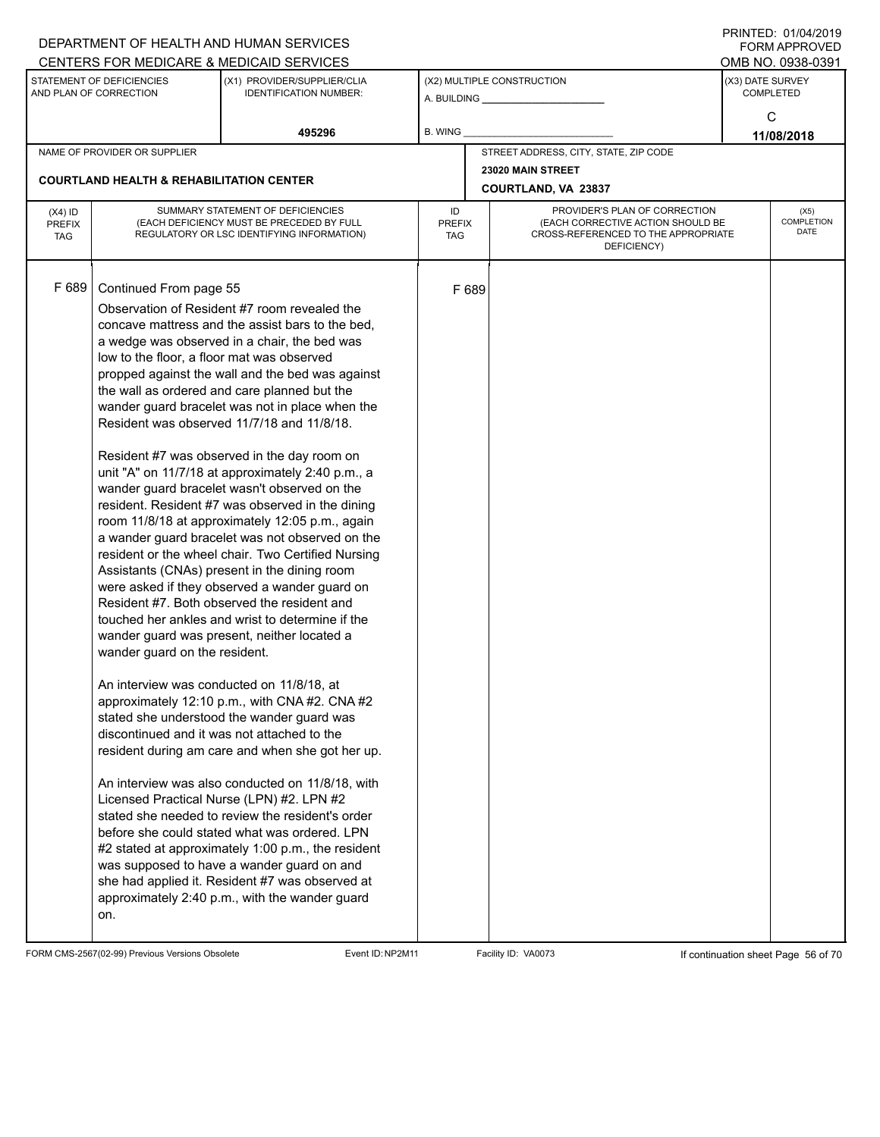|                            |                                                     | DEPARTMENT OF HEALTH AND HUMAN SERVICES                                                            |                     |       |                                                                    |                  | FORM APPROVED      |
|----------------------------|-----------------------------------------------------|----------------------------------------------------------------------------------------------------|---------------------|-------|--------------------------------------------------------------------|------------------|--------------------|
|                            |                                                     | CENTERS FOR MEDICARE & MEDICAID SERVICES                                                           |                     |       |                                                                    |                  | OMB NO. 0938-0391  |
|                            | STATEMENT OF DEFICIENCIES<br>AND PLAN OF CORRECTION | (X1) PROVIDER/SUPPLIER/CLIA<br><b>IDENTIFICATION NUMBER:</b>                                       |                     |       | (X2) MULTIPLE CONSTRUCTION                                         | (X3) DATE SURVEY | <b>COMPLETED</b>   |
|                            |                                                     |                                                                                                    |                     |       |                                                                    |                  |                    |
|                            |                                                     | 495296                                                                                             | B. WING             |       |                                                                    |                  | C<br>11/08/2018    |
|                            | NAME OF PROVIDER OR SUPPLIER                        |                                                                                                    |                     |       | STREET ADDRESS, CITY, STATE, ZIP CODE                              |                  |                    |
|                            |                                                     |                                                                                                    |                     |       | 23020 MAIN STREET                                                  |                  |                    |
|                            | <b>COURTLAND HEALTH &amp; REHABILITATION CENTER</b> |                                                                                                    |                     |       | COURTLAND, VA 23837                                                |                  |                    |
| $(X4)$ ID<br><b>PREFIX</b> |                                                     | SUMMARY STATEMENT OF DEFICIENCIES<br>(EACH DEFICIENCY MUST BE PRECEDED BY FULL                     | ID<br><b>PREFIX</b> |       | PROVIDER'S PLAN OF CORRECTION<br>(EACH CORRECTIVE ACTION SHOULD BE |                  | (X5)<br>COMPLETION |
| <b>TAG</b>                 |                                                     | REGULATORY OR LSC IDENTIFYING INFORMATION)                                                         | TAG                 |       | CROSS-REFERENCED TO THE APPROPRIATE                                |                  | DATE               |
|                            |                                                     |                                                                                                    |                     |       | DEFICIENCY)                                                        |                  |                    |
|                            |                                                     |                                                                                                    |                     |       |                                                                    |                  |                    |
| F 689                      | Continued From page 55                              |                                                                                                    |                     | F 689 |                                                                    |                  |                    |
|                            |                                                     | Observation of Resident #7 room revealed the                                                       |                     |       |                                                                    |                  |                    |
|                            |                                                     | concave mattress and the assist bars to the bed.                                                   |                     |       |                                                                    |                  |                    |
|                            | low to the floor, a floor mat was observed          | a wedge was observed in a chair, the bed was                                                       |                     |       |                                                                    |                  |                    |
|                            |                                                     | propped against the wall and the bed was against                                                   |                     |       |                                                                    |                  |                    |
|                            |                                                     | the wall as ordered and care planned but the                                                       |                     |       |                                                                    |                  |                    |
|                            |                                                     | wander guard bracelet was not in place when the                                                    |                     |       |                                                                    |                  |                    |
|                            |                                                     | Resident was observed 11/7/18 and 11/8/18.                                                         |                     |       |                                                                    |                  |                    |
|                            |                                                     | Resident #7 was observed in the day room on                                                        |                     |       |                                                                    |                  |                    |
|                            |                                                     | unit "A" on 11/7/18 at approximately 2:40 p.m., a                                                  |                     |       |                                                                    |                  |                    |
|                            |                                                     | wander guard bracelet wasn't observed on the                                                       |                     |       |                                                                    |                  |                    |
|                            |                                                     | resident. Resident #7 was observed in the dining                                                   |                     |       |                                                                    |                  |                    |
|                            |                                                     | room 11/8/18 at approximately 12:05 p.m., again<br>a wander guard bracelet was not observed on the |                     |       |                                                                    |                  |                    |
|                            |                                                     | resident or the wheel chair. Two Certified Nursing                                                 |                     |       |                                                                    |                  |                    |
|                            |                                                     | Assistants (CNAs) present in the dining room                                                       |                     |       |                                                                    |                  |                    |
|                            |                                                     | were asked if they observed a wander guard on                                                      |                     |       |                                                                    |                  |                    |
|                            |                                                     | Resident #7. Both observed the resident and                                                        |                     |       |                                                                    |                  |                    |
|                            |                                                     | touched her ankles and wrist to determine if the                                                   |                     |       |                                                                    |                  |                    |
|                            | wander guard on the resident.                       | wander guard was present, neither located a                                                        |                     |       |                                                                    |                  |                    |
|                            |                                                     |                                                                                                    |                     |       |                                                                    |                  |                    |
|                            | An interview was conducted on 11/8/18, at           |                                                                                                    |                     |       |                                                                    |                  |                    |
|                            |                                                     | approximately 12:10 p.m., with CNA #2. CNA #2                                                      |                     |       |                                                                    |                  |                    |
|                            |                                                     | stated she understood the wander guard was                                                         |                     |       |                                                                    |                  |                    |
|                            |                                                     | discontinued and it was not attached to the                                                        |                     |       |                                                                    |                  |                    |
|                            |                                                     | resident during am care and when she got her up.                                                   |                     |       |                                                                    |                  |                    |
|                            |                                                     | An interview was also conducted on 11/8/18, with                                                   |                     |       |                                                                    |                  |                    |
|                            |                                                     | Licensed Practical Nurse (LPN) #2. LPN #2                                                          |                     |       |                                                                    |                  |                    |
|                            |                                                     | stated she needed to review the resident's order                                                   |                     |       |                                                                    |                  |                    |
|                            |                                                     | before she could stated what was ordered. LPN                                                      |                     |       |                                                                    |                  |                    |
|                            |                                                     | #2 stated at approximately 1:00 p.m., the resident                                                 |                     |       |                                                                    |                  |                    |
|                            |                                                     | was supposed to have a wander guard on and<br>she had applied it. Resident #7 was observed at      |                     |       |                                                                    |                  |                    |
|                            |                                                     | approximately 2:40 p.m., with the wander guard                                                     |                     |       |                                                                    |                  |                    |
|                            | on.                                                 |                                                                                                    |                     |       |                                                                    |                  |                    |
|                            |                                                     |                                                                                                    |                     |       |                                                                    |                  |                    |

FORM CMS-2567(02-99) Previous Versions Obsolete Event ID:NP2M11 Facility ID: VA0073 If continuation sheet Page 56 of 70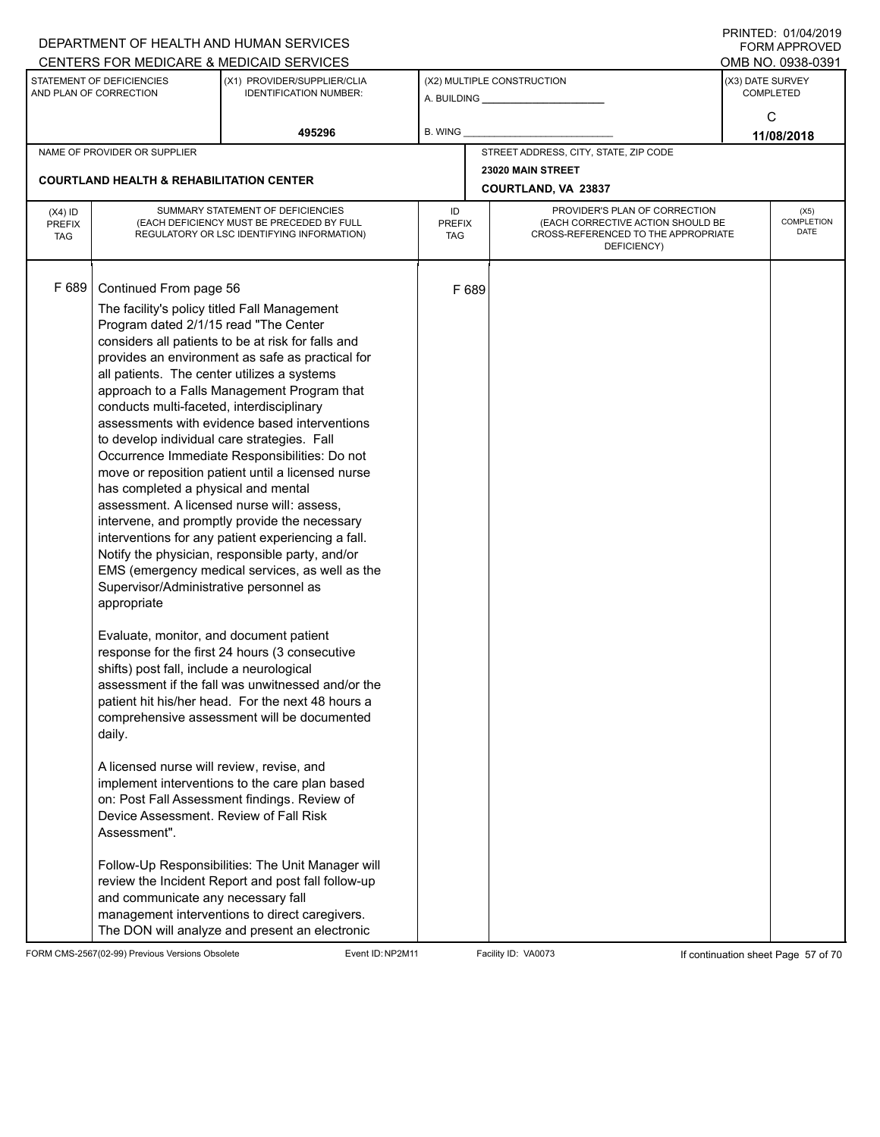|                                          |                                                                                                                                                                                                                                                                                                                                                                                                                                                                                                                                                                                                                                                         | DEPARTMENT OF HEALTH AND HUMAN SERVICES<br>CENTERS FOR MEDICARE & MEDICAID SERVICES                                                                                                                                                                                                                                                                                                                                                                                                                                                                                                                                                                                                                                                                                                                                                                                                                                                                                                                                                                   |                                   |       |                                                                                                                          |                  | FINIINILU. VIIV <del>I</del> IZVI J<br><b>FORM APPROVED</b><br>OMB NO. 0938-0391 |
|------------------------------------------|---------------------------------------------------------------------------------------------------------------------------------------------------------------------------------------------------------------------------------------------------------------------------------------------------------------------------------------------------------------------------------------------------------------------------------------------------------------------------------------------------------------------------------------------------------------------------------------------------------------------------------------------------------|-------------------------------------------------------------------------------------------------------------------------------------------------------------------------------------------------------------------------------------------------------------------------------------------------------------------------------------------------------------------------------------------------------------------------------------------------------------------------------------------------------------------------------------------------------------------------------------------------------------------------------------------------------------------------------------------------------------------------------------------------------------------------------------------------------------------------------------------------------------------------------------------------------------------------------------------------------------------------------------------------------------------------------------------------------|-----------------------------------|-------|--------------------------------------------------------------------------------------------------------------------------|------------------|----------------------------------------------------------------------------------|
|                                          | STATEMENT OF DEFICIENCIES<br>AND PLAN OF CORRECTION                                                                                                                                                                                                                                                                                                                                                                                                                                                                                                                                                                                                     | (X1) PROVIDER/SUPPLIER/CLIA<br><b>IDENTIFICATION NUMBER:</b>                                                                                                                                                                                                                                                                                                                                                                                                                                                                                                                                                                                                                                                                                                                                                                                                                                                                                                                                                                                          |                                   |       | (X2) MULTIPLE CONSTRUCTION                                                                                               | (X3) DATE SURVEY | <b>COMPLETED</b>                                                                 |
|                                          |                                                                                                                                                                                                                                                                                                                                                                                                                                                                                                                                                                                                                                                         | 495296                                                                                                                                                                                                                                                                                                                                                                                                                                                                                                                                                                                                                                                                                                                                                                                                                                                                                                                                                                                                                                                | <b>B. WING</b>                    |       |                                                                                                                          |                  | C<br>11/08/2018                                                                  |
|                                          | NAME OF PROVIDER OR SUPPLIER                                                                                                                                                                                                                                                                                                                                                                                                                                                                                                                                                                                                                            |                                                                                                                                                                                                                                                                                                                                                                                                                                                                                                                                                                                                                                                                                                                                                                                                                                                                                                                                                                                                                                                       |                                   |       | STREET ADDRESS, CITY, STATE, ZIP CODE                                                                                    |                  |                                                                                  |
|                                          | <b>COURTLAND HEALTH &amp; REHABILITATION CENTER</b>                                                                                                                                                                                                                                                                                                                                                                                                                                                                                                                                                                                                     |                                                                                                                                                                                                                                                                                                                                                                                                                                                                                                                                                                                                                                                                                                                                                                                                                                                                                                                                                                                                                                                       |                                   |       | 23020 MAIN STREET<br><b>COURTLAND, VA 23837</b>                                                                          |                  |                                                                                  |
| $(X4)$ ID<br><b>PREFIX</b><br><b>TAG</b> |                                                                                                                                                                                                                                                                                                                                                                                                                                                                                                                                                                                                                                                         | SUMMARY STATEMENT OF DEFICIENCIES<br>(EACH DEFICIENCY MUST BE PRECEDED BY FULL<br>REGULATORY OR LSC IDENTIFYING INFORMATION)                                                                                                                                                                                                                                                                                                                                                                                                                                                                                                                                                                                                                                                                                                                                                                                                                                                                                                                          | ID<br><b>PREFIX</b><br><b>TAG</b> |       | PROVIDER'S PLAN OF CORRECTION<br>(EACH CORRECTIVE ACTION SHOULD BE<br>CROSS-REFERENCED TO THE APPROPRIATE<br>DEFICIENCY) |                  | (X5)<br>COMPLETION<br><b>DATE</b>                                                |
| F 689                                    | Continued From page 56<br>The facility's policy titled Fall Management<br>Program dated 2/1/15 read "The Center<br>all patients. The center utilizes a systems<br>conducts multi-faceted, interdisciplinary<br>to develop individual care strategies. Fall<br>has completed a physical and mental<br>assessment. A licensed nurse will: assess,<br>Supervisor/Administrative personnel as<br>appropriate<br>Evaluate, monitor, and document patient<br>shifts) post fall, include a neurological<br>daily.<br>A licensed nurse will review, revise, and<br>Device Assessment. Review of Fall Risk<br>Assessment".<br>and communicate any necessary fall | considers all patients to be at risk for falls and<br>provides an environment as safe as practical for<br>approach to a Falls Management Program that<br>assessments with evidence based interventions<br>Occurrence Immediate Responsibilities: Do not<br>move or reposition patient until a licensed nurse<br>intervene, and promptly provide the necessary<br>interventions for any patient experiencing a fall.<br>Notify the physician, responsible party, and/or<br>EMS (emergency medical services, as well as the<br>response for the first 24 hours (3 consecutive<br>assessment if the fall was unwitnessed and/or the<br>patient hit his/her head. For the next 48 hours a<br>comprehensive assessment will be documented<br>implement interventions to the care plan based<br>on: Post Fall Assessment findings. Review of<br>Follow-Up Responsibilities: The Unit Manager will<br>review the Incident Report and post fall follow-up<br>management interventions to direct caregivers.<br>The DON will analyze and present an electronic |                                   | F 689 |                                                                                                                          |                  |                                                                                  |

FORM CMS-2567(02-99) Previous Versions Obsolete Event ID:NP2M11 Facility ID: VA0073 If continuation sheet Page 57 of 70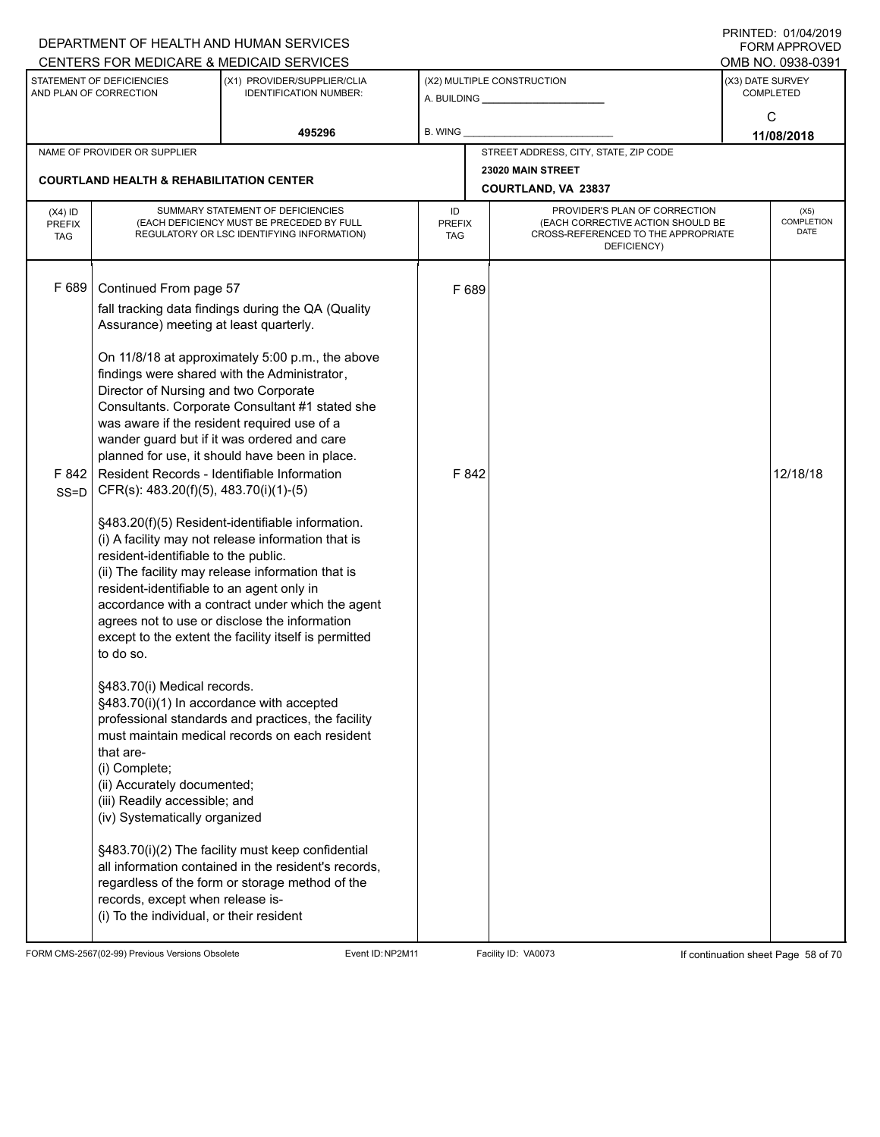|                                          |                                                                                                                                                                                                                                                                                                                                                                                                                                                                                                                                                                | DEPARTMENT OF HEALTH AND HUMAN SERVICES                                                                                                                                                                                                                                                                                                                                                                                                                                                                                                                                                                                                                                                                                                                                                                                                                                                                         |                                   |                                                                                                                          | <b>FORM APPROVED</b>                 |
|------------------------------------------|----------------------------------------------------------------------------------------------------------------------------------------------------------------------------------------------------------------------------------------------------------------------------------------------------------------------------------------------------------------------------------------------------------------------------------------------------------------------------------------------------------------------------------------------------------------|-----------------------------------------------------------------------------------------------------------------------------------------------------------------------------------------------------------------------------------------------------------------------------------------------------------------------------------------------------------------------------------------------------------------------------------------------------------------------------------------------------------------------------------------------------------------------------------------------------------------------------------------------------------------------------------------------------------------------------------------------------------------------------------------------------------------------------------------------------------------------------------------------------------------|-----------------------------------|--------------------------------------------------------------------------------------------------------------------------|--------------------------------------|
|                                          |                                                                                                                                                                                                                                                                                                                                                                                                                                                                                                                                                                | CENTERS FOR MEDICARE & MEDICAID SERVICES                                                                                                                                                                                                                                                                                                                                                                                                                                                                                                                                                                                                                                                                                                                                                                                                                                                                        |                                   |                                                                                                                          | OMB NO. 0938-0391                    |
|                                          | STATEMENT OF DEFICIENCIES<br>AND PLAN OF CORRECTION                                                                                                                                                                                                                                                                                                                                                                                                                                                                                                            | (X1) PROVIDER/SUPPLIER/CLIA<br><b>IDENTIFICATION NUMBER:</b>                                                                                                                                                                                                                                                                                                                                                                                                                                                                                                                                                                                                                                                                                                                                                                                                                                                    |                                   | (X2) MULTIPLE CONSTRUCTION<br>A. BUILDING <b>A.</b> BUILDING                                                             | (X3) DATE SURVEY<br><b>COMPLETED</b> |
|                                          |                                                                                                                                                                                                                                                                                                                                                                                                                                                                                                                                                                | 495296                                                                                                                                                                                                                                                                                                                                                                                                                                                                                                                                                                                                                                                                                                                                                                                                                                                                                                          | B. WING                           |                                                                                                                          | C<br>11/08/2018                      |
|                                          | NAME OF PROVIDER OR SUPPLIER                                                                                                                                                                                                                                                                                                                                                                                                                                                                                                                                   |                                                                                                                                                                                                                                                                                                                                                                                                                                                                                                                                                                                                                                                                                                                                                                                                                                                                                                                 |                                   | STREET ADDRESS, CITY, STATE, ZIP CODE                                                                                    |                                      |
|                                          | <b>COURTLAND HEALTH &amp; REHABILITATION CENTER</b>                                                                                                                                                                                                                                                                                                                                                                                                                                                                                                            |                                                                                                                                                                                                                                                                                                                                                                                                                                                                                                                                                                                                                                                                                                                                                                                                                                                                                                                 |                                   | 23020 MAIN STREET<br>COURTLAND, VA 23837                                                                                 |                                      |
| $(X4)$ ID<br><b>PREFIX</b><br><b>TAG</b> |                                                                                                                                                                                                                                                                                                                                                                                                                                                                                                                                                                | SUMMARY STATEMENT OF DEFICIENCIES<br>(EACH DEFICIENCY MUST BE PRECEDED BY FULL<br>REGULATORY OR LSC IDENTIFYING INFORMATION)                                                                                                                                                                                                                                                                                                                                                                                                                                                                                                                                                                                                                                                                                                                                                                                    | ID<br><b>PREFIX</b><br><b>TAG</b> | PROVIDER'S PLAN OF CORRECTION<br>(EACH CORRECTIVE ACTION SHOULD BE<br>CROSS-REFERENCED TO THE APPROPRIATE<br>DEFICIENCY) | (X5)<br><b>COMPLETION</b><br>DATE    |
| F 689<br>F 842<br>$SS = D$               | Continued From page 57<br>Assurance) meeting at least quarterly.<br>Director of Nursing and two Corporate<br>was aware if the resident required use of a<br>Resident Records - Identifiable Information<br>CFR(s): 483.20(f)(5), 483.70(i)(1)-(5)<br>resident-identifiable to the public.<br>resident-identifiable to an agent only in<br>to do so.<br>§483.70(i) Medical records.<br>§483.70(i)(1) In accordance with accepted<br>that are-<br>(i) Complete;<br>(ii) Accurately documented;<br>(iii) Readily accessible; and<br>(iv) Systematically organized | fall tracking data findings during the QA (Quality<br>On 11/8/18 at approximately 5:00 p.m., the above<br>findings were shared with the Administrator,<br>Consultants. Corporate Consultant #1 stated she<br>wander guard but if it was ordered and care<br>planned for use, it should have been in place.<br>§483.20(f)(5) Resident-identifiable information.<br>(i) A facility may not release information that is<br>(ii) The facility may release information that is<br>accordance with a contract under which the agent<br>agrees not to use or disclose the information<br>except to the extent the facility itself is permitted<br>professional standards and practices, the facility<br>must maintain medical records on each resident<br>§483.70(i)(2) The facility must keep confidential<br>all information contained in the resident's records,<br>regardless of the form or storage method of the | F 689<br>F 842                    |                                                                                                                          | 12/18/18                             |
|                                          | records, except when release is-<br>(i) To the individual, or their resident                                                                                                                                                                                                                                                                                                                                                                                                                                                                                   |                                                                                                                                                                                                                                                                                                                                                                                                                                                                                                                                                                                                                                                                                                                                                                                                                                                                                                                 |                                   |                                                                                                                          |                                      |

FORM CMS-2567(02-99) Previous Versions Obsolete Event ID:NP2M11 Facility ID: VA0073 If continuation sheet Page 58 of 70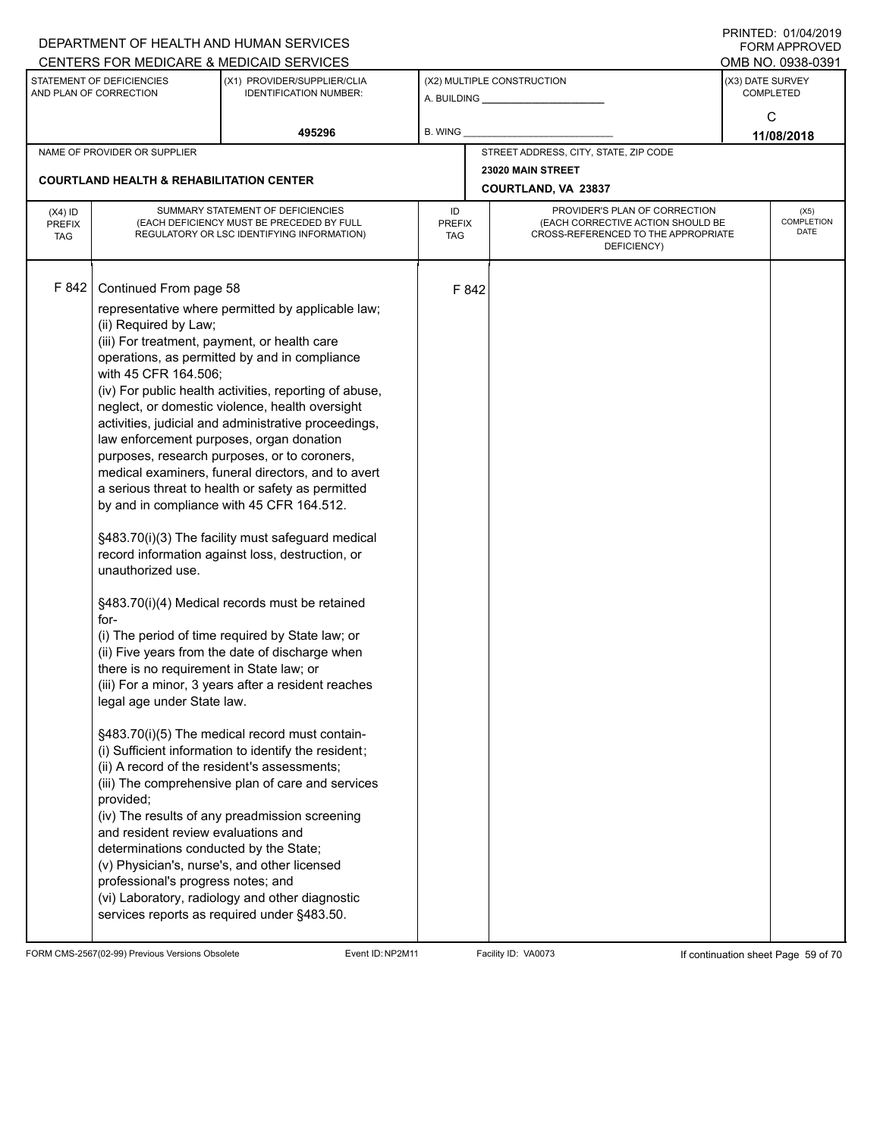|                                          |                                                                                                                                                                                                                                                                                                                                                                                                                                                                                                                | DEPARTMENT OF HEALTH AND HUMAN SERVICES<br>CENTERS FOR MEDICARE & MEDICAID SERVICES                                                                                                                                                                                                                                                                                                                                                                                                                                                                                                                                                                                                                                                                                                                                                                                                                                                                                                                                                                                                                                         |                                   |       |                                                                                                                          |                  | FININILU. VIIVHIZVI J<br><b>FORM APPROVED</b><br>OMB NO. 0938-0391 |
|------------------------------------------|----------------------------------------------------------------------------------------------------------------------------------------------------------------------------------------------------------------------------------------------------------------------------------------------------------------------------------------------------------------------------------------------------------------------------------------------------------------------------------------------------------------|-----------------------------------------------------------------------------------------------------------------------------------------------------------------------------------------------------------------------------------------------------------------------------------------------------------------------------------------------------------------------------------------------------------------------------------------------------------------------------------------------------------------------------------------------------------------------------------------------------------------------------------------------------------------------------------------------------------------------------------------------------------------------------------------------------------------------------------------------------------------------------------------------------------------------------------------------------------------------------------------------------------------------------------------------------------------------------------------------------------------------------|-----------------------------------|-------|--------------------------------------------------------------------------------------------------------------------------|------------------|--------------------------------------------------------------------|
|                                          | STATEMENT OF DEFICIENCIES<br>AND PLAN OF CORRECTION                                                                                                                                                                                                                                                                                                                                                                                                                                                            | (X1) PROVIDER/SUPPLIER/CLIA<br><b>IDENTIFICATION NUMBER:</b>                                                                                                                                                                                                                                                                                                                                                                                                                                                                                                                                                                                                                                                                                                                                                                                                                                                                                                                                                                                                                                                                |                                   |       | (X2) MULTIPLE CONSTRUCTION                                                                                               | (X3) DATE SURVEY | <b>COMPLETED</b><br>C                                              |
|                                          |                                                                                                                                                                                                                                                                                                                                                                                                                                                                                                                | 495296                                                                                                                                                                                                                                                                                                                                                                                                                                                                                                                                                                                                                                                                                                                                                                                                                                                                                                                                                                                                                                                                                                                      | B. WING                           |       |                                                                                                                          |                  | 11/08/2018                                                         |
|                                          | NAME OF PROVIDER OR SUPPLIER                                                                                                                                                                                                                                                                                                                                                                                                                                                                                   |                                                                                                                                                                                                                                                                                                                                                                                                                                                                                                                                                                                                                                                                                                                                                                                                                                                                                                                                                                                                                                                                                                                             |                                   |       | STREET ADDRESS, CITY, STATE, ZIP CODE                                                                                    |                  |                                                                    |
|                                          | <b>COURTLAND HEALTH &amp; REHABILITATION CENTER</b>                                                                                                                                                                                                                                                                                                                                                                                                                                                            |                                                                                                                                                                                                                                                                                                                                                                                                                                                                                                                                                                                                                                                                                                                                                                                                                                                                                                                                                                                                                                                                                                                             |                                   |       | 23020 MAIN STREET<br><b>COURTLAND, VA 23837</b>                                                                          |                  |                                                                    |
| $(X4)$ ID<br><b>PREFIX</b><br><b>TAG</b> |                                                                                                                                                                                                                                                                                                                                                                                                                                                                                                                | SUMMARY STATEMENT OF DEFICIENCIES<br>(EACH DEFICIENCY MUST BE PRECEDED BY FULL<br>REGULATORY OR LSC IDENTIFYING INFORMATION)                                                                                                                                                                                                                                                                                                                                                                                                                                                                                                                                                                                                                                                                                                                                                                                                                                                                                                                                                                                                | ID<br><b>PREFIX</b><br><b>TAG</b> |       | PROVIDER'S PLAN OF CORRECTION<br>(EACH CORRECTIVE ACTION SHOULD BE<br>CROSS-REFERENCED TO THE APPROPRIATE<br>DEFICIENCY) |                  | (X5)<br>COMPLETION<br><b>DATE</b>                                  |
| F 842                                    | Continued From page 58<br>(ii) Required by Law;<br>(iii) For treatment, payment, or health care<br>with 45 CFR 164.506;<br>law enforcement purposes, organ donation<br>unauthorized use.<br>for-<br>there is no requirement in State law; or<br>legal age under State law.<br>(ii) A record of the resident's assessments;<br>provided;<br>and resident review evaluations and<br>determinations conducted by the State;<br>(v) Physician's, nurse's, and other licensed<br>professional's progress notes; and | representative where permitted by applicable law;<br>operations, as permitted by and in compliance<br>(iv) For public health activities, reporting of abuse,<br>neglect, or domestic violence, health oversight<br>activities, judicial and administrative proceedings,<br>purposes, research purposes, or to coroners,<br>medical examiners, funeral directors, and to avert<br>a serious threat to health or safety as permitted<br>by and in compliance with 45 CFR 164.512.<br>§483.70(i)(3) The facility must safeguard medical<br>record information against loss, destruction, or<br>§483.70(i)(4) Medical records must be retained<br>(i) The period of time required by State law; or<br>(ii) Five years from the date of discharge when<br>(iii) For a minor, 3 years after a resident reaches<br>§483.70(i)(5) The medical record must contain-<br>(i) Sufficient information to identify the resident;<br>(iii) The comprehensive plan of care and services<br>(iv) The results of any preadmission screening<br>(vi) Laboratory, radiology and other diagnostic<br>services reports as required under §483.50. |                                   | F 842 |                                                                                                                          |                  |                                                                    |

FORM CMS-2567(02-99) Previous Versions Obsolete Event ID:NP2M11 Facility ID: VA0073 If continuation sheet Page 59 of 70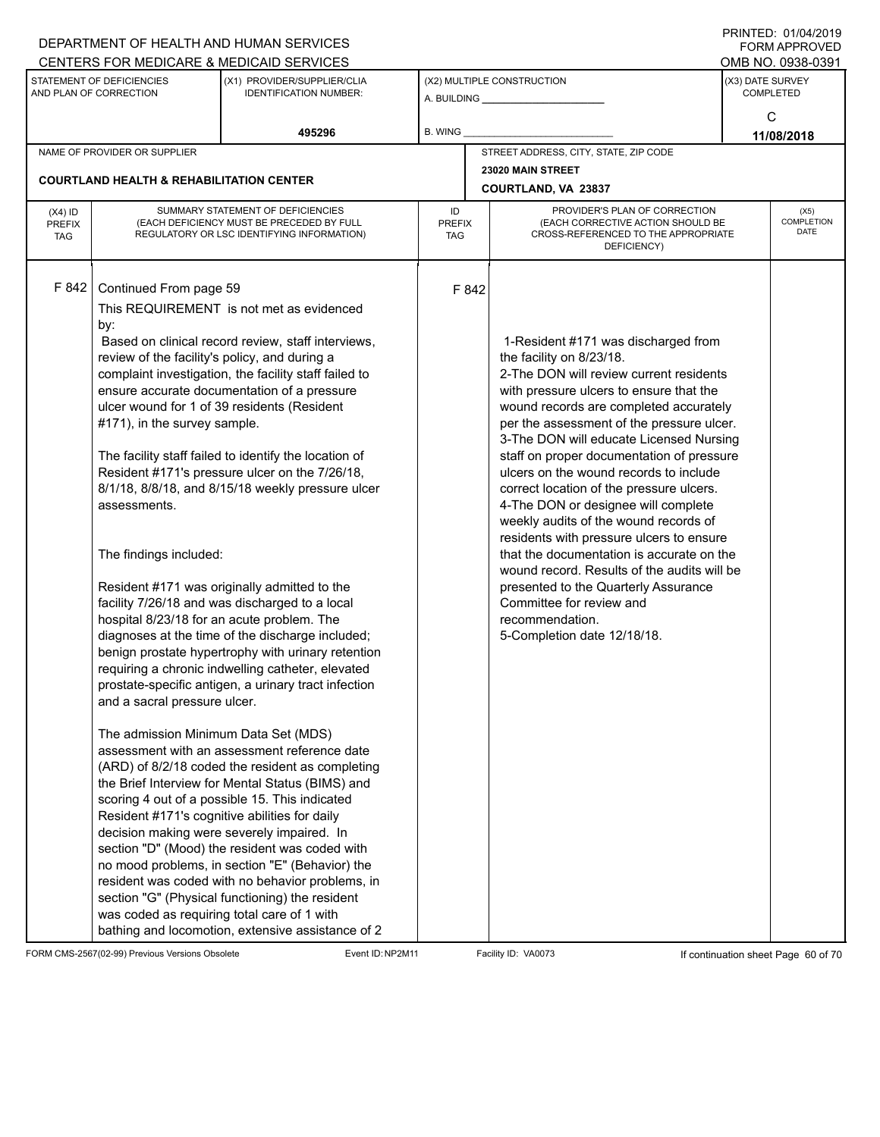|                                          |                                                                                                                                                                                                                                                                                                                                 | DEPARTMENT OF HEALTH AND HUMAN SERVICES                                                                                                                                                                                                                                                                                                                                                                                                                                                                                                                                                                                                                                                                                                                                                                                                                                                                                                                                                                                                                                                                                                                                                                            |                            |       |                                                                                                                                                                                                                                                                                                                                                                                                                                                                                                                                                                                                                                                                                                                                                                          |                  | FORM APPROVED              |
|------------------------------------------|---------------------------------------------------------------------------------------------------------------------------------------------------------------------------------------------------------------------------------------------------------------------------------------------------------------------------------|--------------------------------------------------------------------------------------------------------------------------------------------------------------------------------------------------------------------------------------------------------------------------------------------------------------------------------------------------------------------------------------------------------------------------------------------------------------------------------------------------------------------------------------------------------------------------------------------------------------------------------------------------------------------------------------------------------------------------------------------------------------------------------------------------------------------------------------------------------------------------------------------------------------------------------------------------------------------------------------------------------------------------------------------------------------------------------------------------------------------------------------------------------------------------------------------------------------------|----------------------------|-------|--------------------------------------------------------------------------------------------------------------------------------------------------------------------------------------------------------------------------------------------------------------------------------------------------------------------------------------------------------------------------------------------------------------------------------------------------------------------------------------------------------------------------------------------------------------------------------------------------------------------------------------------------------------------------------------------------------------------------------------------------------------------------|------------------|----------------------------|
|                                          |                                                                                                                                                                                                                                                                                                                                 | CENTERS FOR MEDICARE & MEDICAID SERVICES                                                                                                                                                                                                                                                                                                                                                                                                                                                                                                                                                                                                                                                                                                                                                                                                                                                                                                                                                                                                                                                                                                                                                                           |                            |       |                                                                                                                                                                                                                                                                                                                                                                                                                                                                                                                                                                                                                                                                                                                                                                          |                  | OMB NO. 0938-0391          |
|                                          | STATEMENT OF DEFICIENCIES<br>AND PLAN OF CORRECTION                                                                                                                                                                                                                                                                             | (X1) PROVIDER/SUPPLIER/CLIA<br><b>IDENTIFICATION NUMBER:</b>                                                                                                                                                                                                                                                                                                                                                                                                                                                                                                                                                                                                                                                                                                                                                                                                                                                                                                                                                                                                                                                                                                                                                       |                            |       | (X2) MULTIPLE CONSTRUCTION                                                                                                                                                                                                                                                                                                                                                                                                                                                                                                                                                                                                                                                                                                                                               | (X3) DATE SURVEY | <b>COMPLETED</b>           |
|                                          |                                                                                                                                                                                                                                                                                                                                 | 495296                                                                                                                                                                                                                                                                                                                                                                                                                                                                                                                                                                                                                                                                                                                                                                                                                                                                                                                                                                                                                                                                                                                                                                                                             | B. WING                    |       |                                                                                                                                                                                                                                                                                                                                                                                                                                                                                                                                                                                                                                                                                                                                                                          |                  | C<br>11/08/2018            |
|                                          | NAME OF PROVIDER OR SUPPLIER                                                                                                                                                                                                                                                                                                    |                                                                                                                                                                                                                                                                                                                                                                                                                                                                                                                                                                                                                                                                                                                                                                                                                                                                                                                                                                                                                                                                                                                                                                                                                    |                            |       | STREET ADDRESS, CITY, STATE, ZIP CODE                                                                                                                                                                                                                                                                                                                                                                                                                                                                                                                                                                                                                                                                                                                                    |                  |                            |
|                                          |                                                                                                                                                                                                                                                                                                                                 |                                                                                                                                                                                                                                                                                                                                                                                                                                                                                                                                                                                                                                                                                                                                                                                                                                                                                                                                                                                                                                                                                                                                                                                                                    |                            |       | 23020 MAIN STREET                                                                                                                                                                                                                                                                                                                                                                                                                                                                                                                                                                                                                                                                                                                                                        |                  |                            |
|                                          | <b>COURTLAND HEALTH &amp; REHABILITATION CENTER</b>                                                                                                                                                                                                                                                                             |                                                                                                                                                                                                                                                                                                                                                                                                                                                                                                                                                                                                                                                                                                                                                                                                                                                                                                                                                                                                                                                                                                                                                                                                                    |                            |       | COURTLAND, VA 23837                                                                                                                                                                                                                                                                                                                                                                                                                                                                                                                                                                                                                                                                                                                                                      |                  |                            |
| $(X4)$ ID<br><b>PREFIX</b><br><b>TAG</b> |                                                                                                                                                                                                                                                                                                                                 | SUMMARY STATEMENT OF DEFICIENCIES<br>(EACH DEFICIENCY MUST BE PRECEDED BY FULL<br>REGULATORY OR LSC IDENTIFYING INFORMATION)                                                                                                                                                                                                                                                                                                                                                                                                                                                                                                                                                                                                                                                                                                                                                                                                                                                                                                                                                                                                                                                                                       | ID<br><b>PREFIX</b><br>TAG |       | PROVIDER'S PLAN OF CORRECTION<br>(EACH CORRECTIVE ACTION SHOULD BE<br>CROSS-REFERENCED TO THE APPROPRIATE<br>DEFICIENCY)                                                                                                                                                                                                                                                                                                                                                                                                                                                                                                                                                                                                                                                 |                  | (X5)<br>COMPLETION<br>DATE |
| F 842                                    | Continued From page 59<br>by:<br>review of the facility's policy, and during a<br>#171), in the survey sample.<br>assessments.<br>The findings included:<br>hospital 8/23/18 for an acute problem. The<br>and a sacral pressure ulcer.<br>The admission Minimum Data Set (MDS)<br>Resident #171's cognitive abilities for daily | This REQUIREMENT is not met as evidenced<br>Based on clinical record review, staff interviews,<br>complaint investigation, the facility staff failed to<br>ensure accurate documentation of a pressure<br>ulcer wound for 1 of 39 residents (Resident<br>The facility staff failed to identify the location of<br>Resident #171's pressure ulcer on the 7/26/18,<br>8/1/18, 8/8/18, and 8/15/18 weekly pressure ulcer<br>Resident #171 was originally admitted to the<br>facility 7/26/18 and was discharged to a local<br>diagnoses at the time of the discharge included;<br>benign prostate hypertrophy with urinary retention<br>requiring a chronic indwelling catheter, elevated<br>prostate-specific antigen, a urinary tract infection<br>assessment with an assessment reference date<br>(ARD) of 8/2/18 coded the resident as completing<br>the Brief Interview for Mental Status (BIMS) and<br>scoring 4 out of a possible 15. This indicated<br>decision making were severely impaired. In<br>section "D" (Mood) the resident was coded with<br>no mood problems, in section "E" (Behavior) the<br>resident was coded with no behavior problems, in<br>section "G" (Physical functioning) the resident |                            | F 842 | 1-Resident #171 was discharged from<br>the facility on 8/23/18.<br>2-The DON will review current residents<br>with pressure ulcers to ensure that the<br>wound records are completed accurately<br>per the assessment of the pressure ulcer.<br>3-The DON will educate Licensed Nursing<br>staff on proper documentation of pressure<br>ulcers on the wound records to include<br>correct location of the pressure ulcers.<br>4-The DON or designee will complete<br>weekly audits of the wound records of<br>residents with pressure ulcers to ensure<br>that the documentation is accurate on the<br>wound record. Results of the audits will be<br>presented to the Quarterly Assurance<br>Committee for review and<br>recommendation.<br>5-Completion date 12/18/18. |                  |                            |
|                                          | was coded as requiring total care of 1 with                                                                                                                                                                                                                                                                                     | bathing and locomotion, extensive assistance of 2                                                                                                                                                                                                                                                                                                                                                                                                                                                                                                                                                                                                                                                                                                                                                                                                                                                                                                                                                                                                                                                                                                                                                                  |                            |       |                                                                                                                                                                                                                                                                                                                                                                                                                                                                                                                                                                                                                                                                                                                                                                          |                  |                            |

FORM CMS-2567(02-99) Previous Versions Obsolete Event ID:NP2M11 Facility ID: VA0073 If continuation sheet Page 60 of 70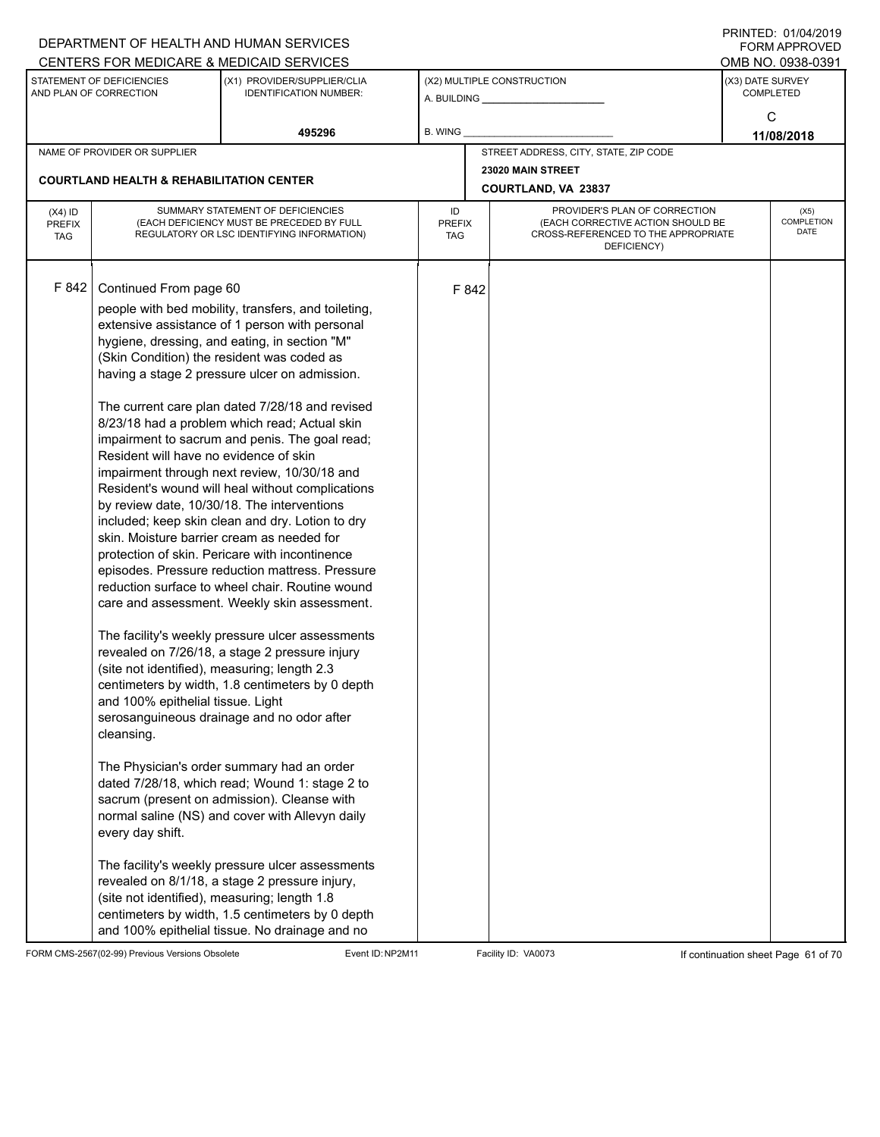|                                                     |                                                                                                                                                                                                                                                                                       | DEPARTMENT OF HEALTH AND HUMAN SERVICES<br>CENTERS FOR MEDICARE & MEDICAID SERVICES                                                                                                                                                                                                                                                                                                                                                                                                                                                                                                                                                                                                                                                                                                                                                                                                                                                                                                                                                                                                                                                                                                                                                                                                                                                                                                                                                              |                |                             |                                                                                                                          |                                      | FININILU. VIIVHIZVI J<br><b>FORM APPROVED</b><br>OMB NO. 0938-0391 |  |
|-----------------------------------------------------|---------------------------------------------------------------------------------------------------------------------------------------------------------------------------------------------------------------------------------------------------------------------------------------|--------------------------------------------------------------------------------------------------------------------------------------------------------------------------------------------------------------------------------------------------------------------------------------------------------------------------------------------------------------------------------------------------------------------------------------------------------------------------------------------------------------------------------------------------------------------------------------------------------------------------------------------------------------------------------------------------------------------------------------------------------------------------------------------------------------------------------------------------------------------------------------------------------------------------------------------------------------------------------------------------------------------------------------------------------------------------------------------------------------------------------------------------------------------------------------------------------------------------------------------------------------------------------------------------------------------------------------------------------------------------------------------------------------------------------------------------|----------------|-----------------------------|--------------------------------------------------------------------------------------------------------------------------|--------------------------------------|--------------------------------------------------------------------|--|
| STATEMENT OF DEFICIENCIES<br>AND PLAN OF CORRECTION |                                                                                                                                                                                                                                                                                       | (X1) PROVIDER/SUPPLIER/CLIA<br><b>IDENTIFICATION NUMBER:</b>                                                                                                                                                                                                                                                                                                                                                                                                                                                                                                                                                                                                                                                                                                                                                                                                                                                                                                                                                                                                                                                                                                                                                                                                                                                                                                                                                                                     |                |                             | (X2) MULTIPLE CONSTRUCTION                                                                                               | (X3) DATE SURVEY<br><b>COMPLETED</b> |                                                                    |  |
|                                                     |                                                                                                                                                                                                                                                                                       | 495296                                                                                                                                                                                                                                                                                                                                                                                                                                                                                                                                                                                                                                                                                                                                                                                                                                                                                                                                                                                                                                                                                                                                                                                                                                                                                                                                                                                                                                           | <b>B. WING</b> |                             |                                                                                                                          |                                      | C<br>11/08/2018                                                    |  |
|                                                     | NAME OF PROVIDER OR SUPPLIER                                                                                                                                                                                                                                                          |                                                                                                                                                                                                                                                                                                                                                                                                                                                                                                                                                                                                                                                                                                                                                                                                                                                                                                                                                                                                                                                                                                                                                                                                                                                                                                                                                                                                                                                  |                |                             | STREET ADDRESS, CITY, STATE, ZIP CODE                                                                                    |                                      |                                                                    |  |
|                                                     | <b>COURTLAND HEALTH &amp; REHABILITATION CENTER</b>                                                                                                                                                                                                                                   |                                                                                                                                                                                                                                                                                                                                                                                                                                                                                                                                                                                                                                                                                                                                                                                                                                                                                                                                                                                                                                                                                                                                                                                                                                                                                                                                                                                                                                                  |                |                             | 23020 MAIN STREET<br>COURTLAND, VA 23837                                                                                 |                                      |                                                                    |  |
| $(X4)$ ID<br><b>PREFIX</b><br><b>TAG</b>            | SUMMARY STATEMENT OF DEFICIENCIES<br>(EACH DEFICIENCY MUST BE PRECEDED BY FULL<br>REGULATORY OR LSC IDENTIFYING INFORMATION)                                                                                                                                                          |                                                                                                                                                                                                                                                                                                                                                                                                                                                                                                                                                                                                                                                                                                                                                                                                                                                                                                                                                                                                                                                                                                                                                                                                                                                                                                                                                                                                                                                  |                | <b>PREFIX</b><br><b>TAG</b> | PROVIDER'S PLAN OF CORRECTION<br>(EACH CORRECTIVE ACTION SHOULD BE<br>CROSS-REFERENCED TO THE APPROPRIATE<br>DEFICIENCY) |                                      | (X5)<br>COMPLETION<br><b>DATE</b>                                  |  |
| F 842                                               | Continued From page 60<br>Resident will have no evidence of skin<br>skin. Moisture barrier cream as needed for<br>(site not identified), measuring; length 2.3<br>and 100% epithelial tissue. Light<br>cleansing.<br>every day shift.<br>(site not identified), measuring; length 1.8 | people with bed mobility, transfers, and toileting,<br>extensive assistance of 1 person with personal<br>hygiene, dressing, and eating, in section "M"<br>(Skin Condition) the resident was coded as<br>having a stage 2 pressure ulcer on admission.<br>The current care plan dated 7/28/18 and revised<br>8/23/18 had a problem which read; Actual skin<br>impairment to sacrum and penis. The goal read;<br>impairment through next review, 10/30/18 and<br>Resident's wound will heal without complications<br>by review date, 10/30/18. The interventions<br>included; keep skin clean and dry. Lotion to dry<br>protection of skin. Pericare with incontinence<br>episodes. Pressure reduction mattress. Pressure<br>reduction surface to wheel chair. Routine wound<br>care and assessment. Weekly skin assessment.<br>The facility's weekly pressure ulcer assessments<br>revealed on 7/26/18, a stage 2 pressure injury<br>centimeters by width, 1.8 centimeters by 0 depth<br>serosanguineous drainage and no odor after<br>The Physician's order summary had an order<br>dated 7/28/18, which read; Wound 1: stage 2 to<br>sacrum (present on admission). Cleanse with<br>normal saline (NS) and cover with Allevyn daily<br>The facility's weekly pressure ulcer assessments<br>revealed on 8/1/18, a stage 2 pressure injury,<br>centimeters by width, 1.5 centimeters by 0 depth<br>and 100% epithelial tissue. No drainage and no |                | F 842                       |                                                                                                                          |                                      |                                                                    |  |

FORM CMS-2567(02-99) Previous Versions Obsolete Event ID:NP2M11 Facility ID: VA0073 If continuation sheet Page 61 of 70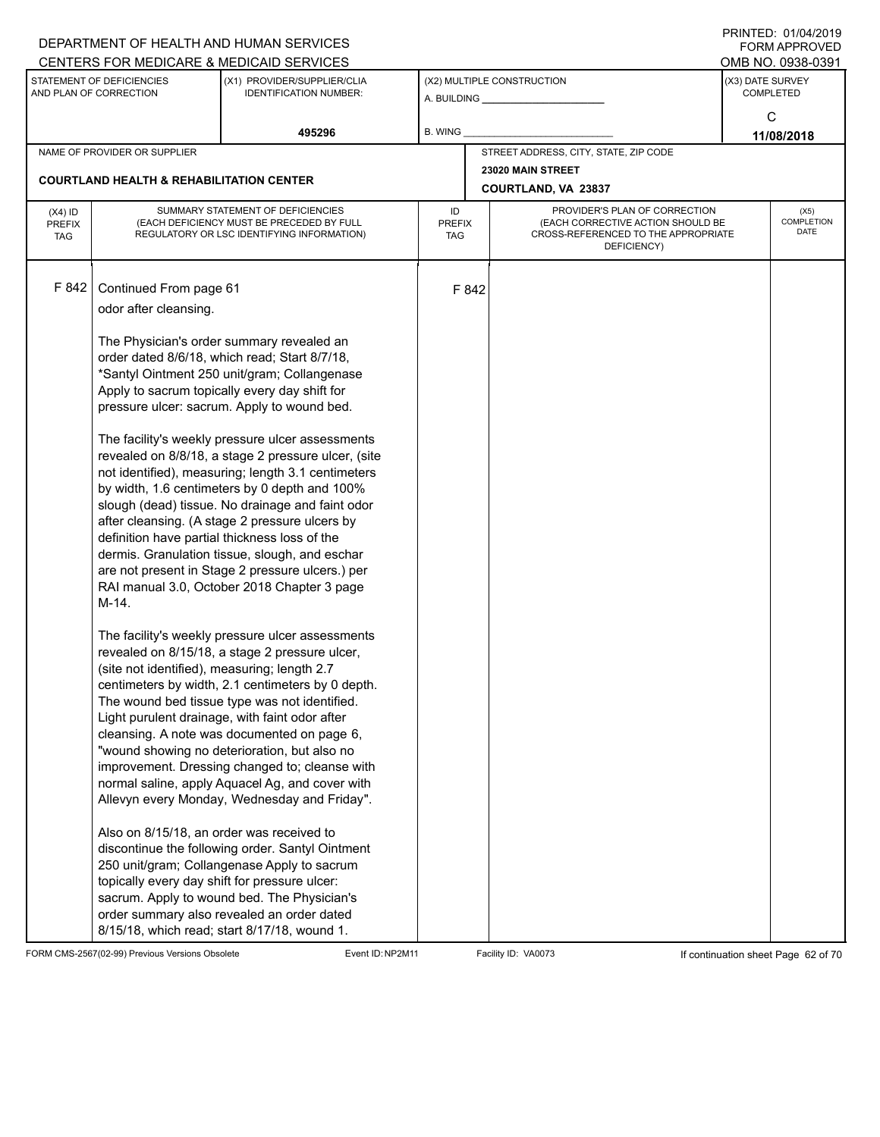|                                          |                                                                                                                                                                                                                                                         | DEPARTMENT OF HEALTH AND HUMAN SERVICES<br>CENTERS FOR MEDICARE & MEDICAID SERVICES                                                                                                                                                                                                                                                                                                                                                                                                                                                                                                                                                                                                                                                                                                                                                                                                                                                                                                                                                                                                                                                                                                                                                                                                                                                                                                                                                                                                       |                                   |                            |                                                                                                                          |  | <b>FININILU. UIIUHIZUI J</b><br>FORM APPROVED<br>OMB NO. 0938-0391 |
|------------------------------------------|---------------------------------------------------------------------------------------------------------------------------------------------------------------------------------------------------------------------------------------------------------|-------------------------------------------------------------------------------------------------------------------------------------------------------------------------------------------------------------------------------------------------------------------------------------------------------------------------------------------------------------------------------------------------------------------------------------------------------------------------------------------------------------------------------------------------------------------------------------------------------------------------------------------------------------------------------------------------------------------------------------------------------------------------------------------------------------------------------------------------------------------------------------------------------------------------------------------------------------------------------------------------------------------------------------------------------------------------------------------------------------------------------------------------------------------------------------------------------------------------------------------------------------------------------------------------------------------------------------------------------------------------------------------------------------------------------------------------------------------------------------------|-----------------------------------|----------------------------|--------------------------------------------------------------------------------------------------------------------------|--|--------------------------------------------------------------------|
|                                          | STATEMENT OF DEFICIENCIES<br>AND PLAN OF CORRECTION                                                                                                                                                                                                     | (X1) PROVIDER/SUPPLIER/CLIA<br><b>IDENTIFICATION NUMBER:</b>                                                                                                                                                                                                                                                                                                                                                                                                                                                                                                                                                                                                                                                                                                                                                                                                                                                                                                                                                                                                                                                                                                                                                                                                                                                                                                                                                                                                                              |                                   | (X2) MULTIPLE CONSTRUCTION |                                                                                                                          |  | (X3) DATE SURVEY<br><b>COMPLETED</b>                               |
|                                          |                                                                                                                                                                                                                                                         | 495296                                                                                                                                                                                                                                                                                                                                                                                                                                                                                                                                                                                                                                                                                                                                                                                                                                                                                                                                                                                                                                                                                                                                                                                                                                                                                                                                                                                                                                                                                    | <b>B. WING</b>                    |                            |                                                                                                                          |  | C<br>11/08/2018                                                    |
|                                          | NAME OF PROVIDER OR SUPPLIER                                                                                                                                                                                                                            |                                                                                                                                                                                                                                                                                                                                                                                                                                                                                                                                                                                                                                                                                                                                                                                                                                                                                                                                                                                                                                                                                                                                                                                                                                                                                                                                                                                                                                                                                           |                                   |                            | STREET ADDRESS, CITY, STATE, ZIP CODE                                                                                    |  |                                                                    |
|                                          | <b>COURTLAND HEALTH &amp; REHABILITATION CENTER</b>                                                                                                                                                                                                     |                                                                                                                                                                                                                                                                                                                                                                                                                                                                                                                                                                                                                                                                                                                                                                                                                                                                                                                                                                                                                                                                                                                                                                                                                                                                                                                                                                                                                                                                                           |                                   |                            | 23020 MAIN STREET<br>COURTLAND, VA 23837                                                                                 |  |                                                                    |
| $(X4)$ ID<br><b>PREFIX</b><br><b>TAG</b> |                                                                                                                                                                                                                                                         | SUMMARY STATEMENT OF DEFICIENCIES<br>(EACH DEFICIENCY MUST BE PRECEDED BY FULL<br>REGULATORY OR LSC IDENTIFYING INFORMATION)                                                                                                                                                                                                                                                                                                                                                                                                                                                                                                                                                                                                                                                                                                                                                                                                                                                                                                                                                                                                                                                                                                                                                                                                                                                                                                                                                              | ID<br><b>PREFIX</b><br><b>TAG</b> |                            | PROVIDER'S PLAN OF CORRECTION<br>(EACH CORRECTIVE ACTION SHOULD BE<br>CROSS-REFERENCED TO THE APPROPRIATE<br>DEFICIENCY) |  | (X5)<br>COMPLETION<br><b>DATE</b>                                  |
| F 842                                    | Continued From page 61<br>odor after cleansing.<br>definition have partial thickness loss of the<br>M-14.<br>(site not identified), measuring; length 2.7<br>Also on 8/15/18, an order was received to<br>topically every day shift for pressure ulcer: | The Physician's order summary revealed an<br>order dated 8/6/18, which read; Start 8/7/18,<br>*Santyl Ointment 250 unit/gram; Collangenase<br>Apply to sacrum topically every day shift for<br>pressure ulcer: sacrum. Apply to wound bed.<br>The facility's weekly pressure ulcer assessments<br>revealed on 8/8/18, a stage 2 pressure ulcer, (site<br>not identified), measuring; length 3.1 centimeters<br>by width, 1.6 centimeters by 0 depth and 100%<br>slough (dead) tissue. No drainage and faint odor<br>after cleansing. (A stage 2 pressure ulcers by<br>dermis. Granulation tissue, slough, and eschar<br>are not present in Stage 2 pressure ulcers.) per<br>RAI manual 3.0, October 2018 Chapter 3 page<br>The facility's weekly pressure ulcer assessments<br>revealed on 8/15/18, a stage 2 pressure ulcer,<br>centimeters by width, 2.1 centimeters by 0 depth.<br>The wound bed tissue type was not identified.<br>Light purulent drainage, with faint odor after<br>cleansing. A note was documented on page 6,<br>"wound showing no deterioration, but also no<br>improvement. Dressing changed to; cleanse with<br>normal saline, apply Aquacel Ag, and cover with<br>Allevyn every Monday, Wednesday and Friday".<br>discontinue the following order. Santyl Ointment<br>250 unit/gram; Collangenase Apply to sacrum<br>sacrum. Apply to wound bed. The Physician's<br>order summary also revealed an order dated<br>8/15/18, which read; start 8/17/18, wound 1. |                                   | F 842                      |                                                                                                                          |  |                                                                    |

FORM CMS-2567(02-99) Previous Versions Obsolete Event ID:NP2M11 Facility ID: VA0073 If continuation sheet Page 62 of 70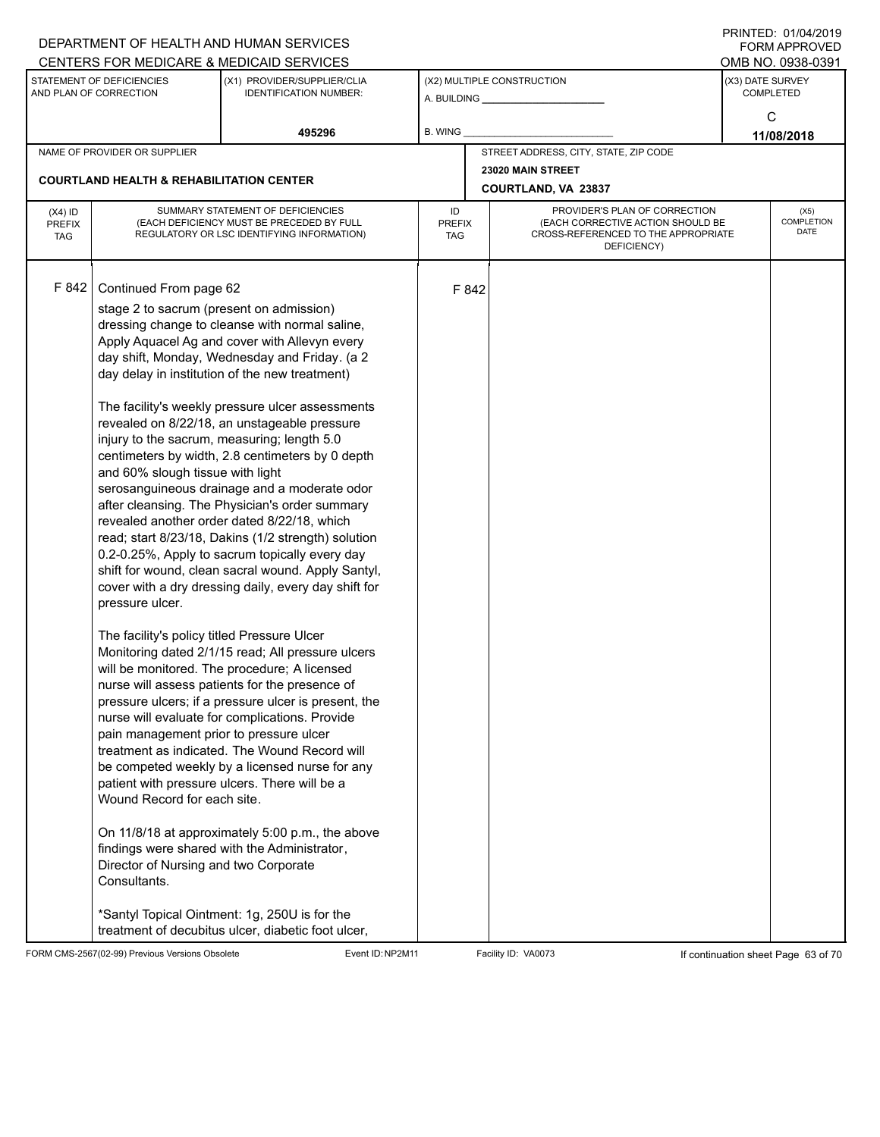|                                          |                                                                                                                                                                                                                                                                                                                                                            | DEPARTMENT OF HEALTH AND HUMAN SERVICES                                                                                                                                                                                                                                                                                                                                                                                                                                                                                                                                                                                                                                                                                                                                                                                                                                                                                                                                                                                                                                                                                                                                                                                                                     |                            |       |                                                                                                                          |                                      | $1 \times 11 \times 11 = 12.$ $0 \times 110 = 12$<br>FORM APPROVED |  |
|------------------------------------------|------------------------------------------------------------------------------------------------------------------------------------------------------------------------------------------------------------------------------------------------------------------------------------------------------------------------------------------------------------|-------------------------------------------------------------------------------------------------------------------------------------------------------------------------------------------------------------------------------------------------------------------------------------------------------------------------------------------------------------------------------------------------------------------------------------------------------------------------------------------------------------------------------------------------------------------------------------------------------------------------------------------------------------------------------------------------------------------------------------------------------------------------------------------------------------------------------------------------------------------------------------------------------------------------------------------------------------------------------------------------------------------------------------------------------------------------------------------------------------------------------------------------------------------------------------------------------------------------------------------------------------|----------------------------|-------|--------------------------------------------------------------------------------------------------------------------------|--------------------------------------|--------------------------------------------------------------------|--|
|                                          |                                                                                                                                                                                                                                                                                                                                                            | CENTERS FOR MEDICARE & MEDICAID SERVICES                                                                                                                                                                                                                                                                                                                                                                                                                                                                                                                                                                                                                                                                                                                                                                                                                                                                                                                                                                                                                                                                                                                                                                                                                    |                            |       |                                                                                                                          |                                      | OMB NO. 0938-0391                                                  |  |
|                                          | STATEMENT OF DEFICIENCIES<br>AND PLAN OF CORRECTION                                                                                                                                                                                                                                                                                                        | (X1) PROVIDER/SUPPLIER/CLIA<br><b>IDENTIFICATION NUMBER:</b>                                                                                                                                                                                                                                                                                                                                                                                                                                                                                                                                                                                                                                                                                                                                                                                                                                                                                                                                                                                                                                                                                                                                                                                                |                            |       | (X2) MULTIPLE CONSTRUCTION<br>A. BUILDING <b>A.</b> BUILDING                                                             | (X3) DATE SURVEY<br><b>COMPLETED</b> |                                                                    |  |
|                                          |                                                                                                                                                                                                                                                                                                                                                            | 495296                                                                                                                                                                                                                                                                                                                                                                                                                                                                                                                                                                                                                                                                                                                                                                                                                                                                                                                                                                                                                                                                                                                                                                                                                                                      | B. WING                    |       |                                                                                                                          |                                      | C<br>11/08/2018                                                    |  |
|                                          | NAME OF PROVIDER OR SUPPLIER                                                                                                                                                                                                                                                                                                                               |                                                                                                                                                                                                                                                                                                                                                                                                                                                                                                                                                                                                                                                                                                                                                                                                                                                                                                                                                                                                                                                                                                                                                                                                                                                             |                            |       | STREET ADDRESS, CITY, STATE, ZIP CODE                                                                                    |                                      |                                                                    |  |
|                                          |                                                                                                                                                                                                                                                                                                                                                            |                                                                                                                                                                                                                                                                                                                                                                                                                                                                                                                                                                                                                                                                                                                                                                                                                                                                                                                                                                                                                                                                                                                                                                                                                                                             |                            |       | 23020 MAIN STREET                                                                                                        |                                      |                                                                    |  |
|                                          | <b>COURTLAND HEALTH &amp; REHABILITATION CENTER</b>                                                                                                                                                                                                                                                                                                        |                                                                                                                                                                                                                                                                                                                                                                                                                                                                                                                                                                                                                                                                                                                                                                                                                                                                                                                                                                                                                                                                                                                                                                                                                                                             |                            |       | COURTLAND, VA 23837                                                                                                      |                                      |                                                                    |  |
| $(X4)$ ID<br><b>PREFIX</b><br><b>TAG</b> |                                                                                                                                                                                                                                                                                                                                                            | SUMMARY STATEMENT OF DEFICIENCIES<br>(EACH DEFICIENCY MUST BE PRECEDED BY FULL<br>REGULATORY OR LSC IDENTIFYING INFORMATION)                                                                                                                                                                                                                                                                                                                                                                                                                                                                                                                                                                                                                                                                                                                                                                                                                                                                                                                                                                                                                                                                                                                                | ID<br><b>PREFIX</b><br>TAG |       | PROVIDER'S PLAN OF CORRECTION<br>(EACH CORRECTIVE ACTION SHOULD BE<br>CROSS-REFERENCED TO THE APPROPRIATE<br>DEFICIENCY) |                                      | (X5)<br>COMPLETION<br>DATE                                         |  |
| F 842                                    | Continued From page 62<br>stage 2 to sacrum (present on admission)<br>injury to the sacrum, measuring; length 5.0<br>and 60% slough tissue with light<br>pressure ulcer.<br>The facility's policy titled Pressure Ulcer<br>pain management prior to pressure ulcer<br>Wound Record for each site.<br>Director of Nursing and two Corporate<br>Consultants. | dressing change to cleanse with normal saline,<br>Apply Aquacel Ag and cover with Allevyn every<br>day shift, Monday, Wednesday and Friday. (a 2<br>day delay in institution of the new treatment)<br>The facility's weekly pressure ulcer assessments<br>revealed on 8/22/18, an unstageable pressure<br>centimeters by width, 2.8 centimeters by 0 depth<br>serosanguineous drainage and a moderate odor<br>after cleansing. The Physician's order summary<br>revealed another order dated 8/22/18, which<br>read; start 8/23/18, Dakins (1/2 strength) solution<br>0.2-0.25%, Apply to sacrum topically every day<br>shift for wound, clean sacral wound. Apply Santyl,<br>cover with a dry dressing daily, every day shift for<br>Monitoring dated 2/1/15 read; All pressure ulcers<br>will be monitored. The procedure; A licensed<br>nurse will assess patients for the presence of<br>pressure ulcers; if a pressure ulcer is present, the<br>nurse will evaluate for complications. Provide<br>treatment as indicated. The Wound Record will<br>be competed weekly by a licensed nurse for any<br>patient with pressure ulcers. There will be a<br>On 11/8/18 at approximately 5:00 p.m., the above<br>findings were shared with the Administrator, |                            | F 842 |                                                                                                                          |                                      |                                                                    |  |
|                                          |                                                                                                                                                                                                                                                                                                                                                            | *Santyl Topical Ointment: 1g, 250U is for the<br>treatment of decubitus ulcer, diabetic foot ulcer,                                                                                                                                                                                                                                                                                                                                                                                                                                                                                                                                                                                                                                                                                                                                                                                                                                                                                                                                                                                                                                                                                                                                                         |                            |       |                                                                                                                          |                                      |                                                                    |  |

FORM CMS-2567(02-99) Previous Versions Obsolete Event ID:NP2M11 Facility ID: VA0073 If continuation sheet Page 63 of 70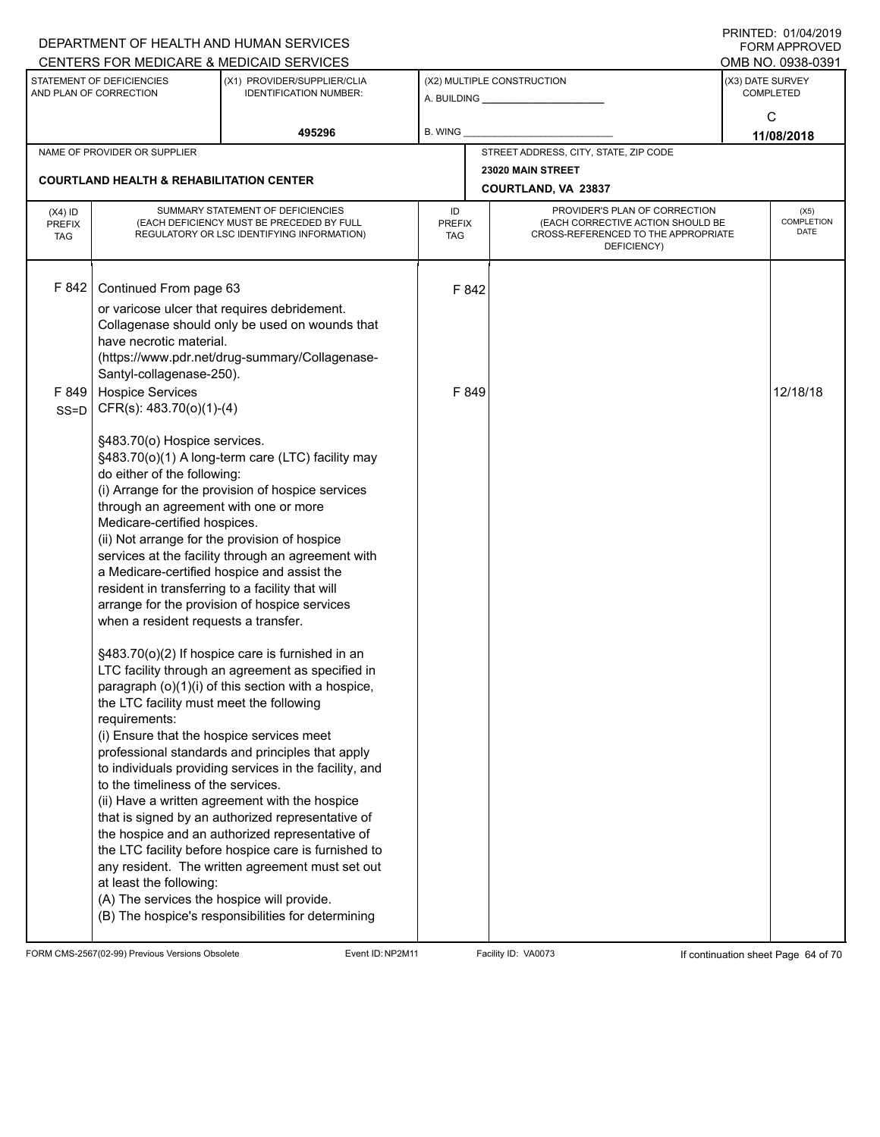|                                   |                                                                                                                                                                                                                                                                                                                                                                                                                                                                                                                                                                                       | DEPARTMENT OF HEALTH AND HUMAN SERVICES                                                                                                                                                                                                                                                                                                                                                                                                                                                                                                                                                                                                                                                                                                                                                                                 |                                   |                                                                                                                          | <b>FORM APPROVED</b>                 |
|-----------------------------------|---------------------------------------------------------------------------------------------------------------------------------------------------------------------------------------------------------------------------------------------------------------------------------------------------------------------------------------------------------------------------------------------------------------------------------------------------------------------------------------------------------------------------------------------------------------------------------------|-------------------------------------------------------------------------------------------------------------------------------------------------------------------------------------------------------------------------------------------------------------------------------------------------------------------------------------------------------------------------------------------------------------------------------------------------------------------------------------------------------------------------------------------------------------------------------------------------------------------------------------------------------------------------------------------------------------------------------------------------------------------------------------------------------------------------|-----------------------------------|--------------------------------------------------------------------------------------------------------------------------|--------------------------------------|
|                                   |                                                                                                                                                                                                                                                                                                                                                                                                                                                                                                                                                                                       | CENTERS FOR MEDICARE & MEDICAID SERVICES                                                                                                                                                                                                                                                                                                                                                                                                                                                                                                                                                                                                                                                                                                                                                                                |                                   |                                                                                                                          | OMB NO. 0938-0391                    |
|                                   | STATEMENT OF DEFICIENCIES<br>AND PLAN OF CORRECTION                                                                                                                                                                                                                                                                                                                                                                                                                                                                                                                                   | (X1) PROVIDER/SUPPLIER/CLIA<br><b>IDENTIFICATION NUMBER:</b>                                                                                                                                                                                                                                                                                                                                                                                                                                                                                                                                                                                                                                                                                                                                                            |                                   | (X2) MULTIPLE CONSTRUCTION<br>A. BUILDING __________________                                                             | (X3) DATE SURVEY<br><b>COMPLETED</b> |
|                                   |                                                                                                                                                                                                                                                                                                                                                                                                                                                                                                                                                                                       | 495296                                                                                                                                                                                                                                                                                                                                                                                                                                                                                                                                                                                                                                                                                                                                                                                                                  | B. WING                           |                                                                                                                          | C<br>11/08/2018                      |
|                                   | NAME OF PROVIDER OR SUPPLIER                                                                                                                                                                                                                                                                                                                                                                                                                                                                                                                                                          |                                                                                                                                                                                                                                                                                                                                                                                                                                                                                                                                                                                                                                                                                                                                                                                                                         |                                   | STREET ADDRESS, CITY, STATE, ZIP CODE                                                                                    |                                      |
|                                   | <b>COURTLAND HEALTH &amp; REHABILITATION CENTER</b>                                                                                                                                                                                                                                                                                                                                                                                                                                                                                                                                   |                                                                                                                                                                                                                                                                                                                                                                                                                                                                                                                                                                                                                                                                                                                                                                                                                         |                                   | 23020 MAIN STREET<br>COURTLAND, VA 23837                                                                                 |                                      |
| $(X4)$ ID<br>PREFIX<br><b>TAG</b> |                                                                                                                                                                                                                                                                                                                                                                                                                                                                                                                                                                                       | SUMMARY STATEMENT OF DEFICIENCIES<br>(EACH DEFICIENCY MUST BE PRECEDED BY FULL<br>REGULATORY OR LSC IDENTIFYING INFORMATION)                                                                                                                                                                                                                                                                                                                                                                                                                                                                                                                                                                                                                                                                                            | ID<br><b>PREFIX</b><br><b>TAG</b> | PROVIDER'S PLAN OF CORRECTION<br>(EACH CORRECTIVE ACTION SHOULD BE<br>CROSS-REFERENCED TO THE APPROPRIATE<br>DEFICIENCY) | (X5)<br>COMPLETION<br>DATE           |
| F 842<br>F849                     | Continued From page 63<br>have necrotic material.<br>Santyl-collagenase-250).<br><b>Hospice Services</b>                                                                                                                                                                                                                                                                                                                                                                                                                                                                              | or varicose ulcer that requires debridement.<br>Collagenase should only be used on wounds that<br>(https://www.pdr.net/drug-summary/Collagenase-                                                                                                                                                                                                                                                                                                                                                                                                                                                                                                                                                                                                                                                                        | F 842<br>F 849                    |                                                                                                                          | 12/18/18                             |
| $SS = D$                          | CFR(s): 483.70(o)(1)-(4)<br>§483.70(o) Hospice services.<br>do either of the following:<br>through an agreement with one or more<br>Medicare-certified hospices.<br>(ii) Not arrange for the provision of hospice<br>a Medicare-certified hospice and assist the<br>resident in transferring to a facility that will<br>when a resident requests a transfer.<br>the LTC facility must meet the following<br>requirements:<br>(i) Ensure that the hospice services meet<br>to the timeliness of the services.<br>at least the following:<br>(A) The services the hospice will provide. | §483.70(o)(1) A long-term care (LTC) facility may<br>(i) Arrange for the provision of hospice services<br>services at the facility through an agreement with<br>arrange for the provision of hospice services<br>§483.70(o)(2) If hospice care is furnished in an<br>LTC facility through an agreement as specified in<br>paragraph (o)(1)(i) of this section with a hospice,<br>professional standards and principles that apply<br>to individuals providing services in the facility, and<br>(ii) Have a written agreement with the hospice<br>that is signed by an authorized representative of<br>the hospice and an authorized representative of<br>the LTC facility before hospice care is furnished to<br>any resident. The written agreement must set out<br>(B) The hospice's responsibilities for determining |                                   |                                                                                                                          |                                      |

FORM CMS-2567(02-99) Previous Versions Obsolete Event ID:NP2M11 Facility ID: VA0073 If continuation sheet Page 64 of 70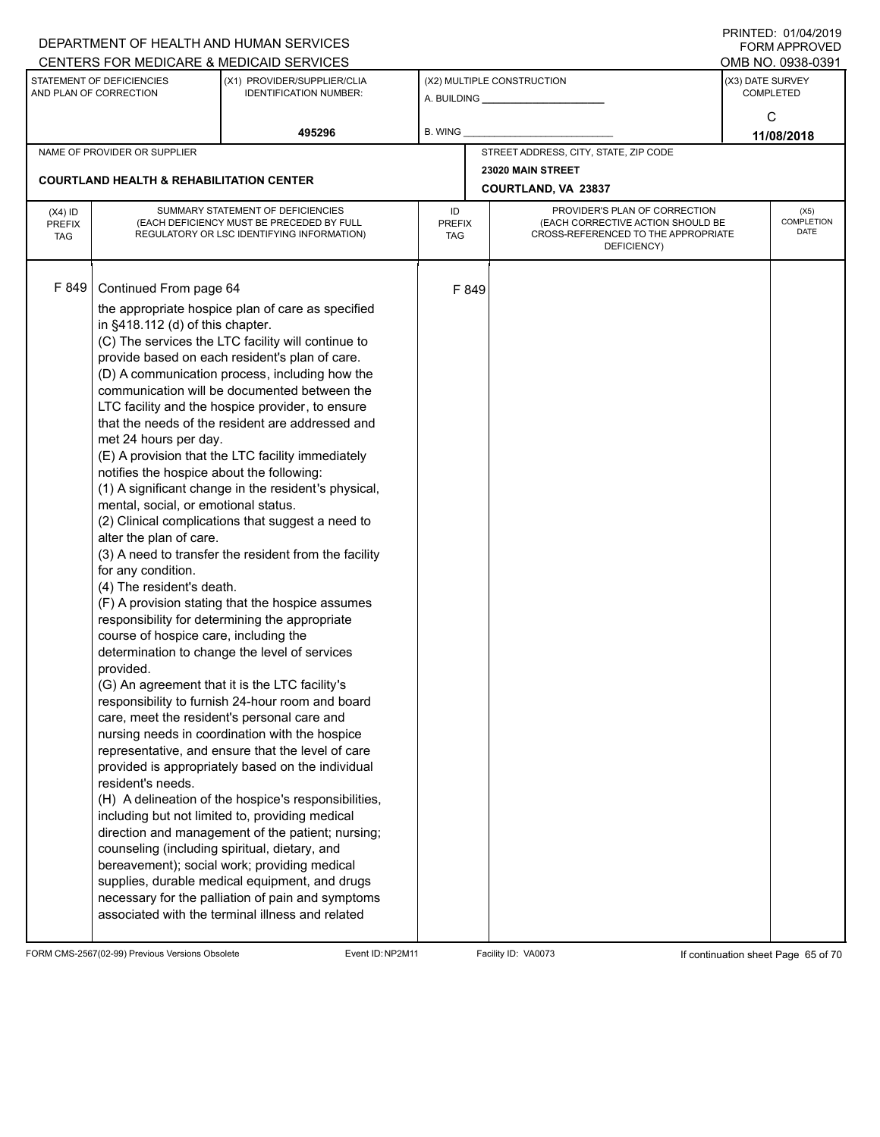|                             |                                                     | DEPARTMENT OF HEALTH AND HUMAN SERVICES<br>CENTERS FOR MEDICARE & MEDICAID SERVICES                     |                             |       |                                                                          |                  | FININILU. VIIVHIZVI J<br><b>FORM APPROVED</b><br>OMB NO. 0938-0391 |
|-----------------------------|-----------------------------------------------------|---------------------------------------------------------------------------------------------------------|-----------------------------|-------|--------------------------------------------------------------------------|------------------|--------------------------------------------------------------------|
|                             | STATEMENT OF DEFICIENCIES                           | (X1) PROVIDER/SUPPLIER/CLIA                                                                             |                             |       | (X2) MULTIPLE CONSTRUCTION                                               | (X3) DATE SURVEY |                                                                    |
|                             | AND PLAN OF CORRECTION                              | <b>IDENTIFICATION NUMBER:</b>                                                                           |                             |       |                                                                          | <b>COMPLETED</b> |                                                                    |
|                             |                                                     | 495296                                                                                                  | <b>B. WING</b>              |       |                                                                          |                  | C<br>11/08/2018                                                    |
|                             | NAME OF PROVIDER OR SUPPLIER                        |                                                                                                         |                             |       | STREET ADDRESS, CITY, STATE, ZIP CODE                                    |                  |                                                                    |
|                             |                                                     |                                                                                                         |                             |       | 23020 MAIN STREET                                                        |                  |                                                                    |
|                             | <b>COURTLAND HEALTH &amp; REHABILITATION CENTER</b> |                                                                                                         |                             |       | <b>COURTLAND, VA 23837</b>                                               |                  |                                                                    |
| $(X4)$ ID                   |                                                     | SUMMARY STATEMENT OF DEFICIENCIES                                                                       | ID                          |       | PROVIDER'S PLAN OF CORRECTION                                            |                  | (X5)                                                               |
| <b>PREFIX</b><br><b>TAG</b> |                                                     | (EACH DEFICIENCY MUST BE PRECEDED BY FULL<br>REGULATORY OR LSC IDENTIFYING INFORMATION)                 | <b>PREFIX</b><br><b>TAG</b> |       | (EACH CORRECTIVE ACTION SHOULD BE<br>CROSS-REFERENCED TO THE APPROPRIATE |                  | COMPLETION<br><b>DATE</b>                                          |
|                             |                                                     |                                                                                                         |                             |       | DEFICIENCY)                                                              |                  |                                                                    |
|                             |                                                     |                                                                                                         |                             |       |                                                                          |                  |                                                                    |
| F 849                       | Continued From page 64                              |                                                                                                         |                             | F 849 |                                                                          |                  |                                                                    |
|                             |                                                     | the appropriate hospice plan of care as specified                                                       |                             |       |                                                                          |                  |                                                                    |
|                             | in §418.112 (d) of this chapter.                    |                                                                                                         |                             |       |                                                                          |                  |                                                                    |
|                             |                                                     | (C) The services the LTC facility will continue to                                                      |                             |       |                                                                          |                  |                                                                    |
|                             |                                                     | provide based on each resident's plan of care.<br>(D) A communication process, including how the        |                             |       |                                                                          |                  |                                                                    |
|                             |                                                     | communication will be documented between the                                                            |                             |       |                                                                          |                  |                                                                    |
|                             |                                                     | LTC facility and the hospice provider, to ensure                                                        |                             |       |                                                                          |                  |                                                                    |
|                             |                                                     | that the needs of the resident are addressed and                                                        |                             |       |                                                                          |                  |                                                                    |
|                             | met 24 hours per day.                               |                                                                                                         |                             |       |                                                                          |                  |                                                                    |
|                             |                                                     | (E) A provision that the LTC facility immediately                                                       |                             |       |                                                                          |                  |                                                                    |
|                             | notifies the hospice about the following:           | (1) A significant change in the resident's physical,                                                    |                             |       |                                                                          |                  |                                                                    |
|                             | mental, social, or emotional status.                |                                                                                                         |                             |       |                                                                          |                  |                                                                    |
|                             |                                                     | (2) Clinical complications that suggest a need to                                                       |                             |       |                                                                          |                  |                                                                    |
|                             | alter the plan of care.                             |                                                                                                         |                             |       |                                                                          |                  |                                                                    |
|                             |                                                     | (3) A need to transfer the resident from the facility                                                   |                             |       |                                                                          |                  |                                                                    |
|                             | for any condition.                                  |                                                                                                         |                             |       |                                                                          |                  |                                                                    |
|                             | (4) The resident's death.                           | (F) A provision stating that the hospice assumes                                                        |                             |       |                                                                          |                  |                                                                    |
|                             |                                                     | responsibility for determining the appropriate                                                          |                             |       |                                                                          |                  |                                                                    |
|                             | course of hospice care, including the               |                                                                                                         |                             |       |                                                                          |                  |                                                                    |
|                             |                                                     | determination to change the level of services                                                           |                             |       |                                                                          |                  |                                                                    |
|                             | provided.                                           |                                                                                                         |                             |       |                                                                          |                  |                                                                    |
|                             |                                                     | (G) An agreement that it is the LTC facility's<br>responsibility to furnish 24-hour room and board      |                             |       |                                                                          |                  |                                                                    |
|                             |                                                     | care, meet the resident's personal care and                                                             |                             |       |                                                                          |                  |                                                                    |
|                             |                                                     | nursing needs in coordination with the hospice                                                          |                             |       |                                                                          |                  |                                                                    |
|                             |                                                     | representative, and ensure that the level of care                                                       |                             |       |                                                                          |                  |                                                                    |
|                             |                                                     | provided is appropriately based on the individual                                                       |                             |       |                                                                          |                  |                                                                    |
|                             | resident's needs.                                   |                                                                                                         |                             |       |                                                                          |                  |                                                                    |
|                             |                                                     | (H) A delineation of the hospice's responsibilities,<br>including but not limited to, providing medical |                             |       |                                                                          |                  |                                                                    |
|                             |                                                     | direction and management of the patient; nursing;                                                       |                             |       |                                                                          |                  |                                                                    |
|                             | counseling (including spiritual, dietary, and       |                                                                                                         |                             |       |                                                                          |                  |                                                                    |
|                             |                                                     | bereavement); social work; providing medical                                                            |                             |       |                                                                          |                  |                                                                    |
|                             |                                                     | supplies, durable medical equipment, and drugs                                                          |                             |       |                                                                          |                  |                                                                    |
|                             |                                                     | necessary for the palliation of pain and symptoms                                                       |                             |       |                                                                          |                  |                                                                    |
|                             |                                                     | associated with the terminal illness and related                                                        |                             |       |                                                                          |                  |                                                                    |

FORM CMS-2567(02-99) Previous Versions Obsolete Event ID:NP2M11 Facility ID: VA0073 If continuation sheet Page 65 of 70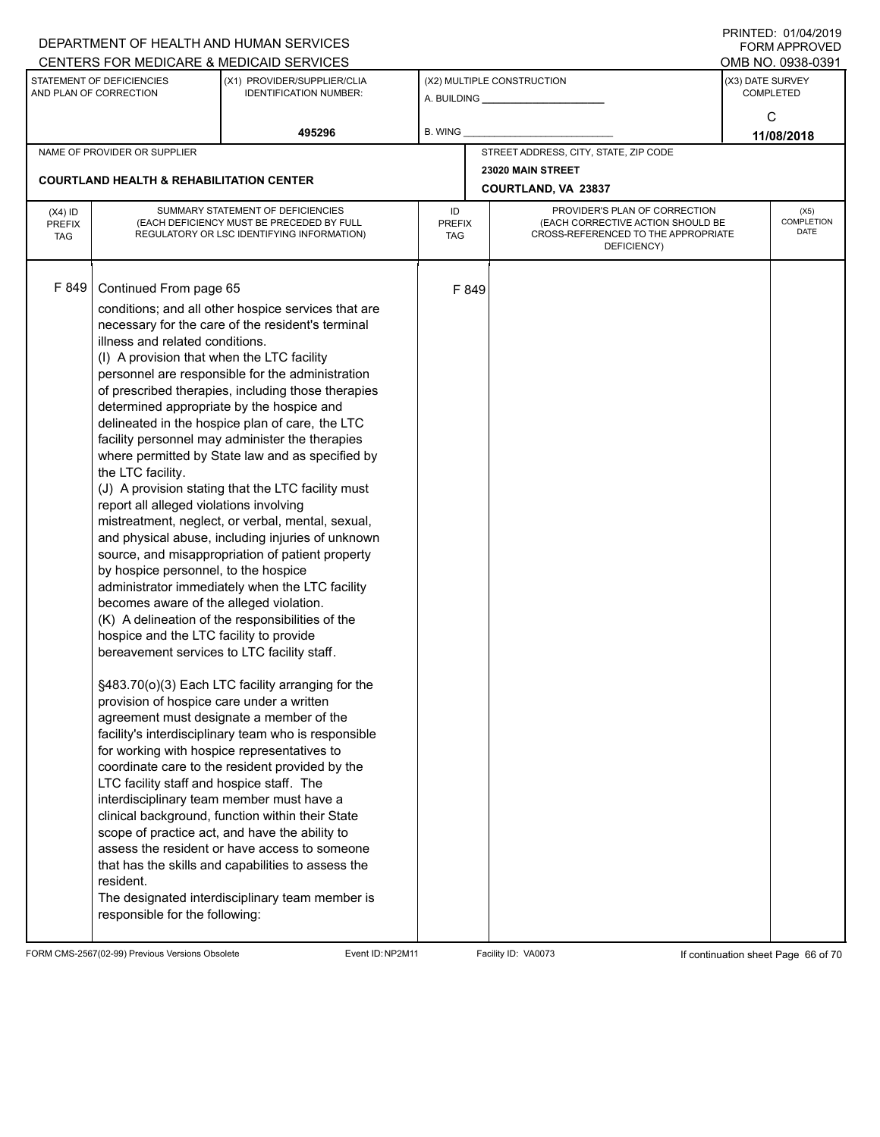|                                          |                                                                                                                                                                                                                                                                                                                                                                                                                                                                                                                                              | DEPARTMENT OF HEALTH AND HUMAN SERVICES                                                                                                                                                                                                                                                                                                                                                                                                                                                                                                                                                                                                                                                                                                                                                                                                                                                                                                                                                                                                                                                                                                                                                                                                                                       |                            |       |                                                                                                                          |                  | 11111LD. 01/07/4019<br><b>FORM APPROVED</b> |  |
|------------------------------------------|----------------------------------------------------------------------------------------------------------------------------------------------------------------------------------------------------------------------------------------------------------------------------------------------------------------------------------------------------------------------------------------------------------------------------------------------------------------------------------------------------------------------------------------------|-------------------------------------------------------------------------------------------------------------------------------------------------------------------------------------------------------------------------------------------------------------------------------------------------------------------------------------------------------------------------------------------------------------------------------------------------------------------------------------------------------------------------------------------------------------------------------------------------------------------------------------------------------------------------------------------------------------------------------------------------------------------------------------------------------------------------------------------------------------------------------------------------------------------------------------------------------------------------------------------------------------------------------------------------------------------------------------------------------------------------------------------------------------------------------------------------------------------------------------------------------------------------------|----------------------------|-------|--------------------------------------------------------------------------------------------------------------------------|------------------|---------------------------------------------|--|
|                                          |                                                                                                                                                                                                                                                                                                                                                                                                                                                                                                                                              | CENTERS FOR MEDICARE & MEDICAID SERVICES                                                                                                                                                                                                                                                                                                                                                                                                                                                                                                                                                                                                                                                                                                                                                                                                                                                                                                                                                                                                                                                                                                                                                                                                                                      |                            |       |                                                                                                                          |                  | OMB NO. 0938-0391                           |  |
|                                          | STATEMENT OF DEFICIENCIES<br>AND PLAN OF CORRECTION                                                                                                                                                                                                                                                                                                                                                                                                                                                                                          | (X1) PROVIDER/SUPPLIER/CLIA<br><b>IDENTIFICATION NUMBER:</b>                                                                                                                                                                                                                                                                                                                                                                                                                                                                                                                                                                                                                                                                                                                                                                                                                                                                                                                                                                                                                                                                                                                                                                                                                  |                            |       | (X2) MULTIPLE CONSTRUCTION<br>A. BUILDING ________________                                                               | (X3) DATE SURVEY | <b>COMPLETED</b>                            |  |
|                                          |                                                                                                                                                                                                                                                                                                                                                                                                                                                                                                                                              | 495296                                                                                                                                                                                                                                                                                                                                                                                                                                                                                                                                                                                                                                                                                                                                                                                                                                                                                                                                                                                                                                                                                                                                                                                                                                                                        | <b>B. WING</b>             |       |                                                                                                                          |                  | С<br>11/08/2018                             |  |
|                                          | NAME OF PROVIDER OR SUPPLIER                                                                                                                                                                                                                                                                                                                                                                                                                                                                                                                 |                                                                                                                                                                                                                                                                                                                                                                                                                                                                                                                                                                                                                                                                                                                                                                                                                                                                                                                                                                                                                                                                                                                                                                                                                                                                               |                            |       | STREET ADDRESS, CITY, STATE, ZIP CODE                                                                                    |                  |                                             |  |
|                                          | <b>COURTLAND HEALTH &amp; REHABILITATION CENTER</b>                                                                                                                                                                                                                                                                                                                                                                                                                                                                                          |                                                                                                                                                                                                                                                                                                                                                                                                                                                                                                                                                                                                                                                                                                                                                                                                                                                                                                                                                                                                                                                                                                                                                                                                                                                                               |                            |       | 23020 MAIN STREET                                                                                                        |                  |                                             |  |
|                                          |                                                                                                                                                                                                                                                                                                                                                                                                                                                                                                                                              |                                                                                                                                                                                                                                                                                                                                                                                                                                                                                                                                                                                                                                                                                                                                                                                                                                                                                                                                                                                                                                                                                                                                                                                                                                                                               |                            |       | COURTLAND, VA 23837                                                                                                      |                  |                                             |  |
| $(X4)$ ID<br><b>PREFIX</b><br><b>TAG</b> |                                                                                                                                                                                                                                                                                                                                                                                                                                                                                                                                              | SUMMARY STATEMENT OF DEFICIENCIES<br>(EACH DEFICIENCY MUST BE PRECEDED BY FULL<br>REGULATORY OR LSC IDENTIFYING INFORMATION)                                                                                                                                                                                                                                                                                                                                                                                                                                                                                                                                                                                                                                                                                                                                                                                                                                                                                                                                                                                                                                                                                                                                                  | ID<br><b>PREFIX</b><br>TAG |       | PROVIDER'S PLAN OF CORRECTION<br>(EACH CORRECTIVE ACTION SHOULD BE<br>CROSS-REFERENCED TO THE APPROPRIATE<br>DEFICIENCY) |                  | (X5)<br><b>COMPLETION</b><br>DATE           |  |
| F 849                                    | Continued From page 65<br>illness and related conditions.<br>(I) A provision that when the LTC facility<br>the LTC facility.<br>report all alleged violations involving<br>by hospice personnel, to the hospice<br>becomes aware of the alleged violation.<br>hospice and the LTC facility to provide<br>bereavement services to LTC facility staff.<br>provision of hospice care under a written<br>for working with hospice representatives to<br>LTC facility staff and hospice staff. The<br>resident.<br>responsible for the following: | conditions; and all other hospice services that are<br>necessary for the care of the resident's terminal<br>personnel are responsible for the administration<br>of prescribed therapies, including those therapies<br>determined appropriate by the hospice and<br>delineated in the hospice plan of care, the LTC<br>facility personnel may administer the therapies<br>where permitted by State law and as specified by<br>(J) A provision stating that the LTC facility must<br>mistreatment, neglect, or verbal, mental, sexual,<br>and physical abuse, including injuries of unknown<br>source, and misappropriation of patient property<br>administrator immediately when the LTC facility<br>(K) A delineation of the responsibilities of the<br>§483.70(o)(3) Each LTC facility arranging for the<br>agreement must designate a member of the<br>facility's interdisciplinary team who is responsible<br>coordinate care to the resident provided by the<br>interdisciplinary team member must have a<br>clinical background, function within their State<br>scope of practice act, and have the ability to<br>assess the resident or have access to someone<br>that has the skills and capabilities to assess the<br>The designated interdisciplinary team member is |                            | F 849 |                                                                                                                          |                  |                                             |  |

FORM CMS-2567(02-99) Previous Versions Obsolete Event ID:NP2M11 Facility ID: VA0073 If continuation sheet Page 66 of 70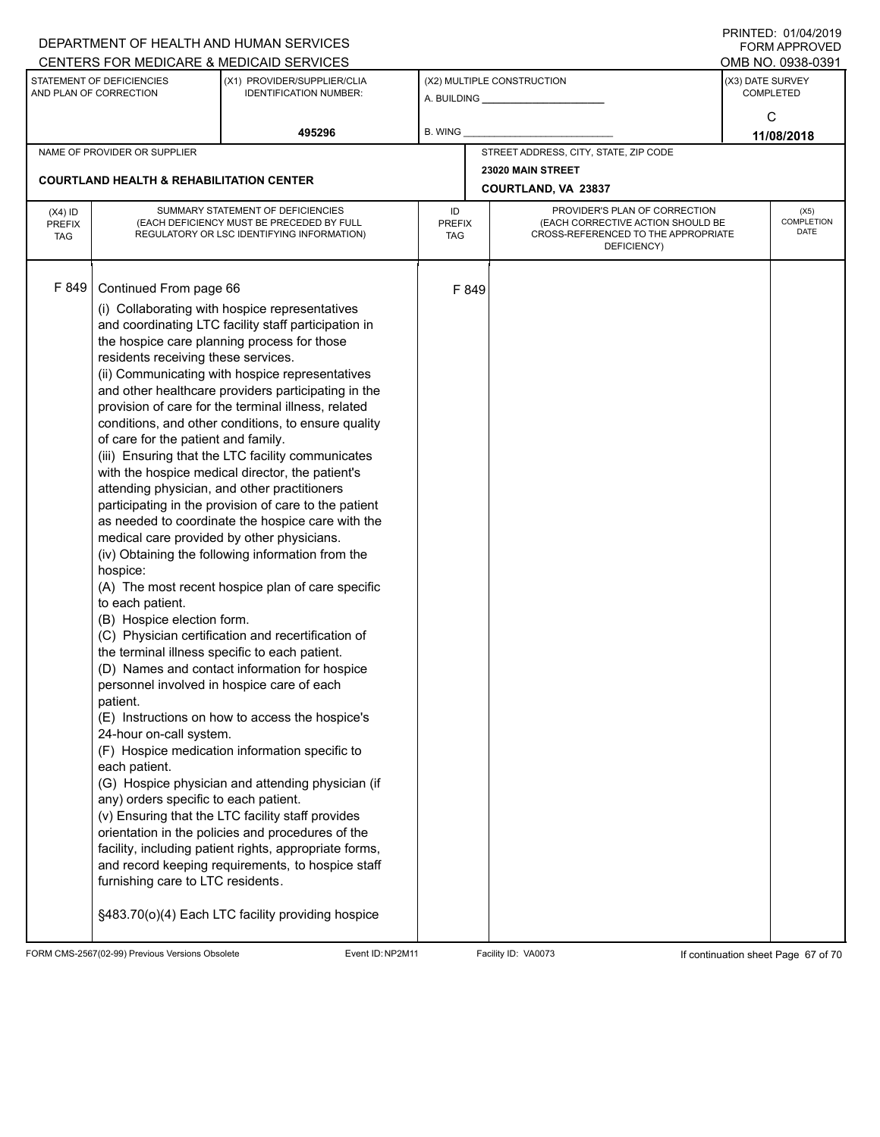|                                          |                                                                                                                                                                                                                                                                                                                                                                                                                                                                                                        | DEPARTMENT OF HEALTH AND HUMAN SERVICES<br>CENTERS FOR MEDICARE & MEDICAID SERVICES                                                                                                                                                                                                                                                                                                                                                                                                                                                                                                                                                                                                                                                                                                                                                                                                                                                                                                                                                                                                                                                                                                                                                                           |                |                             |                                                                                                                          |                  | FININILU. VIIVHIZVI J<br><b>FORM APPROVED</b><br>OMB NO. 0938-0391 |
|------------------------------------------|--------------------------------------------------------------------------------------------------------------------------------------------------------------------------------------------------------------------------------------------------------------------------------------------------------------------------------------------------------------------------------------------------------------------------------------------------------------------------------------------------------|---------------------------------------------------------------------------------------------------------------------------------------------------------------------------------------------------------------------------------------------------------------------------------------------------------------------------------------------------------------------------------------------------------------------------------------------------------------------------------------------------------------------------------------------------------------------------------------------------------------------------------------------------------------------------------------------------------------------------------------------------------------------------------------------------------------------------------------------------------------------------------------------------------------------------------------------------------------------------------------------------------------------------------------------------------------------------------------------------------------------------------------------------------------------------------------------------------------------------------------------------------------|----------------|-----------------------------|--------------------------------------------------------------------------------------------------------------------------|------------------|--------------------------------------------------------------------|
|                                          | STATEMENT OF DEFICIENCIES<br>AND PLAN OF CORRECTION                                                                                                                                                                                                                                                                                                                                                                                                                                                    | (X1) PROVIDER/SUPPLIER/CLIA<br><b>IDENTIFICATION NUMBER:</b>                                                                                                                                                                                                                                                                                                                                                                                                                                                                                                                                                                                                                                                                                                                                                                                                                                                                                                                                                                                                                                                                                                                                                                                                  |                |                             | (X2) MULTIPLE CONSTRUCTION<br>A. BUILDING <b>A.</b> BUILDING                                                             | (X3) DATE SURVEY | <b>COMPLETED</b>                                                   |
|                                          |                                                                                                                                                                                                                                                                                                                                                                                                                                                                                                        | 495296                                                                                                                                                                                                                                                                                                                                                                                                                                                                                                                                                                                                                                                                                                                                                                                                                                                                                                                                                                                                                                                                                                                                                                                                                                                        | <b>B. WING</b> |                             |                                                                                                                          |                  | C<br>11/08/2018                                                    |
|                                          | NAME OF PROVIDER OR SUPPLIER                                                                                                                                                                                                                                                                                                                                                                                                                                                                           |                                                                                                                                                                                                                                                                                                                                                                                                                                                                                                                                                                                                                                                                                                                                                                                                                                                                                                                                                                                                                                                                                                                                                                                                                                                               |                |                             | STREET ADDRESS, CITY, STATE, ZIP CODE                                                                                    |                  |                                                                    |
|                                          | <b>COURTLAND HEALTH &amp; REHABILITATION CENTER</b>                                                                                                                                                                                                                                                                                                                                                                                                                                                    |                                                                                                                                                                                                                                                                                                                                                                                                                                                                                                                                                                                                                                                                                                                                                                                                                                                                                                                                                                                                                                                                                                                                                                                                                                                               |                |                             | 23020 MAIN STREET<br><b>COURTLAND, VA 23837</b>                                                                          |                  |                                                                    |
| $(X4)$ ID<br><b>PREFIX</b><br><b>TAG</b> | SUMMARY STATEMENT OF DEFICIENCIES<br>(EACH DEFICIENCY MUST BE PRECEDED BY FULL<br>REGULATORY OR LSC IDENTIFYING INFORMATION)                                                                                                                                                                                                                                                                                                                                                                           |                                                                                                                                                                                                                                                                                                                                                                                                                                                                                                                                                                                                                                                                                                                                                                                                                                                                                                                                                                                                                                                                                                                                                                                                                                                               |                | <b>PREFIX</b><br><b>TAG</b> | PROVIDER'S PLAN OF CORRECTION<br>(EACH CORRECTIVE ACTION SHOULD BE<br>CROSS-REFERENCED TO THE APPROPRIATE<br>DEFICIENCY) |                  | (X5)<br>COMPLETION<br><b>DATE</b>                                  |
| F 849                                    | Continued From page 66<br>residents receiving these services.<br>of care for the patient and family.<br>attending physician, and other practitioners<br>medical care provided by other physicians.<br>hospice:<br>to each patient.<br>(B) Hospice election form.<br>the terminal illness specific to each patient.<br>personnel involved in hospice care of each<br>patient.<br>24-hour on-call system.<br>each patient.<br>any) orders specific to each patient.<br>furnishing care to LTC residents. | (i) Collaborating with hospice representatives<br>and coordinating LTC facility staff participation in<br>the hospice care planning process for those<br>(ii) Communicating with hospice representatives<br>and other healthcare providers participating in the<br>provision of care for the terminal illness, related<br>conditions, and other conditions, to ensure quality<br>(iii) Ensuring that the LTC facility communicates<br>with the hospice medical director, the patient's<br>participating in the provision of care to the patient<br>as needed to coordinate the hospice care with the<br>(iv) Obtaining the following information from the<br>(A) The most recent hospice plan of care specific<br>(C) Physician certification and recertification of<br>(D) Names and contact information for hospice<br>(E) Instructions on how to access the hospice's<br>(F) Hospice medication information specific to<br>(G) Hospice physician and attending physician (if<br>(v) Ensuring that the LTC facility staff provides<br>orientation in the policies and procedures of the<br>facility, including patient rights, appropriate forms,<br>and record keeping requirements, to hospice staff<br>§483.70(o)(4) Each LTC facility providing hospice |                | F 849                       |                                                                                                                          |                  |                                                                    |

FORM CMS-2567(02-99) Previous Versions Obsolete Event ID:NP2M11 Facility ID: VA0073 If continuation sheet Page 67 of 70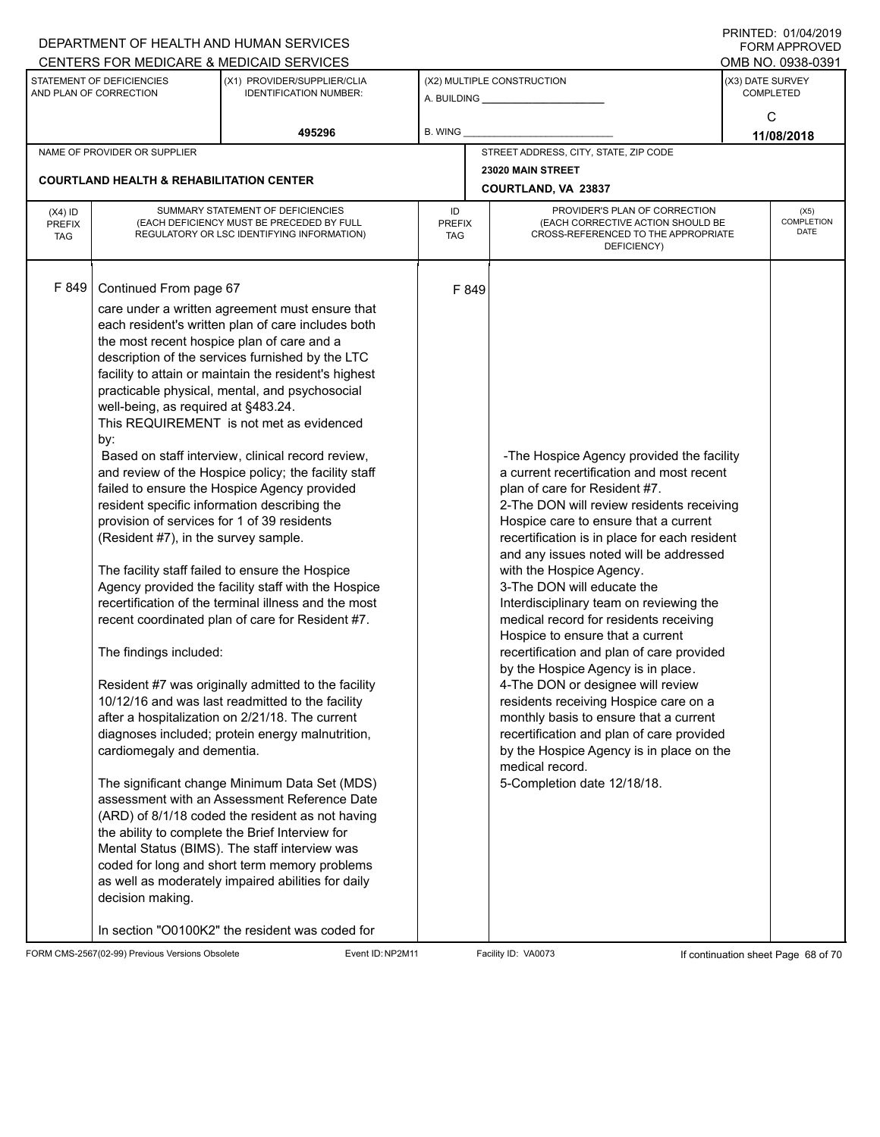|                                          |                                                                                                                                                                                                                                                                                                                   | DEPARTMENT OF HEALTH AND HUMAN SERVICES                                                                                                                                                                                                                                                                                                                                                                                                                                                                                                                                                                                                                                                                                                                                                                                                                                                                                                                                                                                                                                                                                                                                                                                                                                               |                                   |                                |                                                                                                                                                                                                                                                                                                                                                                                                                                                                                                                                                                                                                                                                                                                                                                                                                                                   |  | <b>FORM APPROVED</b>                     |
|------------------------------------------|-------------------------------------------------------------------------------------------------------------------------------------------------------------------------------------------------------------------------------------------------------------------------------------------------------------------|---------------------------------------------------------------------------------------------------------------------------------------------------------------------------------------------------------------------------------------------------------------------------------------------------------------------------------------------------------------------------------------------------------------------------------------------------------------------------------------------------------------------------------------------------------------------------------------------------------------------------------------------------------------------------------------------------------------------------------------------------------------------------------------------------------------------------------------------------------------------------------------------------------------------------------------------------------------------------------------------------------------------------------------------------------------------------------------------------------------------------------------------------------------------------------------------------------------------------------------------------------------------------------------|-----------------------------------|--------------------------------|---------------------------------------------------------------------------------------------------------------------------------------------------------------------------------------------------------------------------------------------------------------------------------------------------------------------------------------------------------------------------------------------------------------------------------------------------------------------------------------------------------------------------------------------------------------------------------------------------------------------------------------------------------------------------------------------------------------------------------------------------------------------------------------------------------------------------------------------------|--|------------------------------------------|
|                                          | STATEMENT OF DEFICIENCIES                                                                                                                                                                                                                                                                                         | CENTERS FOR MEDICARE & MEDICAID SERVICES<br>(X1) PROVIDER/SUPPLIER/CLIA                                                                                                                                                                                                                                                                                                                                                                                                                                                                                                                                                                                                                                                                                                                                                                                                                                                                                                                                                                                                                                                                                                                                                                                                               |                                   |                                | (X2) MULTIPLE CONSTRUCTION                                                                                                                                                                                                                                                                                                                                                                                                                                                                                                                                                                                                                                                                                                                                                                                                                        |  | OMB NO. 0938-0391<br>(X3) DATE SURVEY    |
|                                          | AND PLAN OF CORRECTION                                                                                                                                                                                                                                                                                            | <b>IDENTIFICATION NUMBER:</b>                                                                                                                                                                                                                                                                                                                                                                                                                                                                                                                                                                                                                                                                                                                                                                                                                                                                                                                                                                                                                                                                                                                                                                                                                                                         |                                   | A. BUILDING <b>A.</b> BUILDING |                                                                                                                                                                                                                                                                                                                                                                                                                                                                                                                                                                                                                                                                                                                                                                                                                                                   |  | <b>COMPLETED</b>                         |
|                                          |                                                                                                                                                                                                                                                                                                                   |                                                                                                                                                                                                                                                                                                                                                                                                                                                                                                                                                                                                                                                                                                                                                                                                                                                                                                                                                                                                                                                                                                                                                                                                                                                                                       |                                   |                                |                                                                                                                                                                                                                                                                                                                                                                                                                                                                                                                                                                                                                                                                                                                                                                                                                                                   |  | C                                        |
|                                          |                                                                                                                                                                                                                                                                                                                   | 495296                                                                                                                                                                                                                                                                                                                                                                                                                                                                                                                                                                                                                                                                                                                                                                                                                                                                                                                                                                                                                                                                                                                                                                                                                                                                                | B. WING                           |                                |                                                                                                                                                                                                                                                                                                                                                                                                                                                                                                                                                                                                                                                                                                                                                                                                                                                   |  | 11/08/2018                               |
|                                          | NAME OF PROVIDER OR SUPPLIER                                                                                                                                                                                                                                                                                      |                                                                                                                                                                                                                                                                                                                                                                                                                                                                                                                                                                                                                                                                                                                                                                                                                                                                                                                                                                                                                                                                                                                                                                                                                                                                                       |                                   |                                | STREET ADDRESS, CITY, STATE, ZIP CODE                                                                                                                                                                                                                                                                                                                                                                                                                                                                                                                                                                                                                                                                                                                                                                                                             |  |                                          |
|                                          | <b>COURTLAND HEALTH &amp; REHABILITATION CENTER</b>                                                                                                                                                                                                                                                               |                                                                                                                                                                                                                                                                                                                                                                                                                                                                                                                                                                                                                                                                                                                                                                                                                                                                                                                                                                                                                                                                                                                                                                                                                                                                                       |                                   |                                | 23020 MAIN STREET                                                                                                                                                                                                                                                                                                                                                                                                                                                                                                                                                                                                                                                                                                                                                                                                                                 |  |                                          |
|                                          |                                                                                                                                                                                                                                                                                                                   |                                                                                                                                                                                                                                                                                                                                                                                                                                                                                                                                                                                                                                                                                                                                                                                                                                                                                                                                                                                                                                                                                                                                                                                                                                                                                       |                                   | COURTLAND, VA 23837            |                                                                                                                                                                                                                                                                                                                                                                                                                                                                                                                                                                                                                                                                                                                                                                                                                                                   |  |                                          |
| $(X4)$ ID<br><b>PREFIX</b><br><b>TAG</b> |                                                                                                                                                                                                                                                                                                                   | SUMMARY STATEMENT OF DEFICIENCIES<br>(EACH DEFICIENCY MUST BE PRECEDED BY FULL<br>REGULATORY OR LSC IDENTIFYING INFORMATION)                                                                                                                                                                                                                                                                                                                                                                                                                                                                                                                                                                                                                                                                                                                                                                                                                                                                                                                                                                                                                                                                                                                                                          | ID<br><b>PREFIX</b><br><b>TAG</b> |                                | PROVIDER'S PLAN OF CORRECTION<br>(EACH CORRECTIVE ACTION SHOULD BE<br>CROSS-REFERENCED TO THE APPROPRIATE<br>DEFICIENCY)                                                                                                                                                                                                                                                                                                                                                                                                                                                                                                                                                                                                                                                                                                                          |  | (X5)<br><b>COMPLETION</b><br><b>DATE</b> |
| F 849                                    | Continued From page 67<br>the most recent hospice plan of care and a<br>well-being, as required at §483.24.<br>by:<br>resident specific information describing the<br>provision of services for 1 of 39 residents<br>(Resident #7), in the survey sample.<br>The findings included:<br>cardiomegaly and dementia. | care under a written agreement must ensure that<br>each resident's written plan of care includes both<br>description of the services furnished by the LTC<br>facility to attain or maintain the resident's highest<br>practicable physical, mental, and psychosocial<br>This REQUIREMENT is not met as evidenced<br>Based on staff interview, clinical record review,<br>and review of the Hospice policy; the facility staff<br>failed to ensure the Hospice Agency provided<br>The facility staff failed to ensure the Hospice<br>Agency provided the facility staff with the Hospice<br>recertification of the terminal illness and the most<br>recent coordinated plan of care for Resident #7.<br>Resident #7 was originally admitted to the facility<br>10/12/16 and was last readmitted to the facility<br>after a hospitalization on 2/21/18. The current<br>diagnoses included; protein energy malnutrition,<br>The significant change Minimum Data Set (MDS)<br>assessment with an Assessment Reference Date<br>(ARD) of 8/1/18 coded the resident as not having<br>the ability to complete the Brief Interview for<br>Mental Status (BIMS). The staff interview was<br>coded for long and short term memory problems<br>as well as moderately impaired abilities for daily |                                   | F 849                          | -The Hospice Agency provided the facility<br>a current recertification and most recent<br>plan of care for Resident #7.<br>2-The DON will review residents receiving<br>Hospice care to ensure that a current<br>recertification is in place for each resident<br>and any issues noted will be addressed<br>with the Hospice Agency.<br>3-The DON will educate the<br>Interdisciplinary team on reviewing the<br>medical record for residents receiving<br>Hospice to ensure that a current<br>recertification and plan of care provided<br>by the Hospice Agency is in place.<br>4-The DON or designee will review<br>residents receiving Hospice care on a<br>monthly basis to ensure that a current<br>recertification and plan of care provided<br>by the Hospice Agency is in place on the<br>medical record.<br>5-Completion date 12/18/18. |  |                                          |

FORM CMS-2567(02-99) Previous Versions Obsolete Event ID:NP2M11 Facility ID: VA0073 If continuation sheet Page 68 of 70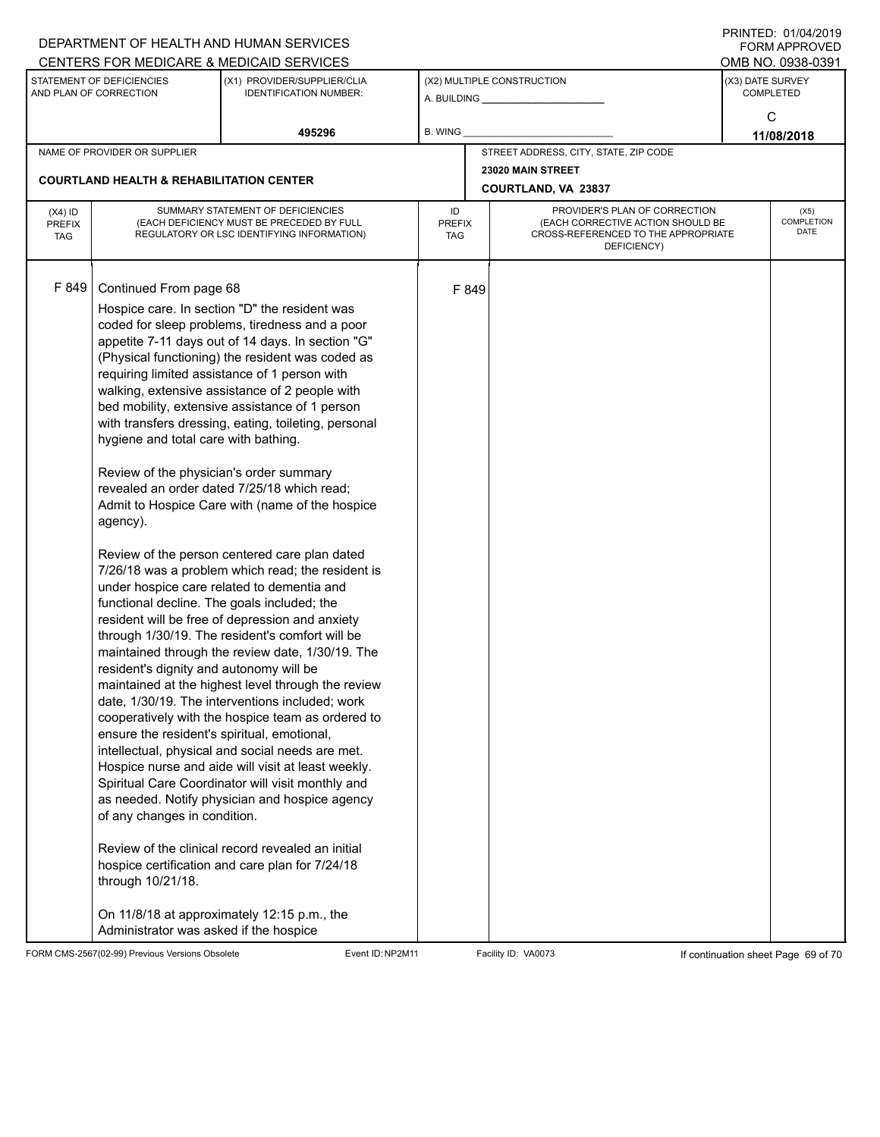|                                          |                                                                                                                                                                                                                                                                                                                                                               | DEPARTMENT OF HEALTH AND HUMAN SERVICES<br>CENTERS FOR MEDICARE & MEDICAID SERVICES                                                                                                                                                                                                                                                                                                                                                                                                                                                                                                                                                                                                                                                                                                                                                                                                                                                                                                                                                                                                                                                                                                                                                                                                                                                                                         |                                   |       |                                                                                                                          |                                      | FININILU. VIIVHIZVI J<br><b>FORM APPROVED</b><br>OMB NO. 0938-0391 |
|------------------------------------------|---------------------------------------------------------------------------------------------------------------------------------------------------------------------------------------------------------------------------------------------------------------------------------------------------------------------------------------------------------------|-----------------------------------------------------------------------------------------------------------------------------------------------------------------------------------------------------------------------------------------------------------------------------------------------------------------------------------------------------------------------------------------------------------------------------------------------------------------------------------------------------------------------------------------------------------------------------------------------------------------------------------------------------------------------------------------------------------------------------------------------------------------------------------------------------------------------------------------------------------------------------------------------------------------------------------------------------------------------------------------------------------------------------------------------------------------------------------------------------------------------------------------------------------------------------------------------------------------------------------------------------------------------------------------------------------------------------------------------------------------------------|-----------------------------------|-------|--------------------------------------------------------------------------------------------------------------------------|--------------------------------------|--------------------------------------------------------------------|
|                                          | STATEMENT OF DEFICIENCIES<br>AND PLAN OF CORRECTION                                                                                                                                                                                                                                                                                                           | (X1) PROVIDER/SUPPLIER/CLIA<br><b>IDENTIFICATION NUMBER:</b>                                                                                                                                                                                                                                                                                                                                                                                                                                                                                                                                                                                                                                                                                                                                                                                                                                                                                                                                                                                                                                                                                                                                                                                                                                                                                                                |                                   |       | (X2) MULTIPLE CONSTRUCTION                                                                                               | (X3) DATE SURVEY<br><b>COMPLETED</b> |                                                                    |
|                                          |                                                                                                                                                                                                                                                                                                                                                               | 495296                                                                                                                                                                                                                                                                                                                                                                                                                                                                                                                                                                                                                                                                                                                                                                                                                                                                                                                                                                                                                                                                                                                                                                                                                                                                                                                                                                      | B. WING                           |       |                                                                                                                          |                                      | C<br>11/08/2018                                                    |
|                                          | NAME OF PROVIDER OR SUPPLIER                                                                                                                                                                                                                                                                                                                                  |                                                                                                                                                                                                                                                                                                                                                                                                                                                                                                                                                                                                                                                                                                                                                                                                                                                                                                                                                                                                                                                                                                                                                                                                                                                                                                                                                                             |                                   |       | STREET ADDRESS, CITY, STATE, ZIP CODE                                                                                    |                                      |                                                                    |
|                                          | <b>COURTLAND HEALTH &amp; REHABILITATION CENTER</b>                                                                                                                                                                                                                                                                                                           |                                                                                                                                                                                                                                                                                                                                                                                                                                                                                                                                                                                                                                                                                                                                                                                                                                                                                                                                                                                                                                                                                                                                                                                                                                                                                                                                                                             |                                   |       | 23020 MAIN STREET<br><b>COURTLAND, VA 23837</b>                                                                          |                                      |                                                                    |
| $(X4)$ ID<br><b>PREFIX</b><br><b>TAG</b> |                                                                                                                                                                                                                                                                                                                                                               | SUMMARY STATEMENT OF DEFICIENCIES<br>(EACH DEFICIENCY MUST BE PRECEDED BY FULL<br>REGULATORY OR LSC IDENTIFYING INFORMATION)                                                                                                                                                                                                                                                                                                                                                                                                                                                                                                                                                                                                                                                                                                                                                                                                                                                                                                                                                                                                                                                                                                                                                                                                                                                | ID<br><b>PREFIX</b><br><b>TAG</b> |       | PROVIDER'S PLAN OF CORRECTION<br>(EACH CORRECTIVE ACTION SHOULD BE<br>CROSS-REFERENCED TO THE APPROPRIATE<br>DEFICIENCY) |                                      | (X5)<br>COMPLETION<br><b>DATE</b>                                  |
| F 849                                    | Continued From page 68<br>hygiene and total care with bathing.<br>Review of the physician's order summary<br>agency).<br>functional decline. The goals included; the<br>resident's dignity and autonomy will be<br>ensure the resident's spiritual, emotional,<br>of any changes in condition.<br>through 10/21/18.<br>Administrator was asked if the hospice | Hospice care. In section "D" the resident was<br>coded for sleep problems, tiredness and a poor<br>appetite 7-11 days out of 14 days. In section "G"<br>(Physical functioning) the resident was coded as<br>requiring limited assistance of 1 person with<br>walking, extensive assistance of 2 people with<br>bed mobility, extensive assistance of 1 person<br>with transfers dressing, eating, toileting, personal<br>revealed an order dated 7/25/18 which read;<br>Admit to Hospice Care with (name of the hospice<br>Review of the person centered care plan dated<br>7/26/18 was a problem which read; the resident is<br>under hospice care related to dementia and<br>resident will be free of depression and anxiety<br>through 1/30/19. The resident's comfort will be<br>maintained through the review date, 1/30/19. The<br>maintained at the highest level through the review<br>date, 1/30/19. The interventions included; work<br>cooperatively with the hospice team as ordered to<br>intellectual, physical and social needs are met.<br>Hospice nurse and aide will visit at least weekly.<br>Spiritual Care Coordinator will visit monthly and<br>as needed. Notify physician and hospice agency<br>Review of the clinical record revealed an initial<br>hospice certification and care plan for 7/24/18<br>On 11/8/18 at approximately 12:15 p.m., the |                                   | F 849 |                                                                                                                          |                                      |                                                                    |

FORM CMS-2567(02-99) Previous Versions Obsolete Event ID:NP2M11 Facility ID: VA0073 If continuation sheet Page 69 of 70